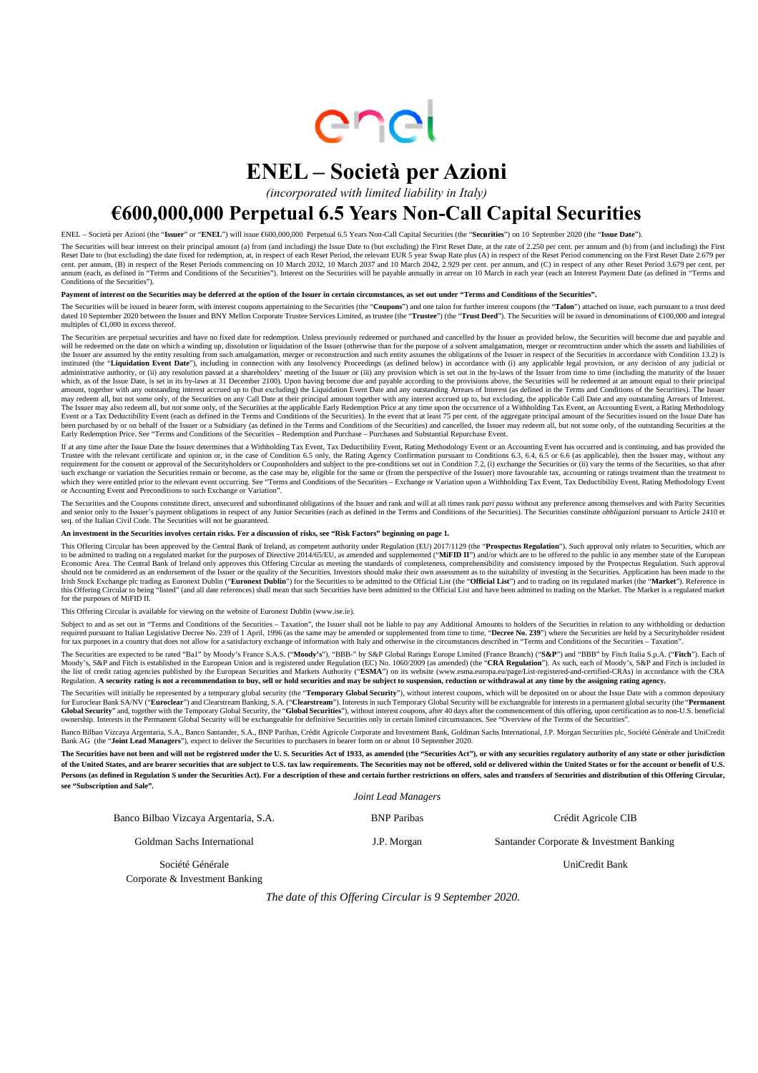

# **ENEL – Società per Azioni**

*(incorporated with limited liability in Italy)*

## **€600,000,000 Perpetual 6.5 Years Non-Call Capital Securities**

ENEL – Società per Azioni (the "**Issuer**" or "**ENEL**") will issue €600,000,000 Perpetual 6.5 Years Non-Call Capital Securities (the "**Securities**") on 10 September 2020 (the "**Issue Date**").

The Securities will bear interest on their principal amount (a) from (and including) the Issue Date to (but excluding) the First Reset Date, at the rate of 2.250 per cent. per annum and (b) from (and including) the First Reset Date to (but excluding) the date fixed for redemption, at, in respect of each Reset Period, the relevant EUR 5 year Swap Rate plus (A) in respect of the Reset Period commencing on the First Reset Date 2.679 per<br>cent. annum (each, as defined in "Terms and Conditions of the Securities"). Interest on the Securities will be payable annually in arrear on 10 March in each year (each an Interest Payment Date (as defined in "Terms and Conditions of the Securities").

#### Payment of interest on the Securities may be deferred at the option of the Issuer in certain circumstances, as set out under "Terms and Conditions of the Securities".

The Securities will be issued in bearer form, with interest coupons appertaining to the Securities (the "**Coupons**") and one talon for further interest coupons (the "**Talon**") attached on issue, each pursuant to a trust d multiples of  $\in$ 1,000 in excess thereof.

The Securities are perpetual securities and have no fixed date for redemption. Unless previously redeemed or purchased and cancelled by the Issuer as provided below, the Securities will become due and payable and will be redeemed on the date on which a winding up, dissolution or liquidation of the Issuer (otherwise than for the purpose of a solvent amalgamation, merger or reconstruction under which the assets and liabilities of<br>the instituted (the "Liquidation Event Date"), including in connection with any Insolvency Proceedings (as defined below) in accordance with (i) any applicable legal provision, or any decision of any judicial or administrative which, as of the Issue Date, is set in its by-laws at 31 December 2100). Upon having become due and payable according to the provisions above, the Securities will be redeemed at an amount equal to their principal amount, t Event or a Tax Deductibility Event (each as defined in the Terms and Conditions of the Securities). In the event that at least 75 per cent. of the aggregate principal amount of the Securities issued on the Issue Date has<br>b Early Redemption Price. See "Terms and Conditions of the Securities – Redemption and Purchase – Purchases and Substantial Repurchase Event.

If at any time after the Issue Date the Issuer determines that a Withholding Tax Event, Tax Deductibility Event, Rating Methodology Event or an Accounting Event has occurred and is continuing, and has provided the<br>Trustee requirement for the consent or approval of the Securityholders or Couponholders and subject to the pre-conditions set out in Condition 7.2, (i) exchange the Securities or (ii) vary the terms of the Securities, so that afte such exchange or variation the Securities remain or become, as the case may be, eligible for the same or (from the perspective of the Issuer) more favourable tax, accounting or ratings treatment than the treatment to which they were entitled prior to the relevant event occurring. See "Terms and Conditions of the Securities – Exchange or Variation upon a Withholding Tax Event, Tax Deductibility Event, Rating Methodology Event<br>or Account

The Securities and the Coupons constitute direct, unsecured and subordinated obligations of the Issuer and rank and will at all times rank pari passu without any preference among themselves and with Parity Securities<br>and s seq. of the Italian Civil Code. The Securities will not be guaranteed.

**An investment in the Securities involves certain risks. For a discussion of risks, see "Risk Factors" beginning on page 1.** 

This Offering Circular has been approved by the Central Bank of Ireland, as competent authority under Regulation (EU) 2017/1129 (the "**Prospectus Regulation**"). Such approval only relates to Securities, which are<br>to be adm Economic Area. The Central Bank of Ireland only approves this Offering Circular as meeting the standards of completeness, comprehensibility and consistency imposed by the Prospectus Regulation. Such approval<br>should not be Irish Stock Exchange plc trading as Euronext Dublin ("**Euronext Dublin**") for the Securities to be admitted to the Official List (the "**Official List**") and to trading on its regulated market (the "**Market**"). Reference in for the purposes of MiFID II.

This Offering Circular is available for viewing on the website of Euronext Dublin (www.ise.ie).

Subject to and as set out in "Terms and Conditions of the Securities – Taxation", the Issuer shall not be liable to pay any Additional Amounts to holders of the Securities in relation to any withholding or deduction<br>requir

The Securities are expected to be rated "Ba1" by Moody's France S.A.S. ("**Moody's**"), "BBB-" by S&P Global Ratings Europe Limited (France Branch) ("**S&P**") and "BBB" by Fitch Italia S.p.A. ("**Fitch**"). Each of Moody's, S&P and Fitch is established in the European Union and is registered under Regulation (EC) No. 1060/2009 (as amended) (the "**CRA Regulation**"). As such, each of Moody's, S&P and Fitch is included in<br>the list of cr

The Securities will initially be represented by a temporary global security (the "**Temporary Global Security**"), without interest coupons, which will be deposited on or about the Issue Date with a common depositary<br>for Eur Global Security" and, together with the Temporary Global Security, the "Global Securities"), without interest coupons, after 40 days after the commencement of this offering, upon certification as to non-U.S. beneficial<br>own

Banco Bilbao Vizcaya Argentaria, S.A., Banco Santander, S.A., BNP Paribas, Crédit Agricole Corporate and Investment Bank, Goldman Sachs International, J.P. Morgan Securities plc, Société Générale and UniCredit<br>Bank AG (the

**The Securities have not been and will not be registered under the U. S. Securities Act of 1933, as amended (the "Securities Act"), or with any securities regulatory authority of any state or other jurisdiction of the United States, and are bearer securities that are subject to U.S. tax law requirements. The Securities may not be offered, sold or delivered within the United States or for the account or benefit of U.S.**  Persons (as defined in Regulation S under the Securities Act). For a description of these and certain further restrictions on offers, sales and transfers of Securities and distribution of this Offering Circular, **see "Subscription and Sale".** 

 *Joint Lead Managers* 

| Banco Bilbao Vizcaya Argentaria, S.A. | <b>BNP</b> Paribas | Crédit Agricole CIB                      |
|---------------------------------------|--------------------|------------------------------------------|
| Goldman Sachs International           | J.P. Morgan        | Santander Corporate & Investment Banking |
| Société Générale                      |                    | UniCredit Bank                           |
| Corporate & Investment Banking        |                    |                                          |

*The date of this Offering Circular is 9 September 2020.*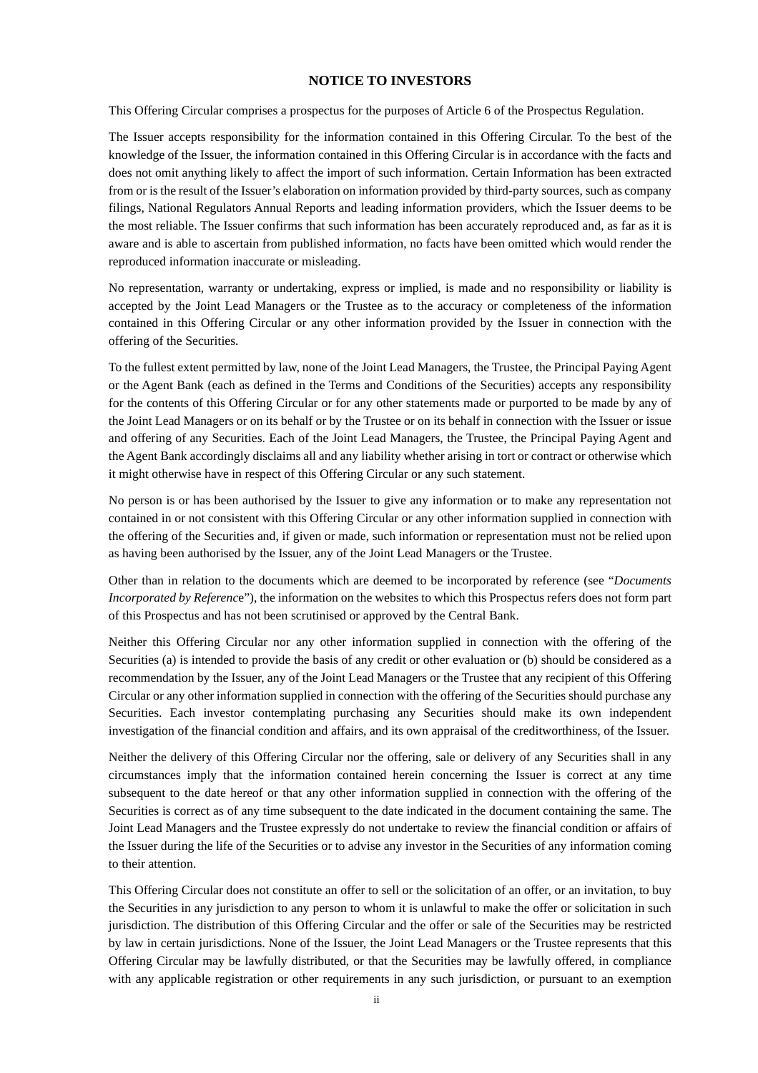### **NOTICE TO INVESTORS**

This Offering Circular comprises a prospectus for the purposes of Article 6 of the Prospectus Regulation.

The Issuer accepts responsibility for the information contained in this Offering Circular. To the best of the knowledge of the Issuer, the information contained in this Offering Circular is in accordance with the facts and does not omit anything likely to affect the import of such information. Certain Information has been extracted from or is the result of the Issuer's elaboration on information provided by third-party sources, such as company filings, National Regulators Annual Reports and leading information providers, which the Issuer deems to be the most reliable. The Issuer confirms that such information has been accurately reproduced and, as far as it is aware and is able to ascertain from published information, no facts have been omitted which would render the reproduced information inaccurate or misleading.

No representation, warranty or undertaking, express or implied, is made and no responsibility or liability is accepted by the Joint Lead Managers or the Trustee as to the accuracy or completeness of the information contained in this Offering Circular or any other information provided by the Issuer in connection with the offering of the Securities.

To the fullest extent permitted by law, none of the Joint Lead Managers, the Trustee, the Principal Paying Agent or the Agent Bank (each as defined in the Terms and Conditions of the Securities) accepts any responsibility for the contents of this Offering Circular or for any other statements made or purported to be made by any of the Joint Lead Managers or on its behalf or by the Trustee or on its behalf in connection with the Issuer or issue and offering of any Securities. Each of the Joint Lead Managers, the Trustee, the Principal Paying Agent and the Agent Bank accordingly disclaims all and any liability whether arising in tort or contract or otherwise which it might otherwise have in respect of this Offering Circular or any such statement.

No person is or has been authorised by the Issuer to give any information or to make any representation not contained in or not consistent with this Offering Circular or any other information supplied in connection with the offering of the Securities and, if given or made, such information or representation must not be relied upon as having been authorised by the Issuer, any of the Joint Lead Managers or the Trustee.

Other than in relation to the documents which are deemed to be incorporated by reference (see "*Documents Incorporated by Referenc*e"), the information on the websites to which this Prospectus refers does not form part of this Prospectus and has not been scrutinised or approved by the Central Bank.

Neither this Offering Circular nor any other information supplied in connection with the offering of the Securities (a) is intended to provide the basis of any credit or other evaluation or (b) should be considered as a recommendation by the Issuer, any of the Joint Lead Managers or the Trustee that any recipient of this Offering Circular or any other information supplied in connection with the offering of the Securities should purchase any Securities. Each investor contemplating purchasing any Securities should make its own independent investigation of the financial condition and affairs, and its own appraisal of the creditworthiness, of the Issuer.

Neither the delivery of this Offering Circular nor the offering, sale or delivery of any Securities shall in any circumstances imply that the information contained herein concerning the Issuer is correct at any time subsequent to the date hereof or that any other information supplied in connection with the offering of the Securities is correct as of any time subsequent to the date indicated in the document containing the same. The Joint Lead Managers and the Trustee expressly do not undertake to review the financial condition or affairs of the Issuer during the life of the Securities or to advise any investor in the Securities of any information coming to their attention.

This Offering Circular does not constitute an offer to sell or the solicitation of an offer, or an invitation, to buy the Securities in any jurisdiction to any person to whom it is unlawful to make the offer or solicitation in such jurisdiction. The distribution of this Offering Circular and the offer or sale of the Securities may be restricted by law in certain jurisdictions. None of the Issuer, the Joint Lead Managers or the Trustee represents that this Offering Circular may be lawfully distributed, or that the Securities may be lawfully offered, in compliance with any applicable registration or other requirements in any such jurisdiction, or pursuant to an exemption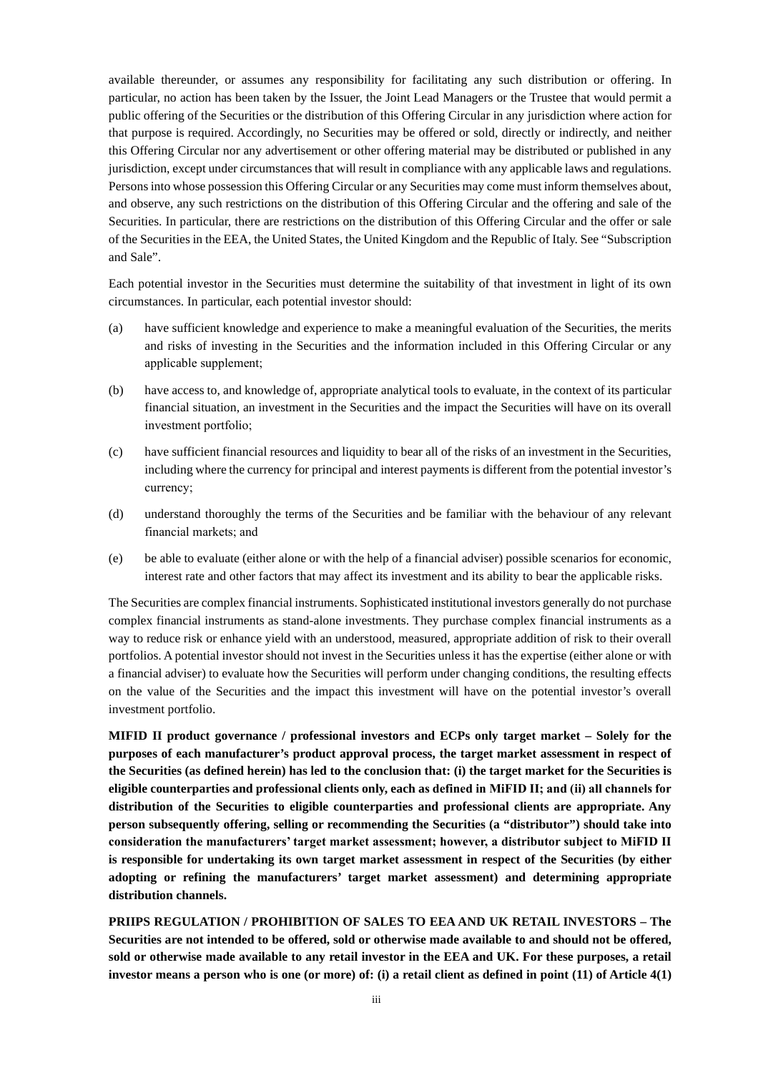available thereunder, or assumes any responsibility for facilitating any such distribution or offering. In particular, no action has been taken by the Issuer, the Joint Lead Managers or the Trustee that would permit a public offering of the Securities or the distribution of this Offering Circular in any jurisdiction where action for that purpose is required. Accordingly, no Securities may be offered or sold, directly or indirectly, and neither this Offering Circular nor any advertisement or other offering material may be distributed or published in any jurisdiction, except under circumstances that will result in compliance with any applicable laws and regulations. Persons into whose possession this Offering Circular or any Securities may come must inform themselves about, and observe, any such restrictions on the distribution of this Offering Circular and the offering and sale of the Securities. In particular, there are restrictions on the distribution of this Offering Circular and the offer or sale of the Securities in the EEA, the United States, the United Kingdom and the Republic of Italy. See "Subscription and Sale".

Each potential investor in the Securities must determine the suitability of that investment in light of its own circumstances. In particular, each potential investor should:

- (a) have sufficient knowledge and experience to make a meaningful evaluation of the Securities, the merits and risks of investing in the Securities and the information included in this Offering Circular or any applicable supplement;
- (b) have access to, and knowledge of, appropriate analytical tools to evaluate, in the context of its particular financial situation, an investment in the Securities and the impact the Securities will have on its overall investment portfolio;
- (c) have sufficient financial resources and liquidity to bear all of the risks of an investment in the Securities, including where the currency for principal and interest payments is different from the potential investor's currency;
- (d) understand thoroughly the terms of the Securities and be familiar with the behaviour of any relevant financial markets; and
- (e) be able to evaluate (either alone or with the help of a financial adviser) possible scenarios for economic, interest rate and other factors that may affect its investment and its ability to bear the applicable risks.

The Securities are complex financial instruments. Sophisticated institutional investors generally do not purchase complex financial instruments as stand-alone investments. They purchase complex financial instruments as a way to reduce risk or enhance yield with an understood, measured, appropriate addition of risk to their overall portfolios. A potential investor should not invest in the Securities unless it has the expertise (either alone or with a financial adviser) to evaluate how the Securities will perform under changing conditions, the resulting effects on the value of the Securities and the impact this investment will have on the potential investor's overall investment portfolio.

**MIFID II product governance / professional investors and ECPs only target market – Solely for the purposes of each manufacturer's product approval process, the target market assessment in respect of the Securities (as defined herein) has led to the conclusion that: (i) the target market for the Securities is eligible counterparties and professional clients only, each as defined in MiFID II; and (ii) all channels for distribution of the Securities to eligible counterparties and professional clients are appropriate. Any person subsequently offering, selling or recommending the Securities (a "distributor") should take into consideration the manufacturers' target market assessment; however, a distributor subject to MiFID II is responsible for undertaking its own target market assessment in respect of the Securities (by either adopting or refining the manufacturers' target market assessment) and determining appropriate distribution channels.** 

**PRIIPS REGULATION / PROHIBITION OF SALES TO EEA AND UK RETAIL INVESTORS – The Securities are not intended to be offered, sold or otherwise made available to and should not be offered, sold or otherwise made available to any retail investor in the EEA and UK. For these purposes, a retail investor means a person who is one (or more) of: (i) a retail client as defined in point (11) of Article 4(1)**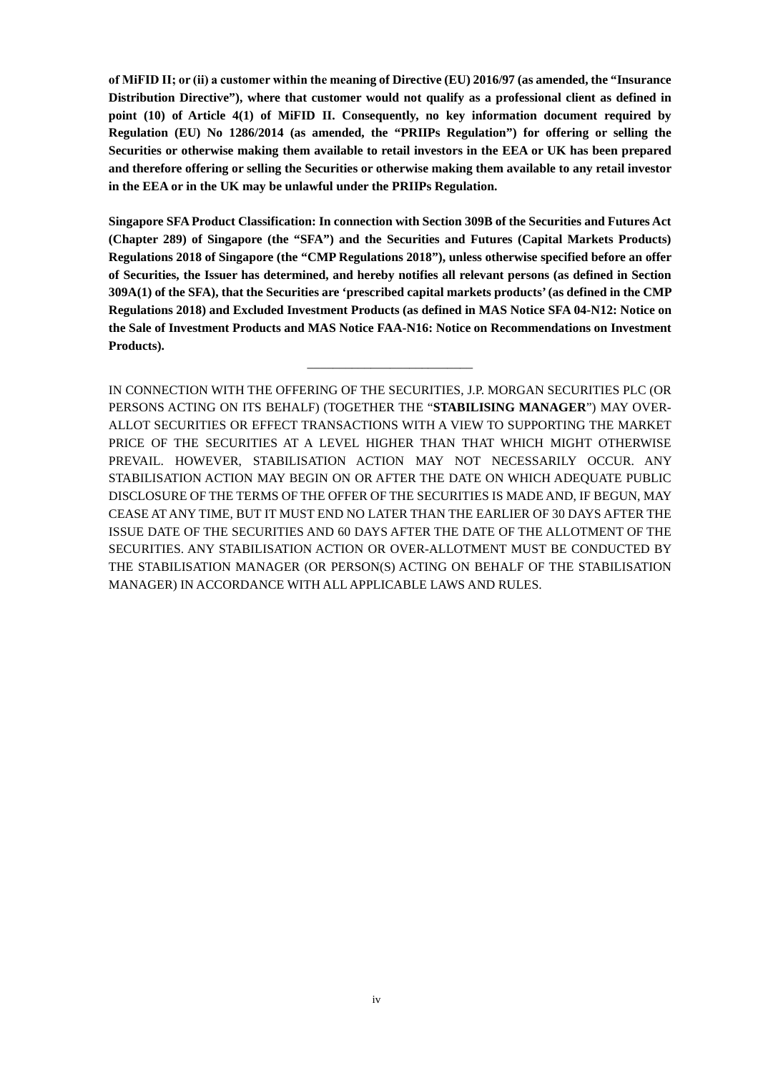**of MiFID II; or (ii) a customer within the meaning of Directive (EU) 2016/97 (as amended, the "Insurance Distribution Directive"), where that customer would not qualify as a professional client as defined in point (10) of Article 4(1) of MiFID II. Consequently, no key information document required by Regulation (EU) No 1286/2014 (as amended, the "PRIIPs Regulation") for offering or selling the Securities or otherwise making them available to retail investors in the EEA or UK has been prepared and therefore offering or selling the Securities or otherwise making them available to any retail investor in the EEA or in the UK may be unlawful under the PRIIPs Regulation.** 

**Singapore SFA Product Classification: In connection with Section 309B of the Securities and Futures Act (Chapter 289) of Singapore (the "SFA") and the Securities and Futures (Capital Markets Products) Regulations 2018 of Singapore (the "CMP Regulations 2018"), unless otherwise specified before an offer of Securities, the Issuer has determined, and hereby notifies all relevant persons (as defined in Section 309A(1) of the SFA), that the Securities are 'prescribed capital markets products' (as defined in the CMP Regulations 2018) and Excluded Investment Products (as defined in MAS Notice SFA 04-N12: Notice on the Sale of Investment Products and MAS Notice FAA-N16: Notice on Recommendations on Investment Products).**

\_\_\_\_\_\_\_\_\_\_\_\_\_\_\_\_\_\_\_\_\_\_\_\_\_\_

IN CONNECTION WITH THE OFFERING OF THE SECURITIES, J.P. MORGAN SECURITIES PLC (OR PERSONS ACTING ON ITS BEHALF) (TOGETHER THE "**STABILISING MANAGER**") MAY OVER-ALLOT SECURITIES OR EFFECT TRANSACTIONS WITH A VIEW TO SUPPORTING THE MARKET PRICE OF THE SECURITIES AT A LEVEL HIGHER THAN THAT WHICH MIGHT OTHERWISE PREVAIL. HOWEVER, STABILISATION ACTION MAY NOT NECESSARILY OCCUR. ANY STABILISATION ACTION MAY BEGIN ON OR AFTER THE DATE ON WHICH ADEQUATE PUBLIC DISCLOSURE OF THE TERMS OF THE OFFER OF THE SECURITIES IS MADE AND, IF BEGUN, MAY CEASE AT ANY TIME, BUT IT MUST END NO LATER THAN THE EARLIER OF 30 DAYS AFTER THE ISSUE DATE OF THE SECURITIES AND 60 DAYS AFTER THE DATE OF THE ALLOTMENT OF THE SECURITIES. ANY STABILISATION ACTION OR OVER-ALLOTMENT MUST BE CONDUCTED BY THE STABILISATION MANAGER (OR PERSON(S) ACTING ON BEHALF OF THE STABILISATION MANAGER) IN ACCORDANCE WITH ALL APPLICABLE LAWS AND RULES.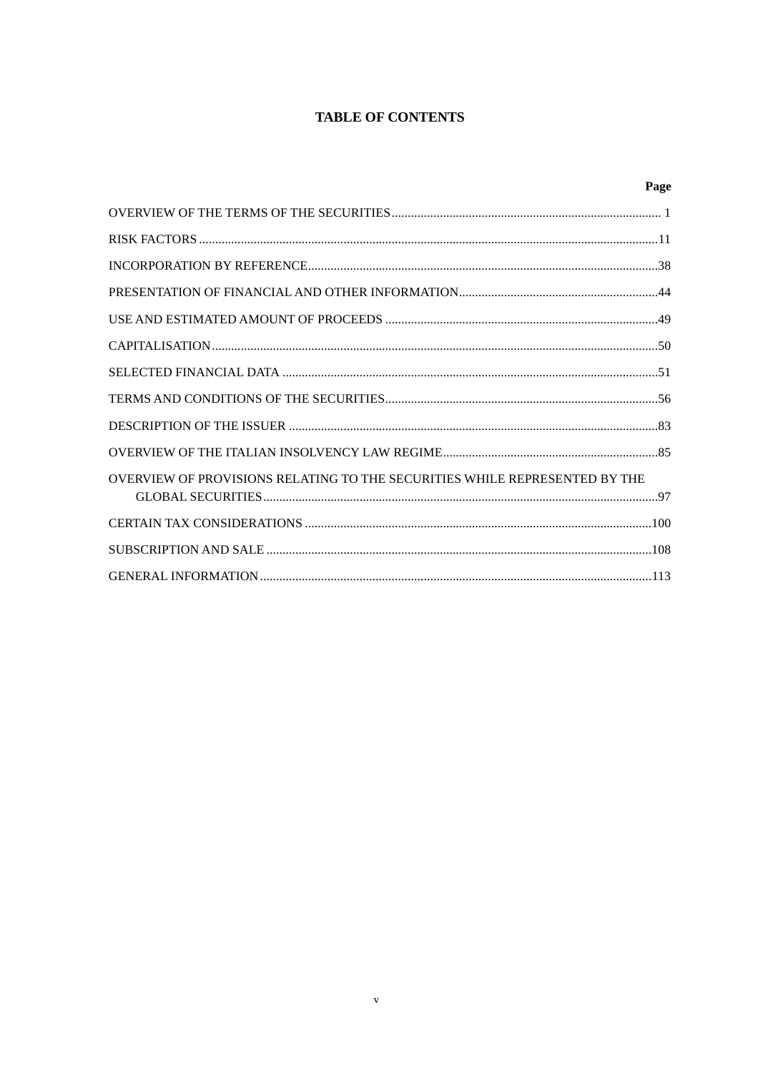## **TABLE OF CONTENTS**

|                                                                            | Page |
|----------------------------------------------------------------------------|------|
|                                                                            |      |
|                                                                            |      |
|                                                                            |      |
|                                                                            |      |
|                                                                            |      |
|                                                                            |      |
|                                                                            |      |
|                                                                            |      |
|                                                                            |      |
|                                                                            |      |
| OVERVIEW OF PROVISIONS RELATING TO THE SECURITIES WHILE REPRESENTED BY THE |      |
|                                                                            |      |
|                                                                            |      |
|                                                                            |      |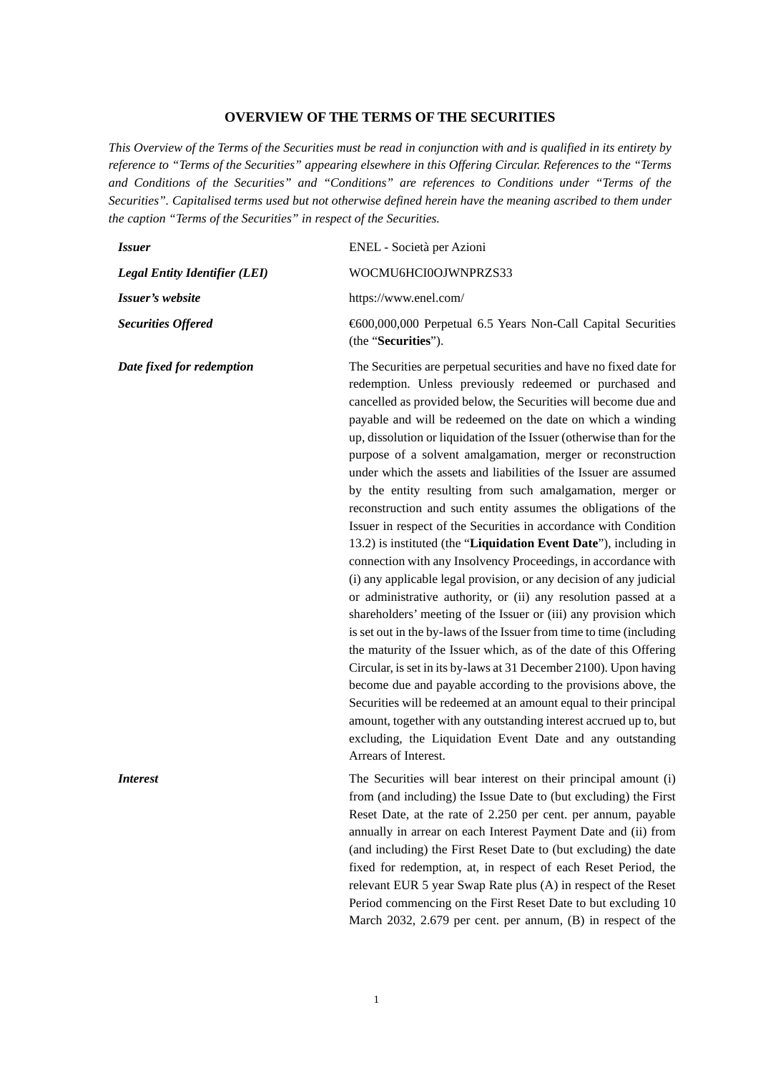#### **OVERVIEW OF THE TERMS OF THE SECURITIES**

*This Overview of the Terms of the Securities must be read in conjunction with and is qualified in its entirety by reference to "Terms of the Securities" appearing elsewhere in this Offering Circular. References to the "Terms and Conditions of the Securities" and "Conditions" are references to Conditions under "Terms of the Securities". Capitalised terms used but not otherwise defined herein have the meaning ascribed to them under the caption "Terms of the Securities" in respect of the Securities.* 

| <i>Issuer</i>                        | ENEL - Società per Azioni                                                                                                                                                                                                                                                                                                                                                                                                                                                                                                                                                                                                                                                                                                                                                                                                                                                                                                                                                                                                                                                                                                                                                                                                                                                                                                                                                                                                                                                                                                                          |
|--------------------------------------|----------------------------------------------------------------------------------------------------------------------------------------------------------------------------------------------------------------------------------------------------------------------------------------------------------------------------------------------------------------------------------------------------------------------------------------------------------------------------------------------------------------------------------------------------------------------------------------------------------------------------------------------------------------------------------------------------------------------------------------------------------------------------------------------------------------------------------------------------------------------------------------------------------------------------------------------------------------------------------------------------------------------------------------------------------------------------------------------------------------------------------------------------------------------------------------------------------------------------------------------------------------------------------------------------------------------------------------------------------------------------------------------------------------------------------------------------------------------------------------------------------------------------------------------------|
| <b>Legal Entity Identifier (LEI)</b> | WOCMU6HCI0OJWNPRZS33                                                                                                                                                                                                                                                                                                                                                                                                                                                                                                                                                                                                                                                                                                                                                                                                                                                                                                                                                                                                                                                                                                                                                                                                                                                                                                                                                                                                                                                                                                                               |
| Issuer's website                     | https://www.enel.com/                                                                                                                                                                                                                                                                                                                                                                                                                                                                                                                                                                                                                                                                                                                                                                                                                                                                                                                                                                                                                                                                                                                                                                                                                                                                                                                                                                                                                                                                                                                              |
| <b>Securities Offered</b>            | € 600,000,000 Perpetual 6.5 Years Non-Call Capital Securities<br>(the "Securities").                                                                                                                                                                                                                                                                                                                                                                                                                                                                                                                                                                                                                                                                                                                                                                                                                                                                                                                                                                                                                                                                                                                                                                                                                                                                                                                                                                                                                                                               |
| Date fixed for redemption            | The Securities are perpetual securities and have no fixed date for<br>redemption. Unless previously redeemed or purchased and<br>cancelled as provided below, the Securities will become due and<br>payable and will be redeemed on the date on which a winding<br>up, dissolution or liquidation of the Issuer (otherwise than for the<br>purpose of a solvent amalgamation, merger or reconstruction<br>under which the assets and liabilities of the Issuer are assumed<br>by the entity resulting from such amalgamation, merger or<br>reconstruction and such entity assumes the obligations of the<br>Issuer in respect of the Securities in accordance with Condition<br>13.2) is instituted (the "Liquidation Event Date"), including in<br>connection with any Insolvency Proceedings, in accordance with<br>(i) any applicable legal provision, or any decision of any judicial<br>or administrative authority, or (ii) any resolution passed at a<br>shareholders' meeting of the Issuer or (iii) any provision which<br>is set out in the by-laws of the Issuer from time to time (including<br>the maturity of the Issuer which, as of the date of this Offering<br>Circular, is set in its by-laws at 31 December 2100). Upon having<br>become due and payable according to the provisions above, the<br>Securities will be redeemed at an amount equal to their principal<br>amount, together with any outstanding interest accrued up to, but<br>excluding, the Liquidation Event Date and any outstanding<br>Arrears of Interest. |
| <i>Interest</i>                      | The Securities will bear interest on their principal amount (i)<br>from (and including) the Jesue Date to (but evoluding) the First                                                                                                                                                                                                                                                                                                                                                                                                                                                                                                                                                                                                                                                                                                                                                                                                                                                                                                                                                                                                                                                                                                                                                                                                                                                                                                                                                                                                                |

from (and including) the Issue Date to (but excluding) the First Reset Date, at the rate of 2.250 per cent. per annum, payable annually in arrear on each Interest Payment Date and (ii) from (and including) the First Reset Date to (but excluding) the date fixed for redemption, at, in respect of each Reset Period, the relevant EUR 5 year Swap Rate plus (A) in respect of the Reset Period commencing on the First Reset Date to but excluding 10 March 2032, 2.679 per cent. per annum, (B) in respect of the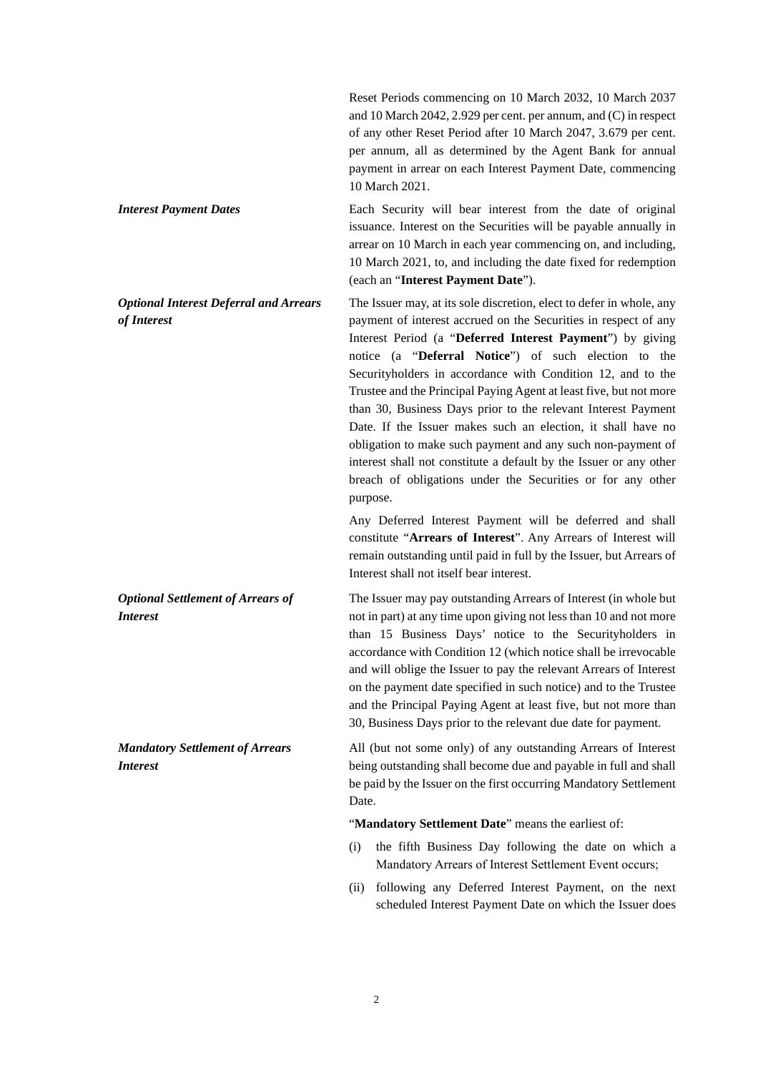Reset Periods commencing on 10 March 2032, 10 March 2037 and 10 March 2042, 2.929 per cent. per annum, and (C) in respect of any other Reset Period after 10 March 2047, 3.679 per cent. per annum, all as determined by the Agent Bank for annual payment in arrear on each Interest Payment Date, commencing 10 March 2021.

**Interest Payment Dates Each Security will bear interest from the date of original** issuance. Interest on the Securities will be payable annually in arrear on 10 March in each year commencing on, and including, 10 March 2021, to, and including the date fixed for redemption (each an "**Interest Payment Date**").

*Optional Interest Deferral and Arrears of Interest*  The Issuer may, at its sole discretion, elect to defer in whole, any payment of interest accrued on the Securities in respect of any Interest Period (a "**Deferred Interest Payment**") by giving notice (a "**Deferral Notice**") of such election to the Securityholders in accordance with Condition 12, and to the Trustee and the Principal Paying Agent at least five, but not more than 30, Business Days prior to the relevant Interest Payment Date. If the Issuer makes such an election, it shall have no obligation to make such payment and any such non-payment of interest shall not constitute a default by the Issuer or any other breach of obligations under the Securities or for any other

purpose.

Any Deferred Interest Payment will be deferred and shall constitute "**Arrears of Interest**". Any Arrears of Interest will remain outstanding until paid in full by the Issuer, but Arrears of Interest shall not itself bear interest.

The Issuer may pay outstanding Arrears of Interest (in whole but not in part) at any time upon giving not less than 10 and not more than 15 Business Days' notice to the Securityholders in accordance with Condition 12 (which notice shall be irrevocable and will oblige the Issuer to pay the relevant Arrears of Interest on the payment date specified in such notice) and to the Trustee and the Principal Paying Agent at least five, but not more than 30, Business Days prior to the relevant due date for payment.

All (but not some only) of any outstanding Arrears of Interest being outstanding shall become due and payable in full and shall be paid by the Issuer on the first occurring Mandatory Settlement Date.

"**Mandatory Settlement Date**" means the earliest of:

- (i) the fifth Business Day following the date on which a Mandatory Arrears of Interest Settlement Event occurs;
- (ii) following any Deferred Interest Payment, on the next scheduled Interest Payment Date on which the Issuer does

 $\overline{2}$ 

*Interest* 

*Mandatory Settlement of Arrears Interest* 

*Optional Settlement of Arrears of*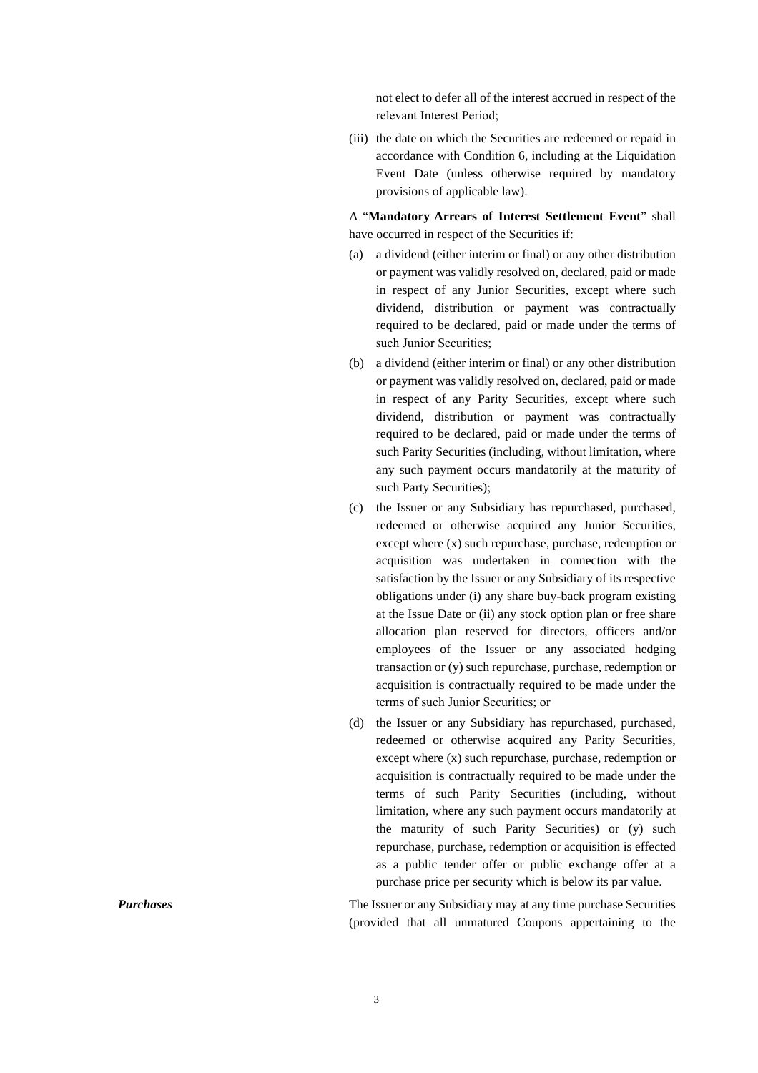not elect to defer all of the interest accrued in respect of the relevant Interest Period;

(iii) the date on which the Securities are redeemed or repaid in accordance with Condition 6, including at the Liquidation Event Date (unless otherwise required by mandatory provisions of applicable law).

A "**Mandatory Arrears of Interest Settlement Event**" shall have occurred in respect of the Securities if:

- (a) a dividend (either interim or final) or any other distribution or payment was validly resolved on, declared, paid or made in respect of any Junior Securities, except where such dividend, distribution or payment was contractually required to be declared, paid or made under the terms of such Junior Securities;
- (b) a dividend (either interim or final) or any other distribution or payment was validly resolved on, declared, paid or made in respect of any Parity Securities, except where such dividend, distribution or payment was contractually required to be declared, paid or made under the terms of such Parity Securities (including, without limitation, where any such payment occurs mandatorily at the maturity of such Party Securities);
- (c) the Issuer or any Subsidiary has repurchased, purchased, redeemed or otherwise acquired any Junior Securities, except where (x) such repurchase, purchase, redemption or acquisition was undertaken in connection with the satisfaction by the Issuer or any Subsidiary of its respective obligations under (i) any share buy-back program existing at the Issue Date or (ii) any stock option plan or free share allocation plan reserved for directors, officers and/or employees of the Issuer or any associated hedging transaction or (y) such repurchase, purchase, redemption or acquisition is contractually required to be made under the terms of such Junior Securities; or
- (d) the Issuer or any Subsidiary has repurchased, purchased, redeemed or otherwise acquired any Parity Securities, except where (x) such repurchase, purchase, redemption or acquisition is contractually required to be made under the terms of such Parity Securities (including, without limitation, where any such payment occurs mandatorily at the maturity of such Parity Securities) or (y) such repurchase, purchase, redemption or acquisition is effected as a public tender offer or public exchange offer at a purchase price per security which is below its par value.

*Purchases* The Issuer or any Subsidiary may at any time purchase Securities (provided that all unmatured Coupons appertaining to the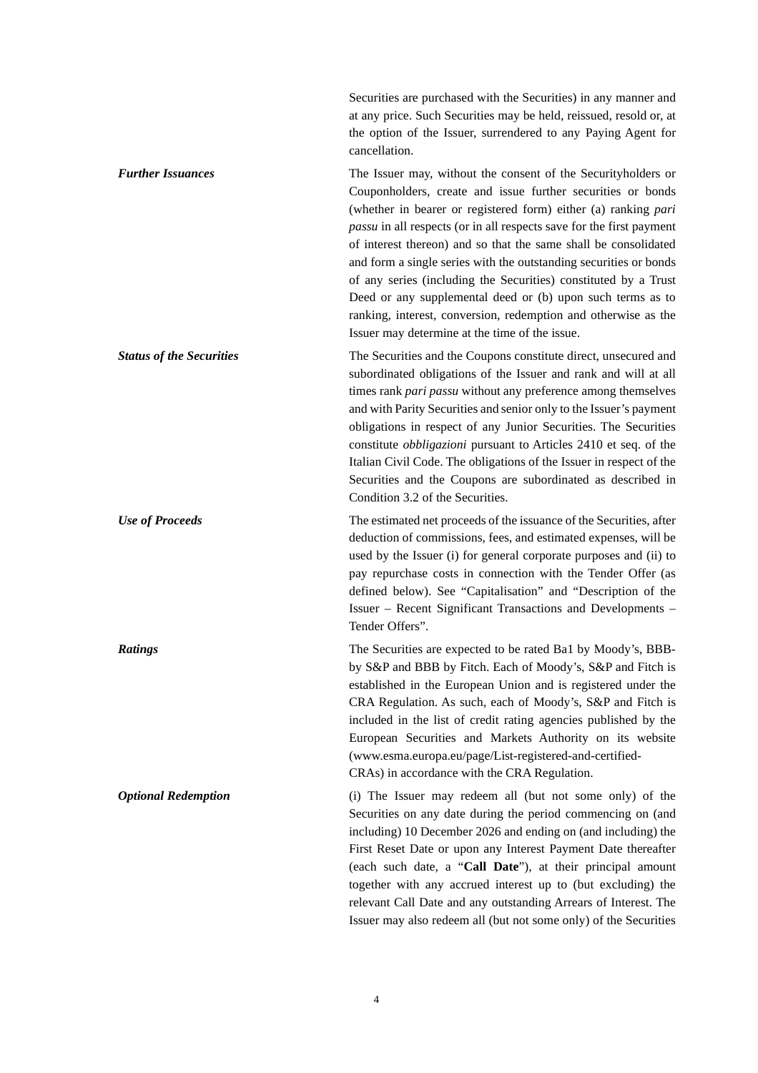Securities are purchased with the Securities) in any manner and at any price. Such Securities may be held, reissued, resold or, at the option of the Issuer, surrendered to any Paying Agent for cancellation.

*Further Issuances* The Issuer may, without the consent of the Securityholders or Couponholders, create and issue further securities or bonds (whether in bearer or registered form) either (a) ranking *pari passu* in all respects (or in all respects save for the first payment of interest thereon) and so that the same shall be consolidated and form a single series with the outstanding securities or bonds of any series (including the Securities) constituted by a Trust Deed or any supplemental deed or (b) upon such terms as to ranking, interest, conversion, redemption and otherwise as the Issuer may determine at the time of the issue. **Status of the Securities** The Securities and the Coupons constitute direct, unsecured and

subordinated obligations of the Issuer and rank and will at all times rank *pari passu* without any preference among themselves and with Parity Securities and senior only to the Issuer's payment obligations in respect of any Junior Securities. The Securities constitute *obbligazioni* pursuant to Articles 2410 et seq. of the Italian Civil Code. The obligations of the Issuer in respect of the Securities and the Coupons are subordinated as described in Condition 3.2 of the Securities.

*Use of Proceeds* The estimated net proceeds of the issuance of the Securities, after deduction of commissions, fees, and estimated expenses, will be used by the Issuer (i) for general corporate purposes and (ii) to pay repurchase costs in connection with the Tender Offer (as defined below). See "Capitalisation" and "Description of the Issuer – Recent Significant Transactions and Developments – Tender Offers".

*Ratings* The Securities are expected to be rated Ba1 by Moody's, BBBby S&P and BBB by Fitch. Each of Moody's, S&P and Fitch is established in the European Union and is registered under the CRA Regulation. As such, each of Moody's, S&P and Fitch is included in the list of credit rating agencies published by the European Securities and Markets Authority on its website (www.esma.europa.eu/page/List-registered-and-certified-CRAs) in accordance with the CRA Regulation.

*Optional Redemption* (i) The Issuer may redeem all (but not some only) of the Securities on any date during the period commencing on (and including) 10 December 2026 and ending on (and including) the First Reset Date or upon any Interest Payment Date thereafter (each such date, a "**Call Date**"), at their principal amount together with any accrued interest up to (but excluding) the relevant Call Date and any outstanding Arrears of Interest. The Issuer may also redeem all (but not some only) of the Securities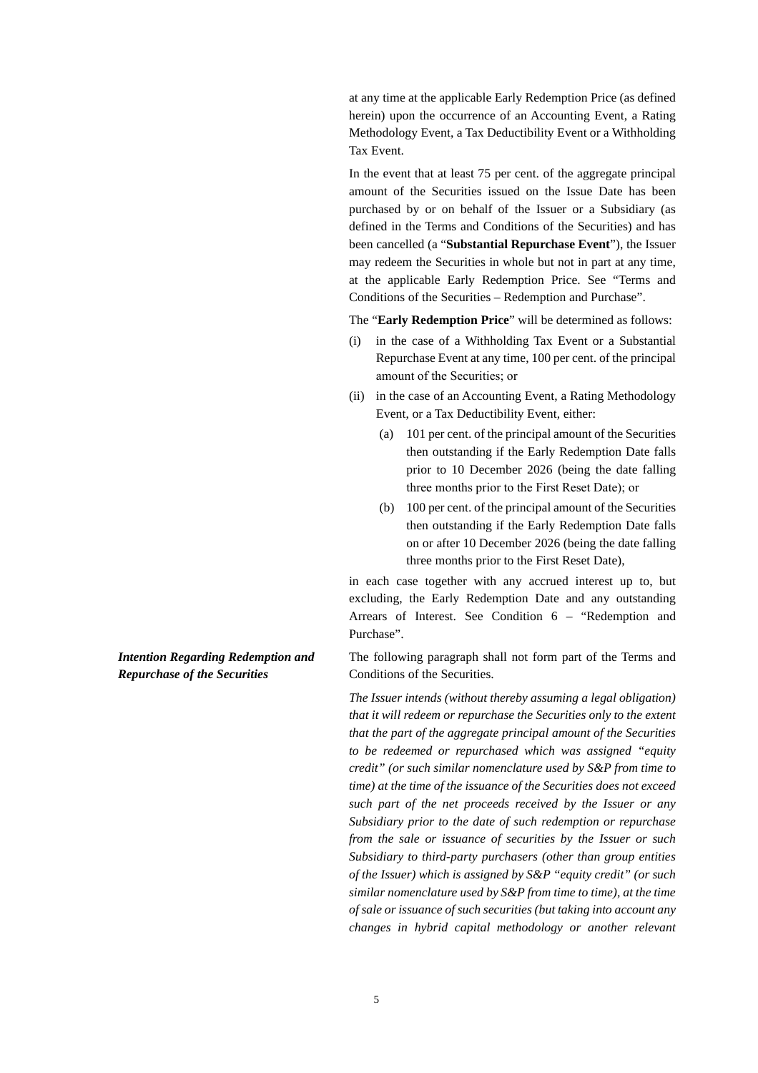at any time at the applicable Early Redemption Price (as defined herein) upon the occurrence of an Accounting Event, a Rating Methodology Event, a Tax Deductibility Event or a Withholding Tax Event.

In the event that at least 75 per cent. of the aggregate principal amount of the Securities issued on the Issue Date has been purchased by or on behalf of the Issuer or a Subsidiary (as defined in the Terms and Conditions of the Securities) and has been cancelled (a "**Substantial Repurchase Event**"), the Issuer may redeem the Securities in whole but not in part at any time, at the applicable Early Redemption Price. See "Terms and Conditions of the Securities – Redemption and Purchase".

The "**Early Redemption Price**" will be determined as follows:

- (i) in the case of a Withholding Tax Event or a Substantial Repurchase Event at any time, 100 per cent. of the principal amount of the Securities; or
- (ii) in the case of an Accounting Event, a Rating Methodology Event, or a Tax Deductibility Event, either:
	- (a) 101 per cent. of the principal amount of the Securities then outstanding if the Early Redemption Date falls prior to 10 December 2026 (being the date falling three months prior to the First Reset Date); or
	- (b) 100 per cent. of the principal amount of the Securities then outstanding if the Early Redemption Date falls on or after 10 December 2026 (being the date falling three months prior to the First Reset Date),

in each case together with any accrued interest up to, but excluding, the Early Redemption Date and any outstanding Arrears of Interest. See Condition 6 – "Redemption and Purchase".

The following paragraph shall not form part of the Terms and Conditions of the Securities.

*The Issuer intends (without thereby assuming a legal obligation) that it will redeem or repurchase the Securities only to the extent that the part of the aggregate principal amount of the Securities to be redeemed or repurchased which was assigned "equity credit" (or such similar nomenclature used by S&P from time to time) at the time of the issuance of the Securities does not exceed such part of the net proceeds received by the Issuer or any Subsidiary prior to the date of such redemption or repurchase from the sale or issuance of securities by the Issuer or such Subsidiary to third-party purchasers (other than group entities of the Issuer) which is assigned by S&P "equity credit" (or such similar nomenclature used by S&P from time to time), at the time of sale or issuance of such securities (but taking into account any changes in hybrid capital methodology or another relevant* 

*Intention Regarding Redemption and Repurchase of the Securities*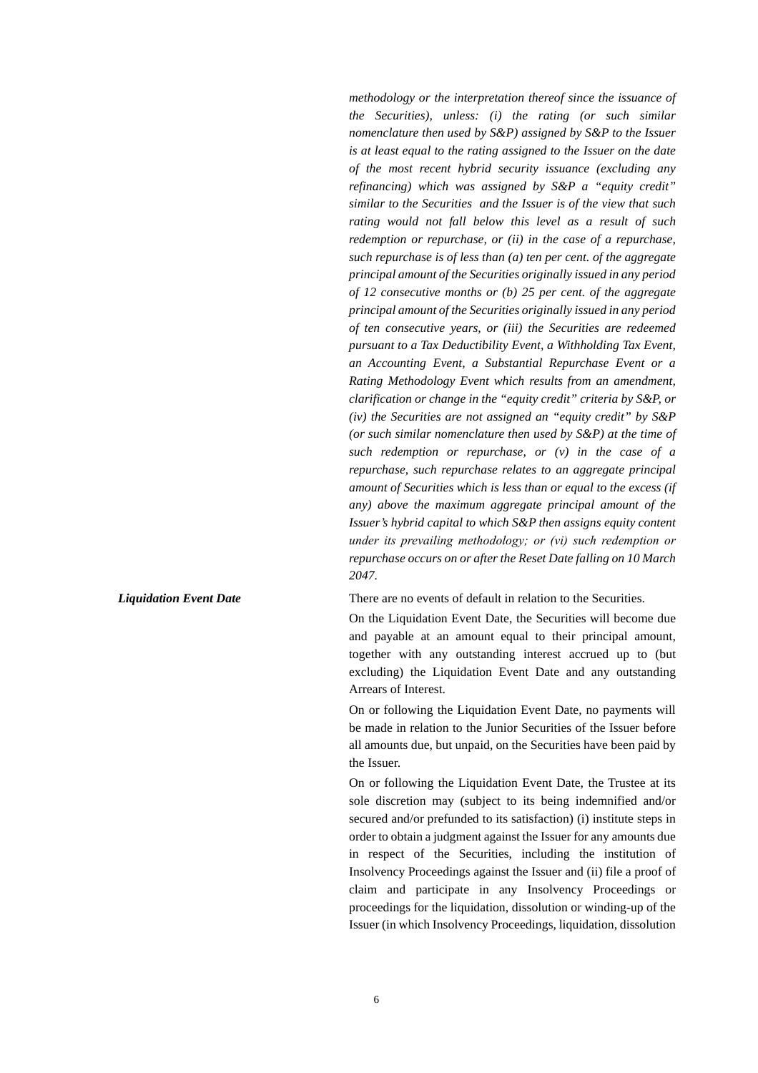*methodology or the interpretation thereof since the issuance of the Securities), unless: (i) the rating (or such similar nomenclature then used by S&P) assigned by S&P to the Issuer is at least equal to the rating assigned to the Issuer on the date of the most recent hybrid security issuance (excluding any refinancing) which was assigned by S&P a "equity credit" similar to the Securities and the Issuer is of the view that such rating would not fall below this level as a result of such redemption or repurchase, or (ii) in the case of a repurchase, such repurchase is of less than (a) ten per cent. of the aggregate principal amount of the Securities originally issued in any period of 12 consecutive months or (b) 25 per cent. of the aggregate principal amount of the Securities originally issued in any period of ten consecutive years, or (iii) the Securities are redeemed pursuant to a Tax Deductibility Event, a Withholding Tax Event, an Accounting Event, a Substantial Repurchase Event or a Rating Methodology Event which results from an amendment, clarification or change in the "equity credit" criteria by S&P, or (iv) the Securities are not assigned an "equity credit" by S&P (or such similar nomenclature then used by S&P) at the time of such redemption or repurchase, or (v) in the case of a repurchase, such repurchase relates to an aggregate principal amount of Securities which is less than or equal to the excess (if any) above the maximum aggregate principal amount of the Issuer's hybrid capital to which S&P then assigns equity content under its prevailing methodology; or (vi) such redemption or repurchase occurs on or after the Reset Date falling on 10 March 2047.* 

#### *Liquidation Event Date* **There are no events of default in relation to the Securities.**

On the Liquidation Event Date, the Securities will become due and payable at an amount equal to their principal amount, together with any outstanding interest accrued up to (but excluding) the Liquidation Event Date and any outstanding Arrears of Interest.

On or following the Liquidation Event Date, no payments will be made in relation to the Junior Securities of the Issuer before all amounts due, but unpaid, on the Securities have been paid by the Issuer.

On or following the Liquidation Event Date, the Trustee at its sole discretion may (subject to its being indemnified and/or secured and/or prefunded to its satisfaction) (i) institute steps in order to obtain a judgment against the Issuer for any amounts due in respect of the Securities, including the institution of Insolvency Proceedings against the Issuer and (ii) file a proof of claim and participate in any Insolvency Proceedings or proceedings for the liquidation, dissolution or winding-up of the Issuer (in which Insolvency Proceedings, liquidation, dissolution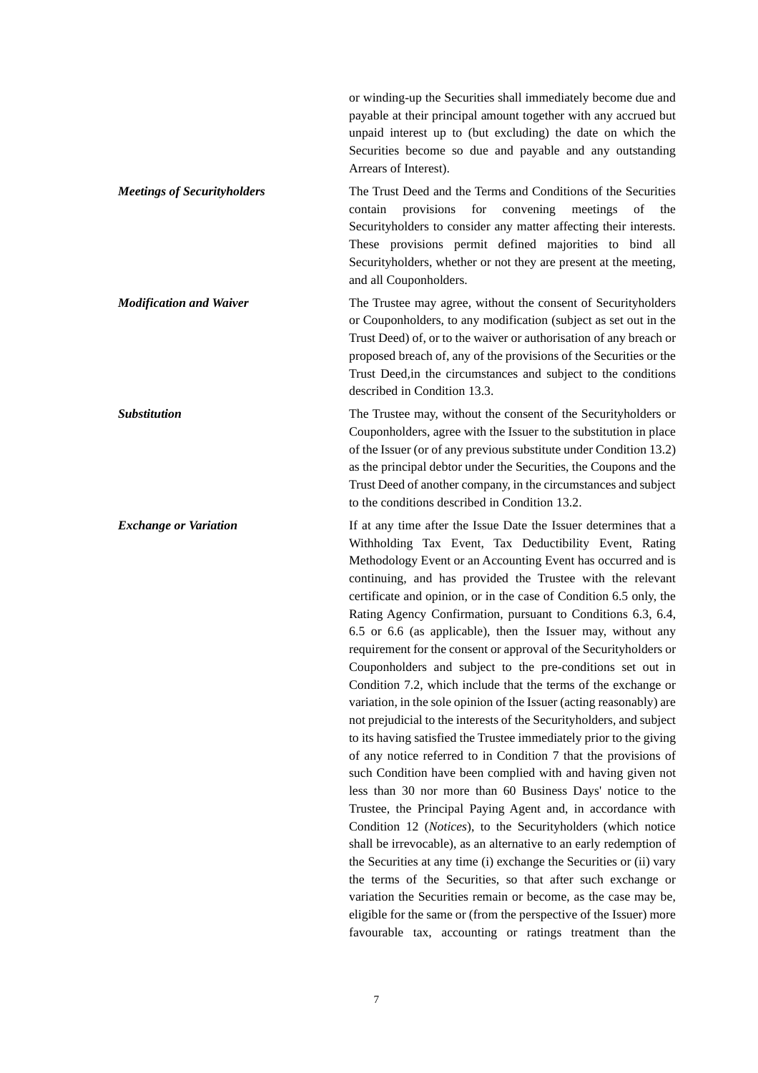|                                    | or winding-up the Securities shall immediately become due and<br>payable at their principal amount together with any accrued but<br>unpaid interest up to (but excluding) the date on which the<br>Securities become so due and payable and any outstanding<br>Arrears of Interest).                                                                                                                                                                                                                                                                                                                                                                                                                                                                                                                                                                                                                                                                                                                                                                                                                                                                                                                                                                                                                                                                                                                                                                                                                                                                                                                                                      |
|------------------------------------|-------------------------------------------------------------------------------------------------------------------------------------------------------------------------------------------------------------------------------------------------------------------------------------------------------------------------------------------------------------------------------------------------------------------------------------------------------------------------------------------------------------------------------------------------------------------------------------------------------------------------------------------------------------------------------------------------------------------------------------------------------------------------------------------------------------------------------------------------------------------------------------------------------------------------------------------------------------------------------------------------------------------------------------------------------------------------------------------------------------------------------------------------------------------------------------------------------------------------------------------------------------------------------------------------------------------------------------------------------------------------------------------------------------------------------------------------------------------------------------------------------------------------------------------------------------------------------------------------------------------------------------------|
| <b>Meetings of Securityholders</b> | The Trust Deed and the Terms and Conditions of the Securities<br>provisions<br>convening<br>for<br>meetings<br>contain<br>of<br>the<br>Securityholders to consider any matter affecting their interests.<br>These provisions permit defined majorities to bind all<br>Securityholders, whether or not they are present at the meeting,<br>and all Couponholders.                                                                                                                                                                                                                                                                                                                                                                                                                                                                                                                                                                                                                                                                                                                                                                                                                                                                                                                                                                                                                                                                                                                                                                                                                                                                          |
| <b>Modification and Waiver</b>     | The Trustee may agree, without the consent of Securityholders<br>or Couponholders, to any modification (subject as set out in the<br>Trust Deed) of, or to the waiver or authorisation of any breach or<br>proposed breach of, any of the provisions of the Securities or the<br>Trust Deed, in the circumstances and subject to the conditions<br>described in Condition 13.3.                                                                                                                                                                                                                                                                                                                                                                                                                                                                                                                                                                                                                                                                                                                                                                                                                                                                                                                                                                                                                                                                                                                                                                                                                                                           |
| <b>Substitution</b>                | The Trustee may, without the consent of the Securityholders or<br>Couponholders, agree with the Issuer to the substitution in place<br>of the Issuer (or of any previous substitute under Condition 13.2)<br>as the principal debtor under the Securities, the Coupons and the<br>Trust Deed of another company, in the circumstances and subject<br>to the conditions described in Condition 13.2.                                                                                                                                                                                                                                                                                                                                                                                                                                                                                                                                                                                                                                                                                                                                                                                                                                                                                                                                                                                                                                                                                                                                                                                                                                       |
| <b>Exchange or Variation</b>       | If at any time after the Issue Date the Issuer determines that a<br>Withholding Tax Event, Tax Deductibility Event, Rating<br>Methodology Event or an Accounting Event has occurred and is<br>continuing, and has provided the Trustee with the relevant<br>certificate and opinion, or in the case of Condition 6.5 only, the<br>Rating Agency Confirmation, pursuant to Conditions 6.3, 6.4,<br>6.5 or 6.6 (as applicable), then the Issuer may, without any<br>requirement for the consent or approval of the Securityholders or<br>Couponholders and subject to the pre-conditions set out in<br>Condition 7.2, which include that the terms of the exchange or<br>variation, in the sole opinion of the Issuer (acting reasonably) are<br>not prejudicial to the interests of the Securityholders, and subject<br>to its having satisfied the Trustee immediately prior to the giving<br>of any notice referred to in Condition 7 that the provisions of<br>such Condition have been complied with and having given not<br>less than 30 nor more than 60 Business Days' notice to the<br>Trustee, the Principal Paying Agent and, in accordance with<br>Condition 12 (Notices), to the Securityholders (which notice<br>shall be irrevocable), as an alternative to an early redemption of<br>the Securities at any time (i) exchange the Securities or (ii) vary<br>the terms of the Securities, so that after such exchange or<br>variation the Securities remain or become, as the case may be,<br>eligible for the same or (from the perspective of the Issuer) more<br>favourable tax, accounting or ratings treatment than the |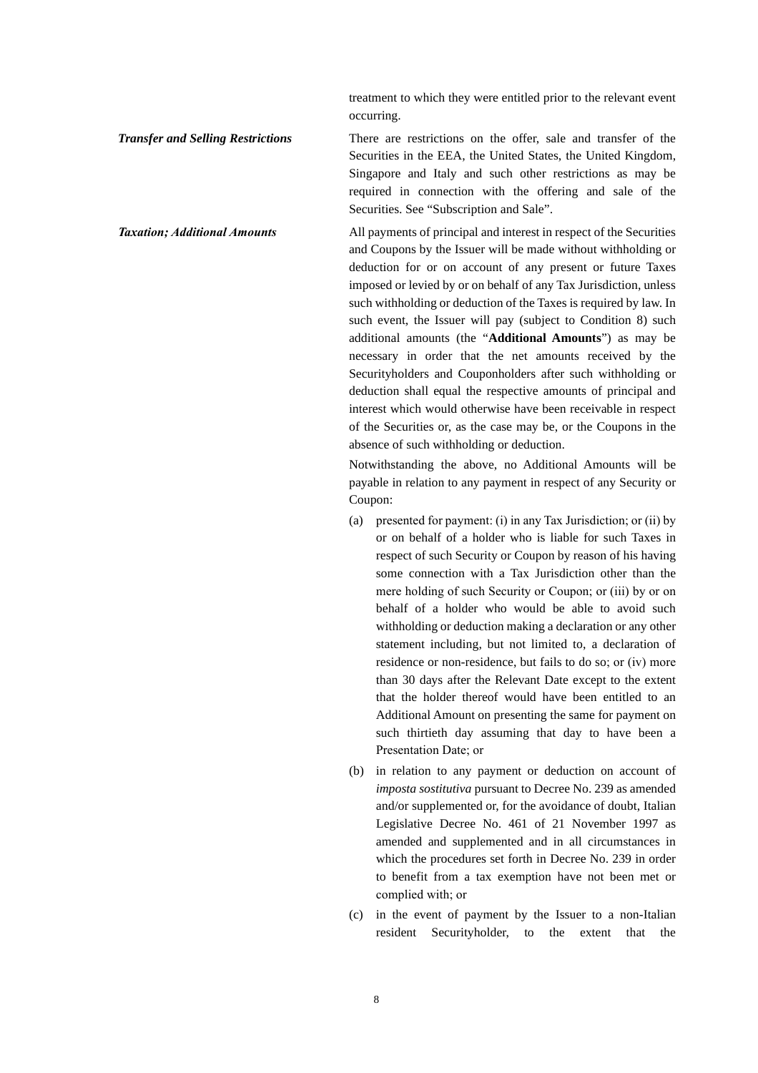treatment to which they were entitled prior to the relevant event occurring.

**Transfer and Selling Restrictions** There are restrictions on the offer, sale and transfer of the Securities in the EEA, the United States, the United Kingdom, Singapore and Italy and such other restrictions as may be required in connection with the offering and sale of the Securities. See "Subscription and Sale".

*Taxation; Additional Amounts* All payments of principal and interest in respect of the Securities and Coupons by the Issuer will be made without withholding or deduction for or on account of any present or future Taxes imposed or levied by or on behalf of any Tax Jurisdiction, unless such withholding or deduction of the Taxes is required by law. In such event, the Issuer will pay (subject to Condition 8) such additional amounts (the "**Additional Amounts**") as may be necessary in order that the net amounts received by the Securityholders and Couponholders after such withholding or deduction shall equal the respective amounts of principal and interest which would otherwise have been receivable in respect of the Securities or, as the case may be, or the Coupons in the absence of such withholding or deduction.

> Notwithstanding the above, no Additional Amounts will be payable in relation to any payment in respect of any Security or Coupon:

- (a) presented for payment: (i) in any Tax Jurisdiction; or (ii) by or on behalf of a holder who is liable for such Taxes in respect of such Security or Coupon by reason of his having some connection with a Tax Jurisdiction other than the mere holding of such Security or Coupon; or (iii) by or on behalf of a holder who would be able to avoid such withholding or deduction making a declaration or any other statement including, but not limited to, a declaration of residence or non-residence, but fails to do so; or (iv) more than 30 days after the Relevant Date except to the extent that the holder thereof would have been entitled to an Additional Amount on presenting the same for payment on such thirtieth day assuming that day to have been a Presentation Date; or
- (b) in relation to any payment or deduction on account of *imposta sostitutiva* pursuant to Decree No. 239 as amended and/or supplemented or, for the avoidance of doubt, Italian Legislative Decree No. 461 of 21 November 1997 as amended and supplemented and in all circumstances in which the procedures set forth in Decree No. 239 in order to benefit from a tax exemption have not been met or complied with; or
- (c) in the event of payment by the Issuer to a non-Italian resident Securityholder, to the extent that the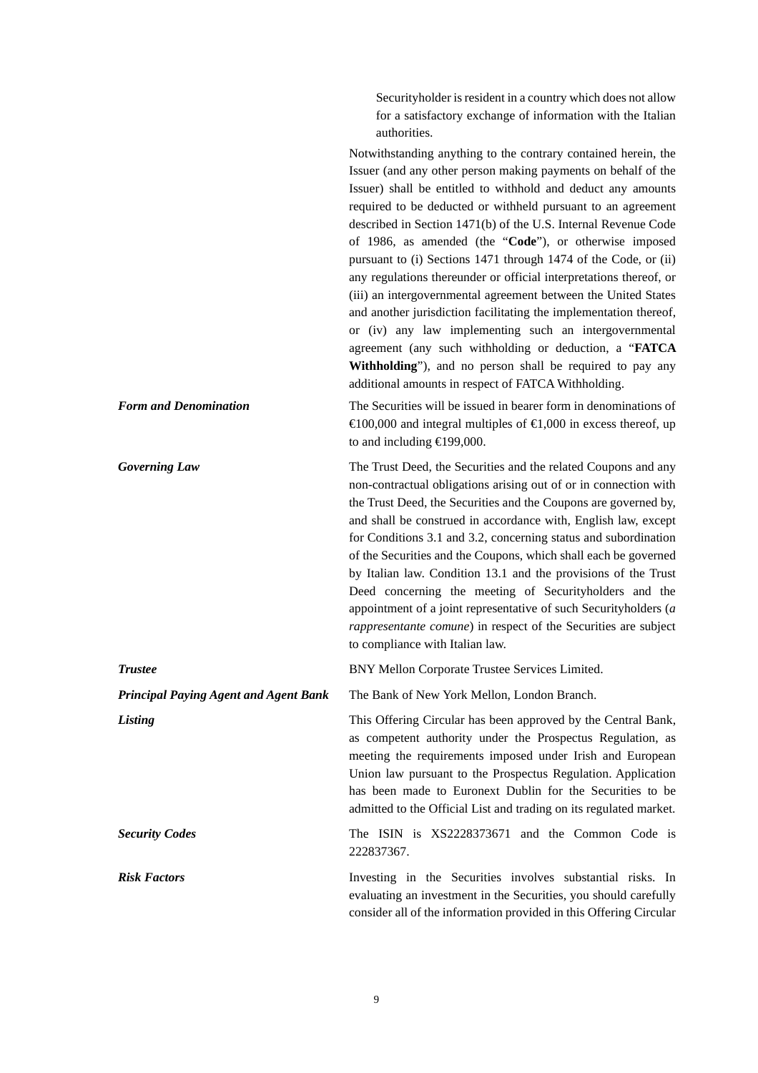Securityholder is resident in a country which does not allow for a satisfactory exchange of information with the Italian authorities.

| <b>Form and Denomination</b>                 | Notwithstanding anything to the contrary contained herein, the<br>Issuer (and any other person making payments on behalf of the<br>Issuer) shall be entitled to withhold and deduct any amounts<br>required to be deducted or withheld pursuant to an agreement<br>described in Section 1471(b) of the U.S. Internal Revenue Code<br>of 1986, as amended (the "Code"), or otherwise imposed<br>pursuant to (i) Sections 1471 through 1474 of the Code, or (ii)<br>any regulations thereunder or official interpretations thereof, or<br>(iii) an intergovernmental agreement between the United States<br>and another jurisdiction facilitating the implementation thereof,<br>or (iv) any law implementing such an intergovernmental<br>agreement (any such withholding or deduction, a "FATCA<br>Withholding"), and no person shall be required to pay any<br>additional amounts in respect of FATCA Withholding.<br>The Securities will be issued in bearer form in denominations of<br>$\text{\textsterling}100,000$ and integral multiples of $\text{\textsterling}1,000$ in excess thereof, up<br>to and including $E$ 199,000. |
|----------------------------------------------|---------------------------------------------------------------------------------------------------------------------------------------------------------------------------------------------------------------------------------------------------------------------------------------------------------------------------------------------------------------------------------------------------------------------------------------------------------------------------------------------------------------------------------------------------------------------------------------------------------------------------------------------------------------------------------------------------------------------------------------------------------------------------------------------------------------------------------------------------------------------------------------------------------------------------------------------------------------------------------------------------------------------------------------------------------------------------------------------------------------------------------------|
| <b>Governing Law</b>                         | The Trust Deed, the Securities and the related Coupons and any<br>non-contractual obligations arising out of or in connection with<br>the Trust Deed, the Securities and the Coupons are governed by,<br>and shall be construed in accordance with, English law, except<br>for Conditions 3.1 and 3.2, concerning status and subordination<br>of the Securities and the Coupons, which shall each be governed<br>by Italian law. Condition 13.1 and the provisions of the Trust<br>Deed concerning the meeting of Securityholders and the<br>appointment of a joint representative of such Securityholders $(a)$<br>rappresentante comune) in respect of the Securities are subject<br>to compliance with Italian law.                                                                                                                                                                                                                                                                                                                                                                                                                |
| <b>Trustee</b>                               | BNY Mellon Corporate Trustee Services Limited.                                                                                                                                                                                                                                                                                                                                                                                                                                                                                                                                                                                                                                                                                                                                                                                                                                                                                                                                                                                                                                                                                        |
| <b>Principal Paying Agent and Agent Bank</b> | The Bank of New York Mellon, London Branch.                                                                                                                                                                                                                                                                                                                                                                                                                                                                                                                                                                                                                                                                                                                                                                                                                                                                                                                                                                                                                                                                                           |
| Listing                                      | This Offering Circular has been approved by the Central Bank,<br>as competent authority under the Prospectus Regulation, as<br>meeting the requirements imposed under Irish and European<br>Union law pursuant to the Prospectus Regulation. Application<br>has been made to Euronext Dublin for the Securities to be<br>admitted to the Official List and trading on its regulated market.                                                                                                                                                                                                                                                                                                                                                                                                                                                                                                                                                                                                                                                                                                                                           |
| <b>Security Codes</b>                        | The ISIN is XS2228373671 and the Common Code is<br>222837367.                                                                                                                                                                                                                                                                                                                                                                                                                                                                                                                                                                                                                                                                                                                                                                                                                                                                                                                                                                                                                                                                         |
| <b>Risk Factors</b>                          | Investing in the Securities involves substantial risks. In<br>evaluating an investment in the Securities, you should carefully<br>consider all of the information provided in this Offering Circular                                                                                                                                                                                                                                                                                                                                                                                                                                                                                                                                                                                                                                                                                                                                                                                                                                                                                                                                  |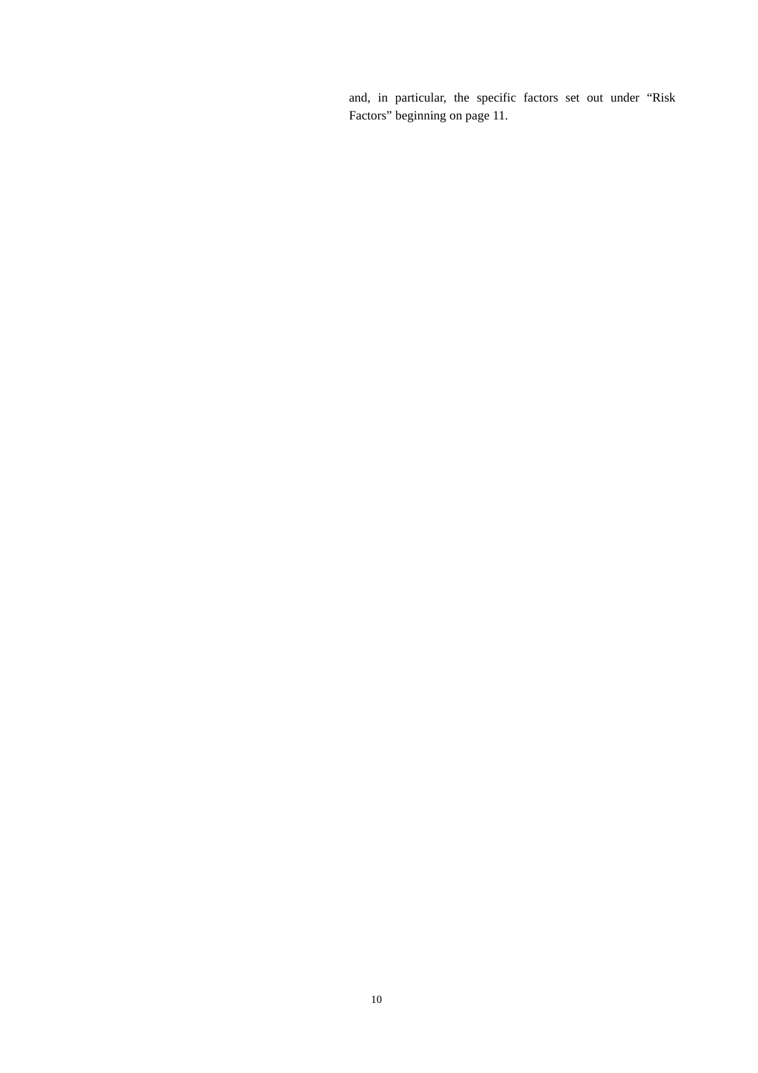and, in particular, the specific factors set out under "Risk Factors" beginning on page 11.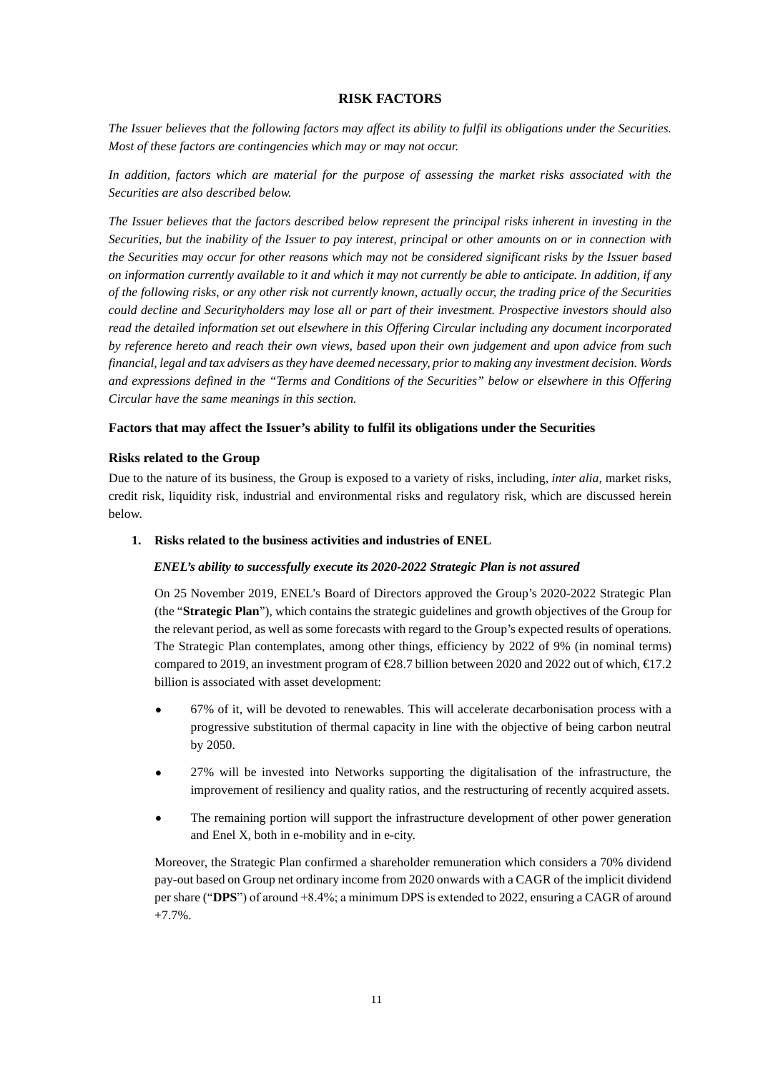### **RISK FACTORS**

*The Issuer believes that the following factors may affect its ability to fulfil its obligations under the Securities. Most of these factors are contingencies which may or may not occur.* 

In addition, factors which are material for the purpose of assessing the market risks associated with the *Securities are also described below.* 

*The Issuer believes that the factors described below represent the principal risks inherent in investing in the Securities, but the inability of the Issuer to pay interest, principal or other amounts on or in connection with the Securities may occur for other reasons which may not be considered significant risks by the Issuer based on information currently available to it and which it may not currently be able to anticipate. In addition, if any of the following risks, or any other risk not currently known, actually occur, the trading price of the Securities could decline and Securityholders may lose all or part of their investment. Prospective investors should also read the detailed information set out elsewhere in this Offering Circular including any document incorporated by reference hereto and reach their own views, based upon their own judgement and upon advice from such financial, legal and tax advisers as they have deemed necessary, prior to making any investment decision. Words and expressions defined in the "Terms and Conditions of the Securities" below or elsewhere in this Offering Circular have the same meanings in this section.* 

### **Factors that may affect the Issuer's ability to fulfil its obligations under the Securities**

### **Risks related to the Group**

Due to the nature of its business, the Group is exposed to a variety of risks, including, *inter alia*, market risks, credit risk, liquidity risk, industrial and environmental risks and regulatory risk, which are discussed herein below.

#### **1. Risks related to the business activities and industries of ENEL**

#### *ENEL's ability to successfully execute its 2020-2022 Strategic Plan is not assured*

On 25 November 2019, ENEL's Board of Directors approved the Group's 2020-2022 Strategic Plan (the "**Strategic Plan**"), which contains the strategic guidelines and growth objectives of the Group for the relevant period, as well as some forecasts with regard to the Group's expected results of operations. The Strategic Plan contemplates, among other things, efficiency by 2022 of 9% (in nominal terms) compared to 2019, an investment program of  $\in \mathbb{R}$ 8.7 billion between 2020 and 2022 out of which,  $\in \mathbb{R}$ 7.2 billion is associated with asset development:

- 67% of it, will be devoted to renewables. This will accelerate decarbonisation process with a progressive substitution of thermal capacity in line with the objective of being carbon neutral by 2050.
- 27% will be invested into Networks supporting the digitalisation of the infrastructure, the improvement of resiliency and quality ratios, and the restructuring of recently acquired assets.
- The remaining portion will support the infrastructure development of other power generation and Enel X, both in e-mobility and in e-city.

Moreover, the Strategic Plan confirmed a shareholder remuneration which considers a 70% dividend pay-out based on Group net ordinary income from 2020 onwards with a CAGR of the implicit dividend per share ("**DPS**") of around +8.4%; a minimum DPS is extended to 2022, ensuring a CAGR of around +7.7%.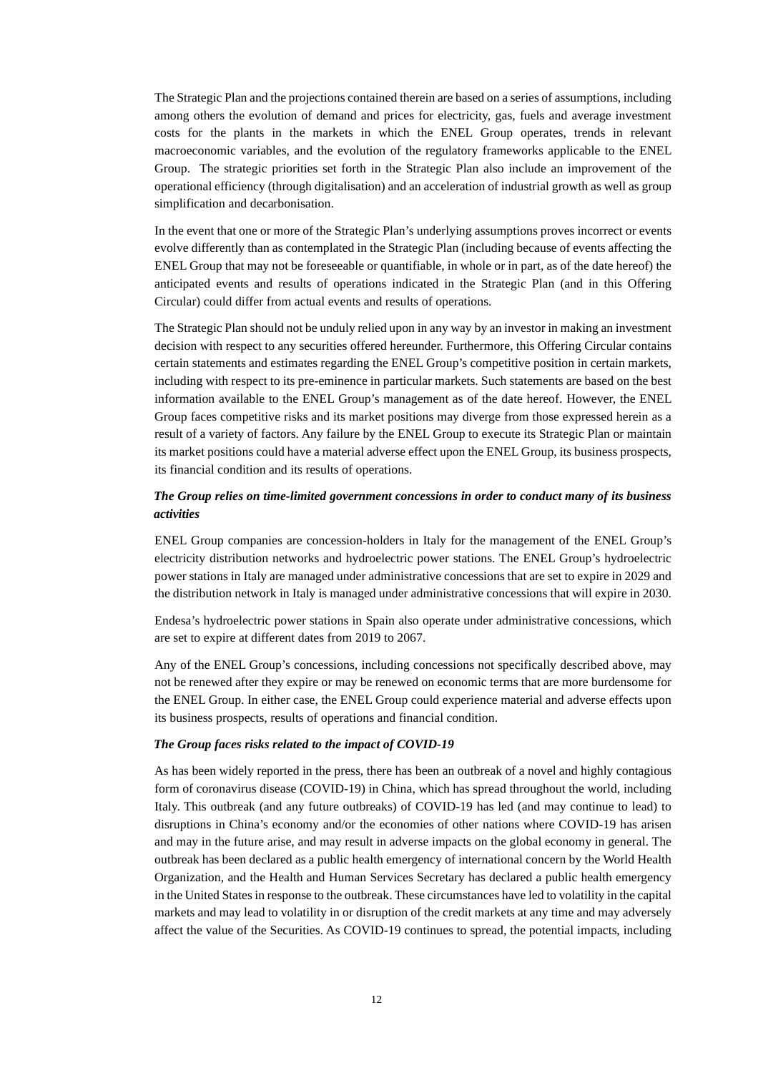The Strategic Plan and the projections contained therein are based on a series of assumptions, including among others the evolution of demand and prices for electricity, gas, fuels and average investment costs for the plants in the markets in which the ENEL Group operates, trends in relevant macroeconomic variables, and the evolution of the regulatory frameworks applicable to the ENEL Group. The strategic priorities set forth in the Strategic Plan also include an improvement of the operational efficiency (through digitalisation) and an acceleration of industrial growth as well as group simplification and decarbonisation.

In the event that one or more of the Strategic Plan's underlying assumptions proves incorrect or events evolve differently than as contemplated in the Strategic Plan (including because of events affecting the ENEL Group that may not be foreseeable or quantifiable, in whole or in part, as of the date hereof) the anticipated events and results of operations indicated in the Strategic Plan (and in this Offering Circular) could differ from actual events and results of operations.

The Strategic Plan should not be unduly relied upon in any way by an investor in making an investment decision with respect to any securities offered hereunder. Furthermore, this Offering Circular contains certain statements and estimates regarding the ENEL Group's competitive position in certain markets, including with respect to its pre-eminence in particular markets. Such statements are based on the best information available to the ENEL Group's management as of the date hereof. However, the ENEL Group faces competitive risks and its market positions may diverge from those expressed herein as a result of a variety of factors. Any failure by the ENEL Group to execute its Strategic Plan or maintain its market positions could have a material adverse effect upon the ENEL Group, its business prospects, its financial condition and its results of operations.

### *The Group relies on time-limited government concessions in order to conduct many of its business activities*

ENEL Group companies are concession-holders in Italy for the management of the ENEL Group's electricity distribution networks and hydroelectric power stations. The ENEL Group's hydroelectric power stations in Italy are managed under administrative concessions that are set to expire in 2029 and the distribution network in Italy is managed under administrative concessions that will expire in 2030.

Endesa's hydroelectric power stations in Spain also operate under administrative concessions, which are set to expire at different dates from 2019 to 2067.

Any of the ENEL Group's concessions, including concessions not specifically described above, may not be renewed after they expire or may be renewed on economic terms that are more burdensome for the ENEL Group. In either case, the ENEL Group could experience material and adverse effects upon its business prospects, results of operations and financial condition.

#### *The Group faces risks related to the impact of COVID-19*

As has been widely reported in the press, there has been an outbreak of a novel and highly contagious form of coronavirus disease (COVID-19) in China, which has spread throughout the world, including Italy. This outbreak (and any future outbreaks) of COVID-19 has led (and may continue to lead) to disruptions in China's economy and/or the economies of other nations where COVID-19 has arisen and may in the future arise, and may result in adverse impacts on the global economy in general. The outbreak has been declared as a public health emergency of international concern by the World Health Organization, and the Health and Human Services Secretary has declared a public health emergency in the United States in response to the outbreak. These circumstances have led to volatility in the capital markets and may lead to volatility in or disruption of the credit markets at any time and may adversely affect the value of the Securities. As COVID-19 continues to spread, the potential impacts, including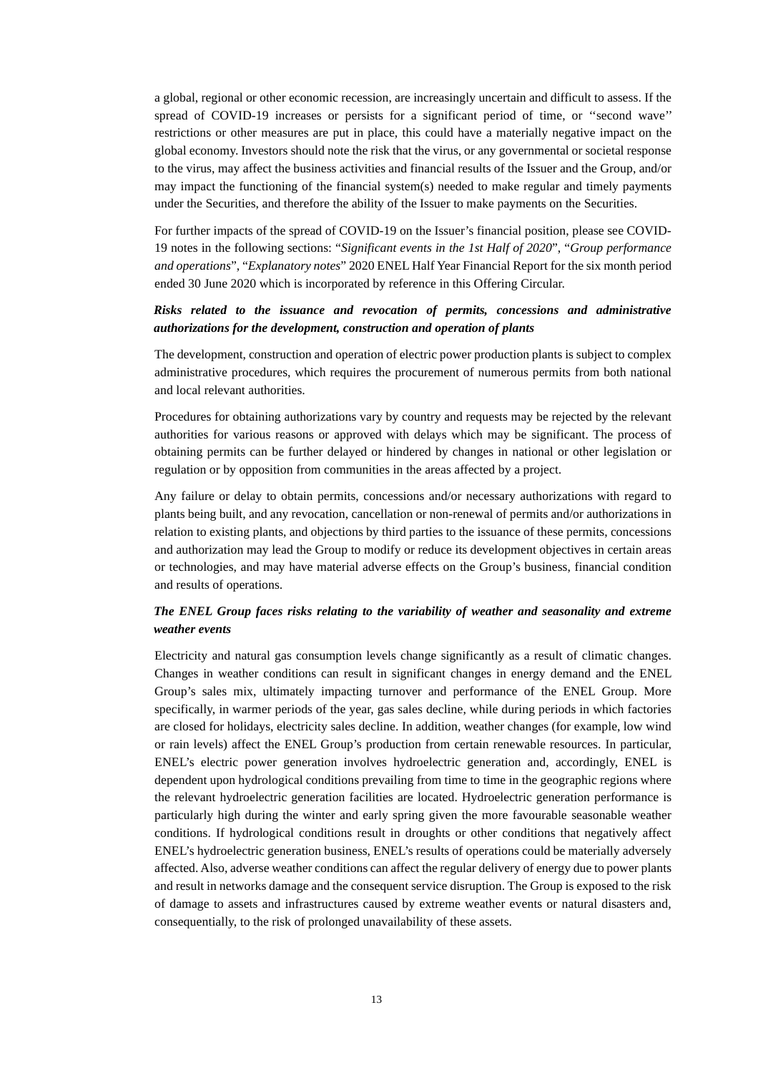a global, regional or other economic recession, are increasingly uncertain and difficult to assess. If the spread of COVID-19 increases or persists for a significant period of time, or ''second wave'' restrictions or other measures are put in place, this could have a materially negative impact on the global economy. Investors should note the risk that the virus, or any governmental or societal response to the virus, may affect the business activities and financial results of the Issuer and the Group, and/or may impact the functioning of the financial system(s) needed to make regular and timely payments under the Securities, and therefore the ability of the Issuer to make payments on the Securities.

For further impacts of the spread of COVID-19 on the Issuer's financial position, please see COVID-19 notes in the following sections: "*Significant events in the 1st Half of 2020*", "*Group performance and operations*", "*Explanatory notes*" 2020 ENEL Half Year Financial Report for the six month period ended 30 June 2020 which is incorporated by reference in this Offering Circular.

#### *Risks related to the issuance and revocation of permits, concessions and administrative authorizations for the development, construction and operation of plants*

The development, construction and operation of electric power production plants is subject to complex administrative procedures, which requires the procurement of numerous permits from both national and local relevant authorities.

Procedures for obtaining authorizations vary by country and requests may be rejected by the relevant authorities for various reasons or approved with delays which may be significant. The process of obtaining permits can be further delayed or hindered by changes in national or other legislation or regulation or by opposition from communities in the areas affected by a project.

Any failure or delay to obtain permits, concessions and/or necessary authorizations with regard to plants being built, and any revocation, cancellation or non-renewal of permits and/or authorizations in relation to existing plants, and objections by third parties to the issuance of these permits, concessions and authorization may lead the Group to modify or reduce its development objectives in certain areas or technologies, and may have material adverse effects on the Group's business, financial condition and results of operations.

### *The ENEL Group faces risks relating to the variability of weather and seasonality and extreme weather events*

Electricity and natural gas consumption levels change significantly as a result of climatic changes. Changes in weather conditions can result in significant changes in energy demand and the ENEL Group's sales mix, ultimately impacting turnover and performance of the ENEL Group. More specifically, in warmer periods of the year, gas sales decline, while during periods in which factories are closed for holidays, electricity sales decline. In addition, weather changes (for example, low wind or rain levels) affect the ENEL Group's production from certain renewable resources. In particular, ENEL's electric power generation involves hydroelectric generation and, accordingly, ENEL is dependent upon hydrological conditions prevailing from time to time in the geographic regions where the relevant hydroelectric generation facilities are located. Hydroelectric generation performance is particularly high during the winter and early spring given the more favourable seasonable weather conditions. If hydrological conditions result in droughts or other conditions that negatively affect ENEL's hydroelectric generation business, ENEL's results of operations could be materially adversely affected. Also, adverse weather conditions can affect the regular delivery of energy due to power plants and result in networks damage and the consequent service disruption. The Group is exposed to the risk of damage to assets and infrastructures caused by extreme weather events or natural disasters and, consequentially, to the risk of prolonged unavailability of these assets.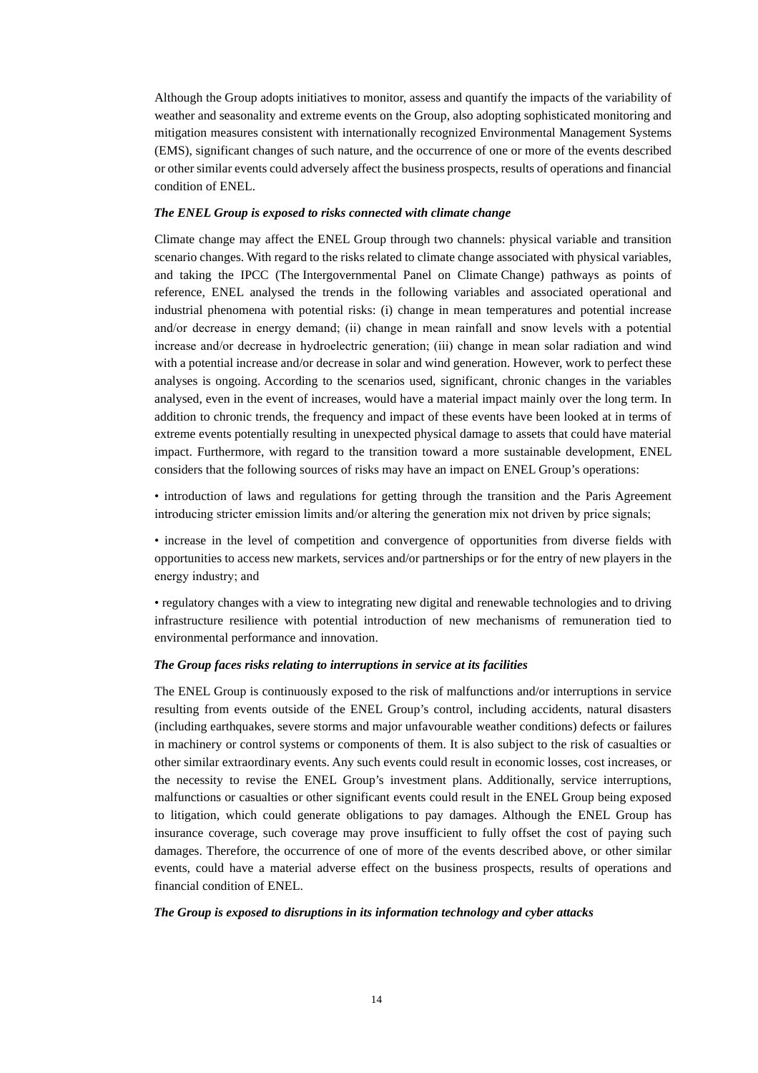Although the Group adopts initiatives to monitor, assess and quantify the impacts of the variability of weather and seasonality and extreme events on the Group, also adopting sophisticated monitoring and mitigation measures consistent with internationally recognized Environmental Management Systems (EMS), significant changes of such nature, and the occurrence of one or more of the events described or other similar events could adversely affect the business prospects, results of operations and financial condition of ENEL.

#### *The ENEL Group is exposed to risks connected with climate change*

Climate change may affect the ENEL Group through two channels: physical variable and transition scenario changes. With regard to the risks related to climate change associated with physical variables, and taking the IPCC (The Intergovernmental Panel on Climate Change) pathways as points of reference, ENEL analysed the trends in the following variables and associated operational and industrial phenomena with potential risks: (i) change in mean temperatures and potential increase and/or decrease in energy demand; (ii) change in mean rainfall and snow levels with a potential increase and/or decrease in hydroelectric generation; (iii) change in mean solar radiation and wind with a potential increase and/or decrease in solar and wind generation. However, work to perfect these analyses is ongoing. According to the scenarios used, significant, chronic changes in the variables analysed, even in the event of increases, would have a material impact mainly over the long term. In addition to chronic trends, the frequency and impact of these events have been looked at in terms of extreme events potentially resulting in unexpected physical damage to assets that could have material impact. Furthermore, with regard to the transition toward a more sustainable development, ENEL considers that the following sources of risks may have an impact on ENEL Group's operations:

• introduction of laws and regulations for getting through the transition and the Paris Agreement introducing stricter emission limits and/or altering the generation mix not driven by price signals;

• increase in the level of competition and convergence of opportunities from diverse fields with opportunities to access new markets, services and/or partnerships or for the entry of new players in the energy industry; and

• regulatory changes with a view to integrating new digital and renewable technologies and to driving infrastructure resilience with potential introduction of new mechanisms of remuneration tied to environmental performance and innovation.

#### *The Group faces risks relating to interruptions in service at its facilities*

The ENEL Group is continuously exposed to the risk of malfunctions and/or interruptions in service resulting from events outside of the ENEL Group's control, including accidents, natural disasters (including earthquakes, severe storms and major unfavourable weather conditions) defects or failures in machinery or control systems or components of them. It is also subject to the risk of casualties or other similar extraordinary events. Any such events could result in economic losses, cost increases, or the necessity to revise the ENEL Group's investment plans. Additionally, service interruptions, malfunctions or casualties or other significant events could result in the ENEL Group being exposed to litigation, which could generate obligations to pay damages. Although the ENEL Group has insurance coverage, such coverage may prove insufficient to fully offset the cost of paying such damages. Therefore, the occurrence of one of more of the events described above, or other similar events, could have a material adverse effect on the business prospects, results of operations and financial condition of ENEL.

#### *The Group is exposed to disruptions in its information technology and cyber attacks*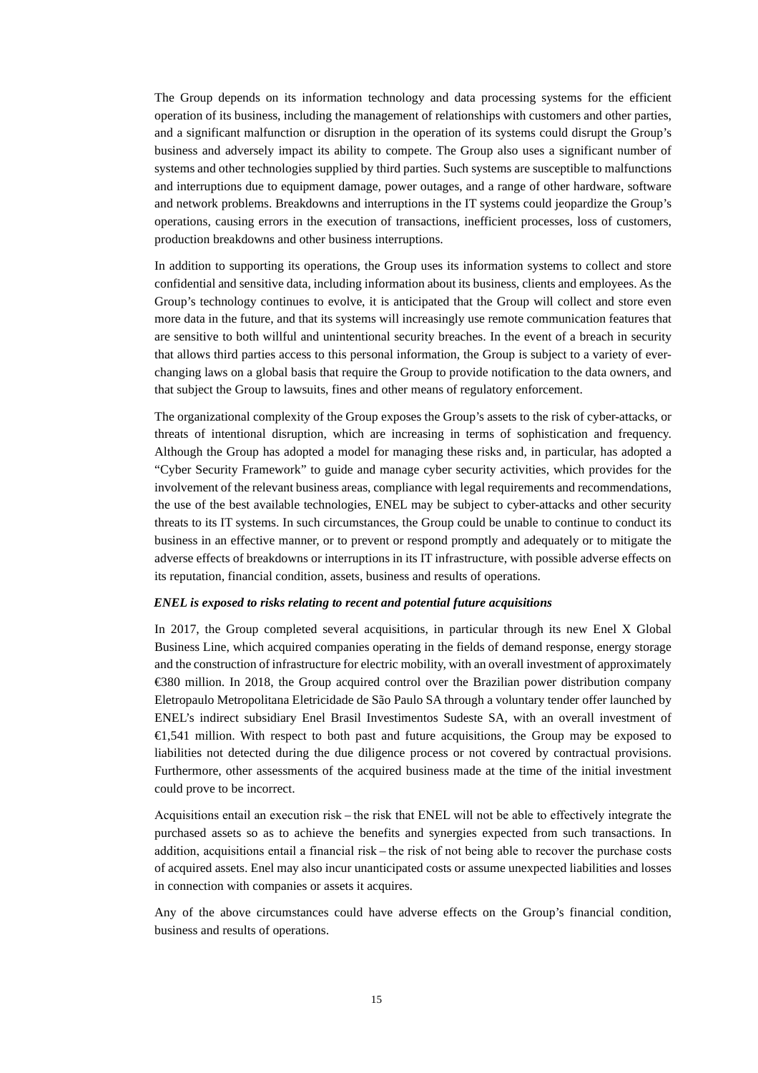The Group depends on its information technology and data processing systems for the efficient operation of its business, including the management of relationships with customers and other parties, and a significant malfunction or disruption in the operation of its systems could disrupt the Group's business and adversely impact its ability to compete. The Group also uses a significant number of systems and other technologies supplied by third parties. Such systems are susceptible to malfunctions and interruptions due to equipment damage, power outages, and a range of other hardware, software and network problems. Breakdowns and interruptions in the IT systems could jeopardize the Group's operations, causing errors in the execution of transactions, inefficient processes, loss of customers, production breakdowns and other business interruptions.

In addition to supporting its operations, the Group uses its information systems to collect and store confidential and sensitive data, including information about its business, clients and employees. As the Group's technology continues to evolve, it is anticipated that the Group will collect and store even more data in the future, and that its systems will increasingly use remote communication features that are sensitive to both willful and unintentional security breaches. In the event of a breach in security that allows third parties access to this personal information, the Group is subject to a variety of everchanging laws on a global basis that require the Group to provide notification to the data owners, and that subject the Group to lawsuits, fines and other means of regulatory enforcement.

The organizational complexity of the Group exposes the Group's assets to the risk of cyber-attacks, or threats of intentional disruption, which are increasing in terms of sophistication and frequency. Although the Group has adopted a model for managing these risks and, in particular, has adopted a "Cyber Security Framework" to guide and manage cyber security activities, which provides for the involvement of the relevant business areas, compliance with legal requirements and recommendations, the use of the best available technologies, ENEL may be subject to cyber-attacks and other security threats to its IT systems. In such circumstances, the Group could be unable to continue to conduct its business in an effective manner, or to prevent or respond promptly and adequately or to mitigate the adverse effects of breakdowns or interruptions in its IT infrastructure, with possible adverse effects on its reputation, financial condition, assets, business and results of operations.

#### *ENEL is exposed to risks relating to recent and potential future acquisitions*

In 2017, the Group completed several acquisitions, in particular through its new Enel X Global Business Line, which acquired companies operating in the fields of demand response, energy storage and the construction of infrastructure for electric mobility, with an overall investment of approximately €380 million. In 2018, the Group acquired control over the Brazilian power distribution company Eletropaulo Metropolitana Eletricidade de São Paulo SA through a voluntary tender offer launched by ENEL's indirect subsidiary Enel Brasil Investimentos Sudeste SA, with an overall investment of €1,541 million. With respect to both past and future acquisitions, the Group may be exposed to liabilities not detected during the due diligence process or not covered by contractual provisions. Furthermore, other assessments of the acquired business made at the time of the initial investment could prove to be incorrect.

Acquisitions entail an execution risk – the risk that ENEL will not be able to effectively integrate the purchased assets so as to achieve the benefits and synergies expected from such transactions. In addition, acquisitions entail a financial risk – the risk of not being able to recover the purchase costs of acquired assets. Enel may also incur unanticipated costs or assume unexpected liabilities and losses in connection with companies or assets it acquires.

Any of the above circumstances could have adverse effects on the Group's financial condition, business and results of operations.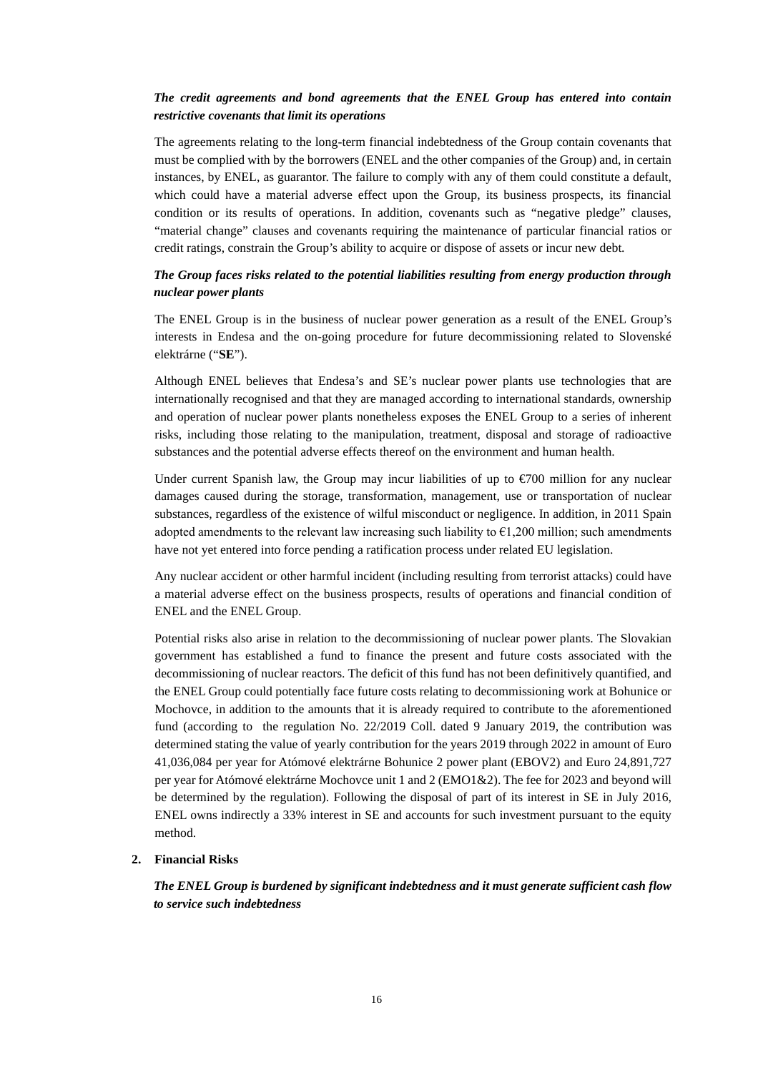#### *The credit agreements and bond agreements that the ENEL Group has entered into contain restrictive covenants that limit its operations*

The agreements relating to the long-term financial indebtedness of the Group contain covenants that must be complied with by the borrowers (ENEL and the other companies of the Group) and, in certain instances, by ENEL, as guarantor. The failure to comply with any of them could constitute a default, which could have a material adverse effect upon the Group, its business prospects, its financial condition or its results of operations. In addition, covenants such as "negative pledge" clauses, "material change" clauses and covenants requiring the maintenance of particular financial ratios or credit ratings, constrain the Group's ability to acquire or dispose of assets or incur new debt.

### *The Group faces risks related to the potential liabilities resulting from energy production through nuclear power plants*

The ENEL Group is in the business of nuclear power generation as a result of the ENEL Group's interests in Endesa and the on-going procedure for future decommissioning related to Slovenské elektrárne ("**SE**").

Although ENEL believes that Endesa's and SE's nuclear power plants use technologies that are internationally recognised and that they are managed according to international standards, ownership and operation of nuclear power plants nonetheless exposes the ENEL Group to a series of inherent risks, including those relating to the manipulation, treatment, disposal and storage of radioactive substances and the potential adverse effects thereof on the environment and human health.

Under current Spanish law, the Group may incur liabilities of up to  $\epsilon$ 700 million for any nuclear damages caused during the storage, transformation, management, use or transportation of nuclear substances, regardless of the existence of wilful misconduct or negligence. In addition, in 2011 Spain adopted amendments to the relevant law increasing such liability to  $\epsilon$ 1,200 million; such amendments have not yet entered into force pending a ratification process under related EU legislation.

Any nuclear accident or other harmful incident (including resulting from terrorist attacks) could have a material adverse effect on the business prospects, results of operations and financial condition of ENEL and the ENEL Group.

Potential risks also arise in relation to the decommissioning of nuclear power plants. The Slovakian government has established a fund to finance the present and future costs associated with the decommissioning of nuclear reactors. The deficit of this fund has not been definitively quantified, and the ENEL Group could potentially face future costs relating to decommissioning work at Bohunice or Mochovce, in addition to the amounts that it is already required to contribute to the aforementioned fund (according to the regulation No. 22/2019 Coll. dated 9 January 2019, the contribution was determined stating the value of yearly contribution for the years 2019 through 2022 in amount of Euro 41,036,084 per year for Atómové elektrárne Bohunice 2 power plant (EBOV2) and Euro 24,891,727 per year for Atómové elektrárne Mochovce unit 1 and 2 (EMO1&2). The fee for 2023 and beyond will be determined by the regulation). Following the disposal of part of its interest in SE in July 2016, ENEL owns indirectly a 33% interest in SE and accounts for such investment pursuant to the equity method.

#### **2. Financial Risks**

*The ENEL Group is burdened by significant indebtedness and it must generate sufficient cash flow to service such indebtedness*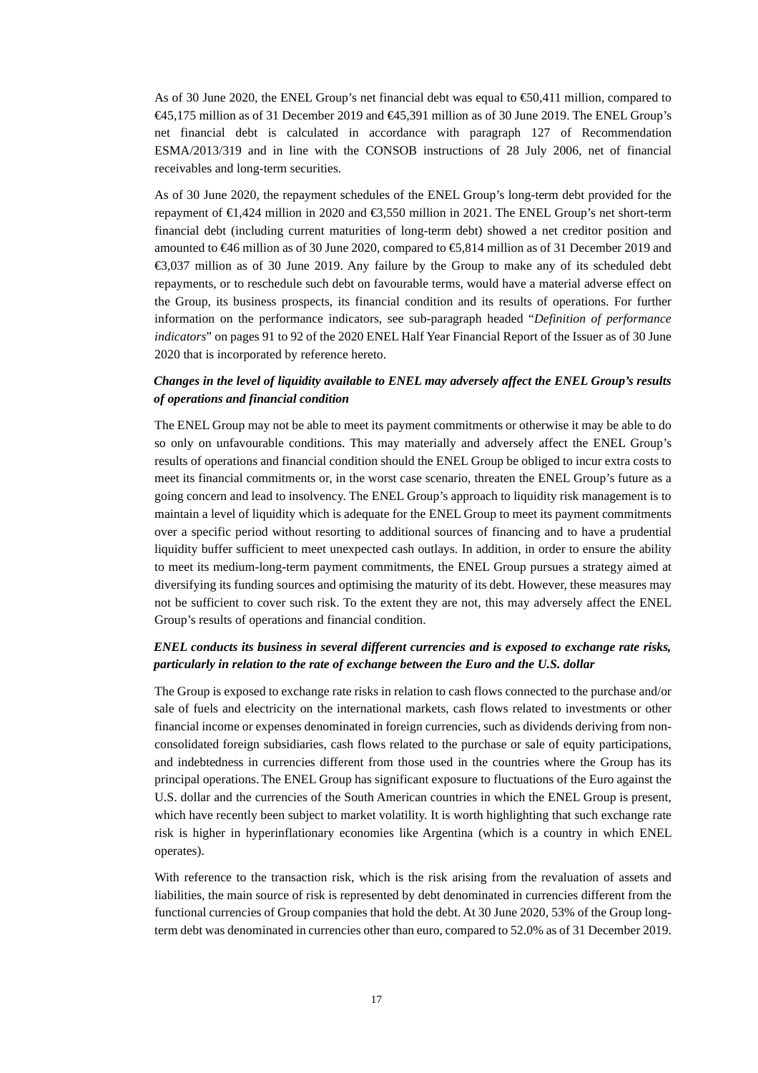As of 30 June 2020, the ENEL Group's net financial debt was equal to  $\infty$ 50,411 million, compared to €45,175 million as of 31 December 2019 and €45,391 million as of 30 June 2019. The ENEL Group's net financial debt is calculated in accordance with paragraph 127 of Recommendation ESMA/2013/319 and in line with the CONSOB instructions of 28 July 2006, net of financial receivables and long-term securities.

As of 30 June 2020, the repayment schedules of the ENEL Group's long-term debt provided for the repayment of €1,424 million in 2020 and €3,550 million in 2021. The ENEL Group's net short-term financial debt (including current maturities of long-term debt) showed a net creditor position and amounted to €46 million as of 30 June 2020, compared to €5,814 million as of 31 December 2019 and €3,037 million as of 30 June 2019. Any failure by the Group to make any of its scheduled debt repayments, or to reschedule such debt on favourable terms, would have a material adverse effect on the Group, its business prospects, its financial condition and its results of operations. For further information on the performance indicators, see sub-paragraph headed "*Definition of performance indicators*" on pages 91 to 92 of the 2020 ENEL Half Year Financial Report of the Issuer as of 30 June 2020 that is incorporated by reference hereto.

### *Changes in the level of liquidity available to ENEL may adversely affect the ENEL Group's results of operations and financial condition*

The ENEL Group may not be able to meet its payment commitments or otherwise it may be able to do so only on unfavourable conditions. This may materially and adversely affect the ENEL Group's results of operations and financial condition should the ENEL Group be obliged to incur extra costs to meet its financial commitments or, in the worst case scenario, threaten the ENEL Group's future as a going concern and lead to insolvency. The ENEL Group's approach to liquidity risk management is to maintain a level of liquidity which is adequate for the ENEL Group to meet its payment commitments over a specific period without resorting to additional sources of financing and to have a prudential liquidity buffer sufficient to meet unexpected cash outlays. In addition, in order to ensure the ability to meet its medium-long-term payment commitments, the ENEL Group pursues a strategy aimed at diversifying its funding sources and optimising the maturity of its debt. However, these measures may not be sufficient to cover such risk. To the extent they are not, this may adversely affect the ENEL Group's results of operations and financial condition.

### *ENEL conducts its business in several different currencies and is exposed to exchange rate risks, particularly in relation to the rate of exchange between the Euro and the U.S. dollar*

The Group is exposed to exchange rate risks in relation to cash flows connected to the purchase and/or sale of fuels and electricity on the international markets, cash flows related to investments or other financial income or expenses denominated in foreign currencies, such as dividends deriving from nonconsolidated foreign subsidiaries, cash flows related to the purchase or sale of equity participations, and indebtedness in currencies different from those used in the countries where the Group has its principal operations. The ENEL Group has significant exposure to fluctuations of the Euro against the U.S. dollar and the currencies of the South American countries in which the ENEL Group is present, which have recently been subject to market volatility. It is worth highlighting that such exchange rate risk is higher in hyperinflationary economies like Argentina (which is a country in which ENEL operates).

With reference to the transaction risk, which is the risk arising from the revaluation of assets and liabilities, the main source of risk is represented by debt denominated in currencies different from the functional currencies of Group companies that hold the debt. At 30 June 2020, 53% of the Group longterm debt was denominated in currencies other than euro, compared to 52.0% as of 31 December 2019.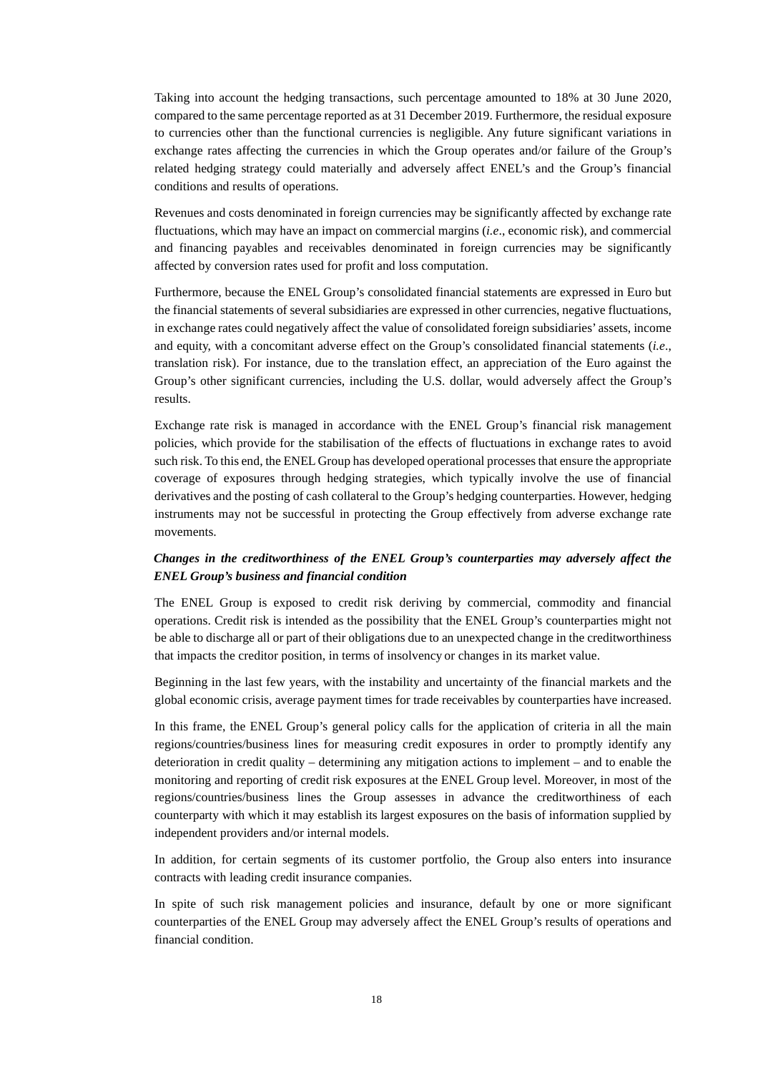Taking into account the hedging transactions, such percentage amounted to 18% at 30 June 2020, compared to the same percentage reported as at 31 December 2019. Furthermore, the residual exposure to currencies other than the functional currencies is negligible. Any future significant variations in exchange rates affecting the currencies in which the Group operates and/or failure of the Group's related hedging strategy could materially and adversely affect ENEL's and the Group's financial conditions and results of operations.

Revenues and costs denominated in foreign currencies may be significantly affected by exchange rate fluctuations, which may have an impact on commercial margins (*i.e*., economic risk), and commercial and financing payables and receivables denominated in foreign currencies may be significantly affected by conversion rates used for profit and loss computation.

Furthermore, because the ENEL Group's consolidated financial statements are expressed in Euro but the financial statements of several subsidiaries are expressed in other currencies, negative fluctuations, in exchange rates could negatively affect the value of consolidated foreign subsidiaries' assets, income and equity, with a concomitant adverse effect on the Group's consolidated financial statements (*i.e*., translation risk). For instance, due to the translation effect, an appreciation of the Euro against the Group's other significant currencies, including the U.S. dollar, would adversely affect the Group's results.

Exchange rate risk is managed in accordance with the ENEL Group's financial risk management policies, which provide for the stabilisation of the effects of fluctuations in exchange rates to avoid such risk. To this end, the ENEL Group has developed operational processes that ensure the appropriate coverage of exposures through hedging strategies, which typically involve the use of financial derivatives and the posting of cash collateral to the Group's hedging counterparties. However, hedging instruments may not be successful in protecting the Group effectively from adverse exchange rate movements.

### *Changes in the creditworthiness of the ENEL Group's counterparties may adversely affect the ENEL Group's business and financial condition*

The ENEL Group is exposed to credit risk deriving by commercial, commodity and financial operations. Credit risk is intended as the possibility that the ENEL Group's counterparties might not be able to discharge all or part of their obligations due to an unexpected change in the creditworthiness that impacts the creditor position, in terms of insolvency or changes in its market value.

Beginning in the last few years, with the instability and uncertainty of the financial markets and the global economic crisis, average payment times for trade receivables by counterparties have increased.

In this frame, the ENEL Group's general policy calls for the application of criteria in all the main regions/countries/business lines for measuring credit exposures in order to promptly identify any deterioration in credit quality – determining any mitigation actions to implement – and to enable the monitoring and reporting of credit risk exposures at the ENEL Group level. Moreover, in most of the regions/countries/business lines the Group assesses in advance the creditworthiness of each counterparty with which it may establish its largest exposures on the basis of information supplied by independent providers and/or internal models.

In addition, for certain segments of its customer portfolio, the Group also enters into insurance contracts with leading credit insurance companies.

In spite of such risk management policies and insurance, default by one or more significant counterparties of the ENEL Group may adversely affect the ENEL Group's results of operations and financial condition.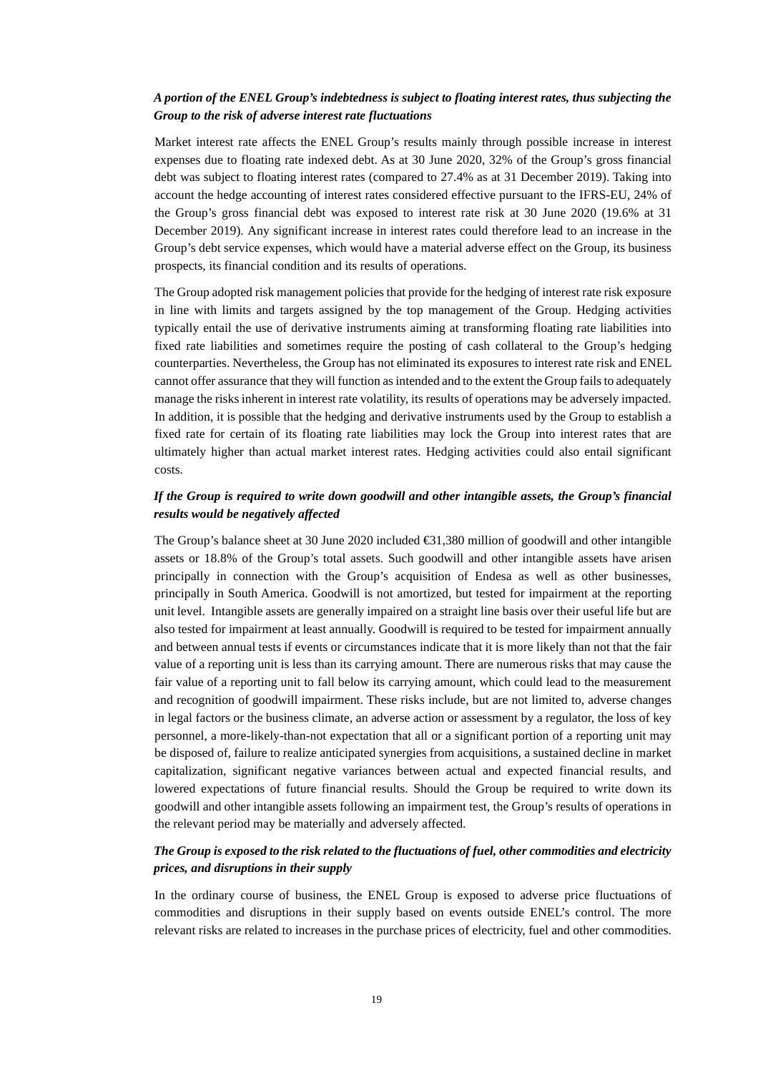#### *A portion of the ENEL Group's indebtedness is subject to floating interest rates, thus subjecting the Group to the risk of adverse interest rate fluctuations*

Market interest rate affects the ENEL Group's results mainly through possible increase in interest expenses due to floating rate indexed debt. As at 30 June 2020, 32% of the Group's gross financial debt was subject to floating interest rates (compared to 27.4% as at 31 December 2019). Taking into account the hedge accounting of interest rates considered effective pursuant to the IFRS-EU, 24% of the Group's gross financial debt was exposed to interest rate risk at 30 June 2020 (19.6% at 31 December 2019). Any significant increase in interest rates could therefore lead to an increase in the Group's debt service expenses, which would have a material adverse effect on the Group, its business prospects, its financial condition and its results of operations.

The Group adopted risk management policies that provide for the hedging of interest rate risk exposure in line with limits and targets assigned by the top management of the Group. Hedging activities typically entail the use of derivative instruments aiming at transforming floating rate liabilities into fixed rate liabilities and sometimes require the posting of cash collateral to the Group's hedging counterparties. Nevertheless, the Group has not eliminated its exposures to interest rate risk and ENEL cannot offer assurance that they will function as intended and to the extent the Group fails to adequately manage the risks inherent in interest rate volatility, its results of operations may be adversely impacted. In addition, it is possible that the hedging and derivative instruments used by the Group to establish a fixed rate for certain of its floating rate liabilities may lock the Group into interest rates that are ultimately higher than actual market interest rates. Hedging activities could also entail significant costs.

### *If the Group is required to write down goodwill and other intangible assets, the Group's financial results would be negatively affected*

The Group's balance sheet at 30 June 2020 included  $\bigoplus$ 1,380 million of goodwill and other intangible assets or 18.8% of the Group's total assets. Such goodwill and other intangible assets have arisen principally in connection with the Group's acquisition of Endesa as well as other businesses, principally in South America. Goodwill is not amortized, but tested for impairment at the reporting unit level. Intangible assets are generally impaired on a straight line basis over their useful life but are also tested for impairment at least annually. Goodwill is required to be tested for impairment annually and between annual tests if events or circumstances indicate that it is more likely than not that the fair value of a reporting unit is less than its carrying amount. There are numerous risks that may cause the fair value of a reporting unit to fall below its carrying amount, which could lead to the measurement and recognition of goodwill impairment. These risks include, but are not limited to, adverse changes in legal factors or the business climate, an adverse action or assessment by a regulator, the loss of key personnel, a more-likely-than-not expectation that all or a significant portion of a reporting unit may be disposed of, failure to realize anticipated synergies from acquisitions, a sustained decline in market capitalization, significant negative variances between actual and expected financial results, and lowered expectations of future financial results. Should the Group be required to write down its goodwill and other intangible assets following an impairment test, the Group's results of operations in the relevant period may be materially and adversely affected.

### *The Group is exposed to the risk related to the fluctuations of fuel, other commodities and electricity prices, and disruptions in their supply*

In the ordinary course of business, the ENEL Group is exposed to adverse price fluctuations of commodities and disruptions in their supply based on events outside ENEL's control. The more relevant risks are related to increases in the purchase prices of electricity, fuel and other commodities.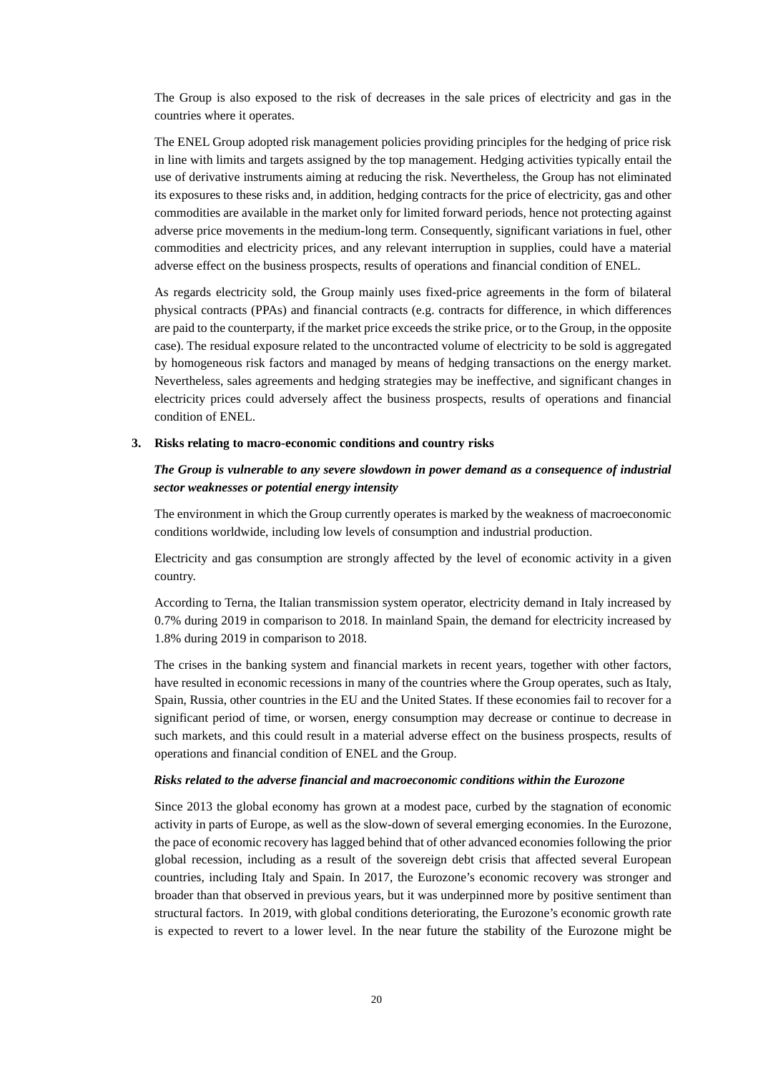The Group is also exposed to the risk of decreases in the sale prices of electricity and gas in the countries where it operates.

The ENEL Group adopted risk management policies providing principles for the hedging of price risk in line with limits and targets assigned by the top management. Hedging activities typically entail the use of derivative instruments aiming at reducing the risk. Nevertheless, the Group has not eliminated its exposures to these risks and, in addition, hedging contracts for the price of electricity, gas and other commodities are available in the market only for limited forward periods, hence not protecting against adverse price movements in the medium-long term. Consequently, significant variations in fuel, other commodities and electricity prices, and any relevant interruption in supplies, could have a material adverse effect on the business prospects, results of operations and financial condition of ENEL.

As regards electricity sold, the Group mainly uses fixed-price agreements in the form of bilateral physical contracts (PPAs) and financial contracts (e.g. contracts for difference, in which differences are paid to the counterparty, if the market price exceeds the strike price, or to the Group, in the opposite case). The residual exposure related to the uncontracted volume of electricity to be sold is aggregated by homogeneous risk factors and managed by means of hedging transactions on the energy market. Nevertheless, sales agreements and hedging strategies may be ineffective, and significant changes in electricity prices could adversely affect the business prospects, results of operations and financial condition of ENEL.

#### **3. Risks relating to macro-economic conditions and country risks**

### *The Group is vulnerable to any severe slowdown in power demand as a consequence of industrial sector weaknesses or potential energy intensity*

The environment in which the Group currently operates is marked by the weakness of macroeconomic conditions worldwide, including low levels of consumption and industrial production.

Electricity and gas consumption are strongly affected by the level of economic activity in a given country.

According to Terna, the Italian transmission system operator, electricity demand in Italy increased by 0.7% during 2019 in comparison to 2018. In mainland Spain, the demand for electricity increased by 1.8% during 2019 in comparison to 2018.

The crises in the banking system and financial markets in recent years, together with other factors, have resulted in economic recessions in many of the countries where the Group operates, such as Italy, Spain, Russia, other countries in the EU and the United States. If these economies fail to recover for a significant period of time, or worsen, energy consumption may decrease or continue to decrease in such markets, and this could result in a material adverse effect on the business prospects, results of operations and financial condition of ENEL and the Group.

#### *Risks related to the adverse financial and macroeconomic conditions within the Eurozone*

Since 2013 the global economy has grown at a modest pace, curbed by the stagnation of economic activity in parts of Europe, as well as the slow-down of several emerging economies. In the Eurozone, the pace of economic recovery has lagged behind that of other advanced economies following the prior global recession, including as a result of the sovereign debt crisis that affected several European countries, including Italy and Spain. In 2017, the Eurozone's economic recovery was stronger and broader than that observed in previous years, but it was underpinned more by positive sentiment than structural factors. In 2019, with global conditions deteriorating, the Eurozone's economic growth rate is expected to revert to a lower level. In the near future the stability of the Eurozone might be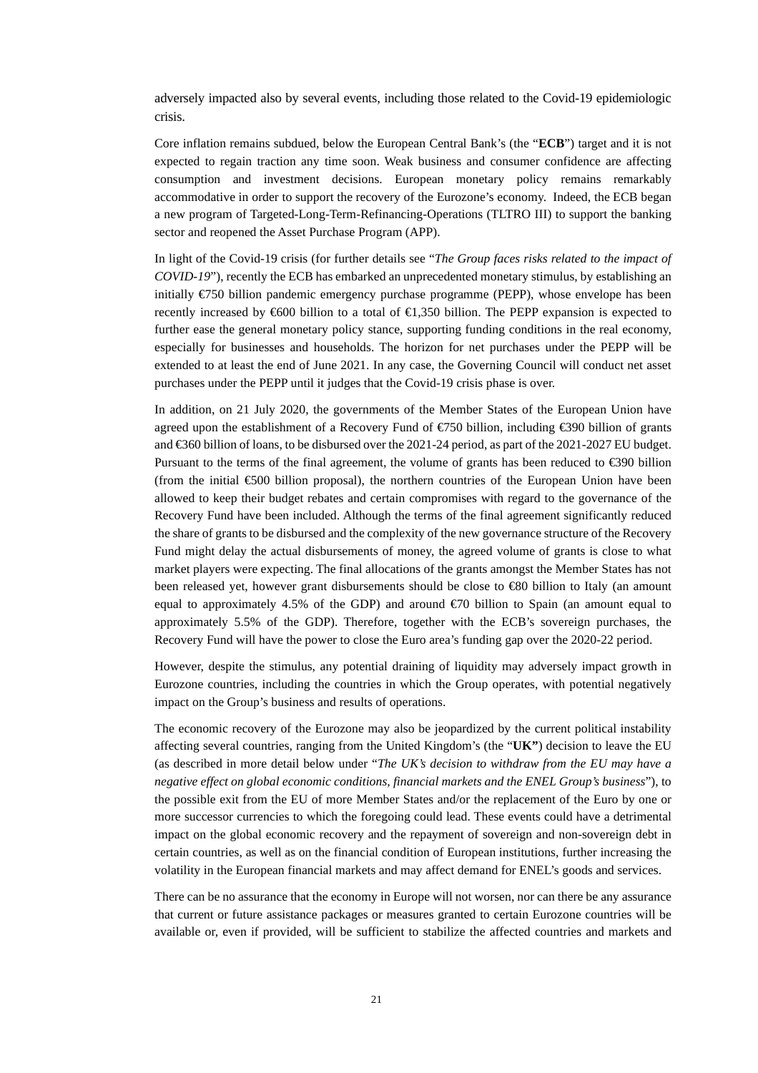adversely impacted also by several events, including those related to the Covid-19 epidemiologic crisis.

Core inflation remains subdued, below the European Central Bank's (the "**ECB**") target and it is not expected to regain traction any time soon. Weak business and consumer confidence are affecting consumption and investment decisions. European monetary policy remains remarkably accommodative in order to support the recovery of the Eurozone's economy. Indeed, the ECB began a new program of Targeted-Long-Term-Refinancing-Operations (TLTRO III) to support the banking sector and reopened the Asset Purchase Program (APP).

In light of the Covid-19 crisis (for further details see "*The Group faces risks related to the impact of COVID-19*"), recently the ECB has embarked an unprecedented monetary stimulus, by establishing an initially  $\epsilon$ 750 billion pandemic emergency purchase programme (PEPP), whose envelope has been recently increased by €600 billion to a total of €1,350 billion. The PEPP expansion is expected to further ease the general monetary policy stance, supporting funding conditions in the real economy, especially for businesses and households. The horizon for net purchases under the PEPP will be extended to at least the end of June 2021. In any case, the Governing Council will conduct net asset purchases under the PEPP until it judges that the Covid-19 crisis phase is over.

In addition, on 21 July 2020, the governments of the Member States of the European Union have agreed upon the establishment of a Recovery Fund of €750 billion, including €390 billion of grants and €360 billion of loans, to be disbursed over the 2021-24 period, as part of the 2021-2027 EU budget. Pursuant to the terms of the final agreement, the volume of grants has been reduced to €390 billion (from the initial  $\epsilon$ 500 billion proposal), the northern countries of the European Union have been allowed to keep their budget rebates and certain compromises with regard to the governance of the Recovery Fund have been included. Although the terms of the final agreement significantly reduced the share of grants to be disbursed and the complexity of the new governance structure of the Recovery Fund might delay the actual disbursements of money, the agreed volume of grants is close to what market players were expecting. The final allocations of the grants amongst the Member States has not been released yet, however grant disbursements should be close to €80 billion to Italy (an amount equal to approximately 4.5% of the GDP) and around  $\epsilon$  to billion to Spain (an amount equal to approximately 5.5% of the GDP). Therefore, together with the ECB's sovereign purchases, the Recovery Fund will have the power to close the Euro area's funding gap over the 2020-22 period.

However, despite the stimulus, any potential draining of liquidity may adversely impact growth in Eurozone countries, including the countries in which the Group operates, with potential negatively impact on the Group's business and results of operations.

The economic recovery of the Eurozone may also be jeopardized by the current political instability affecting several countries, ranging from the United Kingdom's (the "**UK"**) decision to leave the EU (as described in more detail below under "*The UK's decision to withdraw from the EU may have a negative effect on global economic conditions, financial markets and the ENEL Group's business*"), to the possible exit from the EU of more Member States and/or the replacement of the Euro by one or more successor currencies to which the foregoing could lead. These events could have a detrimental impact on the global economic recovery and the repayment of sovereign and non-sovereign debt in certain countries, as well as on the financial condition of European institutions, further increasing the volatility in the European financial markets and may affect demand for ENEL's goods and services.

There can be no assurance that the economy in Europe will not worsen, nor can there be any assurance that current or future assistance packages or measures granted to certain Eurozone countries will be available or, even if provided, will be sufficient to stabilize the affected countries and markets and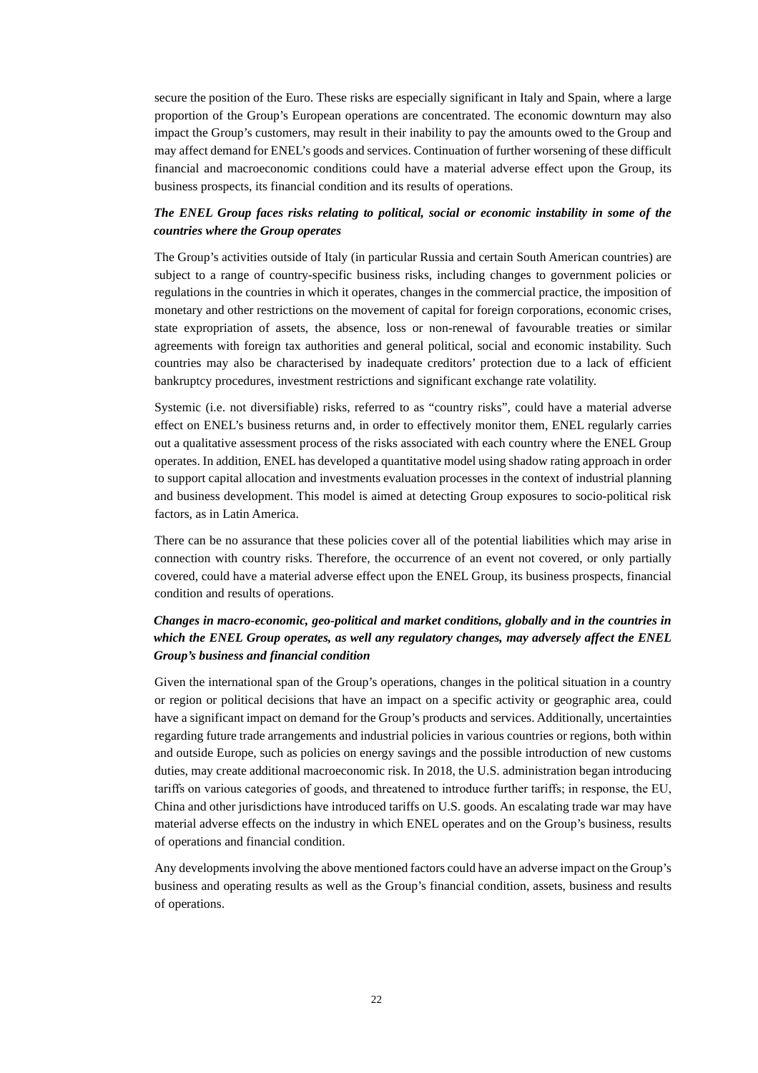secure the position of the Euro. These risks are especially significant in Italy and Spain, where a large proportion of the Group's European operations are concentrated. The economic downturn may also impact the Group's customers, may result in their inability to pay the amounts owed to the Group and may affect demand for ENEL's goods and services. Continuation of further worsening of these difficult financial and macroeconomic conditions could have a material adverse effect upon the Group, its business prospects, its financial condition and its results of operations.

### *The ENEL Group faces risks relating to political, social or economic instability in some of the countries where the Group operates*

The Group's activities outside of Italy (in particular Russia and certain South American countries) are subject to a range of country-specific business risks, including changes to government policies or regulations in the countries in which it operates, changes in the commercial practice, the imposition of monetary and other restrictions on the movement of capital for foreign corporations, economic crises, state expropriation of assets, the absence, loss or non-renewal of favourable treaties or similar agreements with foreign tax authorities and general political, social and economic instability. Such countries may also be characterised by inadequate creditors' protection due to a lack of efficient bankruptcy procedures, investment restrictions and significant exchange rate volatility.

Systemic (i.e. not diversifiable) risks, referred to as "country risks", could have a material adverse effect on ENEL's business returns and, in order to effectively monitor them, ENEL regularly carries out a qualitative assessment process of the risks associated with each country where the ENEL Group operates. In addition, ENEL has developed a quantitative model using shadow rating approach in order to support capital allocation and investments evaluation processes in the context of industrial planning and business development. This model is aimed at detecting Group exposures to socio-political risk factors, as in Latin America.

There can be no assurance that these policies cover all of the potential liabilities which may arise in connection with country risks. Therefore, the occurrence of an event not covered, or only partially covered, could have a material adverse effect upon the ENEL Group, its business prospects, financial condition and results of operations.

### *Changes in macro-economic, geo-political and market conditions, globally and in the countries in which the ENEL Group operates, as well any regulatory changes, may adversely affect the ENEL Group's business and financial condition*

Given the international span of the Group's operations, changes in the political situation in a country or region or political decisions that have an impact on a specific activity or geographic area, could have a significant impact on demand for the Group's products and services. Additionally, uncertainties regarding future trade arrangements and industrial policies in various countries or regions, both within and outside Europe, such as policies on energy savings and the possible introduction of new customs duties, may create additional macroeconomic risk. In 2018, the U.S. administration began introducing tariffs on various categories of goods, and threatened to introduce further tariffs; in response, the EU, China and other jurisdictions have introduced tariffs on U.S. goods. An escalating trade war may have material adverse effects on the industry in which ENEL operates and on the Group's business, results of operations and financial condition.

Any developments involving the above mentioned factors could have an adverse impact on the Group's business and operating results as well as the Group's financial condition, assets, business and results of operations.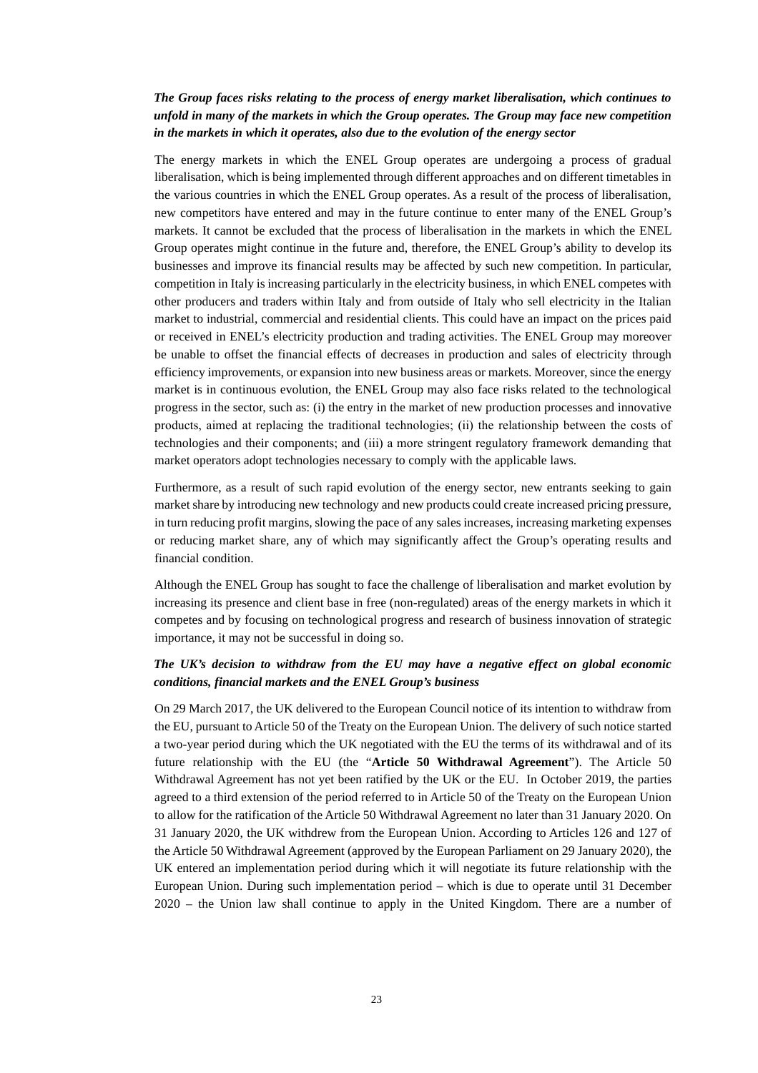### *The Group faces risks relating to the process of energy market liberalisation, which continues to unfold in many of the markets in which the Group operates. The Group may face new competition in the markets in which it operates, also due to the evolution of the energy sector*

The energy markets in which the ENEL Group operates are undergoing a process of gradual liberalisation, which is being implemented through different approaches and on different timetables in the various countries in which the ENEL Group operates. As a result of the process of liberalisation, new competitors have entered and may in the future continue to enter many of the ENEL Group's markets. It cannot be excluded that the process of liberalisation in the markets in which the ENEL Group operates might continue in the future and, therefore, the ENEL Group's ability to develop its businesses and improve its financial results may be affected by such new competition. In particular, competition in Italy is increasing particularly in the electricity business, in which ENEL competes with other producers and traders within Italy and from outside of Italy who sell electricity in the Italian market to industrial, commercial and residential clients. This could have an impact on the prices paid or received in ENEL's electricity production and trading activities. The ENEL Group may moreover be unable to offset the financial effects of decreases in production and sales of electricity through efficiency improvements, or expansion into new business areas or markets. Moreover, since the energy market is in continuous evolution, the ENEL Group may also face risks related to the technological progress in the sector, such as: (i) the entry in the market of new production processes and innovative products, aimed at replacing the traditional technologies; (ii) the relationship between the costs of technologies and their components; and (iii) a more stringent regulatory framework demanding that market operators adopt technologies necessary to comply with the applicable laws.

Furthermore, as a result of such rapid evolution of the energy sector, new entrants seeking to gain market share by introducing new technology and new products could create increased pricing pressure, in turn reducing profit margins, slowing the pace of any sales increases, increasing marketing expenses or reducing market share, any of which may significantly affect the Group's operating results and financial condition.

Although the ENEL Group has sought to face the challenge of liberalisation and market evolution by increasing its presence and client base in free (non-regulated) areas of the energy markets in which it competes and by focusing on technological progress and research of business innovation of strategic importance, it may not be successful in doing so.

### *The UK's decision to withdraw from the EU may have a negative effect on global economic conditions, financial markets and the ENEL Group's business*

On 29 March 2017, the UK delivered to the European Council notice of its intention to withdraw from the EU, pursuant to Article 50 of the Treaty on the European Union. The delivery of such notice started a two-year period during which the UK negotiated with the EU the terms of its withdrawal and of its future relationship with the EU (the "**Article 50 Withdrawal Agreement**"). The Article 50 Withdrawal Agreement has not yet been ratified by the UK or the EU. In October 2019, the parties agreed to a third extension of the period referred to in Article 50 of the Treaty on the European Union to allow for the ratification of the Article 50 Withdrawal Agreement no later than 31 January 2020. On 31 January 2020, the UK withdrew from the European Union. According to Articles 126 and 127 of the Article 50 Withdrawal Agreement (approved by the European Parliament on 29 January 2020), the UK entered an implementation period during which it will negotiate its future relationship with the European Union. During such implementation period – which is due to operate until 31 December 2020 – the Union law shall continue to apply in the United Kingdom. There are a number of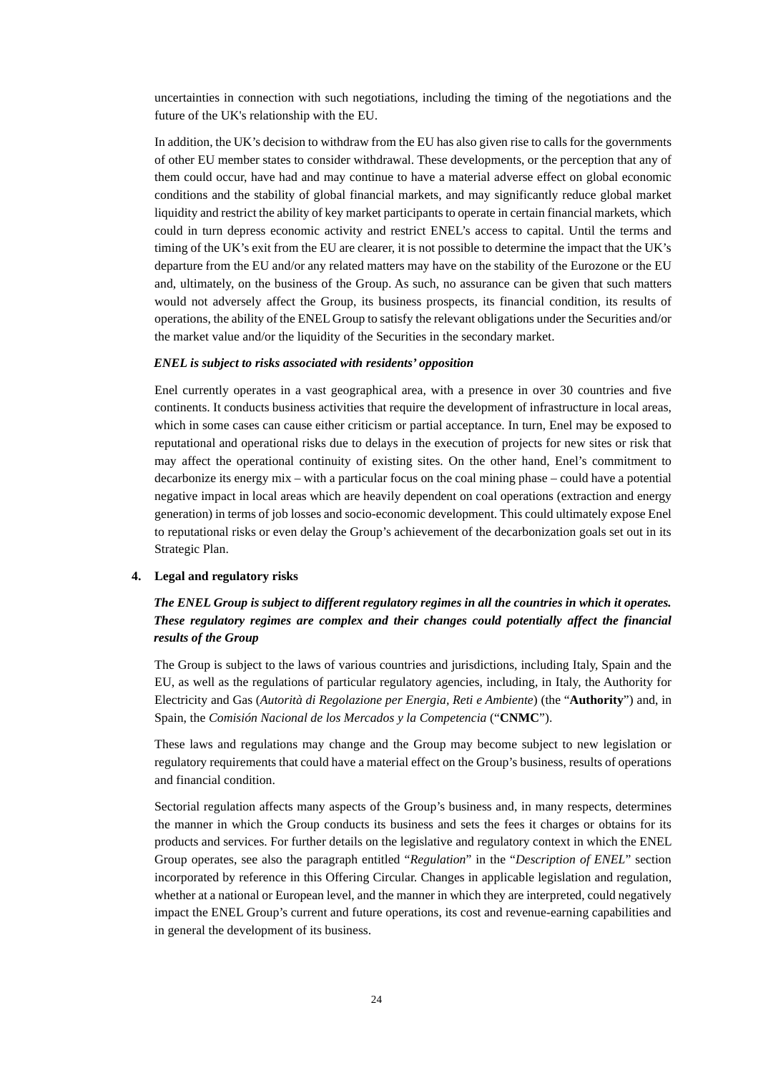uncertainties in connection with such negotiations, including the timing of the negotiations and the future of the UK's relationship with the EU.

In addition, the UK's decision to withdraw from the EU has also given rise to calls for the governments of other EU member states to consider withdrawal. These developments, or the perception that any of them could occur, have had and may continue to have a material adverse effect on global economic conditions and the stability of global financial markets, and may significantly reduce global market liquidity and restrict the ability of key market participants to operate in certain financial markets, which could in turn depress economic activity and restrict ENEL's access to capital. Until the terms and timing of the UK's exit from the EU are clearer, it is not possible to determine the impact that the UK's departure from the EU and/or any related matters may have on the stability of the Eurozone or the EU and, ultimately, on the business of the Group. As such, no assurance can be given that such matters would not adversely affect the Group, its business prospects, its financial condition, its results of operations, the ability of the ENEL Group to satisfy the relevant obligations under the Securities and/or the market value and/or the liquidity of the Securities in the secondary market.

#### *ENEL is subject to risks associated with residents' opposition*

Enel currently operates in a vast geographical area, with a presence in over 30 countries and five continents. It conducts business activities that require the development of infrastructure in local areas, which in some cases can cause either criticism or partial acceptance. In turn, Enel may be exposed to reputational and operational risks due to delays in the execution of projects for new sites or risk that may affect the operational continuity of existing sites. On the other hand, Enel's commitment to decarbonize its energy mix – with a particular focus on the coal mining phase – could have a potential negative impact in local areas which are heavily dependent on coal operations (extraction and energy generation) in terms of job losses and socio-economic development. This could ultimately expose Enel to reputational risks or even delay the Group's achievement of the decarbonization goals set out in its Strategic Plan.

#### **4. Legal and regulatory risks**

### *The ENEL Group is subject to different regulatory regimes in all the countries in which it operates. These regulatory regimes are complex and their changes could potentially affect the financial results of the Group*

The Group is subject to the laws of various countries and jurisdictions, including Italy, Spain and the EU, as well as the regulations of particular regulatory agencies, including, in Italy, the Authority for Electricity and Gas (*Autorità di Regolazione per Energia, Reti e Ambiente*) (the "**Authority**") and, in Spain, the *Comisión Nacional de los Mercados y la Competencia* ("**CNMC**").

These laws and regulations may change and the Group may become subject to new legislation or regulatory requirements that could have a material effect on the Group's business, results of operations and financial condition.

Sectorial regulation affects many aspects of the Group's business and, in many respects, determines the manner in which the Group conducts its business and sets the fees it charges or obtains for its products and services. For further details on the legislative and regulatory context in which the ENEL Group operates, see also the paragraph entitled "*Regulation*" in the "*Description of ENEL*" section incorporated by reference in this Offering Circular. Changes in applicable legislation and regulation, whether at a national or European level, and the manner in which they are interpreted, could negatively impact the ENEL Group's current and future operations, its cost and revenue-earning capabilities and in general the development of its business.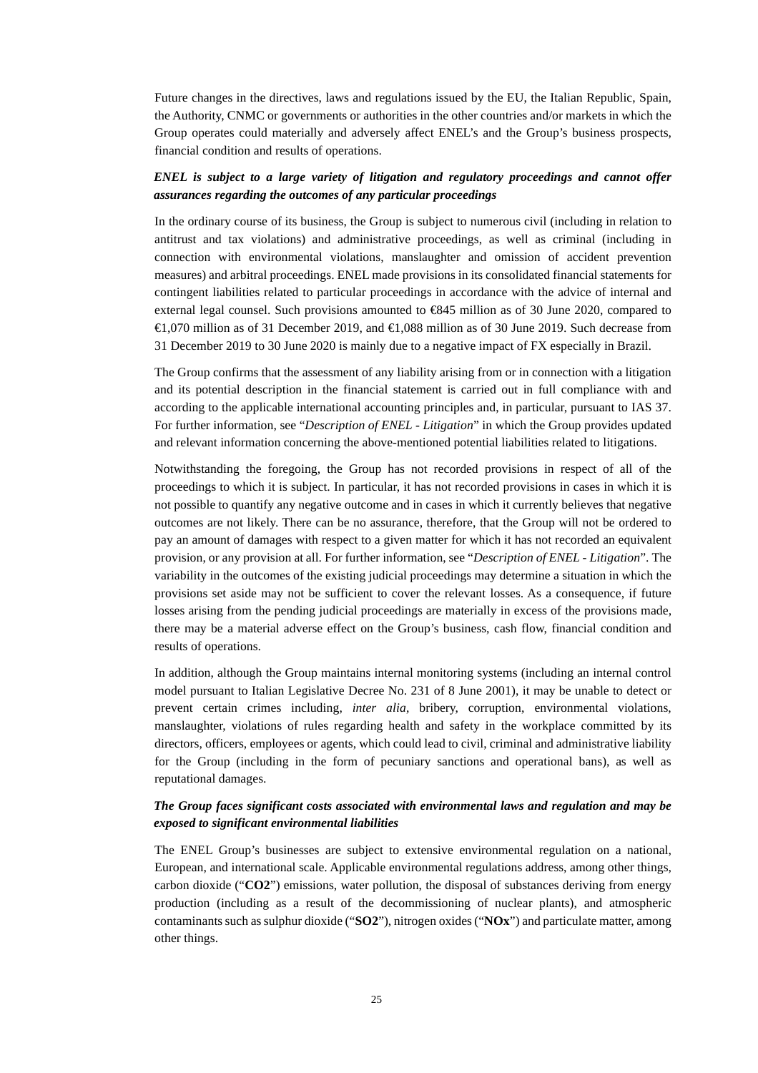Future changes in the directives, laws and regulations issued by the EU, the Italian Republic, Spain, the Authority, CNMC or governments or authorities in the other countries and/or markets in which the Group operates could materially and adversely affect ENEL's and the Group's business prospects, financial condition and results of operations.

### *ENEL is subject to a large variety of litigation and regulatory proceedings and cannot offer assurances regarding the outcomes of any particular proceedings*

In the ordinary course of its business, the Group is subject to numerous civil (including in relation to antitrust and tax violations) and administrative proceedings, as well as criminal (including in connection with environmental violations, manslaughter and omission of accident prevention measures) and arbitral proceedings. ENEL made provisions in its consolidated financial statements for contingent liabilities related to particular proceedings in accordance with the advice of internal and external legal counsel. Such provisions amounted to €845 million as of 30 June 2020, compared to €1,070 million as of 31 December 2019, and €1,088 million as of 30 June 2019. Such decrease from 31 December 2019 to 30 June 2020 is mainly due to a negative impact of FX especially in Brazil.

The Group confirms that the assessment of any liability arising from or in connection with a litigation and its potential description in the financial statement is carried out in full compliance with and according to the applicable international accounting principles and, in particular, pursuant to IAS 37. For further information, see "*Description of ENEL - Litigation*" in which the Group provides updated and relevant information concerning the above-mentioned potential liabilities related to litigations.

Notwithstanding the foregoing, the Group has not recorded provisions in respect of all of the proceedings to which it is subject. In particular, it has not recorded provisions in cases in which it is not possible to quantify any negative outcome and in cases in which it currently believes that negative outcomes are not likely. There can be no assurance, therefore, that the Group will not be ordered to pay an amount of damages with respect to a given matter for which it has not recorded an equivalent provision, or any provision at all. For further information, see "*Description of ENEL - Litigation*". The variability in the outcomes of the existing judicial proceedings may determine a situation in which the provisions set aside may not be sufficient to cover the relevant losses. As a consequence, if future losses arising from the pending judicial proceedings are materially in excess of the provisions made, there may be a material adverse effect on the Group's business, cash flow, financial condition and results of operations.

In addition, although the Group maintains internal monitoring systems (including an internal control model pursuant to Italian Legislative Decree No. 231 of 8 June 2001), it may be unable to detect or prevent certain crimes including, *inter alia*, bribery, corruption, environmental violations, manslaughter, violations of rules regarding health and safety in the workplace committed by its directors, officers, employees or agents, which could lead to civil, criminal and administrative liability for the Group (including in the form of pecuniary sanctions and operational bans), as well as reputational damages.

### *The Group faces significant costs associated with environmental laws and regulation and may be exposed to significant environmental liabilities*

The ENEL Group's businesses are subject to extensive environmental regulation on a national, European, and international scale. Applicable environmental regulations address, among other things, carbon dioxide ("**CO2**") emissions, water pollution, the disposal of substances deriving from energy production (including as a result of the decommissioning of nuclear plants), and atmospheric contaminants such as sulphur dioxide ("**SO2**"), nitrogen oxides ("**NOx**") and particulate matter, among other things.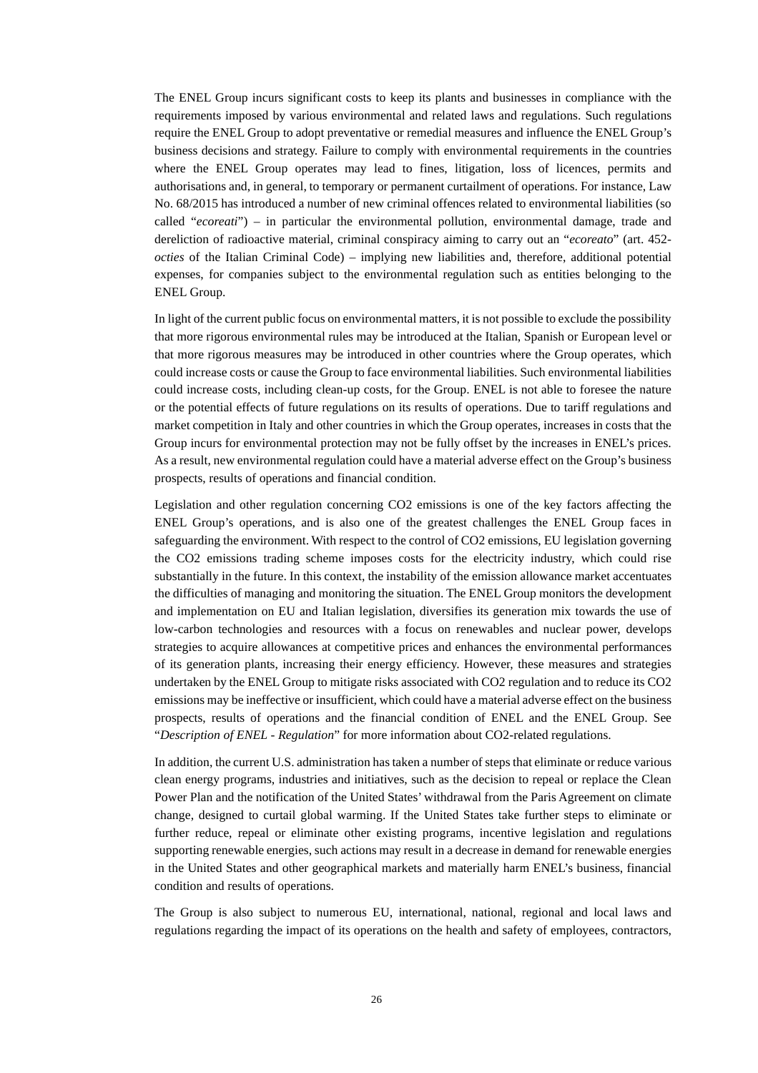The ENEL Group incurs significant costs to keep its plants and businesses in compliance with the requirements imposed by various environmental and related laws and regulations. Such regulations require the ENEL Group to adopt preventative or remedial measures and influence the ENEL Group's business decisions and strategy. Failure to comply with environmental requirements in the countries where the ENEL Group operates may lead to fines, litigation, loss of licences, permits and authorisations and, in general, to temporary or permanent curtailment of operations. For instance, Law No. 68/2015 has introduced a number of new criminal offences related to environmental liabilities (so called "*ecoreati*") – in particular the environmental pollution, environmental damage, trade and dereliction of radioactive material, criminal conspiracy aiming to carry out an "*ecoreato*" (art. 452 *octies* of the Italian Criminal Code) – implying new liabilities and, therefore, additional potential expenses, for companies subject to the environmental regulation such as entities belonging to the ENEL Group.

In light of the current public focus on environmental matters, it is not possible to exclude the possibility that more rigorous environmental rules may be introduced at the Italian, Spanish or European level or that more rigorous measures may be introduced in other countries where the Group operates, which could increase costs or cause the Group to face environmental liabilities. Such environmental liabilities could increase costs, including clean-up costs, for the Group. ENEL is not able to foresee the nature or the potential effects of future regulations on its results of operations. Due to tariff regulations and market competition in Italy and other countries in which the Group operates, increases in costs that the Group incurs for environmental protection may not be fully offset by the increases in ENEL's prices. As a result, new environmental regulation could have a material adverse effect on the Group's business prospects, results of operations and financial condition.

Legislation and other regulation concerning CO2 emissions is one of the key factors affecting the ENEL Group's operations, and is also one of the greatest challenges the ENEL Group faces in safeguarding the environment. With respect to the control of CO2 emissions, EU legislation governing the CO2 emissions trading scheme imposes costs for the electricity industry, which could rise substantially in the future. In this context, the instability of the emission allowance market accentuates the difficulties of managing and monitoring the situation. The ENEL Group monitors the development and implementation on EU and Italian legislation, diversifies its generation mix towards the use of low-carbon technologies and resources with a focus on renewables and nuclear power, develops strategies to acquire allowances at competitive prices and enhances the environmental performances of its generation plants, increasing their energy efficiency. However, these measures and strategies undertaken by the ENEL Group to mitigate risks associated with CO2 regulation and to reduce its CO2 emissions may be ineffective or insufficient, which could have a material adverse effect on the business prospects, results of operations and the financial condition of ENEL and the ENEL Group. See "*Description of ENEL - Regulation*" for more information about CO2-related regulations.

In addition, the current U.S. administration has taken a number of steps that eliminate or reduce various clean energy programs, industries and initiatives, such as the decision to repeal or replace the Clean Power Plan and the notification of the United States' withdrawal from the Paris Agreement on climate change, designed to curtail global warming. If the United States take further steps to eliminate or further reduce, repeal or eliminate other existing programs, incentive legislation and regulations supporting renewable energies, such actions may result in a decrease in demand for renewable energies in the United States and other geographical markets and materially harm ENEL's business, financial condition and results of operations.

The Group is also subject to numerous EU, international, national, regional and local laws and regulations regarding the impact of its operations on the health and safety of employees, contractors,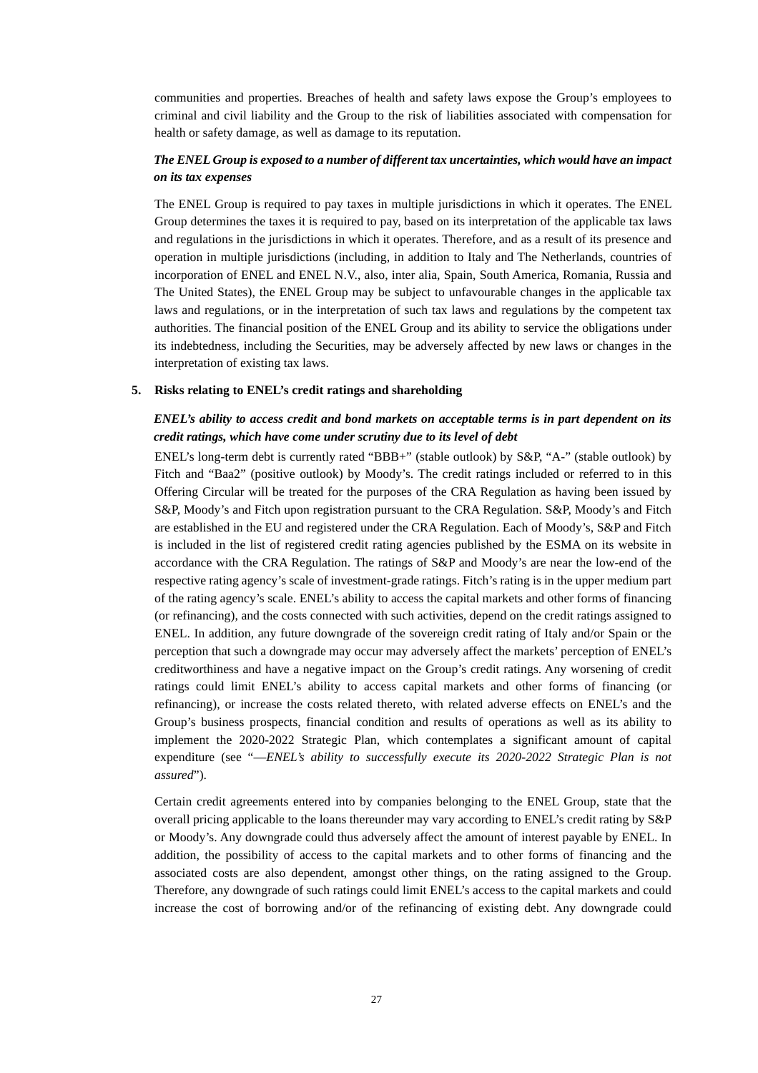communities and properties. Breaches of health and safety laws expose the Group's employees to criminal and civil liability and the Group to the risk of liabilities associated with compensation for health or safety damage, as well as damage to its reputation.

### *The ENEL Group is exposed to a number of different tax uncertainties, which would have an impact on its tax expenses*

The ENEL Group is required to pay taxes in multiple jurisdictions in which it operates. The ENEL Group determines the taxes it is required to pay, based on its interpretation of the applicable tax laws and regulations in the jurisdictions in which it operates. Therefore, and as a result of its presence and operation in multiple jurisdictions (including, in addition to Italy and The Netherlands, countries of incorporation of ENEL and ENEL N.V., also, inter alia, Spain, South America, Romania, Russia and The United States), the ENEL Group may be subject to unfavourable changes in the applicable tax laws and regulations, or in the interpretation of such tax laws and regulations by the competent tax authorities. The financial position of the ENEL Group and its ability to service the obligations under its indebtedness, including the Securities, may be adversely affected by new laws or changes in the interpretation of existing tax laws.

#### **5. Risks relating to ENEL's credit ratings and shareholding**

### *ENEL's ability to access credit and bond markets on acceptable terms is in part dependent on its credit ratings, which have come under scrutiny due to its level of debt*

ENEL's long-term debt is currently rated "BBB+" (stable outlook) by S&P, "A-" (stable outlook) by Fitch and "Baa2" (positive outlook) by Moody's. The credit ratings included or referred to in this Offering Circular will be treated for the purposes of the CRA Regulation as having been issued by S&P, Moody's and Fitch upon registration pursuant to the CRA Regulation. S&P, Moody's and Fitch are established in the EU and registered under the CRA Regulation. Each of Moody's, S&P and Fitch is included in the list of registered credit rating agencies published by the ESMA on its website in accordance with the CRA Regulation. The ratings of S&P and Moody's are near the low-end of the respective rating agency's scale of investment-grade ratings. Fitch's rating is in the upper medium part of the rating agency's scale. ENEL's ability to access the capital markets and other forms of financing (or refinancing), and the costs connected with such activities, depend on the credit ratings assigned to ENEL. In addition, any future downgrade of the sovereign credit rating of Italy and/or Spain or the perception that such a downgrade may occur may adversely affect the markets' perception of ENEL's creditworthiness and have a negative impact on the Group's credit ratings. Any worsening of credit ratings could limit ENEL's ability to access capital markets and other forms of financing (or refinancing), or increase the costs related thereto, with related adverse effects on ENEL's and the Group's business prospects, financial condition and results of operations as well as its ability to implement the 2020-2022 Strategic Plan, which contemplates a significant amount of capital expenditure (see "—*ENEL's ability to successfully execute its 2020-2022 Strategic Plan is not assured*").

Certain credit agreements entered into by companies belonging to the ENEL Group, state that the overall pricing applicable to the loans thereunder may vary according to ENEL's credit rating by S&P or Moody's. Any downgrade could thus adversely affect the amount of interest payable by ENEL. In addition, the possibility of access to the capital markets and to other forms of financing and the associated costs are also dependent, amongst other things, on the rating assigned to the Group. Therefore, any downgrade of such ratings could limit ENEL's access to the capital markets and could increase the cost of borrowing and/or of the refinancing of existing debt. Any downgrade could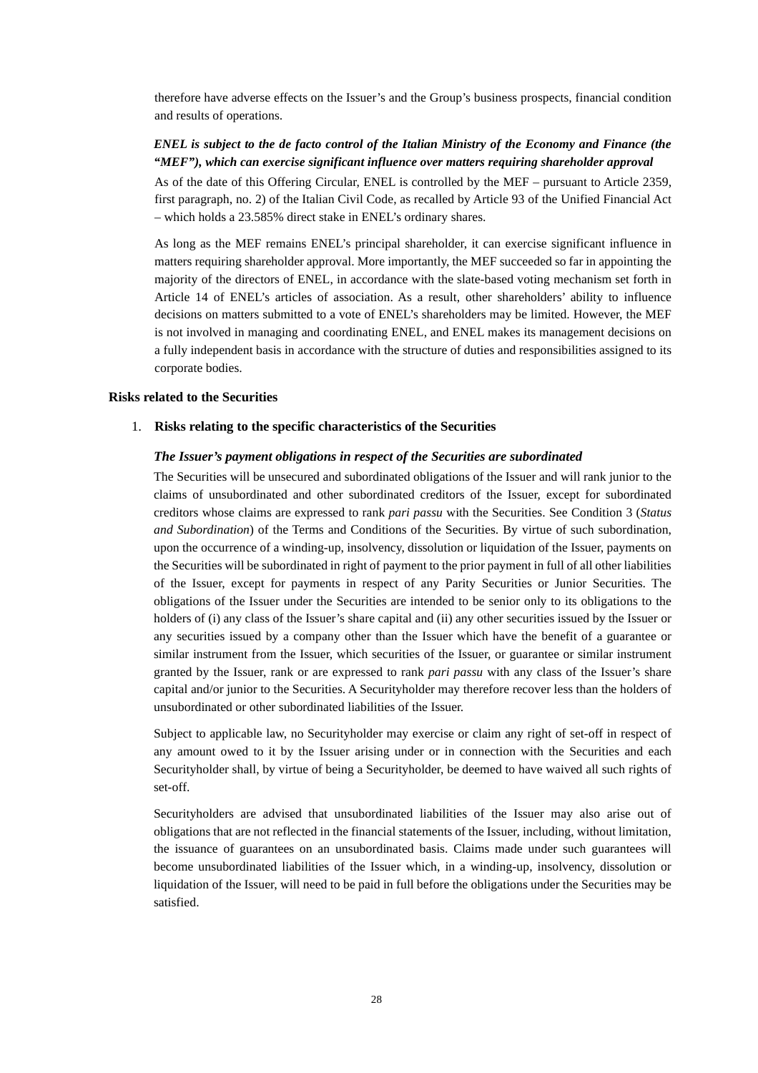therefore have adverse effects on the Issuer's and the Group's business prospects, financial condition and results of operations.

### *ENEL is subject to the de facto control of the Italian Ministry of the Economy and Finance (the "MEF"), which can exercise significant influence over matters requiring shareholder approval*

As of the date of this Offering Circular, ENEL is controlled by the MEF – pursuant to Article 2359, first paragraph, no. 2) of the Italian Civil Code, as recalled by Article 93 of the Unified Financial Act – which holds a 23.585% direct stake in ENEL's ordinary shares.

As long as the MEF remains ENEL's principal shareholder, it can exercise significant influence in matters requiring shareholder approval. More importantly, the MEF succeeded so far in appointing the majority of the directors of ENEL, in accordance with the slate-based voting mechanism set forth in Article 14 of ENEL's articles of association. As a result, other shareholders' ability to influence decisions on matters submitted to a vote of ENEL's shareholders may be limited. However, the MEF is not involved in managing and coordinating ENEL, and ENEL makes its management decisions on a fully independent basis in accordance with the structure of duties and responsibilities assigned to its corporate bodies.

#### **Risks related to the Securities**

#### 1. **Risks relating to the specific characteristics of the Securities**

#### *The Issuer's payment obligations in respect of the Securities are subordinated*

The Securities will be unsecured and subordinated obligations of the Issuer and will rank junior to the claims of unsubordinated and other subordinated creditors of the Issuer, except for subordinated creditors whose claims are expressed to rank *pari passu* with the Securities. See Condition 3 (*Status and Subordination*) of the Terms and Conditions of the Securities. By virtue of such subordination, upon the occurrence of a winding-up, insolvency, dissolution or liquidation of the Issuer, payments on the Securities will be subordinated in right of payment to the prior payment in full of all other liabilities of the Issuer, except for payments in respect of any Parity Securities or Junior Securities. The obligations of the Issuer under the Securities are intended to be senior only to its obligations to the holders of (i) any class of the Issuer's share capital and (ii) any other securities issued by the Issuer or any securities issued by a company other than the Issuer which have the benefit of a guarantee or similar instrument from the Issuer, which securities of the Issuer, or guarantee or similar instrument granted by the Issuer, rank or are expressed to rank *pari passu* with any class of the Issuer's share capital and/or junior to the Securities. A Securityholder may therefore recover less than the holders of unsubordinated or other subordinated liabilities of the Issuer.

Subject to applicable law, no Securityholder may exercise or claim any right of set-off in respect of any amount owed to it by the Issuer arising under or in connection with the Securities and each Securityholder shall, by virtue of being a Securityholder, be deemed to have waived all such rights of set-off.

Securityholders are advised that unsubordinated liabilities of the Issuer may also arise out of obligations that are not reflected in the financial statements of the Issuer, including, without limitation, the issuance of guarantees on an unsubordinated basis. Claims made under such guarantees will become unsubordinated liabilities of the Issuer which, in a winding-up, insolvency, dissolution or liquidation of the Issuer, will need to be paid in full before the obligations under the Securities may be satisfied.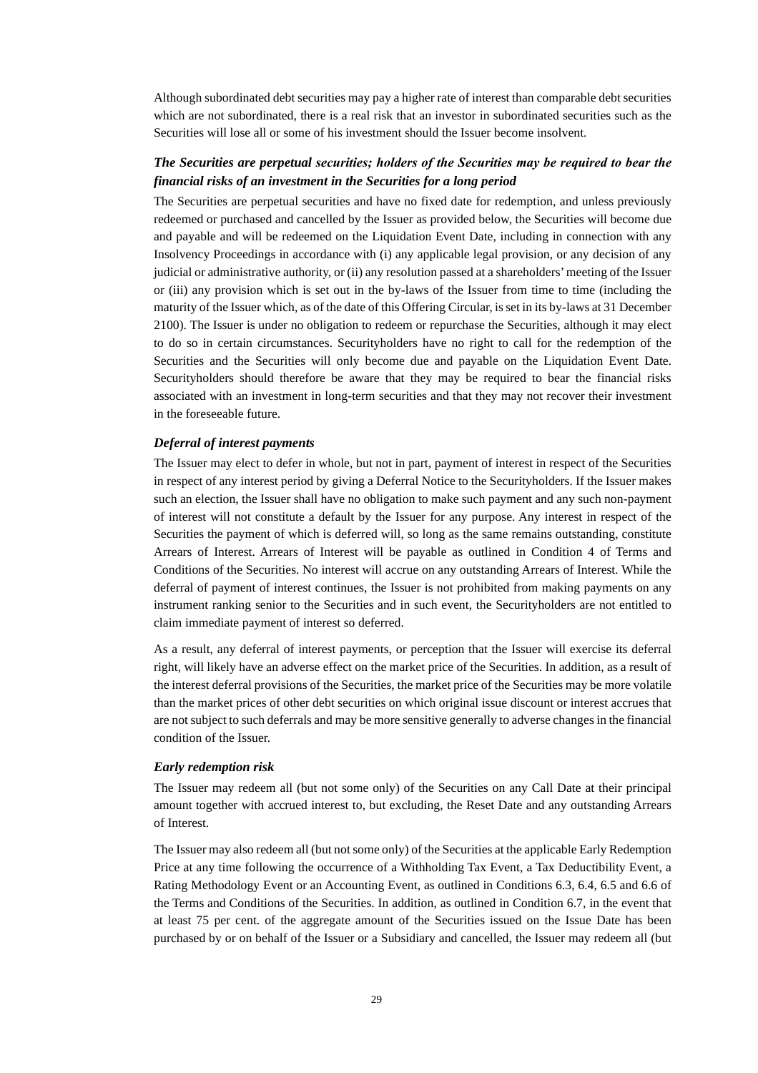Although subordinated debt securities may pay a higher rate of interest than comparable debt securities which are not subordinated, there is a real risk that an investor in subordinated securities such as the Securities will lose all or some of his investment should the Issuer become insolvent.

### *The Securities are perpetual securities; holders of the Securities may be required to bear the financial risks of an investment in the Securities for a long period*

The Securities are perpetual securities and have no fixed date for redemption, and unless previously redeemed or purchased and cancelled by the Issuer as provided below, the Securities will become due and payable and will be redeemed on the Liquidation Event Date, including in connection with any Insolvency Proceedings in accordance with (i) any applicable legal provision, or any decision of any judicial or administrative authority, or (ii) any resolution passed at a shareholders' meeting of the Issuer or (iii) any provision which is set out in the by-laws of the Issuer from time to time (including the maturity of the Issuer which, as of the date of this Offering Circular, is set in its by-laws at 31 December 2100). The Issuer is under no obligation to redeem or repurchase the Securities, although it may elect to do so in certain circumstances. Securityholders have no right to call for the redemption of the Securities and the Securities will only become due and payable on the Liquidation Event Date. Securityholders should therefore be aware that they may be required to bear the financial risks associated with an investment in long-term securities and that they may not recover their investment in the foreseeable future.

#### *Deferral of interest payments*

The Issuer may elect to defer in whole, but not in part, payment of interest in respect of the Securities in respect of any interest period by giving a Deferral Notice to the Securityholders. If the Issuer makes such an election, the Issuer shall have no obligation to make such payment and any such non-payment of interest will not constitute a default by the Issuer for any purpose. Any interest in respect of the Securities the payment of which is deferred will, so long as the same remains outstanding, constitute Arrears of Interest. Arrears of Interest will be payable as outlined in Condition 4 of Terms and Conditions of the Securities. No interest will accrue on any outstanding Arrears of Interest. While the deferral of payment of interest continues, the Issuer is not prohibited from making payments on any instrument ranking senior to the Securities and in such event, the Securityholders are not entitled to claim immediate payment of interest so deferred.

As a result, any deferral of interest payments, or perception that the Issuer will exercise its deferral right, will likely have an adverse effect on the market price of the Securities. In addition, as a result of the interest deferral provisions of the Securities, the market price of the Securities may be more volatile than the market prices of other debt securities on which original issue discount or interest accrues that are not subject to such deferrals and may be more sensitive generally to adverse changes in the financial condition of the Issuer.

#### *Early redemption risk*

The Issuer may redeem all (but not some only) of the Securities on any Call Date at their principal amount together with accrued interest to, but excluding, the Reset Date and any outstanding Arrears of Interest.

The Issuer may also redeem all (but not some only) of the Securities at the applicable Early Redemption Price at any time following the occurrence of a Withholding Tax Event, a Tax Deductibility Event, a Rating Methodology Event or an Accounting Event, as outlined in Conditions 6.3, 6.4, 6.5 and 6.6 of the Terms and Conditions of the Securities. In addition, as outlined in Condition 6.7, in the event that at least 75 per cent. of the aggregate amount of the Securities issued on the Issue Date has been purchased by or on behalf of the Issuer or a Subsidiary and cancelled, the Issuer may redeem all (but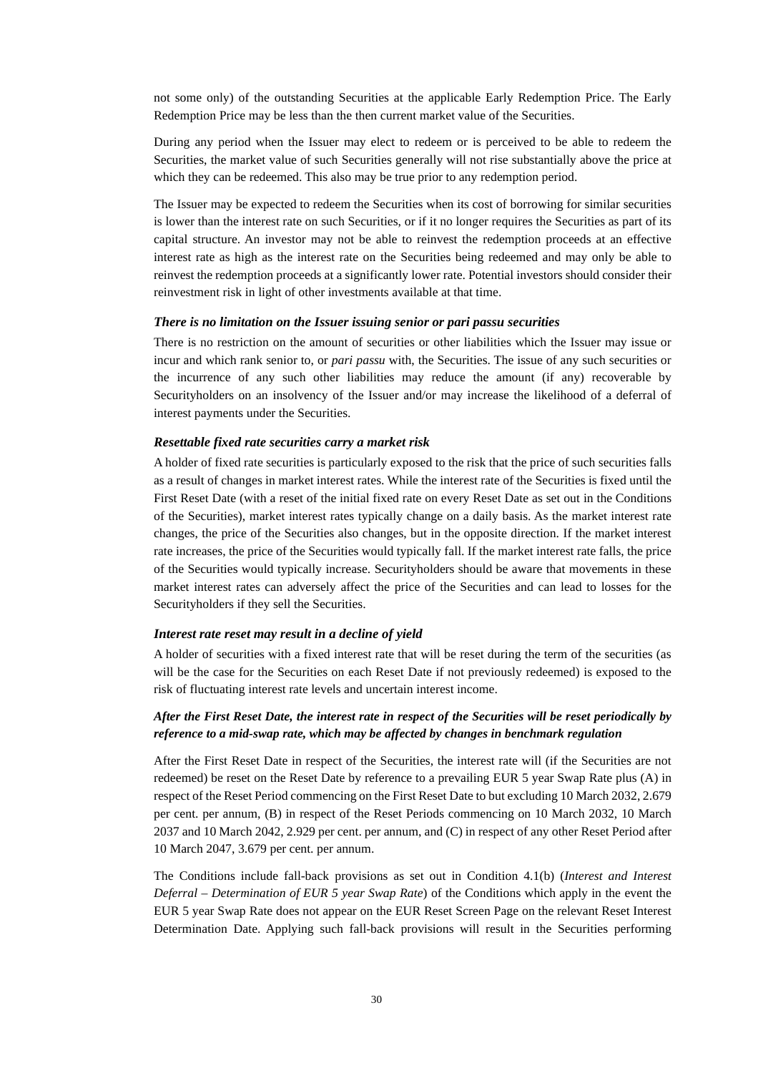not some only) of the outstanding Securities at the applicable Early Redemption Price. The Early Redemption Price may be less than the then current market value of the Securities.

During any period when the Issuer may elect to redeem or is perceived to be able to redeem the Securities, the market value of such Securities generally will not rise substantially above the price at which they can be redeemed. This also may be true prior to any redemption period.

The Issuer may be expected to redeem the Securities when its cost of borrowing for similar securities is lower than the interest rate on such Securities, or if it no longer requires the Securities as part of its capital structure. An investor may not be able to reinvest the redemption proceeds at an effective interest rate as high as the interest rate on the Securities being redeemed and may only be able to reinvest the redemption proceeds at a significantly lower rate. Potential investors should consider their reinvestment risk in light of other investments available at that time.

#### *There is no limitation on the Issuer issuing senior or pari passu securities*

There is no restriction on the amount of securities or other liabilities which the Issuer may issue or incur and which rank senior to, or *pari passu* with, the Securities. The issue of any such securities or the incurrence of any such other liabilities may reduce the amount (if any) recoverable by Securityholders on an insolvency of the Issuer and/or may increase the likelihood of a deferral of interest payments under the Securities.

#### *Resettable fixed rate securities carry a market risk*

A holder of fixed rate securities is particularly exposed to the risk that the price of such securities falls as a result of changes in market interest rates. While the interest rate of the Securities is fixed until the First Reset Date (with a reset of the initial fixed rate on every Reset Date as set out in the Conditions of the Securities), market interest rates typically change on a daily basis. As the market interest rate changes, the price of the Securities also changes, but in the opposite direction. If the market interest rate increases, the price of the Securities would typically fall. If the market interest rate falls, the price of the Securities would typically increase. Securityholders should be aware that movements in these market interest rates can adversely affect the price of the Securities and can lead to losses for the Securityholders if they sell the Securities.

#### *Interest rate reset may result in a decline of yield*

A holder of securities with a fixed interest rate that will be reset during the term of the securities (as will be the case for the Securities on each Reset Date if not previously redeemed) is exposed to the risk of fluctuating interest rate levels and uncertain interest income.

### *After the First Reset Date, the interest rate in respect of the Securities will be reset periodically by reference to a mid-swap rate, which may be affected by changes in benchmark regulation*

After the First Reset Date in respect of the Securities, the interest rate will (if the Securities are not redeemed) be reset on the Reset Date by reference to a prevailing EUR 5 year Swap Rate plus (A) in respect of the Reset Period commencing on the First Reset Date to but excluding 10 March 2032, 2.679 per cent. per annum, (B) in respect of the Reset Periods commencing on 10 March 2032, 10 March 2037 and 10 March 2042, 2.929 per cent. per annum, and (C) in respect of any other Reset Period after 10 March 2047, 3.679 per cent. per annum.

The Conditions include fall-back provisions as set out in Condition 4.1(b) (*Interest and Interest Deferral – Determination of EUR 5 year Swap Rate*) of the Conditions which apply in the event the EUR 5 year Swap Rate does not appear on the EUR Reset Screen Page on the relevant Reset Interest Determination Date. Applying such fall-back provisions will result in the Securities performing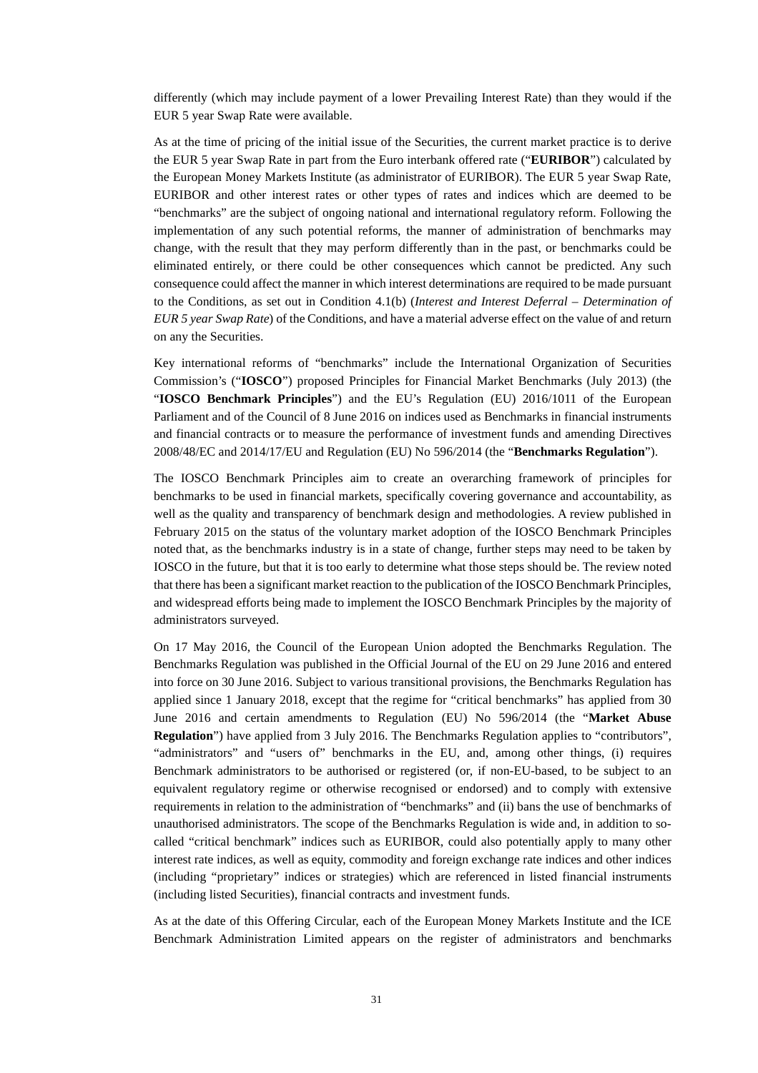differently (which may include payment of a lower Prevailing Interest Rate) than they would if the EUR 5 year Swap Rate were available.

As at the time of pricing of the initial issue of the Securities, the current market practice is to derive the EUR 5 year Swap Rate in part from the Euro interbank offered rate ("**EURIBOR**") calculated by the European Money Markets Institute (as administrator of EURIBOR). The EUR 5 year Swap Rate, EURIBOR and other interest rates or other types of rates and indices which are deemed to be "benchmarks" are the subject of ongoing national and international regulatory reform. Following the implementation of any such potential reforms, the manner of administration of benchmarks may change, with the result that they may perform differently than in the past, or benchmarks could be eliminated entirely, or there could be other consequences which cannot be predicted. Any such consequence could affect the manner in which interest determinations are required to be made pursuant to the Conditions, as set out in Condition 4.1(b) (*Interest and Interest Deferral – Determination of EUR 5 year Swap Rate*) of the Conditions, and have a material adverse effect on the value of and return on any the Securities.

Key international reforms of "benchmarks" include the International Organization of Securities Commission's ("**IOSCO**") proposed Principles for Financial Market Benchmarks (July 2013) (the "**IOSCO Benchmark Principles**") and the EU's Regulation (EU) 2016/1011 of the European Parliament and of the Council of 8 June 2016 on indices used as Benchmarks in financial instruments and financial contracts or to measure the performance of investment funds and amending Directives 2008/48/EC and 2014/17/EU and Regulation (EU) No 596/2014 (the "**Benchmarks Regulation**").

The IOSCO Benchmark Principles aim to create an overarching framework of principles for benchmarks to be used in financial markets, specifically covering governance and accountability, as well as the quality and transparency of benchmark design and methodologies. A review published in February 2015 on the status of the voluntary market adoption of the IOSCO Benchmark Principles noted that, as the benchmarks industry is in a state of change, further steps may need to be taken by IOSCO in the future, but that it is too early to determine what those steps should be. The review noted that there has been a significant market reaction to the publication of the IOSCO Benchmark Principles, and widespread efforts being made to implement the IOSCO Benchmark Principles by the majority of administrators surveyed.

On 17 May 2016, the Council of the European Union adopted the Benchmarks Regulation. The Benchmarks Regulation was published in the Official Journal of the EU on 29 June 2016 and entered into force on 30 June 2016. Subject to various transitional provisions, the Benchmarks Regulation has applied since 1 January 2018, except that the regime for "critical benchmarks" has applied from 30 June 2016 and certain amendments to Regulation (EU) No 596/2014 (the "**Market Abuse Regulation**") have applied from 3 July 2016. The Benchmarks Regulation applies to "contributors", "administrators" and "users of" benchmarks in the EU, and, among other things, (i) requires Benchmark administrators to be authorised or registered (or, if non-EU-based, to be subject to an equivalent regulatory regime or otherwise recognised or endorsed) and to comply with extensive requirements in relation to the administration of "benchmarks" and (ii) bans the use of benchmarks of unauthorised administrators. The scope of the Benchmarks Regulation is wide and, in addition to socalled "critical benchmark" indices such as EURIBOR, could also potentially apply to many other interest rate indices, as well as equity, commodity and foreign exchange rate indices and other indices (including "proprietary" indices or strategies) which are referenced in listed financial instruments (including listed Securities), financial contracts and investment funds.

As at the date of this Offering Circular, each of the European Money Markets Institute and the ICE Benchmark Administration Limited appears on the register of administrators and benchmarks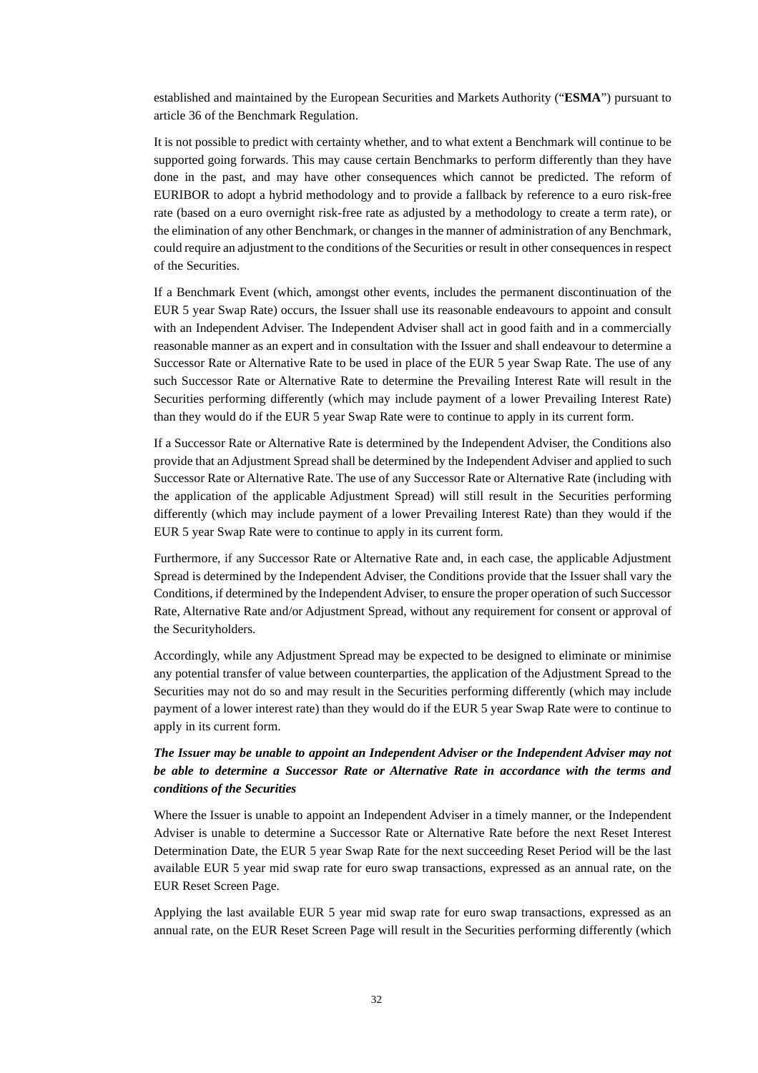established and maintained by the European Securities and Markets Authority ("**ESMA**") pursuant to article 36 of the Benchmark Regulation.

It is not possible to predict with certainty whether, and to what extent a Benchmark will continue to be supported going forwards. This may cause certain Benchmarks to perform differently than they have done in the past, and may have other consequences which cannot be predicted. The reform of EURIBOR to adopt a hybrid methodology and to provide a fallback by reference to a euro risk-free rate (based on a euro overnight risk-free rate as adjusted by a methodology to create a term rate), or the elimination of any other Benchmark, or changes in the manner of administration of any Benchmark, could require an adjustment to the conditions of the Securities or result in other consequences in respect of the Securities.

If a Benchmark Event (which, amongst other events, includes the permanent discontinuation of the EUR 5 year Swap Rate) occurs, the Issuer shall use its reasonable endeavours to appoint and consult with an Independent Adviser. The Independent Adviser shall act in good faith and in a commercially reasonable manner as an expert and in consultation with the Issuer and shall endeavour to determine a Successor Rate or Alternative Rate to be used in place of the EUR 5 year Swap Rate. The use of any such Successor Rate or Alternative Rate to determine the Prevailing Interest Rate will result in the Securities performing differently (which may include payment of a lower Prevailing Interest Rate) than they would do if the EUR 5 year Swap Rate were to continue to apply in its current form.

If a Successor Rate or Alternative Rate is determined by the Independent Adviser, the Conditions also provide that an Adjustment Spread shall be determined by the Independent Adviser and applied to such Successor Rate or Alternative Rate. The use of any Successor Rate or Alternative Rate (including with the application of the applicable Adjustment Spread) will still result in the Securities performing differently (which may include payment of a lower Prevailing Interest Rate) than they would if the EUR 5 year Swap Rate were to continue to apply in its current form.

Furthermore, if any Successor Rate or Alternative Rate and, in each case, the applicable Adjustment Spread is determined by the Independent Adviser, the Conditions provide that the Issuer shall vary the Conditions, if determined by the Independent Adviser, to ensure the proper operation of such Successor Rate, Alternative Rate and/or Adjustment Spread, without any requirement for consent or approval of the Securityholders.

Accordingly, while any Adjustment Spread may be expected to be designed to eliminate or minimise any potential transfer of value between counterparties, the application of the Adjustment Spread to the Securities may not do so and may result in the Securities performing differently (which may include payment of a lower interest rate) than they would do if the EUR 5 year Swap Rate were to continue to apply in its current form.

# *The Issuer may be unable to appoint an Independent Adviser or the Independent Adviser may not be able to determine a Successor Rate or Alternative Rate in accordance with the terms and conditions of the Securities*

Where the Issuer is unable to appoint an Independent Adviser in a timely manner, or the Independent Adviser is unable to determine a Successor Rate or Alternative Rate before the next Reset Interest Determination Date, the EUR 5 year Swap Rate for the next succeeding Reset Period will be the last available EUR 5 year mid swap rate for euro swap transactions, expressed as an annual rate, on the EUR Reset Screen Page.

Applying the last available EUR 5 year mid swap rate for euro swap transactions, expressed as an annual rate, on the EUR Reset Screen Page will result in the Securities performing differently (which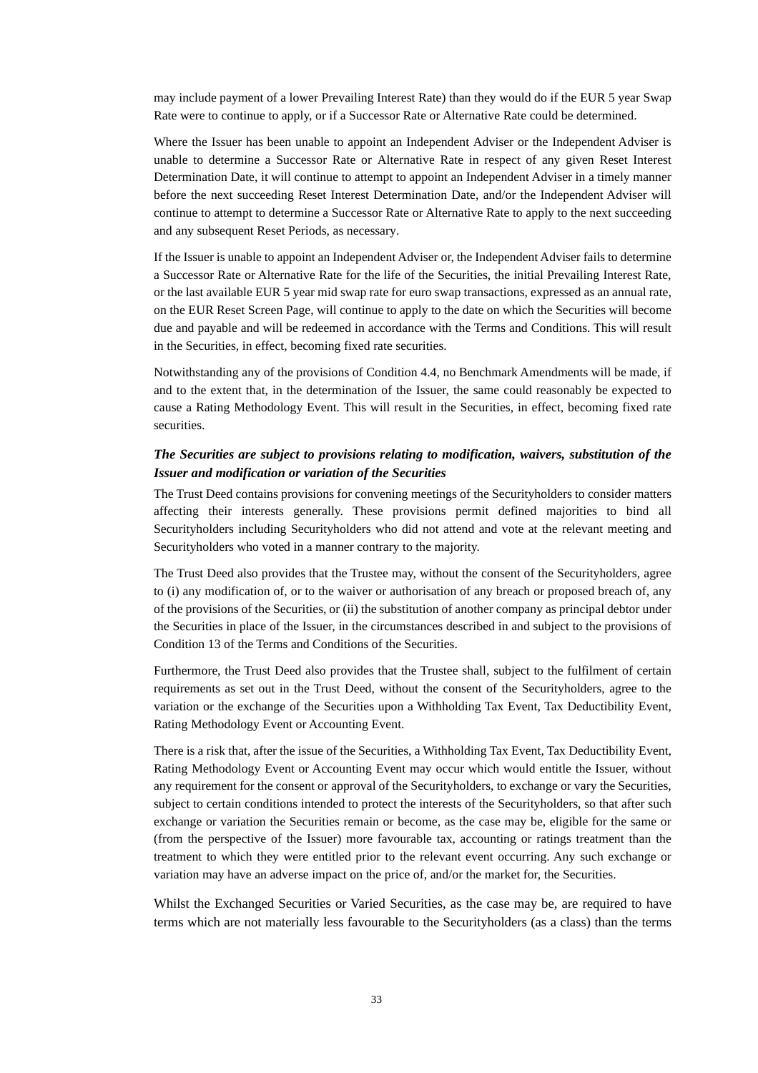may include payment of a lower Prevailing Interest Rate) than they would do if the EUR 5 year Swap Rate were to continue to apply, or if a Successor Rate or Alternative Rate could be determined.

Where the Issuer has been unable to appoint an Independent Adviser or the Independent Adviser is unable to determine a Successor Rate or Alternative Rate in respect of any given Reset Interest Determination Date, it will continue to attempt to appoint an Independent Adviser in a timely manner before the next succeeding Reset Interest Determination Date, and/or the Independent Adviser will continue to attempt to determine a Successor Rate or Alternative Rate to apply to the next succeeding and any subsequent Reset Periods, as necessary.

If the Issuer is unable to appoint an Independent Adviser or, the Independent Adviser fails to determine a Successor Rate or Alternative Rate for the life of the Securities, the initial Prevailing Interest Rate, or the last available EUR 5 year mid swap rate for euro swap transactions, expressed as an annual rate, on the EUR Reset Screen Page, will continue to apply to the date on which the Securities will become due and payable and will be redeemed in accordance with the Terms and Conditions. This will result in the Securities, in effect, becoming fixed rate securities.

Notwithstanding any of the provisions of Condition 4.4, no Benchmark Amendments will be made, if and to the extent that, in the determination of the Issuer, the same could reasonably be expected to cause a Rating Methodology Event. This will result in the Securities, in effect, becoming fixed rate securities.

# *The Securities are subject to provisions relating to modification, waivers, substitution of the Issuer and modification or variation of the Securities*

The Trust Deed contains provisions for convening meetings of the Securityholders to consider matters affecting their interests generally. These provisions permit defined majorities to bind all Securityholders including Securityholders who did not attend and vote at the relevant meeting and Securityholders who voted in a manner contrary to the majority.

The Trust Deed also provides that the Trustee may, without the consent of the Securityholders, agree to (i) any modification of, or to the waiver or authorisation of any breach or proposed breach of, any of the provisions of the Securities, or (ii) the substitution of another company as principal debtor under the Securities in place of the Issuer, in the circumstances described in and subject to the provisions of Condition 13 of the Terms and Conditions of the Securities.

Furthermore, the Trust Deed also provides that the Trustee shall, subject to the fulfilment of certain requirements as set out in the Trust Deed, without the consent of the Securityholders, agree to the variation or the exchange of the Securities upon a Withholding Tax Event, Tax Deductibility Event, Rating Methodology Event or Accounting Event.

There is a risk that, after the issue of the Securities, a Withholding Tax Event, Tax Deductibility Event, Rating Methodology Event or Accounting Event may occur which would entitle the Issuer, without any requirement for the consent or approval of the Securityholders, to exchange or vary the Securities, subject to certain conditions intended to protect the interests of the Securityholders, so that after such exchange or variation the Securities remain or become, as the case may be, eligible for the same or (from the perspective of the Issuer) more favourable tax, accounting or ratings treatment than the treatment to which they were entitled prior to the relevant event occurring. Any such exchange or variation may have an adverse impact on the price of, and/or the market for, the Securities.

Whilst the Exchanged Securities or Varied Securities, as the case may be, are required to have terms which are not materially less favourable to the Securityholders (as a class) than the terms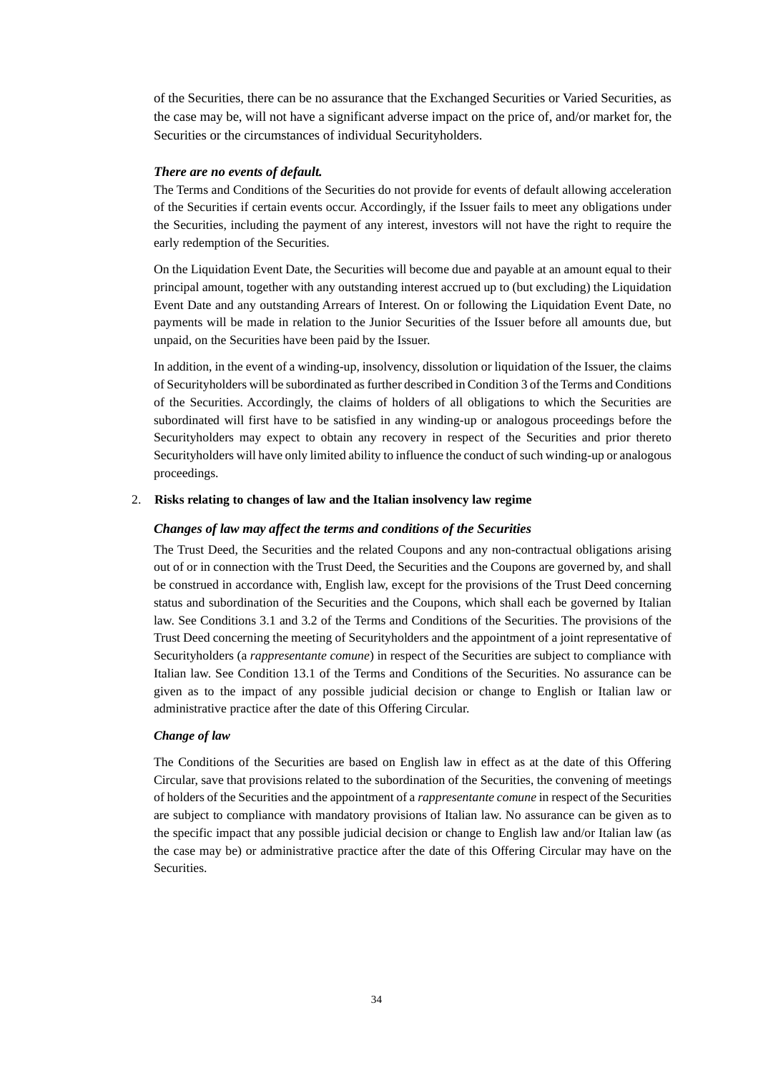of the Securities, there can be no assurance that the Exchanged Securities or Varied Securities, as the case may be, will not have a significant adverse impact on the price of, and/or market for, the Securities or the circumstances of individual Securityholders.

### *There are no events of default.*

The Terms and Conditions of the Securities do not provide for events of default allowing acceleration of the Securities if certain events occur. Accordingly, if the Issuer fails to meet any obligations under the Securities, including the payment of any interest, investors will not have the right to require the early redemption of the Securities.

On the Liquidation Event Date, the Securities will become due and payable at an amount equal to their principal amount, together with any outstanding interest accrued up to (but excluding) the Liquidation Event Date and any outstanding Arrears of Interest. On or following the Liquidation Event Date, no payments will be made in relation to the Junior Securities of the Issuer before all amounts due, but unpaid, on the Securities have been paid by the Issuer.

In addition, in the event of a winding-up, insolvency, dissolution or liquidation of the Issuer, the claims of Securityholders will be subordinated as further described in Condition 3 of the Terms and Conditions of the Securities. Accordingly, the claims of holders of all obligations to which the Securities are subordinated will first have to be satisfied in any winding-up or analogous proceedings before the Securityholders may expect to obtain any recovery in respect of the Securities and prior thereto Securityholders will have only limited ability to influence the conduct of such winding-up or analogous proceedings.

#### 2. **Risks relating to changes of law and the Italian insolvency law regime**

#### *Changes of law may affect the terms and conditions of the Securities*

The Trust Deed, the Securities and the related Coupons and any non-contractual obligations arising out of or in connection with the Trust Deed, the Securities and the Coupons are governed by, and shall be construed in accordance with, English law, except for the provisions of the Trust Deed concerning status and subordination of the Securities and the Coupons, which shall each be governed by Italian law. See Conditions 3.1 and 3.2 of the Terms and Conditions of the Securities. The provisions of the Trust Deed concerning the meeting of Securityholders and the appointment of a joint representative of Securityholders (a *rappresentante comune*) in respect of the Securities are subject to compliance with Italian law. See Condition 13.1 of the Terms and Conditions of the Securities. No assurance can be given as to the impact of any possible judicial decision or change to English or Italian law or administrative practice after the date of this Offering Circular.

#### *Change of law*

The Conditions of the Securities are based on English law in effect as at the date of this Offering Circular, save that provisions related to the subordination of the Securities, the convening of meetings of holders of the Securities and the appointment of a *rappresentante comune* in respect of the Securities are subject to compliance with mandatory provisions of Italian law. No assurance can be given as to the specific impact that any possible judicial decision or change to English law and/or Italian law (as the case may be) or administrative practice after the date of this Offering Circular may have on the Securities.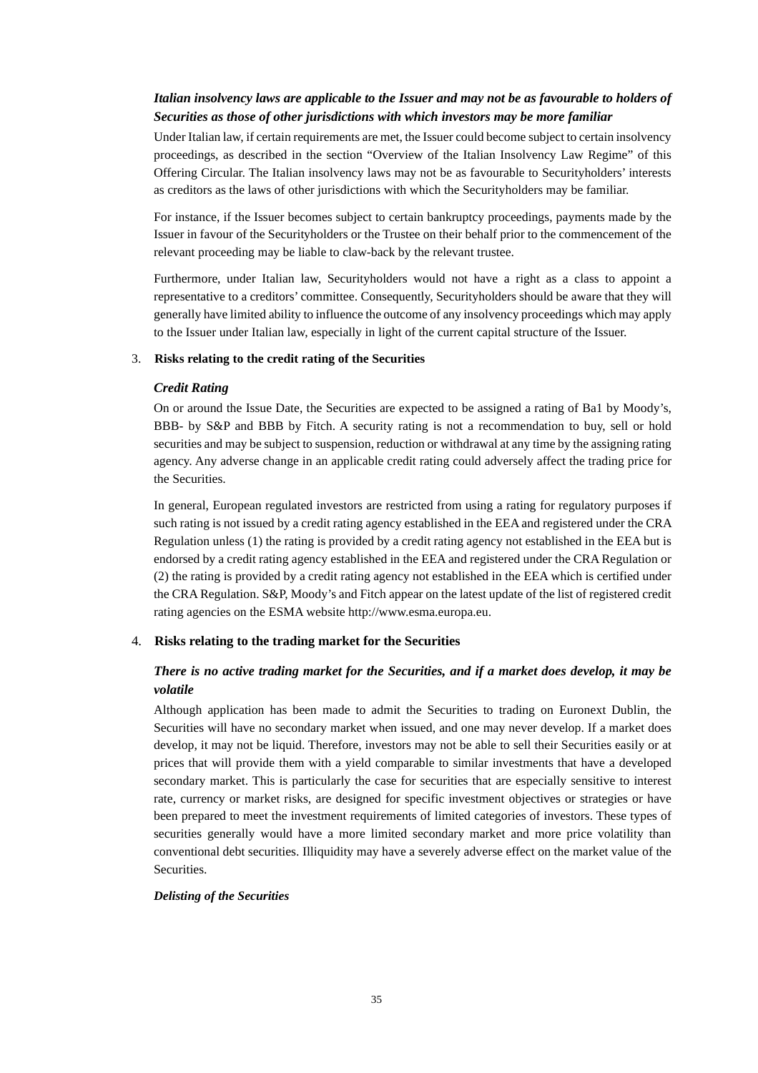# *Italian insolvency laws are applicable to the Issuer and may not be as favourable to holders of Securities as those of other jurisdictions with which investors may be more familiar*

Under Italian law, if certain requirements are met, the Issuer could become subject to certain insolvency proceedings, as described in the section "Overview of the Italian Insolvency Law Regime" of this Offering Circular. The Italian insolvency laws may not be as favourable to Securityholders' interests as creditors as the laws of other jurisdictions with which the Securityholders may be familiar.

For instance, if the Issuer becomes subject to certain bankruptcy proceedings, payments made by the Issuer in favour of the Securityholders or the Trustee on their behalf prior to the commencement of the relevant proceeding may be liable to claw-back by the relevant trustee.

Furthermore, under Italian law, Securityholders would not have a right as a class to appoint a representative to a creditors' committee. Consequently, Securityholders should be aware that they will generally have limited ability to influence the outcome of any insolvency proceedings which may apply to the Issuer under Italian law, especially in light of the current capital structure of the Issuer.

### 3. **Risks relating to the credit rating of the Securities**

#### *Credit Rating*

On or around the Issue Date, the Securities are expected to be assigned a rating of Ba1 by Moody's, BBB- by S&P and BBB by Fitch. A security rating is not a recommendation to buy, sell or hold securities and may be subject to suspension, reduction or withdrawal at any time by the assigning rating agency. Any adverse change in an applicable credit rating could adversely affect the trading price for the Securities.

In general, European regulated investors are restricted from using a rating for regulatory purposes if such rating is not issued by a credit rating agency established in the EEA and registered under the CRA Regulation unless (1) the rating is provided by a credit rating agency not established in the EEA but is endorsed by a credit rating agency established in the EEA and registered under the CRA Regulation or (2) the rating is provided by a credit rating agency not established in the EEA which is certified under the CRA Regulation. S&P, Moody's and Fitch appear on the latest update of the list of registered credit rating agencies on the ESMA website http://www.esma.europa.eu.

### 4. **Risks relating to the trading market for the Securities**

# *There is no active trading market for the Securities, and if a market does develop, it may be volatile*

Although application has been made to admit the Securities to trading on Euronext Dublin, the Securities will have no secondary market when issued, and one may never develop. If a market does develop, it may not be liquid. Therefore, investors may not be able to sell their Securities easily or at prices that will provide them with a yield comparable to similar investments that have a developed secondary market. This is particularly the case for securities that are especially sensitive to interest rate, currency or market risks, are designed for specific investment objectives or strategies or have been prepared to meet the investment requirements of limited categories of investors. These types of securities generally would have a more limited secondary market and more price volatility than conventional debt securities. Illiquidity may have a severely adverse effect on the market value of the Securities.

#### *Delisting of the Securities*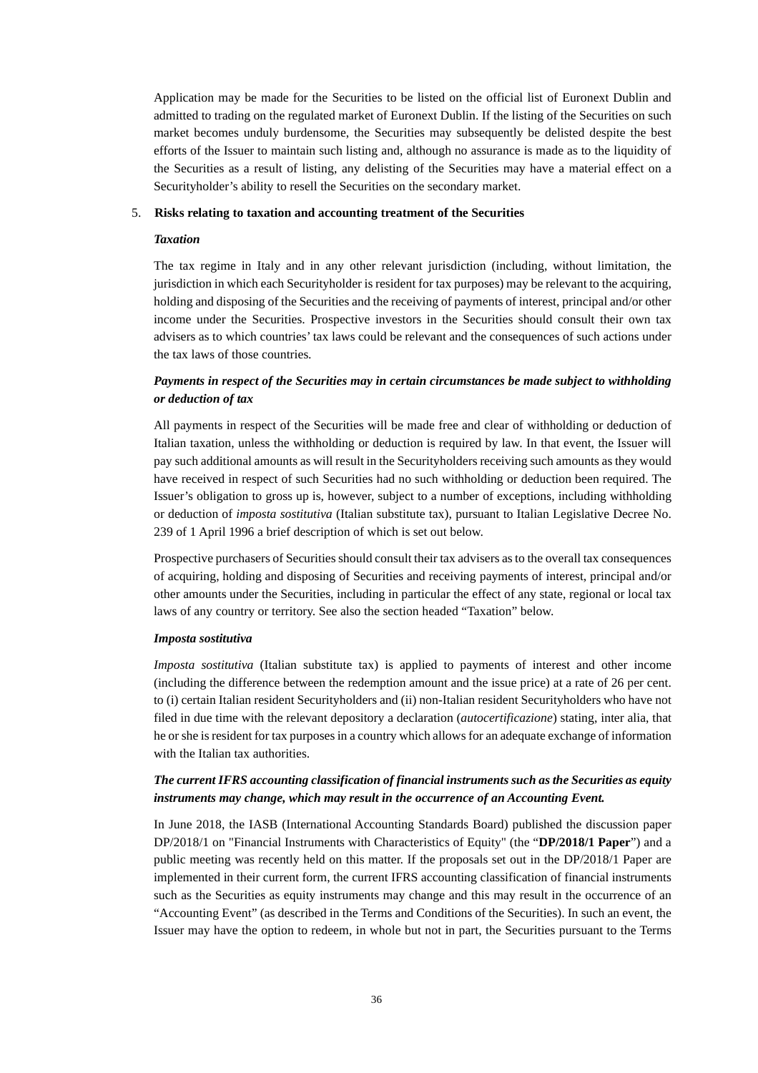Application may be made for the Securities to be listed on the official list of Euronext Dublin and admitted to trading on the regulated market of Euronext Dublin. If the listing of the Securities on such market becomes unduly burdensome, the Securities may subsequently be delisted despite the best efforts of the Issuer to maintain such listing and, although no assurance is made as to the liquidity of the Securities as a result of listing, any delisting of the Securities may have a material effect on a Securityholder's ability to resell the Securities on the secondary market.

#### 5. **Risks relating to taxation and accounting treatment of the Securities**

#### *Taxation*

The tax regime in Italy and in any other relevant jurisdiction (including, without limitation, the jurisdiction in which each Securityholder is resident for tax purposes) may be relevant to the acquiring, holding and disposing of the Securities and the receiving of payments of interest, principal and/or other income under the Securities. Prospective investors in the Securities should consult their own tax advisers as to which countries' tax laws could be relevant and the consequences of such actions under the tax laws of those countries.

# *Payments in respect of the Securities may in certain circumstances be made subject to withholding or deduction of tax*

All payments in respect of the Securities will be made free and clear of withholding or deduction of Italian taxation, unless the withholding or deduction is required by law. In that event, the Issuer will pay such additional amounts as will result in the Securityholders receiving such amounts as they would have received in respect of such Securities had no such withholding or deduction been required. The Issuer's obligation to gross up is, however, subject to a number of exceptions, including withholding or deduction of *imposta sostitutiva* (Italian substitute tax), pursuant to Italian Legislative Decree No. 239 of 1 April 1996 a brief description of which is set out below.

Prospective purchasers of Securities should consult their tax advisers as to the overall tax consequences of acquiring, holding and disposing of Securities and receiving payments of interest, principal and/or other amounts under the Securities, including in particular the effect of any state, regional or local tax laws of any country or territory. See also the section headed "Taxation" below.

#### *Imposta sostitutiva*

*Imposta sostitutiva* (Italian substitute tax) is applied to payments of interest and other income (including the difference between the redemption amount and the issue price) at a rate of 26 per cent. to (i) certain Italian resident Securityholders and (ii) non-Italian resident Securityholders who have not filed in due time with the relevant depository a declaration (*autocertificazione*) stating, inter alia, that he or she is resident for tax purposes in a country which allows for an adequate exchange of information with the Italian tax authorities.

# *The current IFRS accounting classification of financial instruments such as the Securities as equity instruments may change, which may result in the occurrence of an Accounting Event.*

In June 2018, the IASB (International Accounting Standards Board) published the discussion paper DP/2018/1 on "Financial Instruments with Characteristics of Equity" (the "**DP/2018/1 Paper**") and a public meeting was recently held on this matter. If the proposals set out in the DP/2018/1 Paper are implemented in their current form, the current IFRS accounting classification of financial instruments such as the Securities as equity instruments may change and this may result in the occurrence of an "Accounting Event" (as described in the Terms and Conditions of the Securities). In such an event, the Issuer may have the option to redeem, in whole but not in part, the Securities pursuant to the Terms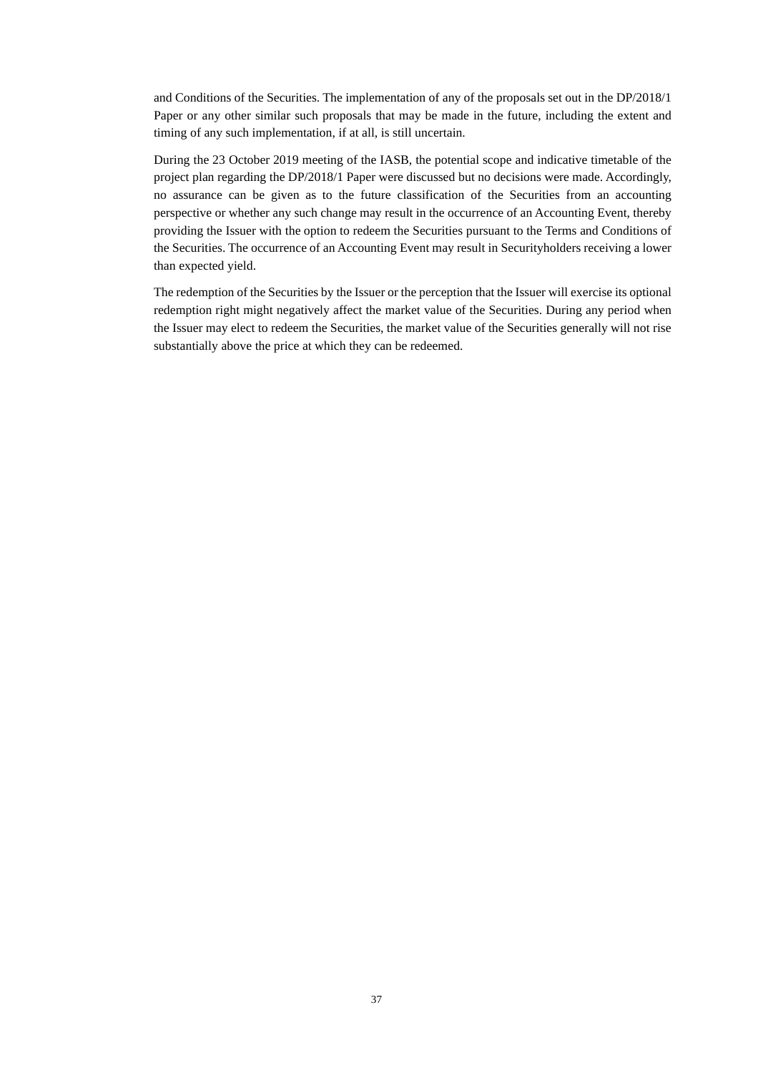and Conditions of the Securities. The implementation of any of the proposals set out in the DP/2018/1 Paper or any other similar such proposals that may be made in the future, including the extent and timing of any such implementation, if at all, is still uncertain.

During the 23 October 2019 meeting of the IASB, the potential scope and indicative timetable of the project plan regarding the DP/2018/1 Paper were discussed but no decisions were made. Accordingly, no assurance can be given as to the future classification of the Securities from an accounting perspective or whether any such change may result in the occurrence of an Accounting Event, thereby providing the Issuer with the option to redeem the Securities pursuant to the Terms and Conditions of the Securities. The occurrence of an Accounting Event may result in Securityholders receiving a lower than expected yield.

The redemption of the Securities by the Issuer or the perception that the Issuer will exercise its optional redemption right might negatively affect the market value of the Securities. During any period when the Issuer may elect to redeem the Securities, the market value of the Securities generally will not rise substantially above the price at which they can be redeemed.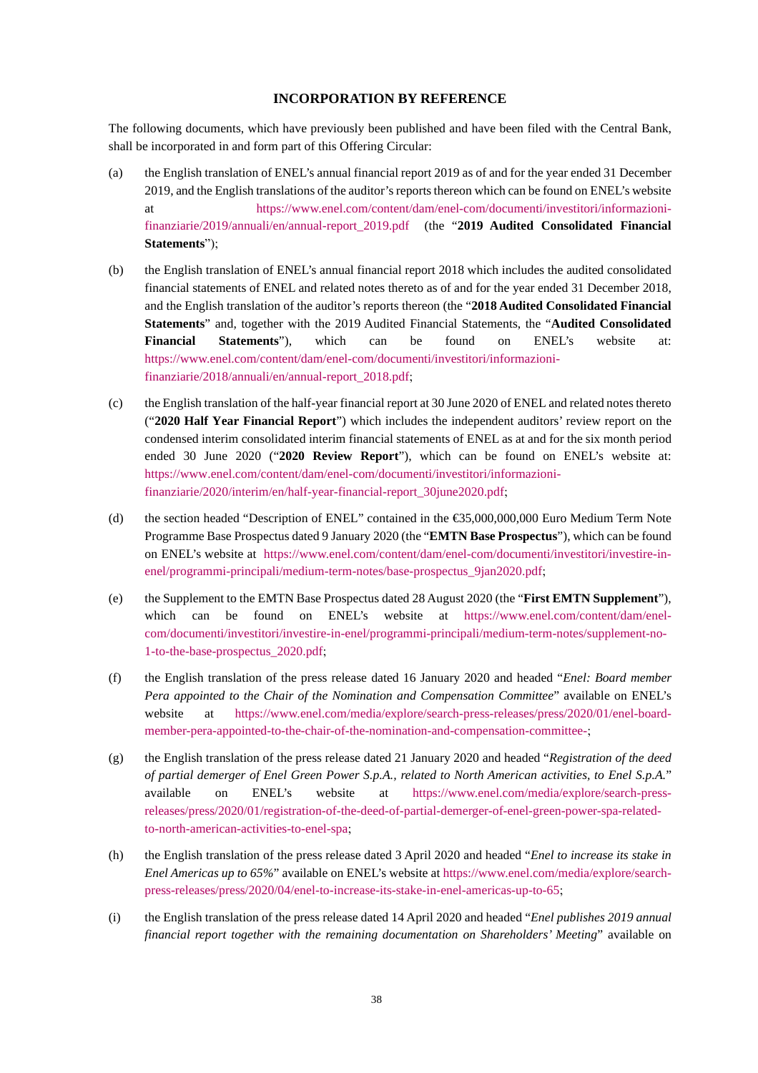### **INCORPORATION BY REFERENCE**

The following documents, which have previously been published and have been filed with the Central Bank, shall be incorporated in and form part of this Offering Circular:

- (a) the English translation of ENEL's annual financial report 2019 as of and for the year ended 31 December 2019, and the English translations of the auditor's reports thereon which can be found on ENEL's website at https://www.enel.com/content/dam/enel-com/documenti/investitori/informazionifinanziarie/2019/annuali/en/annual-report\_2019.pdf (the "**2019 Audited Consolidated Financial Statements**");
- (b) the English translation of ENEL's annual financial report 2018 which includes the audited consolidated financial statements of ENEL and related notes thereto as of and for the year ended 31 December 2018, and the English translation of the auditor's reports thereon (the "**2018 Audited Consolidated Financial Statements**" and, together with the 2019 Audited Financial Statements, the "**Audited Consolidated Financial Statements**"), which can be found on ENEL's website at: https://www.enel.com/content/dam/enel-com/documenti/investitori/informazionifinanziarie/2018/annuali/en/annual-report\_2018.pdf;
- (c) the English translation of the half-year financial report at 30 June 2020 of ENEL and related notes thereto ("**2020 Half Year Financial Report**") which includes the independent auditors' review report on the condensed interim consolidated interim financial statements of ENEL as at and for the six month period ended 30 June 2020 ("**2020 Review Report**"), which can be found on ENEL's website at: https://www.enel.com/content/dam/enel-com/documenti/investitori/informazionifinanziarie/2020/interim/en/half-year-financial-report\_30june2020.pdf;
- (d) the section headed "Description of ENEL" contained in the  $\epsilon$ 55,000,000,000 Euro Medium Term Note Programme Base Prospectus dated 9 January 2020 (the "**EMTN Base Prospectus**"), which can be found on ENEL's website at https://www.enel.com/content/dam/enel-com/documenti/investitori/investire-inenel/programmi-principali/medium-term-notes/base-prospectus\_9jan2020.pdf;
- (e) the Supplement to the EMTN Base Prospectus dated 28 August 2020 (the "**First EMTN Supplement**"), which can be found on ENEL's website at https://www.enel.com/content/dam/enelcom/documenti/investitori/investire-in-enel/programmi-principali/medium-term-notes/supplement-no-1-to-the-base-prospectus\_2020.pdf;
- (f) the English translation of the press release dated 16 January 2020 and headed "*Enel: Board member Pera appointed to the Chair of the Nomination and Compensation Committee*" available on ENEL's website at https://www.enel.com/media/explore/search-press-releases/press/2020/01/enel-boardmember-pera-appointed-to-the-chair-of-the-nomination-and-compensation-committee-;
- (g) the English translation of the press release dated 21 January 2020 and headed "*Registration of the deed of partial demerger of Enel Green Power S.p.A., related to North American activities, to Enel S.p.A.*" available on ENEL's website at https://www.enel.com/media/explore/search-pressreleases/press/2020/01/registration-of-the-deed-of-partial-demerger-of-enel-green-power-spa-relatedto-north-american-activities-to-enel-spa;
- (h) the English translation of the press release dated 3 April 2020 and headed "*Enel to increase its stake in Enel Americas up to 65%*" available on ENEL's website at https://www.enel.com/media/explore/searchpress-releases/press/2020/04/enel-to-increase-its-stake-in-enel-americas-up-to-65;
- (i) the English translation of the press release dated 14 April 2020 and headed "*Enel publishes 2019 annual financial report together with the remaining documentation on Shareholders' Meeting*" available on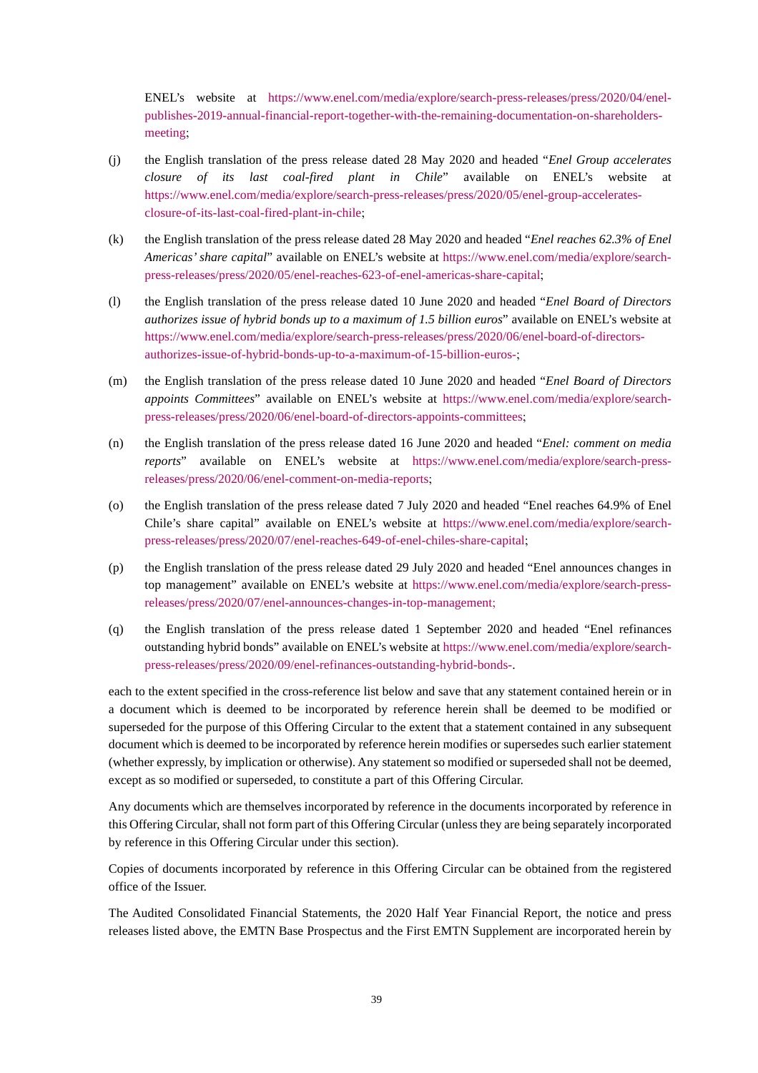ENEL's website at https://www.enel.com/media/explore/search-press-releases/press/2020/04/enelpublishes-2019-annual-financial-report-together-with-the-remaining-documentation-on-shareholdersmeeting;

- (j) the English translation of the press release dated 28 May 2020 and headed "*Enel Group accelerates closure of its last coal-fired plant in Chile*" available on ENEL's website at https://www.enel.com/media/explore/search-press-releases/press/2020/05/enel-group-acceleratesclosure-of-its-last-coal-fired-plant-in-chile;
- (k) the English translation of the press release dated 28 May 2020 and headed "*Enel reaches 62.3% of Enel Americas' share capital*" available on ENEL's website at https://www.enel.com/media/explore/searchpress-releases/press/2020/05/enel-reaches-623-of-enel-americas-share-capital;
- (l) the English translation of the press release dated 10 June 2020 and headed "*Enel Board of Directors authorizes issue of hybrid bonds up to a maximum of 1.5 billion euros*" available on ENEL's website at https://www.enel.com/media/explore/search-press-releases/press/2020/06/enel-board-of-directorsauthorizes-issue-of-hybrid-bonds-up-to-a-maximum-of-15-billion-euros-;
- (m) the English translation of the press release dated 10 June 2020 and headed "*Enel Board of Directors appoints Committees*" available on ENEL's website at https://www.enel.com/media/explore/searchpress-releases/press/2020/06/enel-board-of-directors-appoints-committees;
- (n) the English translation of the press release dated 16 June 2020 and headed "*Enel: comment on media reports*" available on ENEL's website at https://www.enel.com/media/explore/search-pressreleases/press/2020/06/enel-comment-on-media-reports;
- (o) the English translation of the press release dated 7 July 2020 and headed "Enel reaches 64.9% of Enel Chile's share capital" available on ENEL's website at https://www.enel.com/media/explore/searchpress-releases/press/2020/07/enel-reaches-649-of-enel-chiles-share-capital;
- (p) the English translation of the press release dated 29 July 2020 and headed "Enel announces changes in top management" available on ENEL's website at https://www.enel.com/media/explore/search-pressreleases/press/2020/07/enel-announces-changes-in-top-management;
- (q) the English translation of the press release dated 1 September 2020 and headed "Enel refinances outstanding hybrid bonds" available on ENEL's website at https://www.enel.com/media/explore/searchpress-releases/press/2020/09/enel-refinances-outstanding-hybrid-bonds-.

each to the extent specified in the cross-reference list below and save that any statement contained herein or in a document which is deemed to be incorporated by reference herein shall be deemed to be modified or superseded for the purpose of this Offering Circular to the extent that a statement contained in any subsequent document which is deemed to be incorporated by reference herein modifies or supersedes such earlier statement (whether expressly, by implication or otherwise). Any statement so modified or superseded shall not be deemed, except as so modified or superseded, to constitute a part of this Offering Circular.

Any documents which are themselves incorporated by reference in the documents incorporated by reference in this Offering Circular, shall not form part of this Offering Circular (unless they are being separately incorporated by reference in this Offering Circular under this section).

Copies of documents incorporated by reference in this Offering Circular can be obtained from the registered office of the Issuer.

The Audited Consolidated Financial Statements, the 2020 Half Year Financial Report, the notice and press releases listed above, the EMTN Base Prospectus and the First EMTN Supplement are incorporated herein by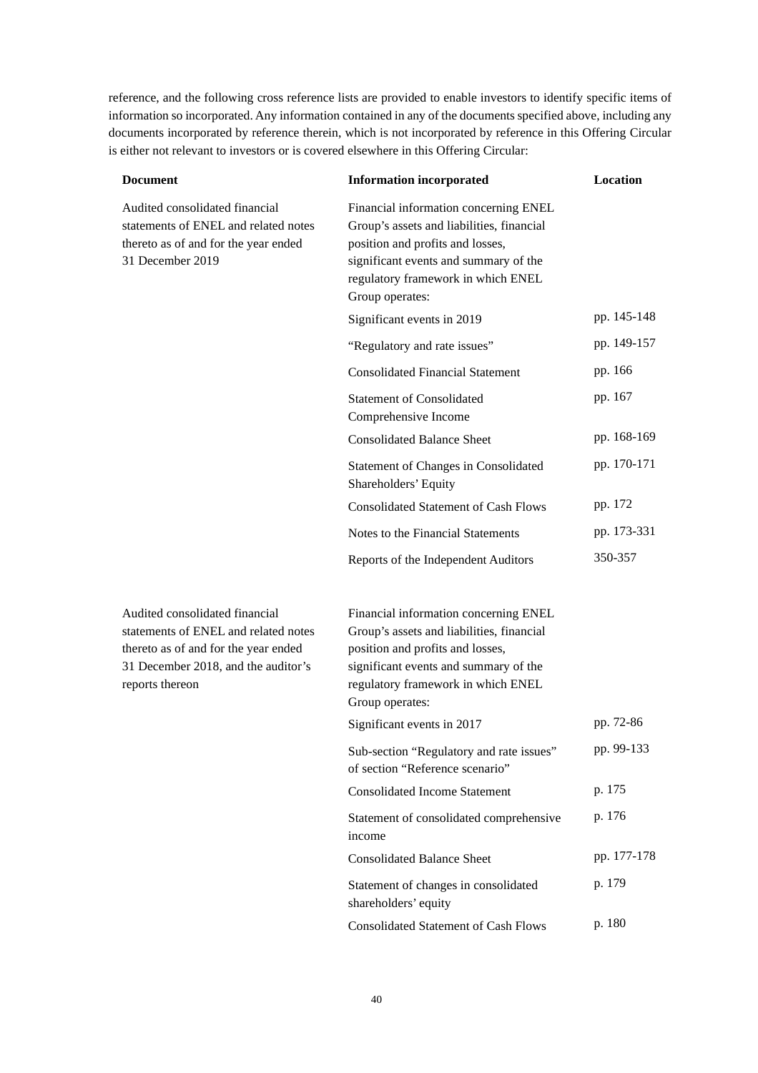reference, and the following cross reference lists are provided to enable investors to identify specific items of information so incorporated. Any information contained in any of the documents specified above, including any documents incorporated by reference therein, which is not incorporated by reference in this Offering Circular is either not relevant to investors or is covered elsewhere in this Offering Circular:

| <b>Document</b>                                                                                                                                                          | <b>Information incorporated</b>                                                                                                                                                                                          | Location    |
|--------------------------------------------------------------------------------------------------------------------------------------------------------------------------|--------------------------------------------------------------------------------------------------------------------------------------------------------------------------------------------------------------------------|-------------|
| Audited consolidated financial<br>statements of ENEL and related notes<br>thereto as of and for the year ended<br>31 December 2019                                       | Financial information concerning ENEL<br>Group's assets and liabilities, financial<br>position and profits and losses,<br>significant events and summary of the<br>regulatory framework in which ENEL<br>Group operates: |             |
|                                                                                                                                                                          | Significant events in 2019                                                                                                                                                                                               | pp. 145-148 |
|                                                                                                                                                                          | "Regulatory and rate issues"                                                                                                                                                                                             | pp. 149-157 |
|                                                                                                                                                                          | <b>Consolidated Financial Statement</b>                                                                                                                                                                                  | pp. 166     |
|                                                                                                                                                                          | <b>Statement of Consolidated</b><br>Comprehensive Income                                                                                                                                                                 | pp. 167     |
|                                                                                                                                                                          | <b>Consolidated Balance Sheet</b>                                                                                                                                                                                        | pp. 168-169 |
|                                                                                                                                                                          | Statement of Changes in Consolidated<br>Shareholders' Equity                                                                                                                                                             | pp. 170-171 |
|                                                                                                                                                                          | <b>Consolidated Statement of Cash Flows</b>                                                                                                                                                                              | pp. 172     |
|                                                                                                                                                                          | Notes to the Financial Statements                                                                                                                                                                                        | pp. 173-331 |
|                                                                                                                                                                          | Reports of the Independent Auditors                                                                                                                                                                                      | 350-357     |
| Audited consolidated financial<br>statements of ENEL and related notes<br>thereto as of and for the year ended<br>31 December 2018, and the auditor's<br>reports thereon | Financial information concerning ENEL<br>Group's assets and liabilities, financial<br>position and profits and losses,<br>significant events and summary of the<br>regulatory framework in which ENEL<br>Group operates: |             |
|                                                                                                                                                                          | Significant events in 2017                                                                                                                                                                                               | pp. 72-86   |
|                                                                                                                                                                          | Sub-section "Regulatory and rate issues"<br>of section "Reference scenario"                                                                                                                                              | pp. 99-133  |
|                                                                                                                                                                          | <b>Consolidated Income Statement</b>                                                                                                                                                                                     | p. 175      |
|                                                                                                                                                                          | Statement of consolidated comprehensive<br>income                                                                                                                                                                        | p. 176      |
|                                                                                                                                                                          | <b>Consolidated Balance Sheet</b>                                                                                                                                                                                        | pp. 177-178 |
|                                                                                                                                                                          | Statement of changes in consolidated<br>shareholders' equity                                                                                                                                                             | p. 179      |
|                                                                                                                                                                          | <b>Consolidated Statement of Cash Flows</b>                                                                                                                                                                              | p. 180      |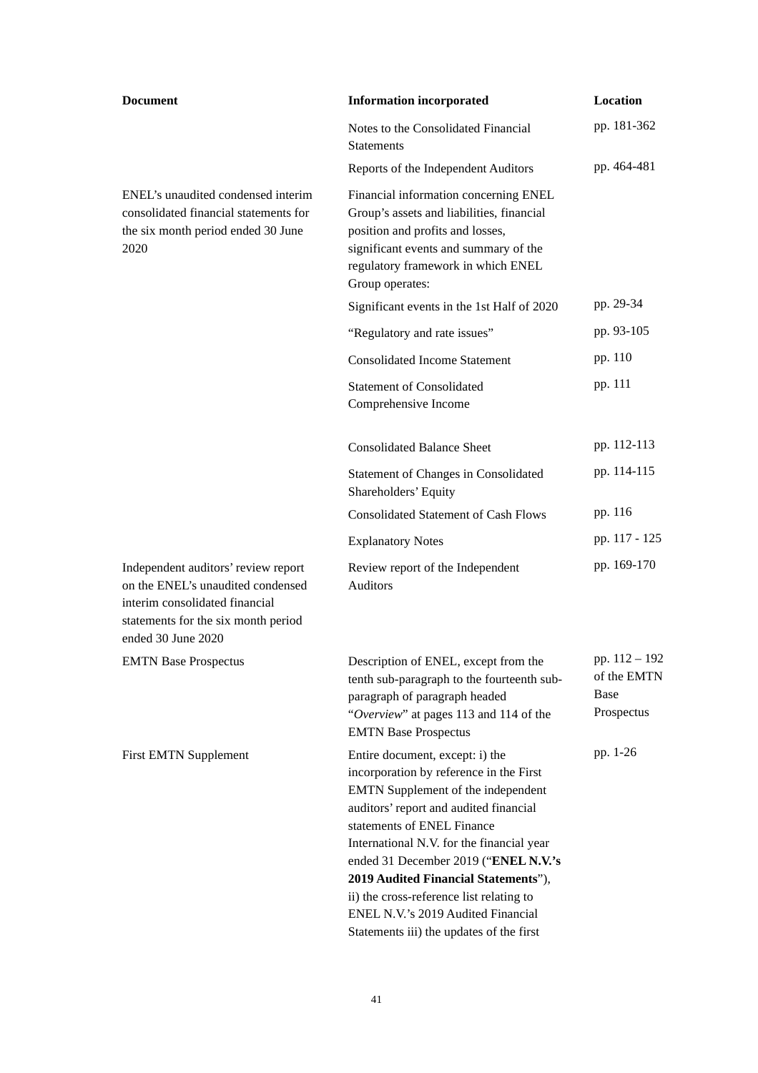| <b>Document</b>                                                                                                                                                         | <b>Information incorporated</b>                                                                                                                                                                                                                                                                                                                                                                                                                     | Location                                                  |
|-------------------------------------------------------------------------------------------------------------------------------------------------------------------------|-----------------------------------------------------------------------------------------------------------------------------------------------------------------------------------------------------------------------------------------------------------------------------------------------------------------------------------------------------------------------------------------------------------------------------------------------------|-----------------------------------------------------------|
|                                                                                                                                                                         | Notes to the Consolidated Financial<br><b>Statements</b>                                                                                                                                                                                                                                                                                                                                                                                            | pp. 181-362                                               |
|                                                                                                                                                                         | Reports of the Independent Auditors                                                                                                                                                                                                                                                                                                                                                                                                                 | pp. 464-481                                               |
| ENEL's unaudited condensed interim<br>consolidated financial statements for<br>the six month period ended 30 June<br>2020                                               | Financial information concerning ENEL<br>Group's assets and liabilities, financial<br>position and profits and losses,<br>significant events and summary of the<br>regulatory framework in which ENEL<br>Group operates:                                                                                                                                                                                                                            |                                                           |
|                                                                                                                                                                         | Significant events in the 1st Half of 2020                                                                                                                                                                                                                                                                                                                                                                                                          | pp. 29-34                                                 |
|                                                                                                                                                                         | "Regulatory and rate issues"                                                                                                                                                                                                                                                                                                                                                                                                                        | pp. 93-105                                                |
|                                                                                                                                                                         | <b>Consolidated Income Statement</b>                                                                                                                                                                                                                                                                                                                                                                                                                | pp. 110                                                   |
|                                                                                                                                                                         | <b>Statement of Consolidated</b><br>Comprehensive Income                                                                                                                                                                                                                                                                                                                                                                                            | pp. 111                                                   |
|                                                                                                                                                                         | <b>Consolidated Balance Sheet</b>                                                                                                                                                                                                                                                                                                                                                                                                                   | pp. 112-113                                               |
|                                                                                                                                                                         | Statement of Changes in Consolidated<br>Shareholders' Equity                                                                                                                                                                                                                                                                                                                                                                                        | pp. 114-115                                               |
|                                                                                                                                                                         | <b>Consolidated Statement of Cash Flows</b>                                                                                                                                                                                                                                                                                                                                                                                                         | pp. 116                                                   |
|                                                                                                                                                                         | <b>Explanatory Notes</b>                                                                                                                                                                                                                                                                                                                                                                                                                            | pp. 117 - 125                                             |
| Independent auditors' review report<br>on the ENEL's unaudited condensed<br>interim consolidated financial<br>statements for the six month period<br>ended 30 June 2020 | Review report of the Independent<br><b>Auditors</b>                                                                                                                                                                                                                                                                                                                                                                                                 | pp. 169-170                                               |
| <b>EMTN Base Prospectus</b>                                                                                                                                             | Description of ENEL, except from the<br>tenth sub-paragraph to the fourteenth sub-<br>paragraph of paragraph headed<br>"Overview" at pages 113 and 114 of the<br><b>EMTN Base Prospectus</b>                                                                                                                                                                                                                                                        | pp. 112 - 192<br>of the EMTN<br><b>Base</b><br>Prospectus |
| <b>First EMTN Supplement</b>                                                                                                                                            | Entire document, except: i) the<br>incorporation by reference in the First<br>EMTN Supplement of the independent<br>auditors' report and audited financial<br>statements of ENEL Finance<br>International N.V. for the financial year<br>ended 31 December 2019 ("ENEL N.V.'s<br>2019 Audited Financial Statements"),<br>ii) the cross-reference list relating to<br>ENEL N.V.'s 2019 Audited Financial<br>Statements iii) the updates of the first | pp. 1-26                                                  |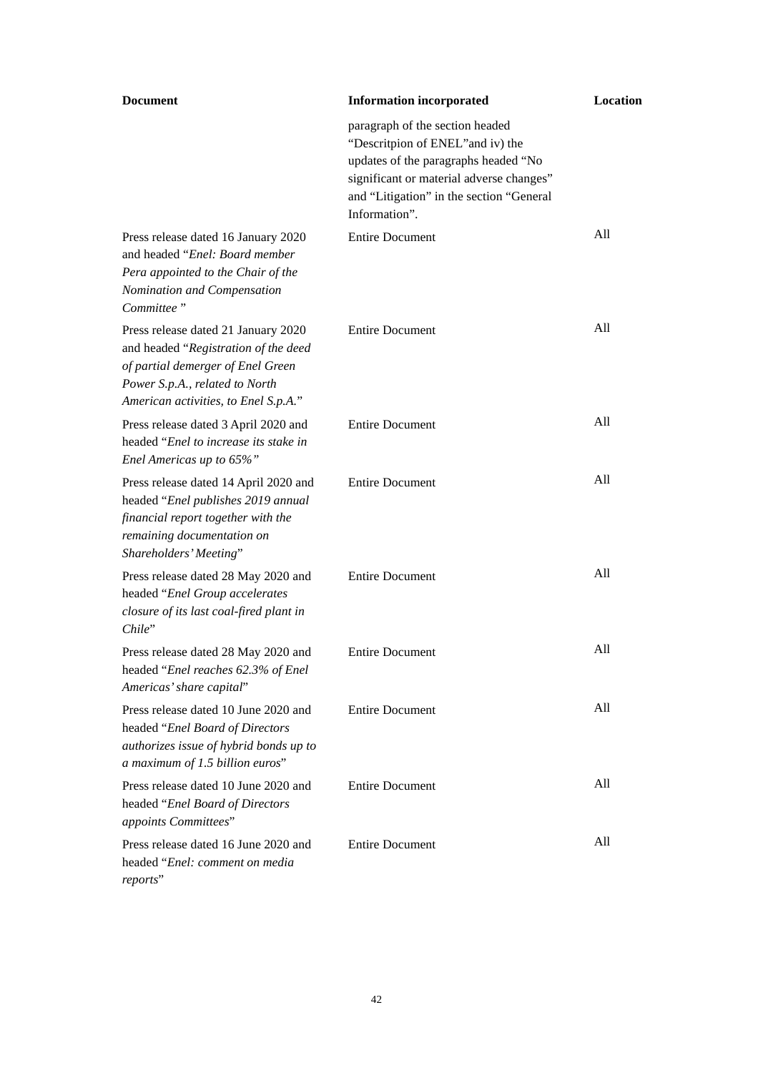| <b>Document</b>                                                                                                                                                                            | <b>Information incorporated</b>                                                                                                                                                                                       | Location |
|--------------------------------------------------------------------------------------------------------------------------------------------------------------------------------------------|-----------------------------------------------------------------------------------------------------------------------------------------------------------------------------------------------------------------------|----------|
|                                                                                                                                                                                            | paragraph of the section headed<br>"Descritpion of ENEL" and iv) the<br>updates of the paragraphs headed "No<br>significant or material adverse changes"<br>and "Litigation" in the section "General<br>Information". |          |
| Press release dated 16 January 2020<br>and headed "Enel: Board member"<br>Pera appointed to the Chair of the<br>Nomination and Compensation<br>Committee"                                  | <b>Entire Document</b>                                                                                                                                                                                                | All      |
| Press release dated 21 January 2020<br>and headed "Registration of the deed<br>of partial demerger of Enel Green<br>Power S.p.A., related to North<br>American activities, to Enel S.p.A." | <b>Entire Document</b>                                                                                                                                                                                                | All      |
| Press release dated 3 April 2020 and<br>headed "Enel to increase its stake in<br>Enel Americas up to 65%"                                                                                  | <b>Entire Document</b>                                                                                                                                                                                                | All      |
| Press release dated 14 April 2020 and<br>headed "Enel publishes 2019 annual<br>financial report together with the<br>remaining documentation on<br>Shareholders' Meeting"                  | <b>Entire Document</b>                                                                                                                                                                                                | All      |
| Press release dated 28 May 2020 and<br>headed "Enel Group accelerates<br>closure of its last coal-fired plant in<br>Chile"                                                                 | <b>Entire Document</b>                                                                                                                                                                                                | All      |
| Press release dated 28 May 2020 and<br>headed "Enel reaches 62.3% of Enel<br>Americas' share capital"                                                                                      | <b>Entire Document</b>                                                                                                                                                                                                | All      |
| Press release dated 10 June 2020 and<br>headed "Enel Board of Directors<br>authorizes issue of hybrid bonds up to<br>a maximum of 1.5 billion euros"                                       | <b>Entire Document</b>                                                                                                                                                                                                | All      |
| Press release dated 10 June 2020 and<br>headed "Enel Board of Directors<br>appoints Committees"                                                                                            | <b>Entire Document</b>                                                                                                                                                                                                | All      |
| Press release dated 16 June 2020 and<br>headed "Enel: comment on media<br>reports"                                                                                                         | <b>Entire Document</b>                                                                                                                                                                                                | All      |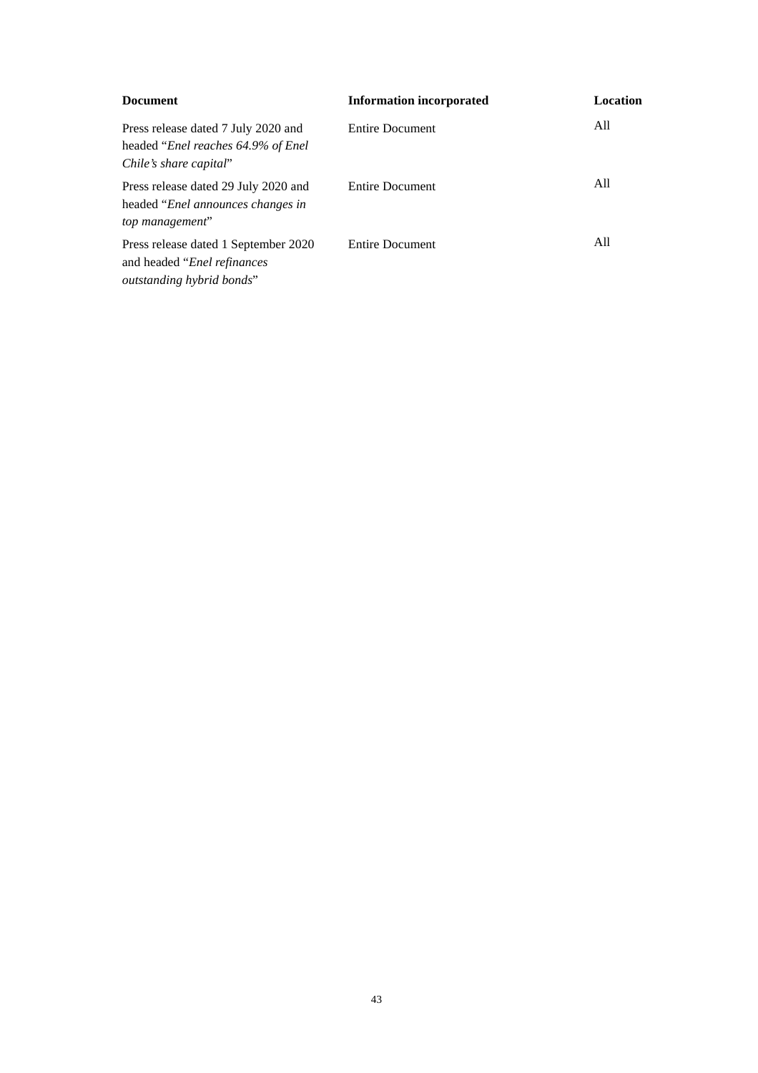| <b>Document</b>                                                                                                    | <b>Information incorporated</b> | Location |
|--------------------------------------------------------------------------------------------------------------------|---------------------------------|----------|
| Press release dated 7 July 2020 and<br>headed " <i>Enel reaches</i> 64.9% of <i>Enel</i><br>Chile's share capital" | <b>Entire Document</b>          | All      |
| Press release dated 29 July 2020 and<br>headed " <i>Enel announces changes in</i><br>top management"               | <b>Entire Document</b>          | A11      |
| Press release dated 1 September 2020<br>and headed " <i>Enel refinances</i> "<br>outstanding hybrid bonds"         | <b>Entire Document</b>          | All      |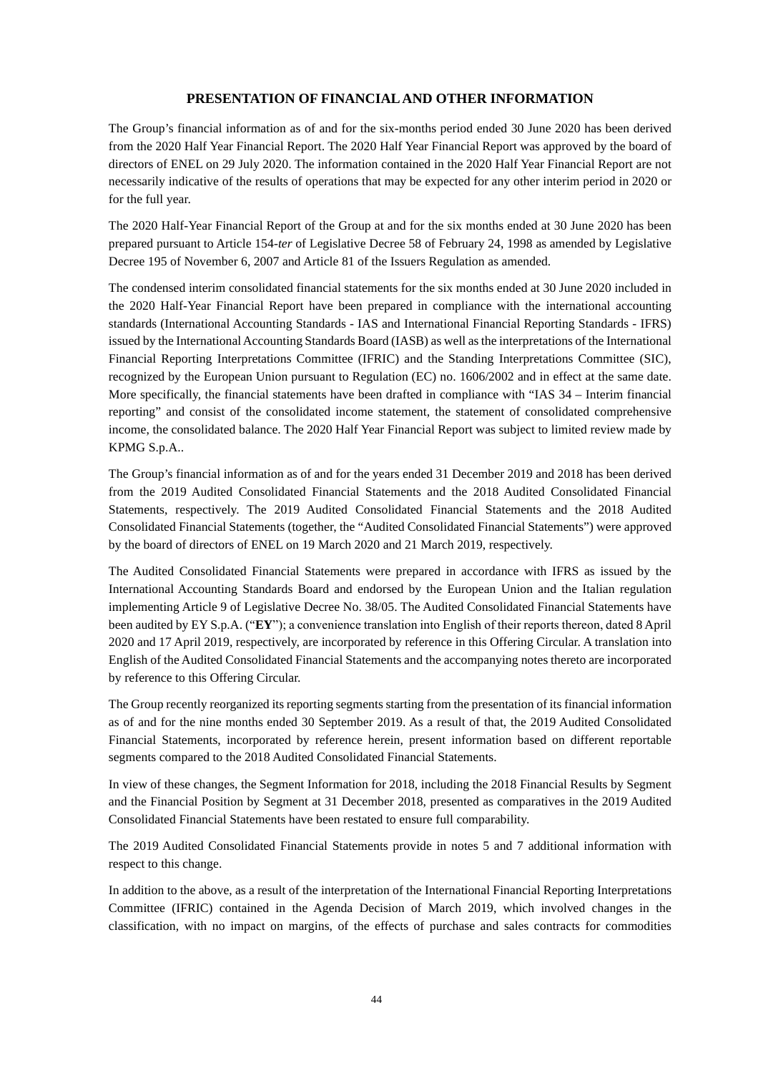### **PRESENTATION OF FINANCIAL AND OTHER INFORMATION**

The Group's financial information as of and for the six-months period ended 30 June 2020 has been derived from the 2020 Half Year Financial Report. The 2020 Half Year Financial Report was approved by the board of directors of ENEL on 29 July 2020. The information contained in the 2020 Half Year Financial Report are not necessarily indicative of the results of operations that may be expected for any other interim period in 2020 or for the full year.

The 2020 Half-Year Financial Report of the Group at and for the six months ended at 30 June 2020 has been prepared pursuant to Article 154-*ter* of Legislative Decree 58 of February 24, 1998 as amended by Legislative Decree 195 of November 6, 2007 and Article 81 of the Issuers Regulation as amended.

The condensed interim consolidated financial statements for the six months ended at 30 June 2020 included in the 2020 Half-Year Financial Report have been prepared in compliance with the international accounting standards (International Accounting Standards - IAS and International Financial Reporting Standards - IFRS) issued by the International Accounting Standards Board (IASB) as well as the interpretations of the International Financial Reporting Interpretations Committee (IFRIC) and the Standing Interpretations Committee (SIC), recognized by the European Union pursuant to Regulation (EC) no. 1606/2002 and in effect at the same date. More specifically, the financial statements have been drafted in compliance with "IAS 34 – Interim financial reporting" and consist of the consolidated income statement, the statement of consolidated comprehensive income, the consolidated balance. The 2020 Half Year Financial Report was subject to limited review made by KPMG S.p.A..

The Group's financial information as of and for the years ended 31 December 2019 and 2018 has been derived from the 2019 Audited Consolidated Financial Statements and the 2018 Audited Consolidated Financial Statements, respectively. The 2019 Audited Consolidated Financial Statements and the 2018 Audited Consolidated Financial Statements (together, the "Audited Consolidated Financial Statements") were approved by the board of directors of ENEL on 19 March 2020 and 21 March 2019, respectively.

The Audited Consolidated Financial Statements were prepared in accordance with IFRS as issued by the International Accounting Standards Board and endorsed by the European Union and the Italian regulation implementing Article 9 of Legislative Decree No. 38/05. The Audited Consolidated Financial Statements have been audited by EY S.p.A. ("**EY**"); a convenience translation into English of their reports thereon, dated 8 April 2020 and 17 April 2019, respectively, are incorporated by reference in this Offering Circular. A translation into English of the Audited Consolidated Financial Statements and the accompanying notes thereto are incorporated by reference to this Offering Circular.

The Group recently reorganized its reporting segments starting from the presentation of its financial information as of and for the nine months ended 30 September 2019. As a result of that, the 2019 Audited Consolidated Financial Statements, incorporated by reference herein, present information based on different reportable segments compared to the 2018 Audited Consolidated Financial Statements.

In view of these changes, the Segment Information for 2018, including the 2018 Financial Results by Segment and the Financial Position by Segment at 31 December 2018, presented as comparatives in the 2019 Audited Consolidated Financial Statements have been restated to ensure full comparability.

The 2019 Audited Consolidated Financial Statements provide in notes 5 and 7 additional information with respect to this change.

In addition to the above, as a result of the interpretation of the International Financial Reporting Interpretations Committee (IFRIC) contained in the Agenda Decision of March 2019, which involved changes in the classification, with no impact on margins, of the effects of purchase and sales contracts for commodities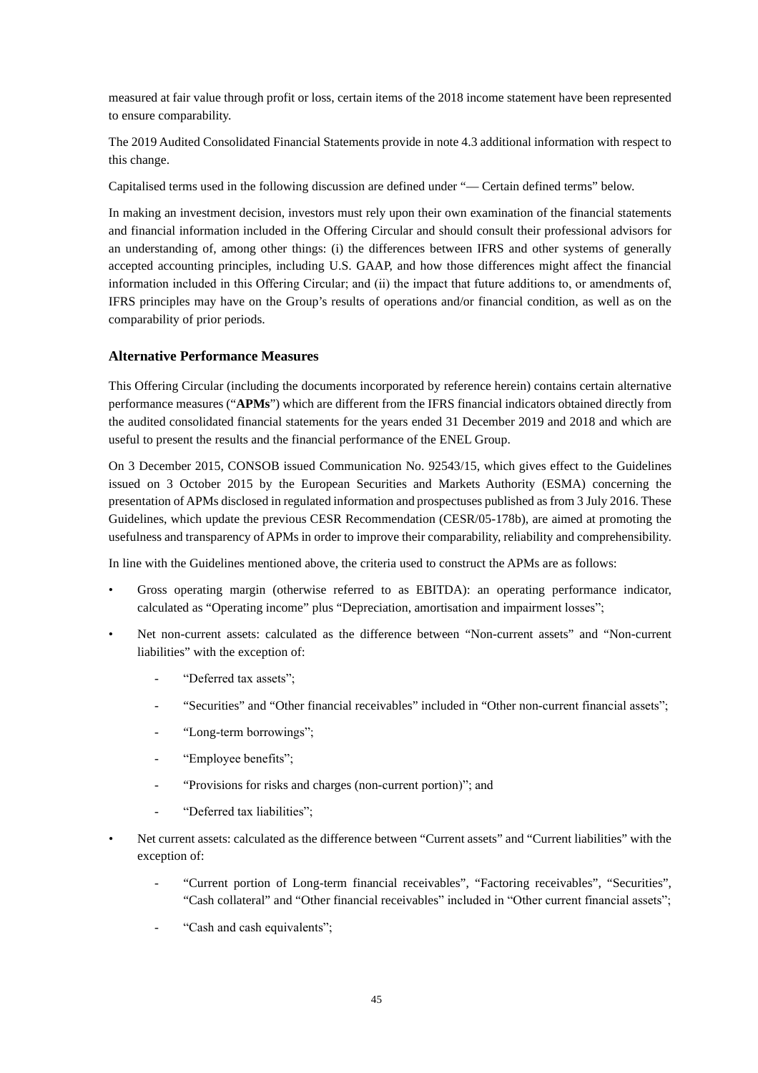measured at fair value through profit or loss, certain items of the 2018 income statement have been represented to ensure comparability.

The 2019 Audited Consolidated Financial Statements provide in note 4.3 additional information with respect to this change.

Capitalised terms used in the following discussion are defined under "— Certain defined terms" below.

In making an investment decision, investors must rely upon their own examination of the financial statements and financial information included in the Offering Circular and should consult their professional advisors for an understanding of, among other things: (i) the differences between IFRS and other systems of generally accepted accounting principles, including U.S. GAAP, and how those differences might affect the financial information included in this Offering Circular; and (ii) the impact that future additions to, or amendments of, IFRS principles may have on the Group's results of operations and/or financial condition, as well as on the comparability of prior periods.

# **Alternative Performance Measures**

This Offering Circular (including the documents incorporated by reference herein) contains certain alternative performance measures ("**APMs**") which are different from the IFRS financial indicators obtained directly from the audited consolidated financial statements for the years ended 31 December 2019 and 2018 and which are useful to present the results and the financial performance of the ENEL Group.

On 3 December 2015, CONSOB issued Communication No. 92543/15, which gives effect to the Guidelines issued on 3 October 2015 by the European Securities and Markets Authority (ESMA) concerning the presentation of APMs disclosed in regulated information and prospectuses published as from 3 July 2016. These Guidelines, which update the previous CESR Recommendation (CESR/05-178b), are aimed at promoting the usefulness and transparency of APMs in order to improve their comparability, reliability and comprehensibility.

In line with the Guidelines mentioned above, the criteria used to construct the APMs are as follows:

- Gross operating margin (otherwise referred to as EBITDA): an operating performance indicator, calculated as "Operating income" plus "Depreciation, amortisation and impairment losses";
- Net non-current assets: calculated as the difference between "Non-current assets" and "Non-current liabilities" with the exception of:
	- "Deferred tax assets":
	- "Securities" and "Other financial receivables" included in "Other non-current financial assets";
	- "Long-term borrowings";
	- "Employee benefits";
	- "Provisions for risks and charges (non-current portion)"; and
	- "Deferred tax liabilities";
- Net current assets: calculated as the difference between "Current assets" and "Current liabilities" with the exception of:
	- "Current portion of Long-term financial receivables", "Factoring receivables", "Securities", "Cash collateral" and "Other financial receivables" included in "Other current financial assets";
	- "Cash and cash equivalents";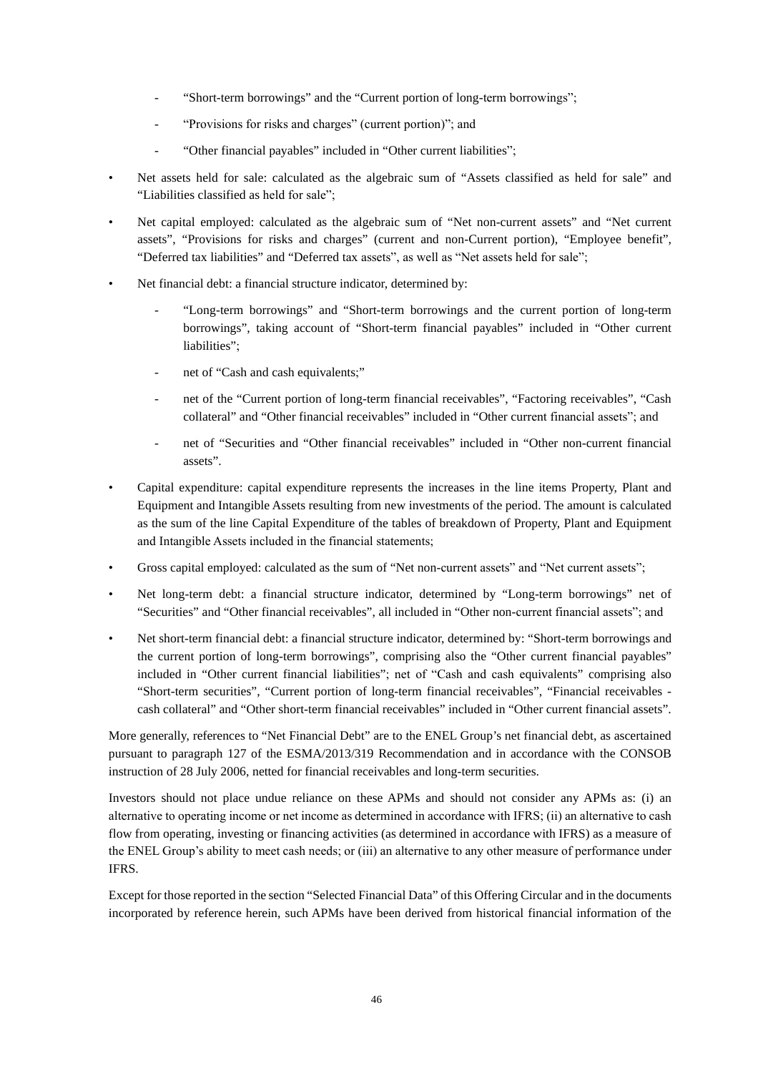- "Short-term borrowings" and the "Current portion of long-term borrowings";
- "Provisions for risks and charges" (current portion)"; and
- "Other financial payables" included in "Other current liabilities":
- Net assets held for sale: calculated as the algebraic sum of "Assets classified as held for sale" and "Liabilities classified as held for sale";
- Net capital employed: calculated as the algebraic sum of "Net non-current assets" and "Net current assets", "Provisions for risks and charges" (current and non-Current portion), "Employee benefit", "Deferred tax liabilities" and "Deferred tax assets", as well as "Net assets held for sale";
- Net financial debt: a financial structure indicator, determined by:
	- "Long-term borrowings" and "Short-term borrowings and the current portion of long-term borrowings", taking account of "Short-term financial payables" included in "Other current liabilities";
	- net of "Cash and cash equivalents;"
	- net of the "Current portion of long-term financial receivables", "Factoring receivables", "Cash collateral" and "Other financial receivables" included in "Other current financial assets"; and
	- net of "Securities and "Other financial receivables" included in "Other non-current financial assets".
- Capital expenditure: capital expenditure represents the increases in the line items Property, Plant and Equipment and Intangible Assets resulting from new investments of the period. The amount is calculated as the sum of the line Capital Expenditure of the tables of breakdown of Property, Plant and Equipment and Intangible Assets included in the financial statements;
- Gross capital employed: calculated as the sum of "Net non-current assets" and "Net current assets";
- Net long-term debt: a financial structure indicator, determined by "Long-term borrowings" net of "Securities" and "Other financial receivables", all included in "Other non-current financial assets"; and
- Net short-term financial debt: a financial structure indicator, determined by: "Short-term borrowings and the current portion of long-term borrowings", comprising also the "Other current financial payables" included in "Other current financial liabilities"; net of "Cash and cash equivalents" comprising also "Short-term securities", "Current portion of long-term financial receivables", "Financial receivables cash collateral" and "Other short-term financial receivables" included in "Other current financial assets".

More generally, references to "Net Financial Debt" are to the ENEL Group's net financial debt, as ascertained pursuant to paragraph 127 of the ESMA/2013/319 Recommendation and in accordance with the CONSOB instruction of 28 July 2006, netted for financial receivables and long-term securities.

Investors should not place undue reliance on these APMs and should not consider any APMs as: (i) an alternative to operating income or net income as determined in accordance with IFRS; (ii) an alternative to cash flow from operating, investing or financing activities (as determined in accordance with IFRS) as a measure of the ENEL Group's ability to meet cash needs; or (iii) an alternative to any other measure of performance under IFRS.

Except for those reported in the section "Selected Financial Data" of this Offering Circular and in the documents incorporated by reference herein, such APMs have been derived from historical financial information of the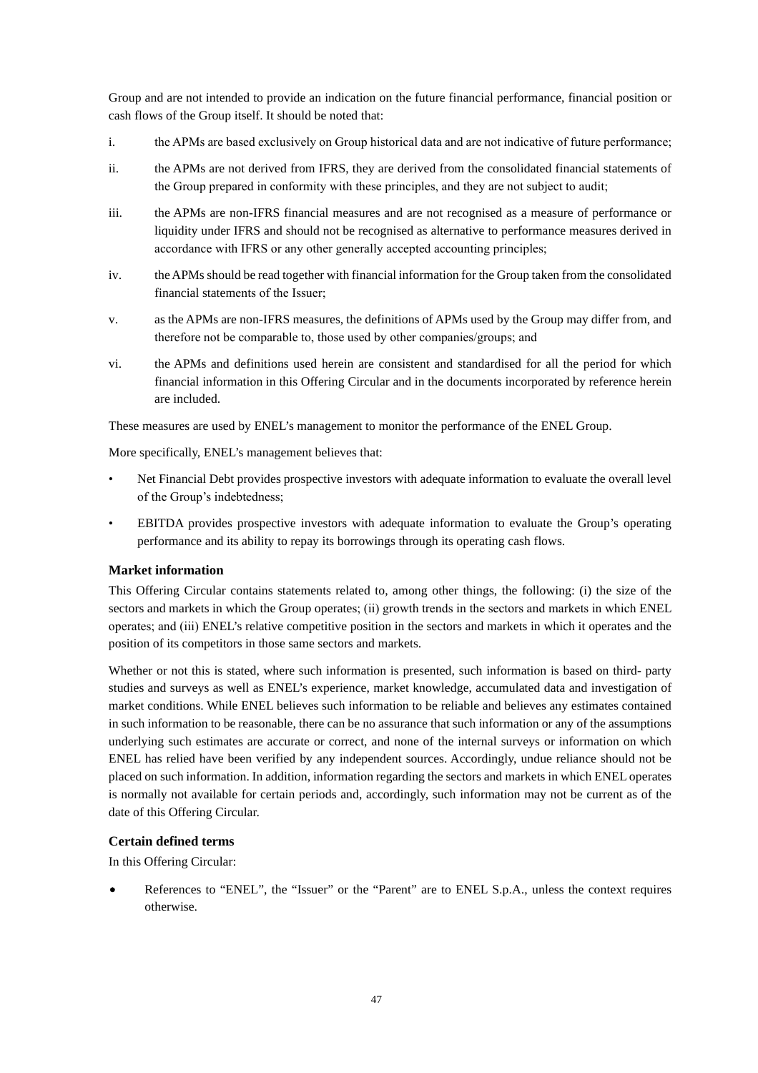Group and are not intended to provide an indication on the future financial performance, financial position or cash flows of the Group itself. It should be noted that:

- i. the APMs are based exclusively on Group historical data and are not indicative of future performance;
- ii. the APMs are not derived from IFRS, they are derived from the consolidated financial statements of the Group prepared in conformity with these principles, and they are not subject to audit;
- iii. the APMs are non-IFRS financial measures and are not recognised as a measure of performance or liquidity under IFRS and should not be recognised as alternative to performance measures derived in accordance with IFRS or any other generally accepted accounting principles;
- iv. the APMs should be read together with financial information for the Group taken from the consolidated financial statements of the Issuer;
- v. as the APMs are non-IFRS measures, the definitions of APMs used by the Group may differ from, and therefore not be comparable to, those used by other companies/groups; and
- vi. the APMs and definitions used herein are consistent and standardised for all the period for which financial information in this Offering Circular and in the documents incorporated by reference herein are included.

These measures are used by ENEL's management to monitor the performance of the ENEL Group.

More specifically, ENEL's management believes that:

- Net Financial Debt provides prospective investors with adequate information to evaluate the overall level of the Group's indebtedness;
- EBITDA provides prospective investors with adequate information to evaluate the Group's operating performance and its ability to repay its borrowings through its operating cash flows.

# **Market information**

This Offering Circular contains statements related to, among other things, the following: (i) the size of the sectors and markets in which the Group operates; (ii) growth trends in the sectors and markets in which ENEL operates; and (iii) ENEL's relative competitive position in the sectors and markets in which it operates and the position of its competitors in those same sectors and markets.

Whether or not this is stated, where such information is presented, such information is based on third- party studies and surveys as well as ENEL's experience, market knowledge, accumulated data and investigation of market conditions. While ENEL believes such information to be reliable and believes any estimates contained in such information to be reasonable, there can be no assurance that such information or any of the assumptions underlying such estimates are accurate or correct, and none of the internal surveys or information on which ENEL has relied have been verified by any independent sources. Accordingly, undue reliance should not be placed on such information. In addition, information regarding the sectors and markets in which ENEL operates is normally not available for certain periods and, accordingly, such information may not be current as of the date of this Offering Circular.

### **Certain defined terms**

In this Offering Circular:

• References to "ENEL", the "Issuer" or the "Parent" are to ENEL S.p.A., unless the context requires otherwise.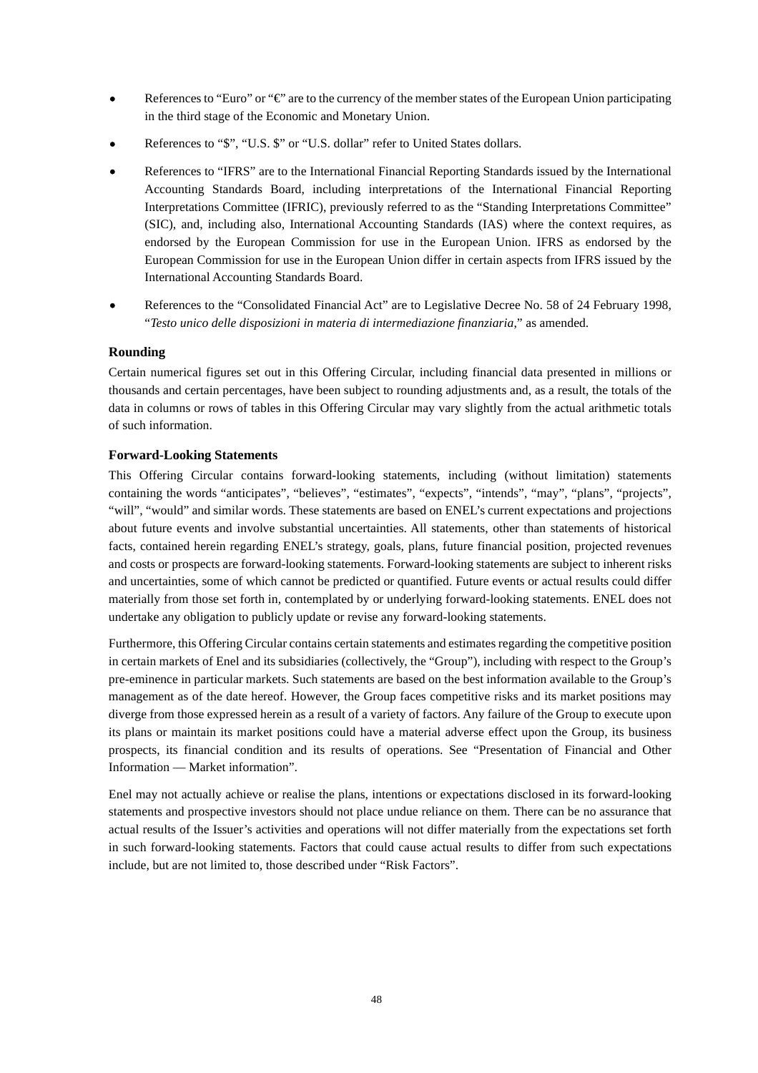- References to "Euro" or "€" are to the currency of the member states of the European Union participating in the third stage of the Economic and Monetary Union.
- References to "\$", "U.S. \$" or "U.S. dollar" refer to United States dollars.
- References to "IFRS" are to the International Financial Reporting Standards issued by the International Accounting Standards Board, including interpretations of the International Financial Reporting Interpretations Committee (IFRIC), previously referred to as the "Standing Interpretations Committee" (SIC), and, including also, International Accounting Standards (IAS) where the context requires, as endorsed by the European Commission for use in the European Union. IFRS as endorsed by the European Commission for use in the European Union differ in certain aspects from IFRS issued by the International Accounting Standards Board.
- References to the "Consolidated Financial Act" are to Legislative Decree No. 58 of 24 February 1998, "*Testo unico delle disposizioni in materia di intermediazione finanziaria*," as amended.

### **Rounding**

Certain numerical figures set out in this Offering Circular, including financial data presented in millions or thousands and certain percentages, have been subject to rounding adjustments and, as a result, the totals of the data in columns or rows of tables in this Offering Circular may vary slightly from the actual arithmetic totals of such information.

### **Forward-Looking Statements**

This Offering Circular contains forward-looking statements, including (without limitation) statements containing the words "anticipates", "believes", "estimates", "expects", "intends", "may", "plans", "projects", "will", "would" and similar words. These statements are based on ENEL's current expectations and projections about future events and involve substantial uncertainties. All statements, other than statements of historical facts, contained herein regarding ENEL's strategy, goals, plans, future financial position, projected revenues and costs or prospects are forward-looking statements. Forward-looking statements are subject to inherent risks and uncertainties, some of which cannot be predicted or quantified. Future events or actual results could differ materially from those set forth in, contemplated by or underlying forward-looking statements. ENEL does not undertake any obligation to publicly update or revise any forward-looking statements.

Furthermore, this Offering Circular contains certain statements and estimates regarding the competitive position in certain markets of Enel and its subsidiaries (collectively, the "Group"), including with respect to the Group's pre-eminence in particular markets. Such statements are based on the best information available to the Group's management as of the date hereof. However, the Group faces competitive risks and its market positions may diverge from those expressed herein as a result of a variety of factors. Any failure of the Group to execute upon its plans or maintain its market positions could have a material adverse effect upon the Group, its business prospects, its financial condition and its results of operations. See "Presentation of Financial and Other Information — Market information".

Enel may not actually achieve or realise the plans, intentions or expectations disclosed in its forward-looking statements and prospective investors should not place undue reliance on them. There can be no assurance that actual results of the Issuer's activities and operations will not differ materially from the expectations set forth in such forward-looking statements. Factors that could cause actual results to differ from such expectations include, but are not limited to, those described under "Risk Factors".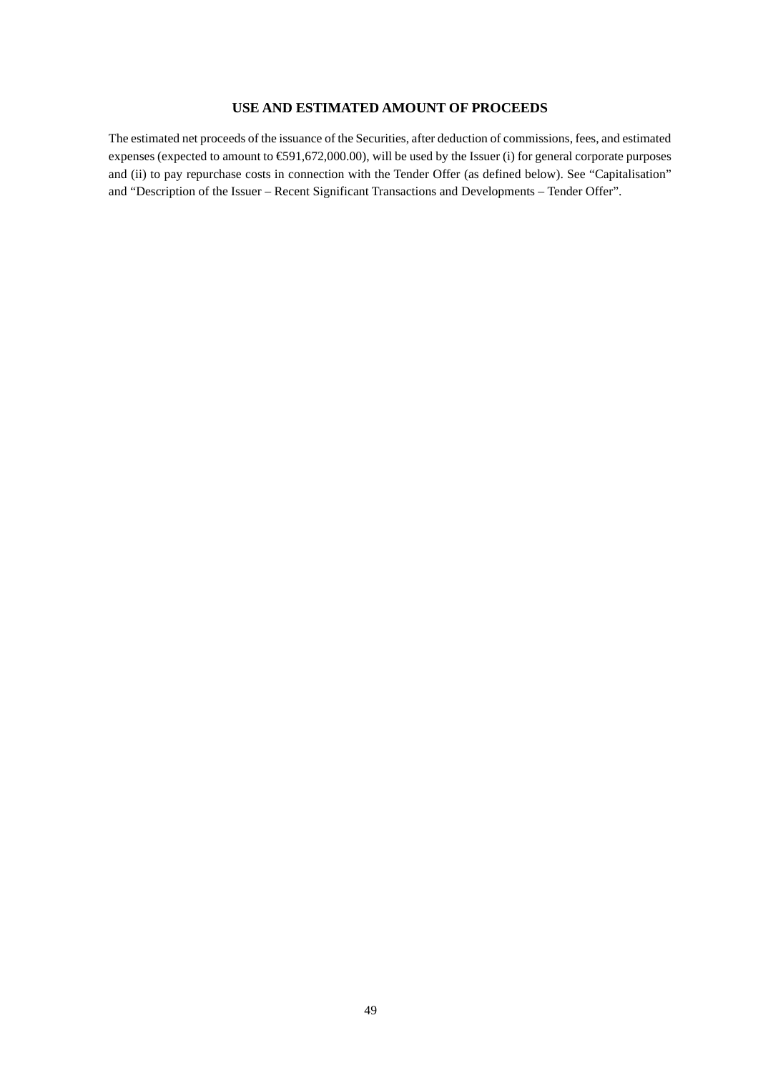# **USE AND ESTIMATED AMOUNT OF PROCEEDS**

The estimated net proceeds of the issuance of the Securities, after deduction of commissions, fees, and estimated expenses (expected to amount to €591,672,000.00), will be used by the Issuer (i) for general corporate purposes and (ii) to pay repurchase costs in connection with the Tender Offer (as defined below). See "Capitalisation" and "Description of the Issuer – Recent Significant Transactions and Developments – Tender Offer".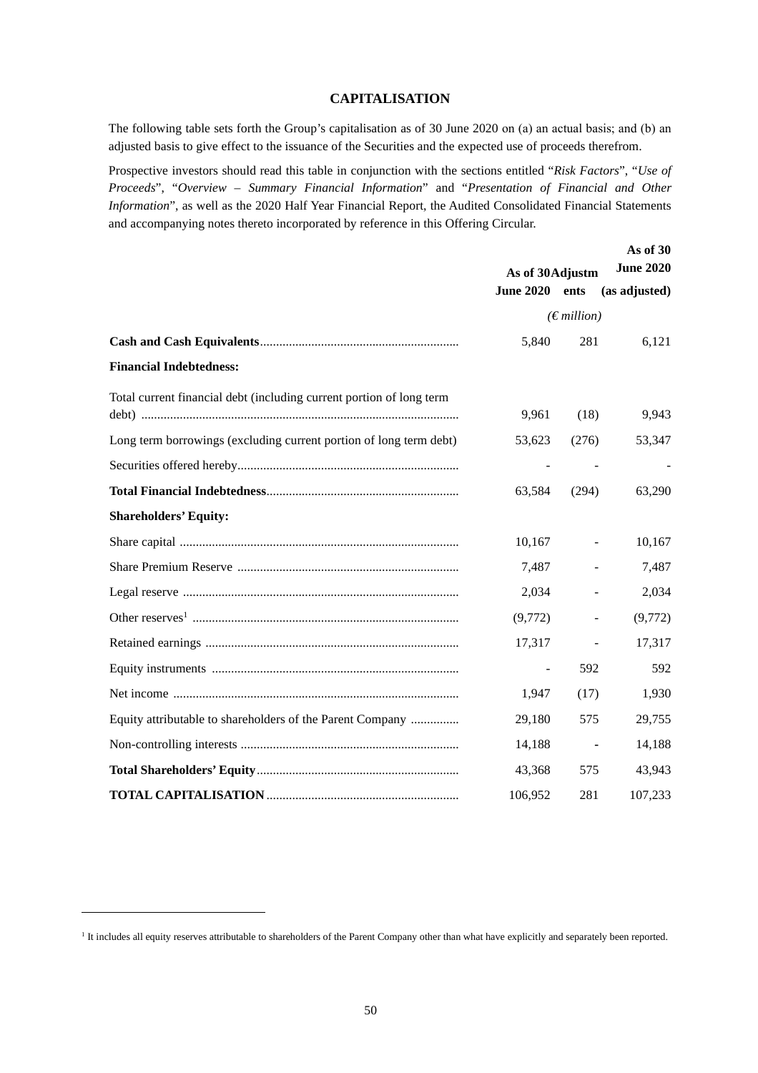# **CAPITALISATION**

The following table sets forth the Group's capitalisation as of 30 June 2020 on (a) an actual basis; and (b) an adjusted basis to give effect to the issuance of the Securities and the expected use of proceeds therefrom.

Prospective investors should read this table in conjunction with the sections entitled "*Risk Factors*", "*Use of Proceeds*", "*Overview – Summary Financial Information*" and "*Presentation of Financial and Other Information*", as well as the 2020 Half Year Financial Report, the Audited Consolidated Financial Statements and accompanying notes thereto incorporated by reference in this Offering Circular.

|                                                                      | As of 30 Adjustm         | As of 30<br><b>June 2020</b> |               |
|----------------------------------------------------------------------|--------------------------|------------------------------|---------------|
|                                                                      | <b>June 2020</b>         | ents                         | (as adjusted) |
|                                                                      |                          | $(E$ <i>million</i> )        |               |
|                                                                      | 5,840                    | 281                          | 6,121         |
| <b>Financial Indebtedness:</b>                                       |                          |                              |               |
| Total current financial debt (including current portion of long term | 9,961                    | (18)                         | 9,943         |
| Long term borrowings (excluding current portion of long term debt)   | 53,623                   | (276)                        | 53,347        |
|                                                                      |                          |                              |               |
|                                                                      | 63,584                   | (294)                        | 63,290        |
| <b>Shareholders' Equity:</b>                                         |                          |                              |               |
|                                                                      | 10,167                   |                              | 10,167        |
|                                                                      | 7,487                    |                              | 7,487         |
|                                                                      | 2,034                    |                              | 2,034         |
|                                                                      | (9,772)                  |                              | (9,772)       |
|                                                                      | 17,317                   |                              | 17,317        |
|                                                                      | $\overline{\phantom{a}}$ | 592                          | 592           |
|                                                                      | 1,947                    | (17)                         | 1,930         |
| Equity attributable to shareholders of the Parent Company            | 29,180                   | 575                          | 29,755        |
|                                                                      | 14,188                   |                              | 14,188        |
|                                                                      | 43,368                   | 575                          | 43,943        |
|                                                                      | 106,952                  | 281                          | 107,233       |

<sup>&</sup>lt;sup>1</sup> It includes all equity reserves attributable to shareholders of the Parent Company other than what have explicitly and separately been reported.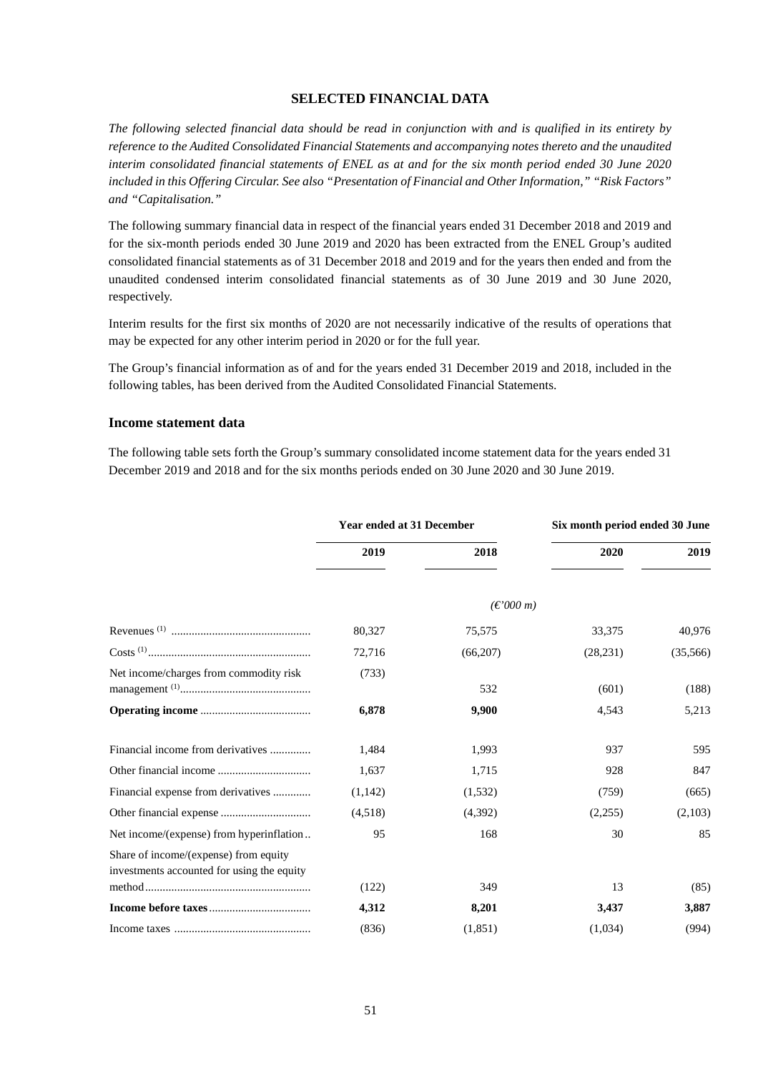### **SELECTED FINANCIAL DATA**

*The following selected financial data should be read in conjunction with and is qualified in its entirety by reference to the Audited Consolidated Financial Statements and accompanying notes thereto and the unaudited interim consolidated financial statements of ENEL as at and for the six month period ended 30 June 2020 included in this Offering Circular. See also "Presentation of Financial and Other Information," "Risk Factors" and "Capitalisation."* 

The following summary financial data in respect of the financial years ended 31 December 2018 and 2019 and for the six-month periods ended 30 June 2019 and 2020 has been extracted from the ENEL Group's audited consolidated financial statements as of 31 December 2018 and 2019 and for the years then ended and from the unaudited condensed interim consolidated financial statements as of 30 June 2019 and 30 June 2020, respectively.

Interim results for the first six months of 2020 are not necessarily indicative of the results of operations that may be expected for any other interim period in 2020 or for the full year.

The Group's financial information as of and for the years ended 31 December 2019 and 2018, included in the following tables, has been derived from the Audited Consolidated Financial Statements.

### **Income statement data**

The following table sets forth the Group's summary consolidated income statement data for the years ended 31 December 2019 and 2018 and for the six months periods ended on 30 June 2020 and 30 June 2019.

|                                                                                     | <b>Year ended at 31 December</b> |                     |           | Six month period ended 30 June |  |
|-------------------------------------------------------------------------------------|----------------------------------|---------------------|-----------|--------------------------------|--|
|                                                                                     | 2019                             | 2018                | 2020      | 2019                           |  |
|                                                                                     |                                  | $(\epsilon$ '000 m) |           |                                |  |
|                                                                                     | 80,327                           | 75,575              | 33,375    | 40,976                         |  |
|                                                                                     | 72,716                           | (66, 207)           | (28, 231) | (35,566)                       |  |
| Net income/charges from commodity risk                                              | (733)                            | 532                 | (601)     | (188)                          |  |
|                                                                                     | 6,878                            | 9,900               | 4,543     | 5,213                          |  |
| Financial income from derivatives                                                   | 1,484                            | 1,993               | 937       | 595                            |  |
|                                                                                     | 1,637                            | 1,715               | 928       | 847                            |  |
| Financial expense from derivatives                                                  | (1,142)                          | (1, 532)            | (759)     | (665)                          |  |
|                                                                                     | (4,518)                          | (4,392)             | (2,255)   | (2,103)                        |  |
| Net income/(expense) from hyperinflation                                            | 95                               | 168                 | 30        | 85                             |  |
| Share of income/(expense) from equity<br>investments accounted for using the equity |                                  |                     |           |                                |  |
|                                                                                     | (122)                            | 349                 | 13        | (85)                           |  |
|                                                                                     | 4,312                            | 8,201               | 3,437     | 3,887                          |  |
|                                                                                     | (836)                            | (1, 851)            | (1,034)   | (994)                          |  |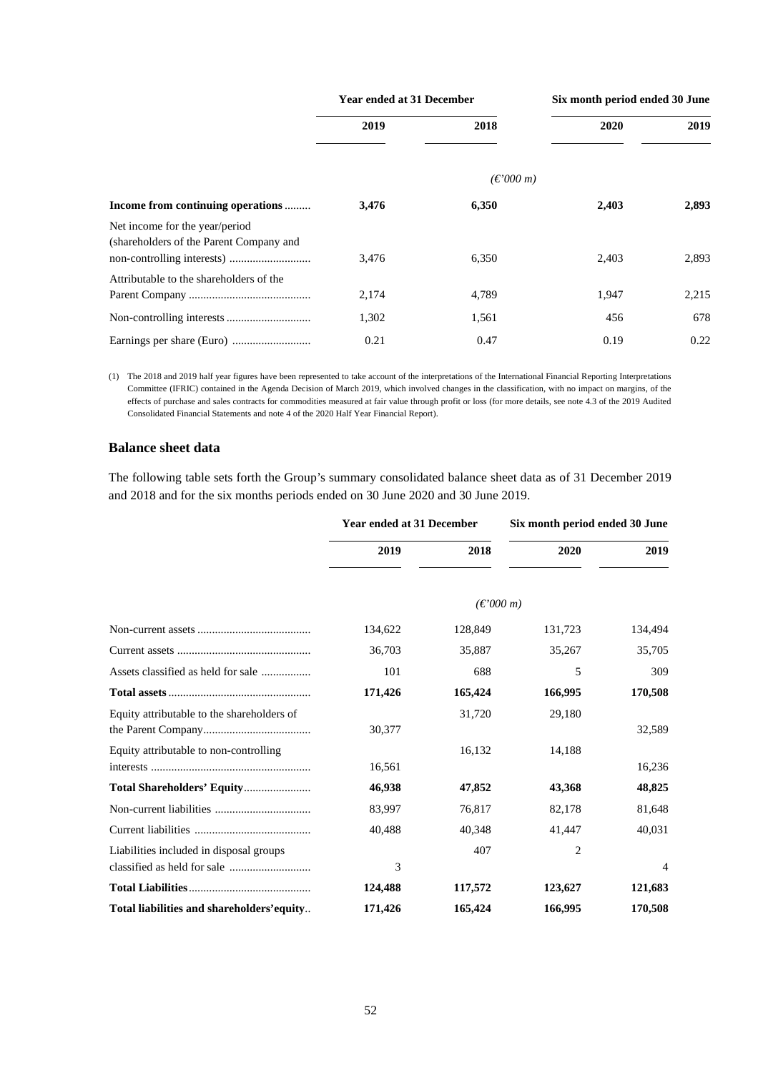|                                                                           | <b>Year ended at 31 December</b> |                                                   |       | Six month period ended 30 June |  |
|---------------------------------------------------------------------------|----------------------------------|---------------------------------------------------|-------|--------------------------------|--|
|                                                                           | 2019                             | 2018                                              | 2020  | 2019                           |  |
|                                                                           |                                  | $(\text{\ensuremath{\mathfrak{C}}}'000\text{ m})$ |       |                                |  |
| Income from continuing operations                                         | 3,476                            | 6,350                                             | 2,403 | 2,893                          |  |
| Net income for the year/period<br>(shareholders of the Parent Company and | 3.476                            | 6,350                                             | 2,403 | 2,893                          |  |
| Attributable to the shareholders of the                                   | 2,174                            | 4,789                                             | 1,947 | 2,215                          |  |
|                                                                           | 1,302                            | 1,561                                             | 456   | 678                            |  |
|                                                                           | 0.21                             | 0.47                                              | 0.19  | 0.22                           |  |

(1) The 2018 and 2019 half year figures have been represented to take account of the interpretations of the International Financial Reporting Interpretations Committee (IFRIC) contained in the Agenda Decision of March 2019, which involved changes in the classification, with no impact on margins, of the effects of purchase and sales contracts for commodities measured at fair value through profit or loss (for more details, see note 4.3 of the 2019 Audited Consolidated Financial Statements and note 4 of the 2020 Half Year Financial Report).

### **Balance sheet data**

The following table sets forth the Group's summary consolidated balance sheet data as of 31 December 2019 and 2018 and for the six months periods ended on 30 June 2020 and 30 June 2019.

|                                            | Year ended at 31 December |                     | Six month period ended 30 June |                |
|--------------------------------------------|---------------------------|---------------------|--------------------------------|----------------|
|                                            | 2019                      | 2018                | 2020                           | 2019           |
|                                            |                           | $(\epsilon$ '000 m) |                                |                |
|                                            | 134,622                   | 128,849             | 131,723                        | 134,494        |
|                                            | 36,703                    | 35,887              | 35,267                         | 35,705         |
|                                            | 101                       | 688                 | 5                              | 309            |
|                                            | 171,426                   | 165,424             | 166,995                        | 170,508        |
| Equity attributable to the shareholders of | 30,377                    | 31,720              | 29,180                         | 32,589         |
| Equity attributable to non-controlling     | 16,561                    | 16,132              | 14,188                         | 16,236         |
|                                            | 46,938                    | 47,852              | 43,368                         | 48,825         |
|                                            | 83,997                    | 76,817              | 82,178                         | 81,648         |
|                                            | 40,488                    | 40,348              | 41,447                         | 40,031         |
| Liabilities included in disposal groups    | 3                         | 407                 | $\overline{c}$                 | $\overline{4}$ |
|                                            | 124,488                   | 117,572             | 123,627                        | 121,683        |
| Total liabilities and shareholders' equity | 171,426                   | 165,424             | 166,995                        | 170,508        |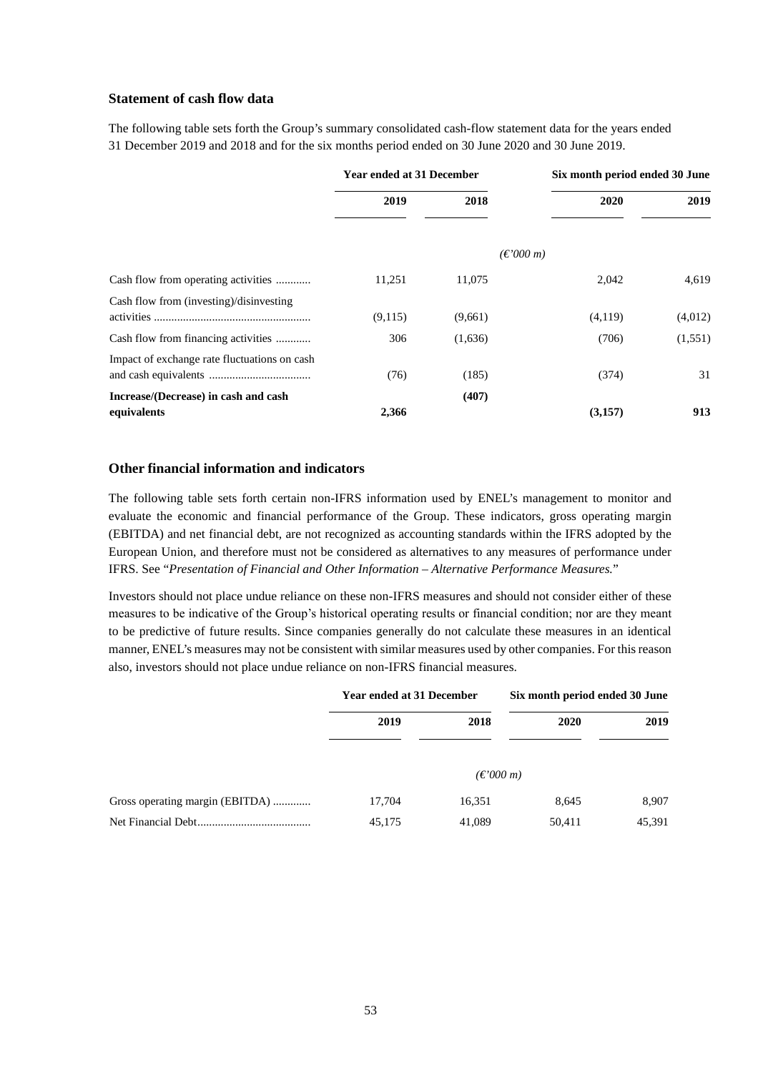### **Statement of cash flow data**

The following table sets forth the Group's summary consolidated cash-flow statement data for the years ended 31 December 2019 and 2018 and for the six months period ended on 30 June 2020 and 30 June 2019.

|                                              | <b>Year ended at 31 December</b> |         |                     | Six month period ended 30 June |         |
|----------------------------------------------|----------------------------------|---------|---------------------|--------------------------------|---------|
|                                              | 2019                             | 2018    |                     | 2020                           | 2019    |
|                                              |                                  |         | $(\epsilon$ '000 m) |                                |         |
| Cash flow from operating activities          | 11,251                           | 11,075  |                     | 2,042                          | 4,619   |
| Cash flow from (investing)/disinvesting      | (9,115)                          | (9,661) |                     | (4,119)                        | (4,012) |
| Cash flow from financing activities          | 306                              | (1,636) |                     | (706)                          | (1,551) |
| Impact of exchange rate fluctuations on cash | (76)                             | (185)   |                     | (374)                          | 31      |
| Increase/(Decrease) in cash and cash         |                                  | (407)   |                     |                                |         |
| equivalents                                  | 2,366                            |         |                     | (3,157)                        | 913     |

# **Other financial information and indicators**

The following table sets forth certain non-IFRS information used by ENEL's management to monitor and evaluate the economic and financial performance of the Group. These indicators, gross operating margin (EBITDA) and net financial debt, are not recognized as accounting standards within the IFRS adopted by the European Union, and therefore must not be considered as alternatives to any measures of performance under IFRS. See "*Presentation of Financial and Other Information – Alternative Performance Measures.*"

Investors should not place undue reliance on these non-IFRS measures and should not consider either of these measures to be indicative of the Group's historical operating results or financial condition; nor are they meant to be predictive of future results. Since companies generally do not calculate these measures in an identical manner, ENEL's measures may not be consistent with similar measures used by other companies. For this reason also, investors should not place undue reliance on non-IFRS financial measures.

|                                 | <b>Year ended at 31 December</b> |                     | Six month period ended 30 June |        |
|---------------------------------|----------------------------------|---------------------|--------------------------------|--------|
|                                 | 2019                             | 2018                | 2020                           | 2019   |
|                                 |                                  | $(\epsilon$ '000 m) |                                |        |
| Gross operating margin (EBITDA) | 17,704                           | 16,351              | 8,645                          | 8,907  |
|                                 | 45,175                           | 41,089              | 50,411                         | 45,391 |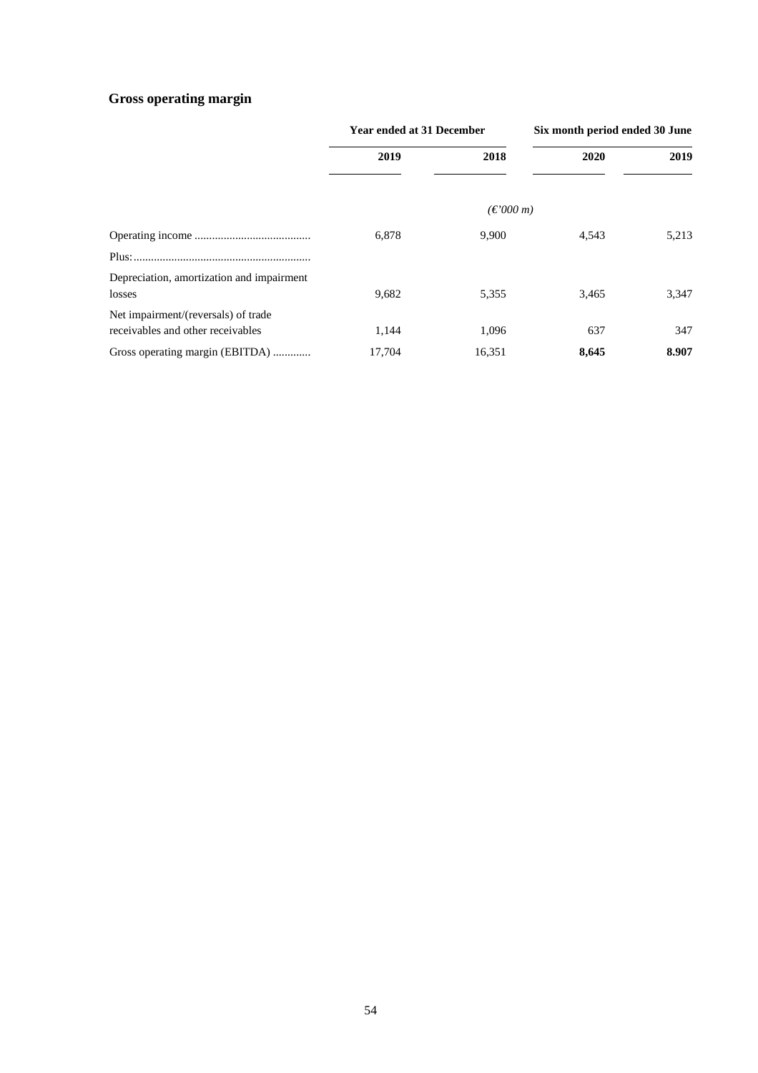# **Gross operating margin**

|                                                                          | <b>Year ended at 31 December</b> |                                                   | Six month period ended 30 June |       |
|--------------------------------------------------------------------------|----------------------------------|---------------------------------------------------|--------------------------------|-------|
|                                                                          | 2019                             | 2018                                              | 2020                           | 2019  |
|                                                                          |                                  | $(\text{\ensuremath{\mathfrak{C}}}'000\text{ m})$ |                                |       |
|                                                                          | 6,878                            | 9,900                                             | 4,543                          | 5,213 |
|                                                                          |                                  |                                                   |                                |       |
| Depreciation, amortization and impairment<br>losses                      | 9,682                            | 5,355                                             | 3,465                          | 3,347 |
| Net impairment/(reversals) of trade<br>receivables and other receivables | 1.144                            | 1,096                                             | 637                            | 347   |
| Gross operating margin (EBITDA)                                          | 17.704                           | 16,351                                            | 8,645                          | 8.907 |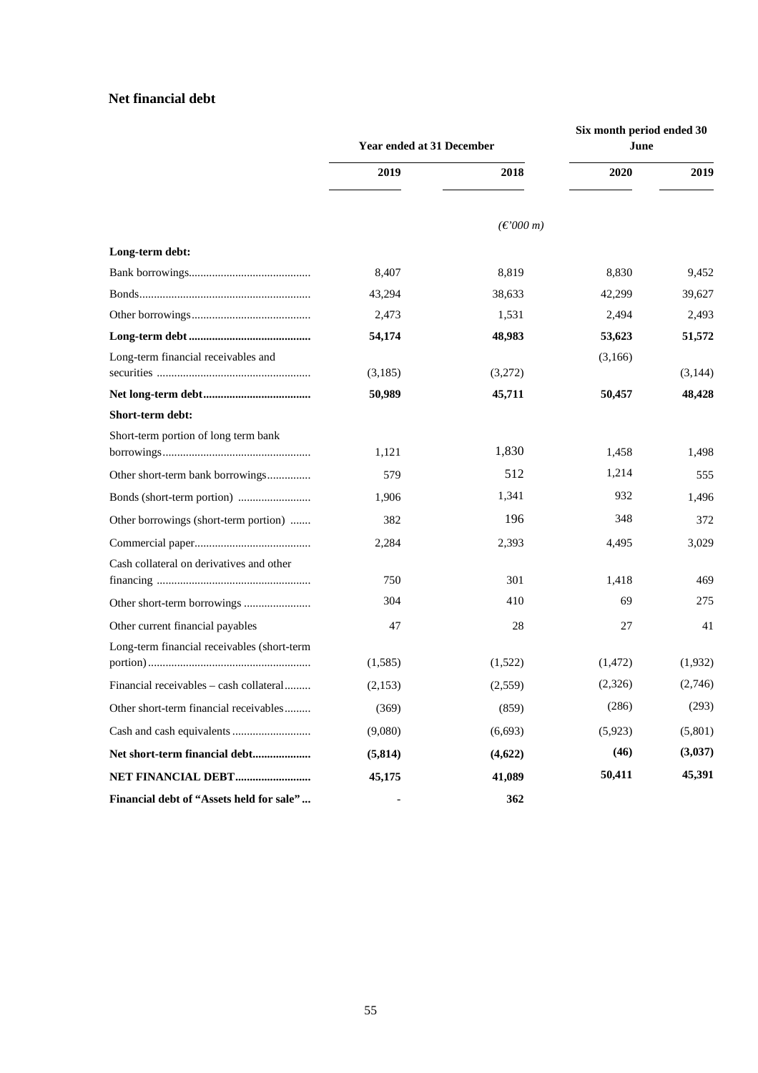# **Net financial debt**

|                                             | Year ended at 31 December |                                                   | Six month period ended 30<br>June |         |
|---------------------------------------------|---------------------------|---------------------------------------------------|-----------------------------------|---------|
|                                             | 2019                      | 2018                                              | 2020                              | 2019    |
|                                             |                           | $(\text{\ensuremath{\mathfrak{C}}}'000\text{ m})$ |                                   |         |
| Long-term debt:                             |                           |                                                   |                                   |         |
|                                             | 8,407                     | 8,819                                             | 8,830                             | 9,452   |
|                                             | 43,294                    | 38,633                                            | 42,299                            | 39,627  |
|                                             | 2,473                     | 1,531                                             | 2,494                             | 2,493   |
|                                             | 54,174                    | 48,983                                            | 53,623                            | 51,572  |
| Long-term financial receivables and         | (3,185)                   | (3,272)                                           | (3,166)                           | (3,144) |
|                                             | 50,989                    | 45,711                                            | 50,457                            | 48,428  |
| Short-term debt:                            |                           |                                                   |                                   |         |
| Short-term portion of long term bank        | 1,121                     | 1,830                                             | 1,458                             | 1,498   |
| Other short-term bank borrowings            | 579                       | 512                                               | 1,214                             | 555     |
|                                             | 1,906                     | 1,341                                             | 932                               | 1,496   |
| Other borrowings (short-term portion)       | 382                       | 196                                               | 348                               | 372     |
|                                             | 2,284                     | 2,393                                             | 4,495                             | 3,029   |
| Cash collateral on derivatives and other    | 750                       | 301                                               | 1,418                             | 469     |
|                                             | 304                       | 410                                               | 69                                | 275     |
| Other current financial payables            | 47                        | 28                                                | 27                                | 41      |
| Long-term financial receivables (short-term | (1,585)                   | (1,522)                                           | (1, 472)                          | (1,932) |
| Financial receivables - cash collateral     | (2,153)                   | (2,559)                                           | (2,326)                           | (2,746) |
| Other short-term financial receivables      | (369)                     | (859)                                             | (286)                             | (293)   |
|                                             | (9,080)                   | (6, 693)                                          | (5,923)                           | (5,801) |
| Net short-term financial debt               | (5, 814)                  | (4,622)                                           | (46)                              | (3,037) |
| NET FINANCIAL DEBT                          | 45,175                    | 41,089                                            | 50,411                            | 45,391  |
| Financial debt of "Assets held for sale"    |                           | 362                                               |                                   |         |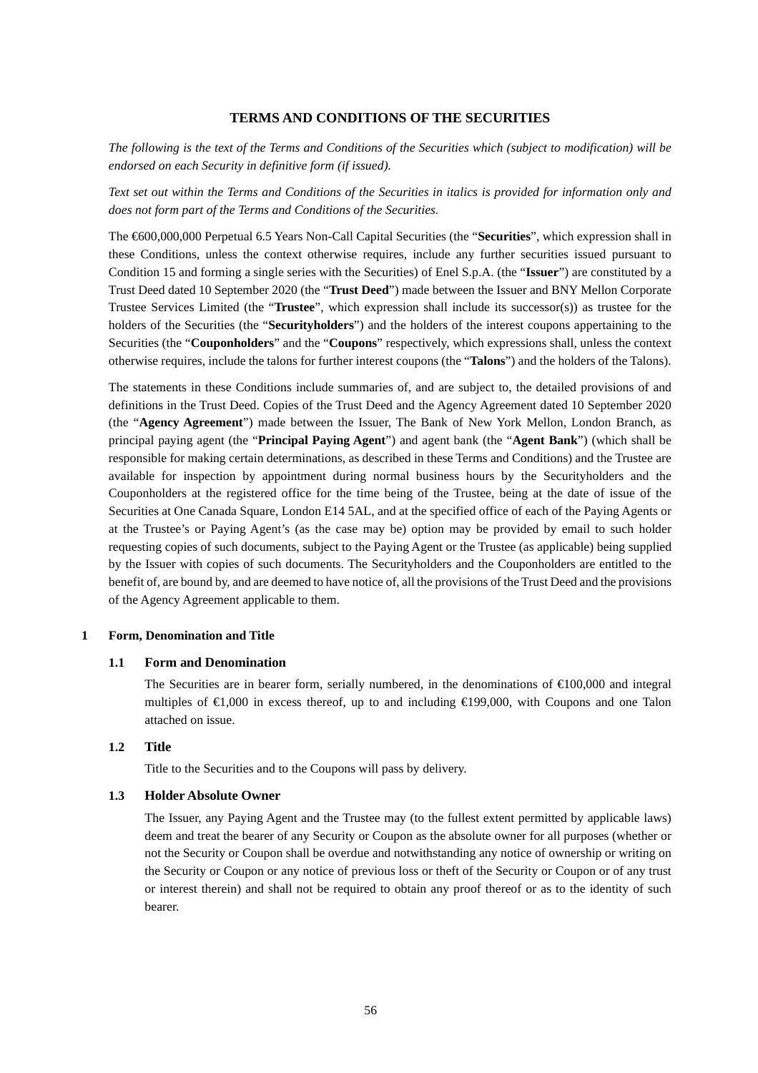### **TERMS AND CONDITIONS OF THE SECURITIES**

*The following is the text of the Terms and Conditions of the Securities which (subject to modification) will be endorsed on each Security in definitive form (if issued).* 

*Text set out within the Terms and Conditions of the Securities in italics is provided for information only and does not form part of the Terms and Conditions of the Securities.* 

The €600,000,000 Perpetual 6.5 Years Non-Call Capital Securities (the "**Securities**", which expression shall in these Conditions, unless the context otherwise requires, include any further securities issued pursuant to Condition 15 and forming a single series with the Securities) of Enel S.p.A. (the "**Issuer**") are constituted by a Trust Deed dated 10 September 2020 (the "**Trust Deed**") made between the Issuer and BNY Mellon Corporate Trustee Services Limited (the "**Trustee**", which expression shall include its successor(s)) as trustee for the holders of the Securities (the "**Securityholders**") and the holders of the interest coupons appertaining to the Securities (the "**Couponholders**" and the "**Coupons**" respectively, which expressions shall, unless the context otherwise requires, include the talons for further interest coupons (the "**Talons**") and the holders of the Talons).

The statements in these Conditions include summaries of, and are subject to, the detailed provisions of and definitions in the Trust Deed. Copies of the Trust Deed and the Agency Agreement dated 10 September 2020 (the "**Agency Agreement**") made between the Issuer, The Bank of New York Mellon, London Branch, as principal paying agent (the "**Principal Paying Agent**") and agent bank (the "**Agent Bank**") (which shall be responsible for making certain determinations, as described in these Terms and Conditions) and the Trustee are available for inspection by appointment during normal business hours by the Securityholders and the Couponholders at the registered office for the time being of the Trustee, being at the date of issue of the Securities at One Canada Square, London E14 5AL, and at the specified office of each of the Paying Agents or at the Trustee's or Paying Agent's (as the case may be) option may be provided by email to such holder requesting copies of such documents, subject to the Paying Agent or the Trustee (as applicable) being supplied by the Issuer with copies of such documents. The Securityholders and the Couponholders are entitled to the benefit of, are bound by, and are deemed to have notice of, all the provisions of the Trust Deed and the provisions of the Agency Agreement applicable to them.

#### **1 Form, Denomination and Title**

#### **1.1 Form and Denomination**

The Securities are in bearer form, serially numbered, in the denominations of  $\epsilon 100,000$  and integral multiples of  $\in$  0.000 in excess thereof, up to and including  $\in$  199,000, with Coupons and one Talon attached on issue.

#### **1.2 Title**

Title to the Securities and to the Coupons will pass by delivery.

### **1.3 Holder Absolute Owner**

The Issuer, any Paying Agent and the Trustee may (to the fullest extent permitted by applicable laws) deem and treat the bearer of any Security or Coupon as the absolute owner for all purposes (whether or not the Security or Coupon shall be overdue and notwithstanding any notice of ownership or writing on the Security or Coupon or any notice of previous loss or theft of the Security or Coupon or of any trust or interest therein) and shall not be required to obtain any proof thereof or as to the identity of such bearer.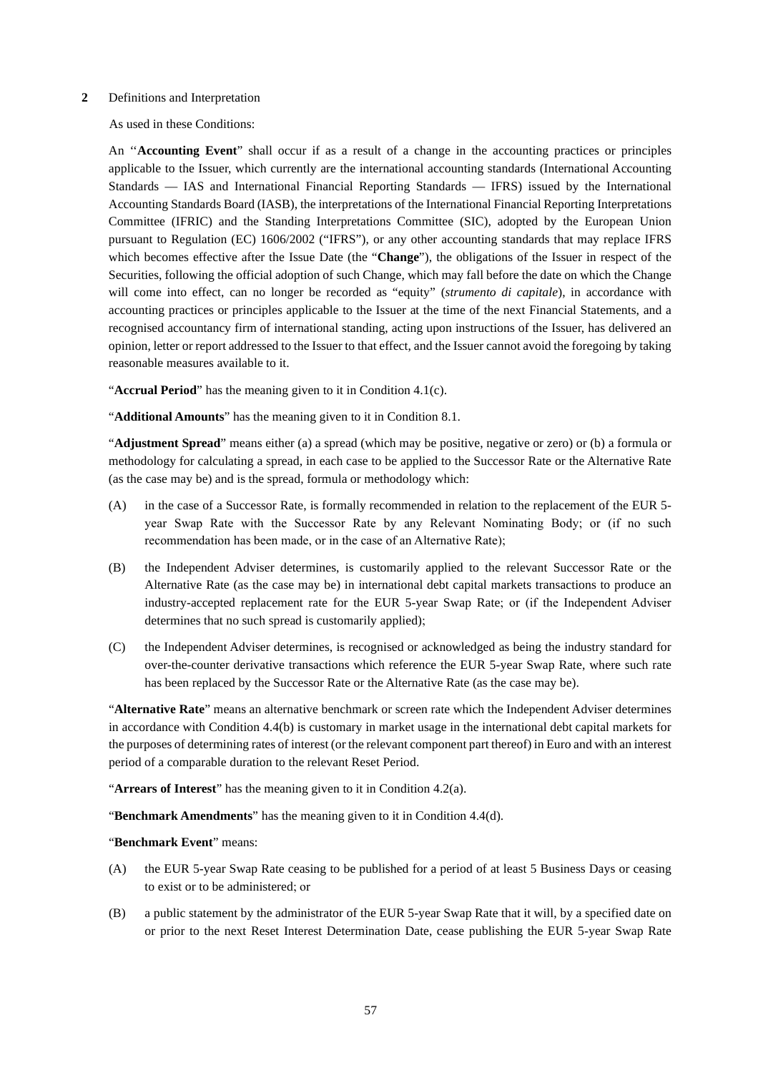#### **2** Definitions and Interpretation

As used in these Conditions:

An ''**Accounting Event**" shall occur if as a result of a change in the accounting practices or principles applicable to the Issuer, which currently are the international accounting standards (International Accounting Standards — IAS and International Financial Reporting Standards — IFRS) issued by the International Accounting Standards Board (IASB), the interpretations of the International Financial Reporting Interpretations Committee (IFRIC) and the Standing Interpretations Committee (SIC), adopted by the European Union pursuant to Regulation (EC) 1606/2002 ("IFRS"), or any other accounting standards that may replace IFRS which becomes effective after the Issue Date (the "**Change**"), the obligations of the Issuer in respect of the Securities, following the official adoption of such Change, which may fall before the date on which the Change will come into effect, can no longer be recorded as "equity" (*strumento di capitale*), in accordance with accounting practices or principles applicable to the Issuer at the time of the next Financial Statements, and a recognised accountancy firm of international standing, acting upon instructions of the Issuer, has delivered an opinion, letter or report addressed to the Issuer to that effect, and the Issuer cannot avoid the foregoing by taking reasonable measures available to it.

"**Accrual Period**" has the meaning given to it in Condition 4.1(c).

"**Additional Amounts**" has the meaning given to it in Condition 8.1.

"**Adjustment Spread**" means either (a) a spread (which may be positive, negative or zero) or (b) a formula or methodology for calculating a spread, in each case to be applied to the Successor Rate or the Alternative Rate (as the case may be) and is the spread, formula or methodology which:

- (A) in the case of a Successor Rate, is formally recommended in relation to the replacement of the EUR 5 year Swap Rate with the Successor Rate by any Relevant Nominating Body; or (if no such recommendation has been made, or in the case of an Alternative Rate);
- (B) the Independent Adviser determines, is customarily applied to the relevant Successor Rate or the Alternative Rate (as the case may be) in international debt capital markets transactions to produce an industry-accepted replacement rate for the EUR 5-year Swap Rate; or (if the Independent Adviser determines that no such spread is customarily applied);
- (C) the Independent Adviser determines, is recognised or acknowledged as being the industry standard for over-the-counter derivative transactions which reference the EUR 5-year Swap Rate, where such rate has been replaced by the Successor Rate or the Alternative Rate (as the case may be).

"**Alternative Rate**" means an alternative benchmark or screen rate which the Independent Adviser determines in accordance with Condition 4.4(b) is customary in market usage in the international debt capital markets for the purposes of determining rates of interest (or the relevant component part thereof) in Euro and with an interest period of a comparable duration to the relevant Reset Period.

"**Arrears of Interest**" has the meaning given to it in Condition 4.2(a).

"**Benchmark Amendments**" has the meaning given to it in Condition 4.4(d).

"**Benchmark Event**" means:

- (A) the EUR 5-year Swap Rate ceasing to be published for a period of at least 5 Business Days or ceasing to exist or to be administered; or
- (B) a public statement by the administrator of the EUR 5-year Swap Rate that it will, by a specified date on or prior to the next Reset Interest Determination Date, cease publishing the EUR 5-year Swap Rate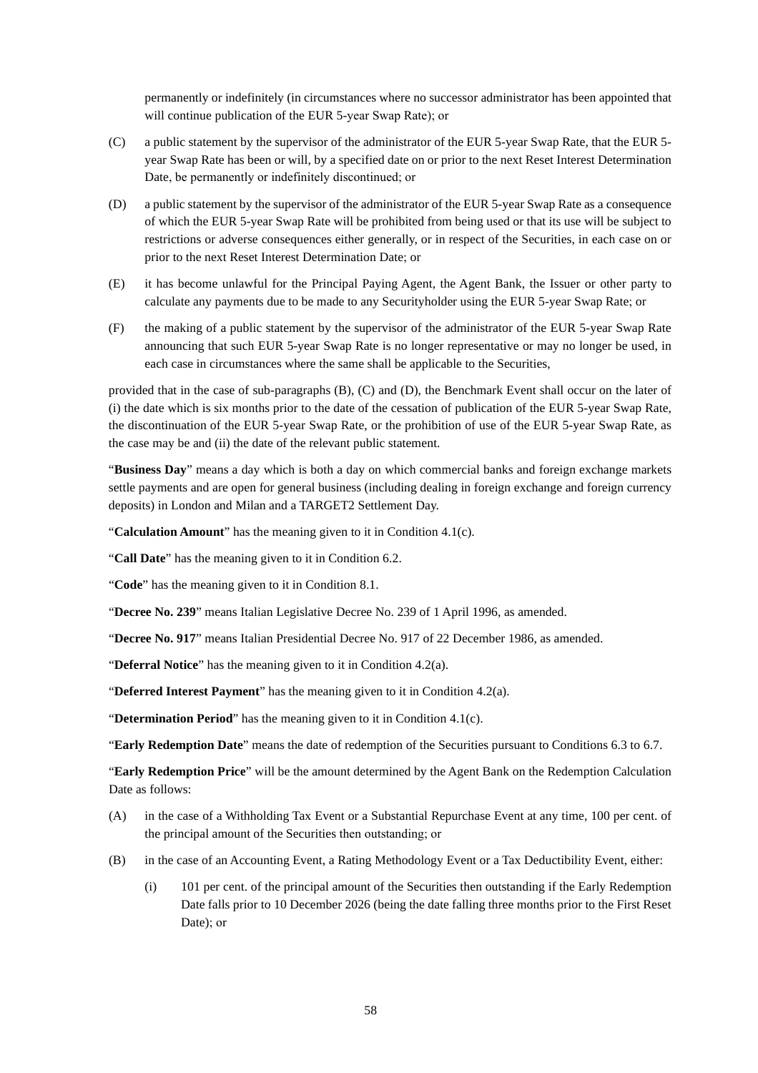permanently or indefinitely (in circumstances where no successor administrator has been appointed that will continue publication of the EUR 5-year Swap Rate); or

- (C) a public statement by the supervisor of the administrator of the EUR 5-year Swap Rate, that the EUR 5 year Swap Rate has been or will, by a specified date on or prior to the next Reset Interest Determination Date, be permanently or indefinitely discontinued; or
- (D) a public statement by the supervisor of the administrator of the EUR 5-year Swap Rate as a consequence of which the EUR 5-year Swap Rate will be prohibited from being used or that its use will be subject to restrictions or adverse consequences either generally, or in respect of the Securities, in each case on or prior to the next Reset Interest Determination Date; or
- (E) it has become unlawful for the Principal Paying Agent, the Agent Bank, the Issuer or other party to calculate any payments due to be made to any Securityholder using the EUR 5-year Swap Rate; or
- (F) the making of a public statement by the supervisor of the administrator of the EUR 5-year Swap Rate announcing that such EUR 5-year Swap Rate is no longer representative or may no longer be used, in each case in circumstances where the same shall be applicable to the Securities,

provided that in the case of sub-paragraphs (B), (C) and (D), the Benchmark Event shall occur on the later of (i) the date which is six months prior to the date of the cessation of publication of the EUR 5-year Swap Rate, the discontinuation of the EUR 5-year Swap Rate, or the prohibition of use of the EUR 5-year Swap Rate, as the case may be and (ii) the date of the relevant public statement.

"**Business Day**" means a day which is both a day on which commercial banks and foreign exchange markets settle payments and are open for general business (including dealing in foreign exchange and foreign currency deposits) in London and Milan and a TARGET2 Settlement Day.

"**Calculation Amount**" has the meaning given to it in Condition 4.1(c).

"**Call Date**" has the meaning given to it in Condition 6.2.

"**Code**" has the meaning given to it in Condition 8.1.

"**Decree No. 239**" means Italian Legislative Decree No. 239 of 1 April 1996, as amended.

"**Decree No. 917**" means Italian Presidential Decree No. 917 of 22 December 1986, as amended.

"**Deferral Notice**" has the meaning given to it in Condition 4.2(a).

"**Deferred Interest Payment**" has the meaning given to it in Condition 4.2(a).

"**Determination Period**" has the meaning given to it in Condition 4.1(c).

"**Early Redemption Date**" means the date of redemption of the Securities pursuant to Conditions 6.3 to 6.7.

"**Early Redemption Price**" will be the amount determined by the Agent Bank on the Redemption Calculation Date as follows:

- (A) in the case of a Withholding Tax Event or a Substantial Repurchase Event at any time, 100 per cent. of the principal amount of the Securities then outstanding; or
- (B) in the case of an Accounting Event, a Rating Methodology Event or a Tax Deductibility Event, either:
	- (i) 101 per cent. of the principal amount of the Securities then outstanding if the Early Redemption Date falls prior to 10 December 2026 (being the date falling three months prior to the First Reset Date); or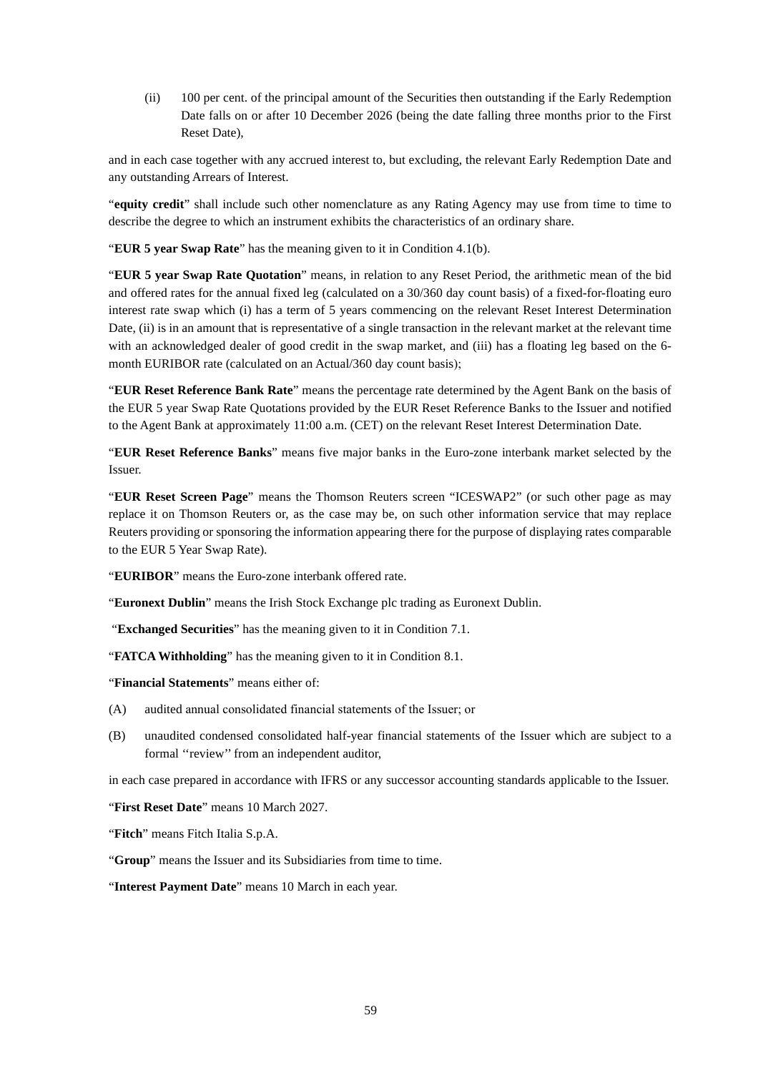(ii) 100 per cent. of the principal amount of the Securities then outstanding if the Early Redemption Date falls on or after 10 December 2026 (being the date falling three months prior to the First Reset Date),

and in each case together with any accrued interest to, but excluding, the relevant Early Redemption Date and any outstanding Arrears of Interest.

"**equity credit**" shall include such other nomenclature as any Rating Agency may use from time to time to describe the degree to which an instrument exhibits the characteristics of an ordinary share.

"**EUR 5 year Swap Rate**" has the meaning given to it in Condition 4.1(b).

"**EUR 5 year Swap Rate Quotation**" means, in relation to any Reset Period, the arithmetic mean of the bid and offered rates for the annual fixed leg (calculated on a 30/360 day count basis) of a fixed-for-floating euro interest rate swap which (i) has a term of 5 years commencing on the relevant Reset Interest Determination Date, (ii) is in an amount that is representative of a single transaction in the relevant market at the relevant time with an acknowledged dealer of good credit in the swap market, and (iii) has a floating leg based on the 6 month EURIBOR rate (calculated on an Actual/360 day count basis);

"**EUR Reset Reference Bank Rate**" means the percentage rate determined by the Agent Bank on the basis of the EUR 5 year Swap Rate Quotations provided by the EUR Reset Reference Banks to the Issuer and notified to the Agent Bank at approximately 11:00 a.m. (CET) on the relevant Reset Interest Determination Date.

"**EUR Reset Reference Banks**" means five major banks in the Euro-zone interbank market selected by the Issuer.

"**EUR Reset Screen Page**" means the Thomson Reuters screen "ICESWAP2" (or such other page as may replace it on Thomson Reuters or, as the case may be, on such other information service that may replace Reuters providing or sponsoring the information appearing there for the purpose of displaying rates comparable to the EUR 5 Year Swap Rate).

"**EURIBOR**" means the Euro-zone interbank offered rate.

"**Euronext Dublin**" means the Irish Stock Exchange plc trading as Euronext Dublin.

"**Exchanged Securities**" has the meaning given to it in Condition 7.1.

"**FATCA Withholding**" has the meaning given to it in Condition 8.1.

"**Financial Statements**" means either of:

- (A) audited annual consolidated financial statements of the Issuer; or
- (B) unaudited condensed consolidated half-year financial statements of the Issuer which are subject to a formal ''review'' from an independent auditor,

in each case prepared in accordance with IFRS or any successor accounting standards applicable to the Issuer.

"**First Reset Date**" means 10 March 2027.

"**Fitch**" means Fitch Italia S.p.A.

"**Group**" means the Issuer and its Subsidiaries from time to time.

"**Interest Payment Date**" means 10 March in each year.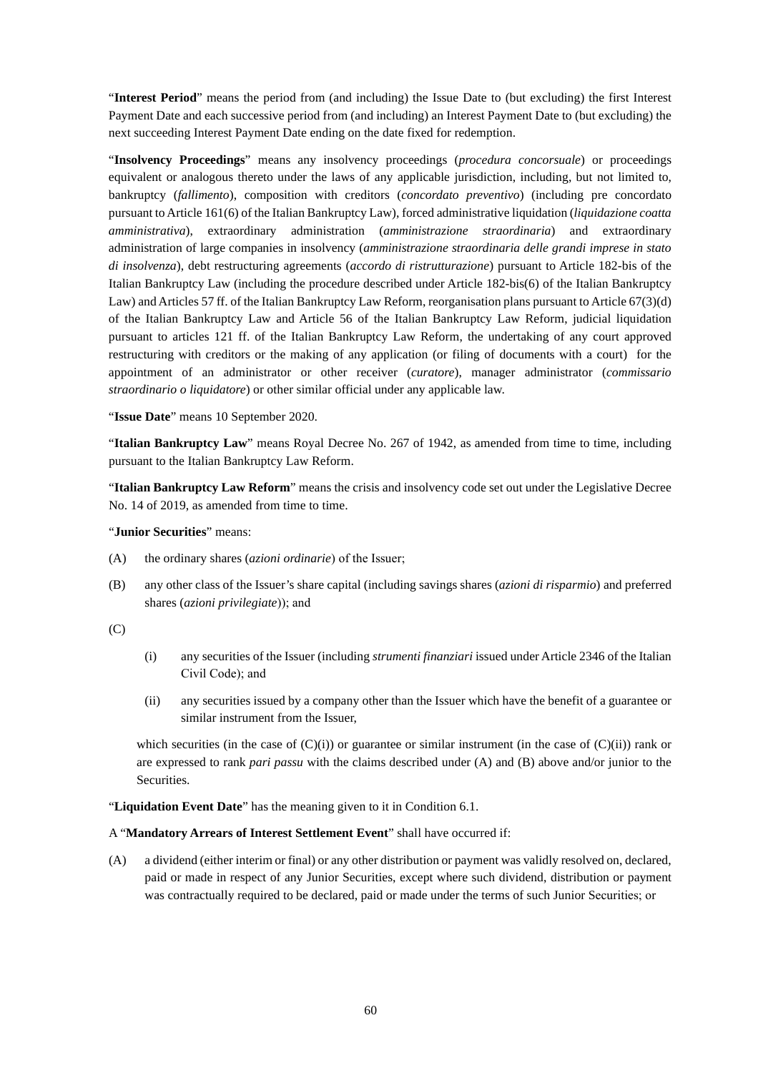"**Interest Period**" means the period from (and including) the Issue Date to (but excluding) the first Interest Payment Date and each successive period from (and including) an Interest Payment Date to (but excluding) the next succeeding Interest Payment Date ending on the date fixed for redemption.

"**Insolvency Proceedings**" means any insolvency proceedings (*procedura concorsuale*) or proceedings equivalent or analogous thereto under the laws of any applicable jurisdiction, including, but not limited to, bankruptcy (*fallimento*), composition with creditors (*concordato preventivo*) (including pre concordato pursuant to Article 161(6) of the Italian Bankruptcy Law), forced administrative liquidation (*liquidazione coatta amministrativa*), extraordinary administration (*amministrazione straordinaria*) and extraordinary administration of large companies in insolvency (*amministrazione straordinaria delle grandi imprese in stato di insolvenza*), debt restructuring agreements (*accordo di ristrutturazione*) pursuant to Article 182-bis of the Italian Bankruptcy Law (including the procedure described under Article 182-bis(6) of the Italian Bankruptcy Law) and Articles 57 ff. of the Italian Bankruptcy Law Reform, reorganisation plans pursuant to Article 67(3)(d) of the Italian Bankruptcy Law and Article 56 of the Italian Bankruptcy Law Reform, judicial liquidation pursuant to articles 121 ff. of the Italian Bankruptcy Law Reform, the undertaking of any court approved restructuring with creditors or the making of any application (or filing of documents with a court) for the appointment of an administrator or other receiver (*curatore*), manager administrator (*commissario straordinario o liquidatore*) or other similar official under any applicable law.

"**Issue Date**" means 10 September 2020.

"**Italian Bankruptcy Law**" means Royal Decree No. 267 of 1942, as amended from time to time, including pursuant to the Italian Bankruptcy Law Reform.

"**Italian Bankruptcy Law Reform**" means the crisis and insolvency code set out under the Legislative Decree No. 14 of 2019, as amended from time to time.

"**Junior Securities**" means:

- (A) the ordinary shares (*azioni ordinarie*) of the Issuer;
- (B) any other class of the Issuer's share capital (including savings shares (*azioni di risparmio*) and preferred shares (*azioni privilegiate*)); and

 $(C)$ 

- (i) any securities of the Issuer (including *strumenti finanziari* issued under Article 2346 of the Italian Civil Code); and
- (ii) any securities issued by a company other than the Issuer which have the benefit of a guarantee or similar instrument from the Issuer,

which securities (in the case of  $(C)(i)$ ) or guarantee or similar instrument (in the case of  $(C)(ii)$ ) rank or are expressed to rank *pari passu* with the claims described under (A) and (B) above and/or junior to the Securities.

"**Liquidation Event Date**" has the meaning given to it in Condition 6.1.

A "**Mandatory Arrears of Interest Settlement Event**" shall have occurred if:

(A) a dividend (either interim or final) or any other distribution or payment was validly resolved on, declared, paid or made in respect of any Junior Securities, except where such dividend, distribution or payment was contractually required to be declared, paid or made under the terms of such Junior Securities; or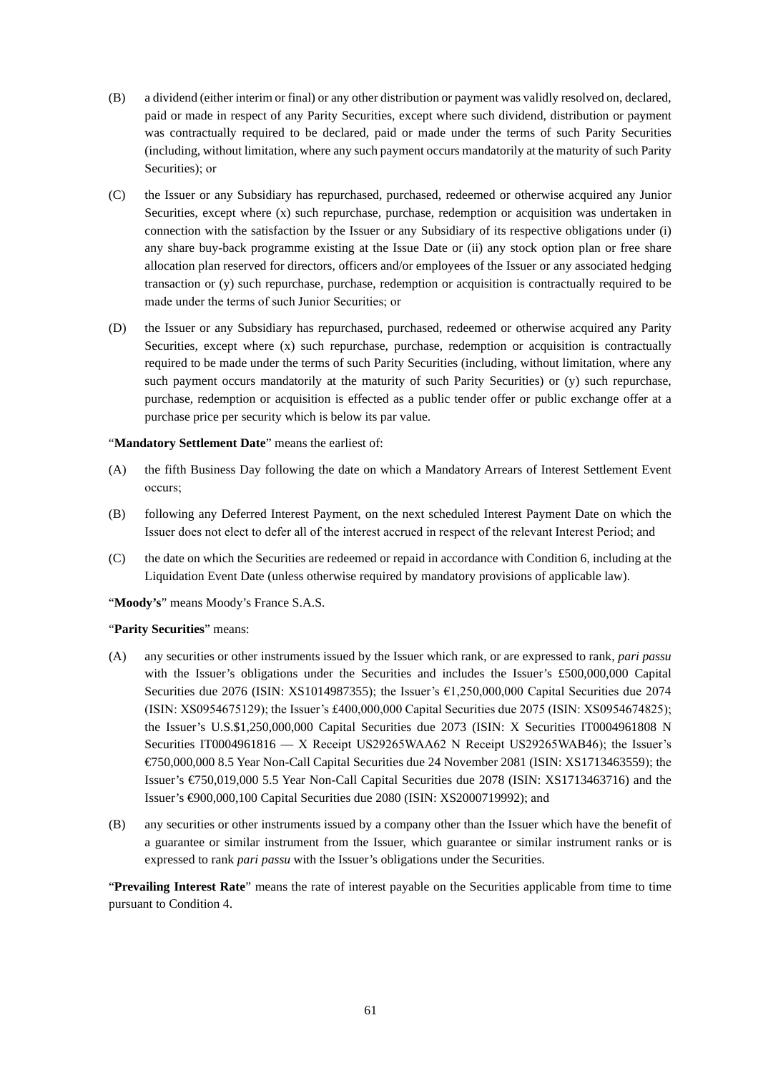- (B) a dividend (either interim or final) or any other distribution or payment was validly resolved on, declared, paid or made in respect of any Parity Securities, except where such dividend, distribution or payment was contractually required to be declared, paid or made under the terms of such Parity Securities (including, without limitation, where any such payment occurs mandatorily at the maturity of such Parity Securities); or
- (C) the Issuer or any Subsidiary has repurchased, purchased, redeemed or otherwise acquired any Junior Securities, except where (x) such repurchase, purchase, redemption or acquisition was undertaken in connection with the satisfaction by the Issuer or any Subsidiary of its respective obligations under (i) any share buy-back programme existing at the Issue Date or (ii) any stock option plan or free share allocation plan reserved for directors, officers and/or employees of the Issuer or any associated hedging transaction or (y) such repurchase, purchase, redemption or acquisition is contractually required to be made under the terms of such Junior Securities; or
- (D) the Issuer or any Subsidiary has repurchased, purchased, redeemed or otherwise acquired any Parity Securities, except where (x) such repurchase, purchase, redemption or acquisition is contractually required to be made under the terms of such Parity Securities (including, without limitation, where any such payment occurs mandatorily at the maturity of such Parity Securities) or (y) such repurchase, purchase, redemption or acquisition is effected as a public tender offer or public exchange offer at a purchase price per security which is below its par value.

### "**Mandatory Settlement Date**" means the earliest of:

- (A) the fifth Business Day following the date on which a Mandatory Arrears of Interest Settlement Event occurs;
- (B) following any Deferred Interest Payment, on the next scheduled Interest Payment Date on which the Issuer does not elect to defer all of the interest accrued in respect of the relevant Interest Period; and
- (C) the date on which the Securities are redeemed or repaid in accordance with Condition 6, including at the Liquidation Event Date (unless otherwise required by mandatory provisions of applicable law).

"**Moody's**" means Moody's France S.A.S.

### "**Parity Securities**" means:

- (A) any securities or other instruments issued by the Issuer which rank, or are expressed to rank, *pari passu*  with the Issuer's obligations under the Securities and includes the Issuer's £500,000,000 Capital Securities due 2076 (ISIN: XS1014987355); the Issuer's €1,250,000,000 Capital Securities due 2074 (ISIN: XS0954675129); the Issuer's £400,000,000 Capital Securities due 2075 (ISIN: XS0954674825); the Issuer's U.S.\$1,250,000,000 Capital Securities due 2073 (ISIN: X Securities IT0004961808 N Securities IT0004961816 — X Receipt US29265WAA62 N Receipt US29265WAB46); the Issuer's €750,000,000 8.5 Year Non-Call Capital Securities due 24 November 2081 (ISIN: XS1713463559); the Issuer's €750,019,000 5.5 Year Non-Call Capital Securities due 2078 (ISIN: XS1713463716) and the Issuer's €900,000,100 Capital Securities due 2080 (ISIN: XS2000719992); and
- (B) any securities or other instruments issued by a company other than the Issuer which have the benefit of a guarantee or similar instrument from the Issuer, which guarantee or similar instrument ranks or is expressed to rank *pari passu* with the Issuer's obligations under the Securities.

"**Prevailing Interest Rate**" means the rate of interest payable on the Securities applicable from time to time pursuant to Condition 4.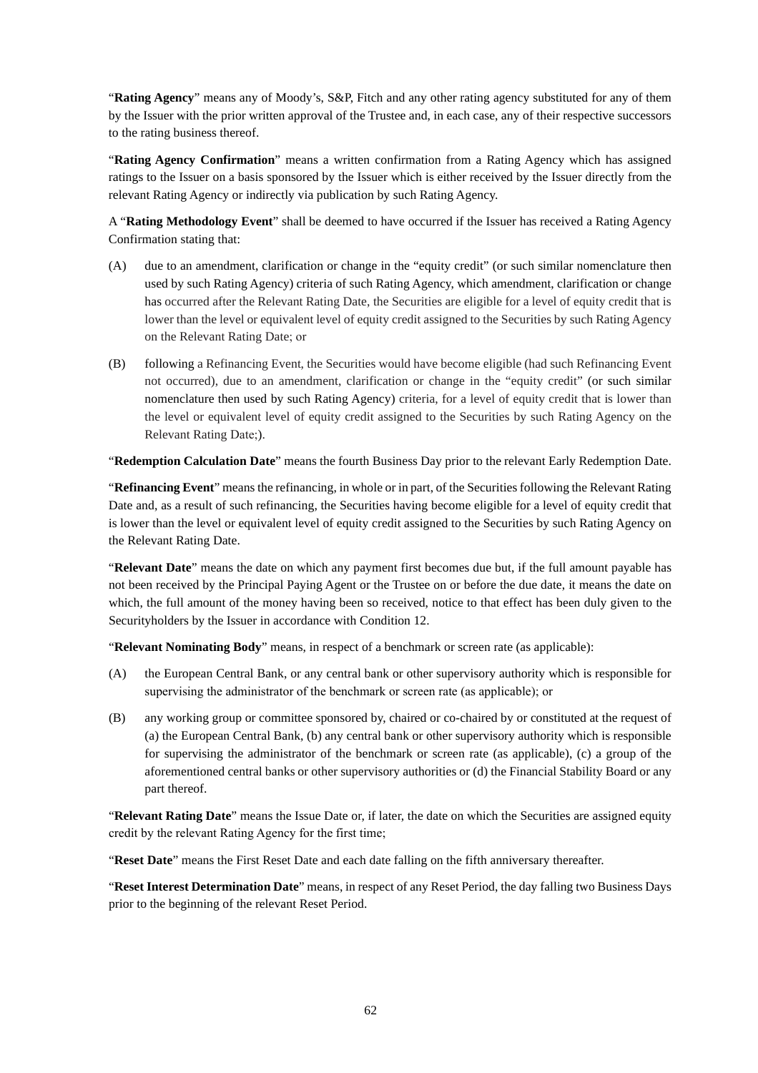"**Rating Agency**" means any of Moody's, S&P, Fitch and any other rating agency substituted for any of them by the Issuer with the prior written approval of the Trustee and, in each case, any of their respective successors to the rating business thereof.

"**Rating Agency Confirmation**" means a written confirmation from a Rating Agency which has assigned ratings to the Issuer on a basis sponsored by the Issuer which is either received by the Issuer directly from the relevant Rating Agency or indirectly via publication by such Rating Agency.

A "**Rating Methodology Event**" shall be deemed to have occurred if the Issuer has received a Rating Agency Confirmation stating that:

- (A) due to an amendment, clarification or change in the "equity credit" (or such similar nomenclature then used by such Rating Agency) criteria of such Rating Agency, which amendment, clarification or change has occurred after the Relevant Rating Date, the Securities are eligible for a level of equity credit that is lower than the level or equivalent level of equity credit assigned to the Securities by such Rating Agency on the Relevant Rating Date; or
- (B) following a Refinancing Event, the Securities would have become eligible (had such Refinancing Event not occurred), due to an amendment, clarification or change in the "equity credit" (or such similar nomenclature then used by such Rating Agency) criteria, for a level of equity credit that is lower than the level or equivalent level of equity credit assigned to the Securities by such Rating Agency on the Relevant Rating Date;).

"**Redemption Calculation Date**" means the fourth Business Day prior to the relevant Early Redemption Date.

"**Refinancing Event**" means the refinancing, in whole or in part, of the Securities following the Relevant Rating Date and, as a result of such refinancing, the Securities having become eligible for a level of equity credit that is lower than the level or equivalent level of equity credit assigned to the Securities by such Rating Agency on the Relevant Rating Date.

"**Relevant Date**" means the date on which any payment first becomes due but, if the full amount payable has not been received by the Principal Paying Agent or the Trustee on or before the due date, it means the date on which, the full amount of the money having been so received, notice to that effect has been duly given to the Securityholders by the Issuer in accordance with Condition 12.

"**Relevant Nominating Body**" means, in respect of a benchmark or screen rate (as applicable):

- (A) the European Central Bank, or any central bank or other supervisory authority which is responsible for supervising the administrator of the benchmark or screen rate (as applicable); or
- (B) any working group or committee sponsored by, chaired or co-chaired by or constituted at the request of (a) the European Central Bank, (b) any central bank or other supervisory authority which is responsible for supervising the administrator of the benchmark or screen rate (as applicable), (c) a group of the aforementioned central banks or other supervisory authorities or (d) the Financial Stability Board or any part thereof.

"**Relevant Rating Date**" means the Issue Date or, if later, the date on which the Securities are assigned equity credit by the relevant Rating Agency for the first time;

"**Reset Date**" means the First Reset Date and each date falling on the fifth anniversary thereafter.

"**Reset Interest Determination Date**" means, in respect of any Reset Period, the day falling two Business Days prior to the beginning of the relevant Reset Period.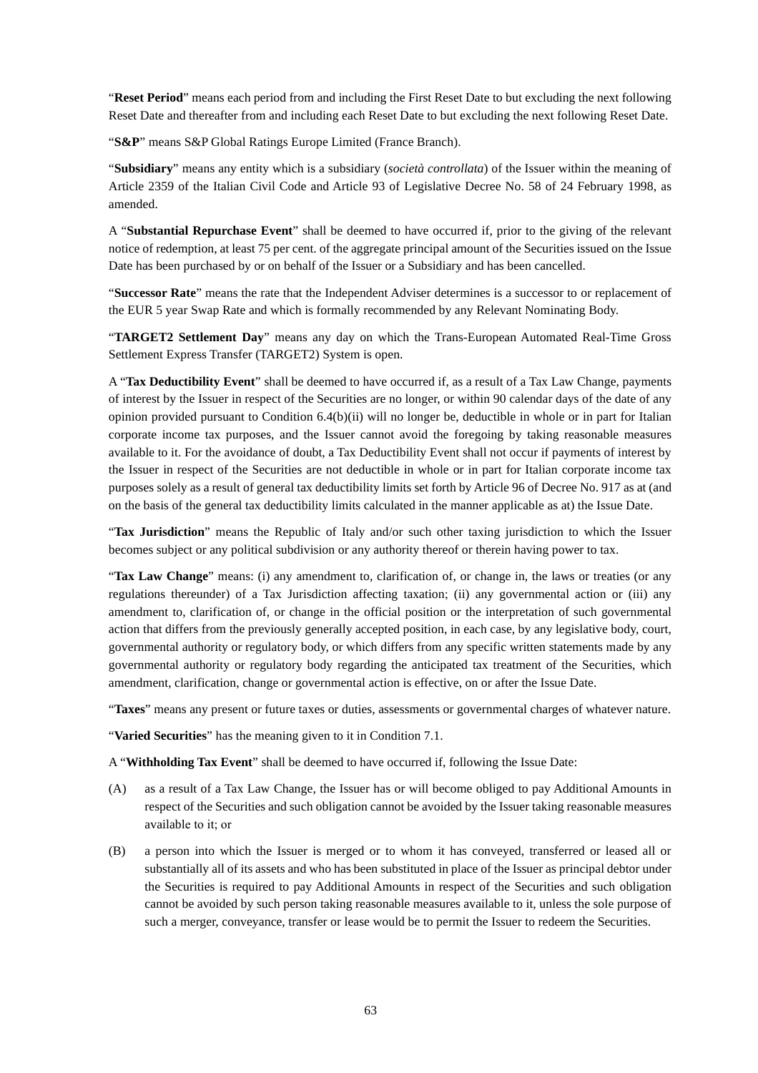"**Reset Period**" means each period from and including the First Reset Date to but excluding the next following Reset Date and thereafter from and including each Reset Date to but excluding the next following Reset Date.

"**S&P**" means S&P Global Ratings Europe Limited (France Branch).

"**Subsidiary**" means any entity which is a subsidiary (*società controllata*) of the Issuer within the meaning of Article 2359 of the Italian Civil Code and Article 93 of Legislative Decree No. 58 of 24 February 1998, as amended.

A "**Substantial Repurchase Event**" shall be deemed to have occurred if, prior to the giving of the relevant notice of redemption, at least 75 per cent. of the aggregate principal amount of the Securities issued on the Issue Date has been purchased by or on behalf of the Issuer or a Subsidiary and has been cancelled.

"**Successor Rate**" means the rate that the Independent Adviser determines is a successor to or replacement of the EUR 5 year Swap Rate and which is formally recommended by any Relevant Nominating Body.

"**TARGET2 Settlement Day**" means any day on which the Trans-European Automated Real-Time Gross Settlement Express Transfer (TARGET2) System is open.

A "**Tax Deductibility Event**" shall be deemed to have occurred if, as a result of a Tax Law Change, payments of interest by the Issuer in respect of the Securities are no longer, or within 90 calendar days of the date of any opinion provided pursuant to Condition 6.4(b)(ii) will no longer be, deductible in whole or in part for Italian corporate income tax purposes, and the Issuer cannot avoid the foregoing by taking reasonable measures available to it. For the avoidance of doubt, a Tax Deductibility Event shall not occur if payments of interest by the Issuer in respect of the Securities are not deductible in whole or in part for Italian corporate income tax purposes solely as a result of general tax deductibility limits set forth by Article 96 of Decree No. 917 as at (and on the basis of the general tax deductibility limits calculated in the manner applicable as at) the Issue Date.

"**Tax Jurisdiction**" means the Republic of Italy and/or such other taxing jurisdiction to which the Issuer becomes subject or any political subdivision or any authority thereof or therein having power to tax.

"**Tax Law Change**" means: (i) any amendment to, clarification of, or change in, the laws or treaties (or any regulations thereunder) of a Tax Jurisdiction affecting taxation; (ii) any governmental action or (iii) any amendment to, clarification of, or change in the official position or the interpretation of such governmental action that differs from the previously generally accepted position, in each case, by any legislative body, court, governmental authority or regulatory body, or which differs from any specific written statements made by any governmental authority or regulatory body regarding the anticipated tax treatment of the Securities, which amendment, clarification, change or governmental action is effective, on or after the Issue Date.

"**Taxes**" means any present or future taxes or duties, assessments or governmental charges of whatever nature.

"**Varied Securities**" has the meaning given to it in Condition 7.1.

A "**Withholding Tax Event**" shall be deemed to have occurred if, following the Issue Date:

- (A) as a result of a Tax Law Change, the Issuer has or will become obliged to pay Additional Amounts in respect of the Securities and such obligation cannot be avoided by the Issuer taking reasonable measures available to it; or
- (B) a person into which the Issuer is merged or to whom it has conveyed, transferred or leased all or substantially all of its assets and who has been substituted in place of the Issuer as principal debtor under the Securities is required to pay Additional Amounts in respect of the Securities and such obligation cannot be avoided by such person taking reasonable measures available to it, unless the sole purpose of such a merger, conveyance, transfer or lease would be to permit the Issuer to redeem the Securities.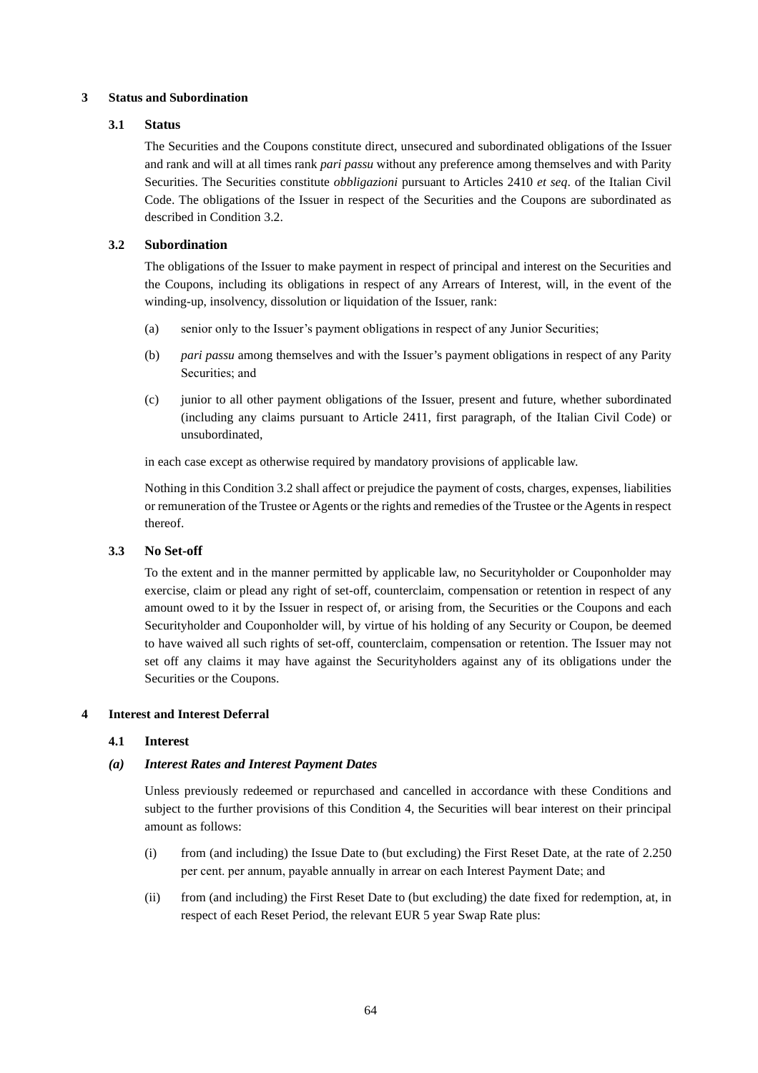### **3 Status and Subordination**

### **3.1 Status**

The Securities and the Coupons constitute direct, unsecured and subordinated obligations of the Issuer and rank and will at all times rank *pari passu* without any preference among themselves and with Parity Securities. The Securities constitute *obbligazioni* pursuant to Articles 2410 *et seq*. of the Italian Civil Code. The obligations of the Issuer in respect of the Securities and the Coupons are subordinated as described in Condition 3.2.

# **3.2 Subordination**

The obligations of the Issuer to make payment in respect of principal and interest on the Securities and the Coupons, including its obligations in respect of any Arrears of Interest, will, in the event of the winding-up, insolvency, dissolution or liquidation of the Issuer, rank:

- (a) senior only to the Issuer's payment obligations in respect of any Junior Securities;
- (b) *pari passu* among themselves and with the Issuer's payment obligations in respect of any Parity Securities; and
- (c) junior to all other payment obligations of the Issuer, present and future, whether subordinated (including any claims pursuant to Article 2411, first paragraph, of the Italian Civil Code) or unsubordinated,

in each case except as otherwise required by mandatory provisions of applicable law.

Nothing in this Condition 3.2 shall affect or prejudice the payment of costs, charges, expenses, liabilities or remuneration of the Trustee or Agents or the rights and remedies of the Trustee or the Agents in respect thereof.

# **3.3 No Set-off**

To the extent and in the manner permitted by applicable law, no Securityholder or Couponholder may exercise, claim or plead any right of set-off, counterclaim, compensation or retention in respect of any amount owed to it by the Issuer in respect of, or arising from, the Securities or the Coupons and each Securityholder and Couponholder will, by virtue of his holding of any Security or Coupon, be deemed to have waived all such rights of set-off, counterclaim, compensation or retention. The Issuer may not set off any claims it may have against the Securityholders against any of its obligations under the Securities or the Coupons.

### **4 Interest and Interest Deferral**

### **4.1 Interest**

# *(a) Interest Rates and Interest Payment Dates*

Unless previously redeemed or repurchased and cancelled in accordance with these Conditions and subject to the further provisions of this Condition 4, the Securities will bear interest on their principal amount as follows:

- (i) from (and including) the Issue Date to (but excluding) the First Reset Date, at the rate of 2.250 per cent. per annum, payable annually in arrear on each Interest Payment Date; and
- (ii) from (and including) the First Reset Date to (but excluding) the date fixed for redemption, at, in respect of each Reset Period, the relevant EUR 5 year Swap Rate plus: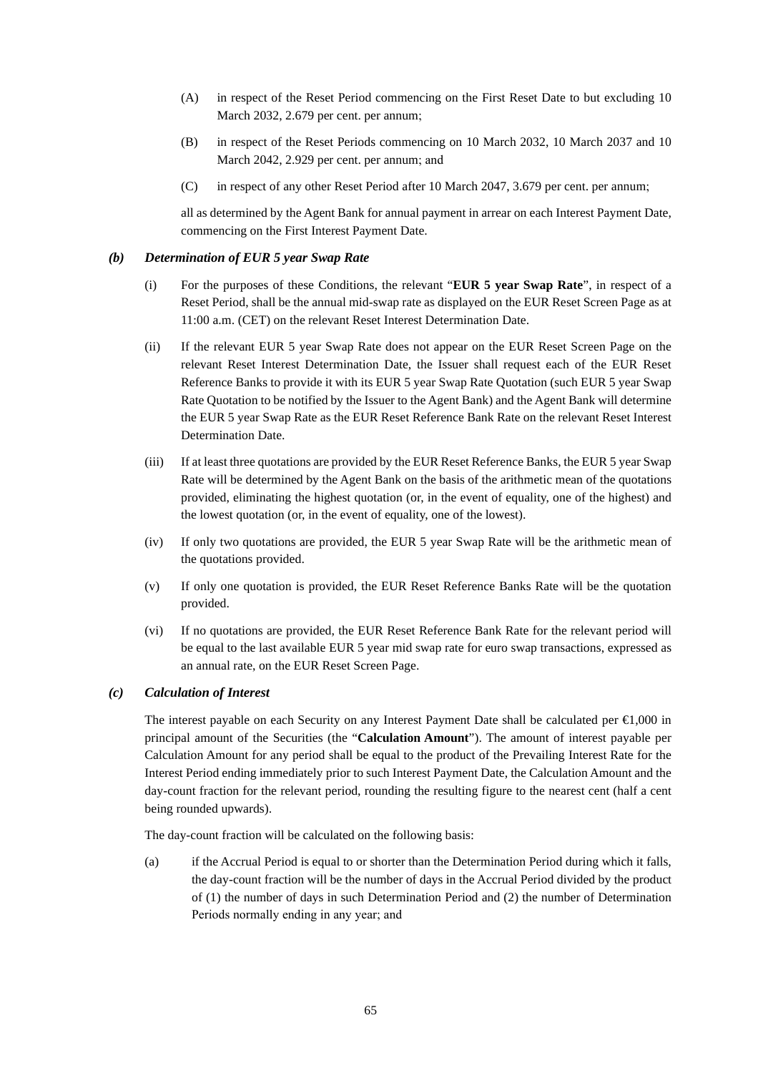- (A) in respect of the Reset Period commencing on the First Reset Date to but excluding 10 March 2032, 2.679 per cent. per annum;
- (B) in respect of the Reset Periods commencing on 10 March 2032, 10 March 2037 and 10 March 2042, 2.929 per cent. per annum; and
- (C) in respect of any other Reset Period after 10 March 2047, 3.679 per cent. per annum;

all as determined by the Agent Bank for annual payment in arrear on each Interest Payment Date, commencing on the First Interest Payment Date.

### *(b) Determination of EUR 5 year Swap Rate*

- (i) For the purposes of these Conditions, the relevant "**EUR 5 year Swap Rate**", in respect of a Reset Period, shall be the annual mid-swap rate as displayed on the EUR Reset Screen Page as at 11:00 a.m. (CET) on the relevant Reset Interest Determination Date.
- (ii) If the relevant EUR 5 year Swap Rate does not appear on the EUR Reset Screen Page on the relevant Reset Interest Determination Date, the Issuer shall request each of the EUR Reset Reference Banks to provide it with its EUR 5 year Swap Rate Quotation (such EUR 5 year Swap Rate Quotation to be notified by the Issuer to the Agent Bank) and the Agent Bank will determine the EUR 5 year Swap Rate as the EUR Reset Reference Bank Rate on the relevant Reset Interest Determination Date.
- (iii) If at least three quotations are provided by the EUR Reset Reference Banks, the EUR 5 year Swap Rate will be determined by the Agent Bank on the basis of the arithmetic mean of the quotations provided, eliminating the highest quotation (or, in the event of equality, one of the highest) and the lowest quotation (or, in the event of equality, one of the lowest).
- (iv) If only two quotations are provided, the EUR 5 year Swap Rate will be the arithmetic mean of the quotations provided.
- (v) If only one quotation is provided, the EUR Reset Reference Banks Rate will be the quotation provided.
- (vi) If no quotations are provided, the EUR Reset Reference Bank Rate for the relevant period will be equal to the last available EUR 5 year mid swap rate for euro swap transactions, expressed as an annual rate, on the EUR Reset Screen Page.

### *(c) Calculation of Interest*

The interest payable on each Security on any Interest Payment Date shall be calculated per €1,000 in principal amount of the Securities (the "**Calculation Amount**"). The amount of interest payable per Calculation Amount for any period shall be equal to the product of the Prevailing Interest Rate for the Interest Period ending immediately prior to such Interest Payment Date, the Calculation Amount and the day-count fraction for the relevant period, rounding the resulting figure to the nearest cent (half a cent being rounded upwards).

The day-count fraction will be calculated on the following basis:

(a) if the Accrual Period is equal to or shorter than the Determination Period during which it falls, the day-count fraction will be the number of days in the Accrual Period divided by the product of (1) the number of days in such Determination Period and (2) the number of Determination Periods normally ending in any year; and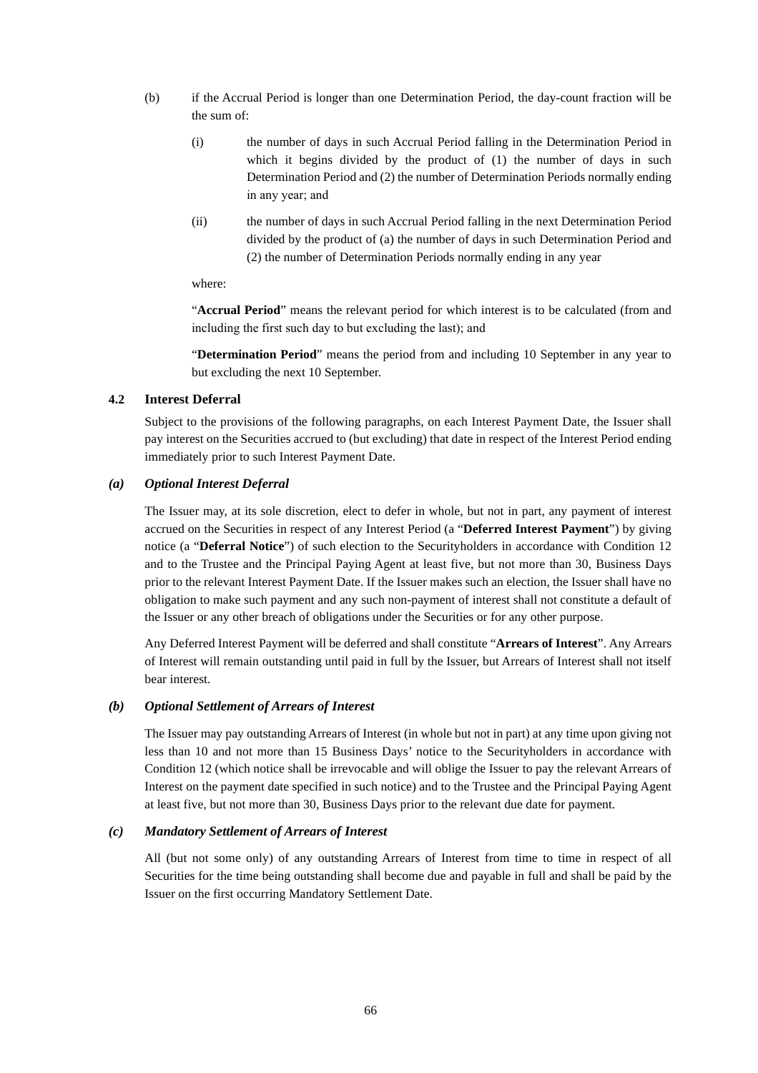- (b) if the Accrual Period is longer than one Determination Period, the day-count fraction will be the sum of:
	- (i) the number of days in such Accrual Period falling in the Determination Period in which it begins divided by the product of (1) the number of days in such Determination Period and (2) the number of Determination Periods normally ending in any year; and
	- (ii) the number of days in such Accrual Period falling in the next Determination Period divided by the product of (a) the number of days in such Determination Period and (2) the number of Determination Periods normally ending in any year

where:

"**Accrual Period**" means the relevant period for which interest is to be calculated (from and including the first such day to but excluding the last); and

"**Determination Period**" means the period from and including 10 September in any year to but excluding the next 10 September.

### **4.2 Interest Deferral**

Subject to the provisions of the following paragraphs, on each Interest Payment Date, the Issuer shall pay interest on the Securities accrued to (but excluding) that date in respect of the Interest Period ending immediately prior to such Interest Payment Date.

### *(a) Optional Interest Deferral*

The Issuer may, at its sole discretion, elect to defer in whole, but not in part, any payment of interest accrued on the Securities in respect of any Interest Period (a "**Deferred Interest Payment**") by giving notice (a "**Deferral Notice**") of such election to the Securityholders in accordance with Condition 12 and to the Trustee and the Principal Paying Agent at least five, but not more than 30, Business Days prior to the relevant Interest Payment Date. If the Issuer makes such an election, the Issuer shall have no obligation to make such payment and any such non-payment of interest shall not constitute a default of the Issuer or any other breach of obligations under the Securities or for any other purpose.

Any Deferred Interest Payment will be deferred and shall constitute "**Arrears of Interest**". Any Arrears of Interest will remain outstanding until paid in full by the Issuer, but Arrears of Interest shall not itself bear interest.

### *(b) Optional Settlement of Arrears of Interest*

The Issuer may pay outstanding Arrears of Interest (in whole but not in part) at any time upon giving not less than 10 and not more than 15 Business Days' notice to the Securityholders in accordance with Condition 12 (which notice shall be irrevocable and will oblige the Issuer to pay the relevant Arrears of Interest on the payment date specified in such notice) and to the Trustee and the Principal Paying Agent at least five, but not more than 30, Business Days prior to the relevant due date for payment.

### *(c) Mandatory Settlement of Arrears of Interest*

All (but not some only) of any outstanding Arrears of Interest from time to time in respect of all Securities for the time being outstanding shall become due and payable in full and shall be paid by the Issuer on the first occurring Mandatory Settlement Date.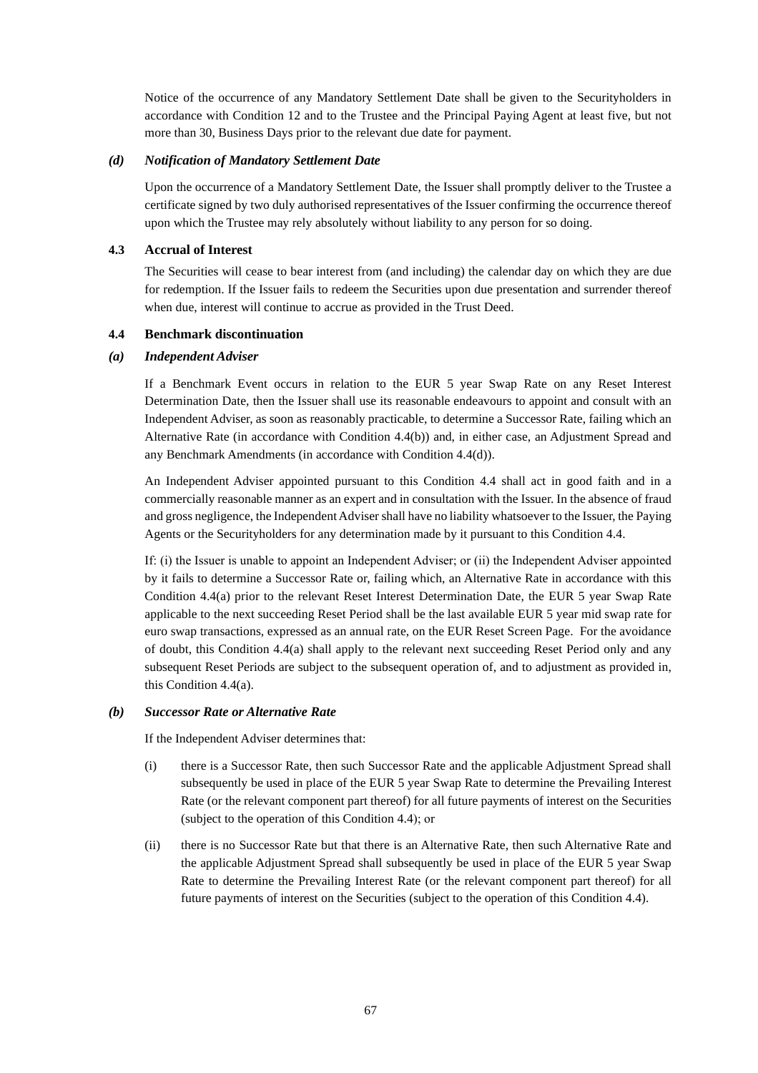Notice of the occurrence of any Mandatory Settlement Date shall be given to the Securityholders in accordance with Condition 12 and to the Trustee and the Principal Paying Agent at least five, but not more than 30, Business Days prior to the relevant due date for payment.

### *(d) Notification of Mandatory Settlement Date*

Upon the occurrence of a Mandatory Settlement Date, the Issuer shall promptly deliver to the Trustee a certificate signed by two duly authorised representatives of the Issuer confirming the occurrence thereof upon which the Trustee may rely absolutely without liability to any person for so doing.

### **4.3 Accrual of Interest**

The Securities will cease to bear interest from (and including) the calendar day on which they are due for redemption. If the Issuer fails to redeem the Securities upon due presentation and surrender thereof when due, interest will continue to accrue as provided in the Trust Deed.

#### **4.4 Benchmark discontinuation**

#### *(a) Independent Adviser*

If a Benchmark Event occurs in relation to the EUR 5 year Swap Rate on any Reset Interest Determination Date, then the Issuer shall use its reasonable endeavours to appoint and consult with an Independent Adviser, as soon as reasonably practicable, to determine a Successor Rate, failing which an Alternative Rate (in accordance with Condition 4.4(b)) and, in either case, an Adjustment Spread and any Benchmark Amendments (in accordance with Condition 4.4(d)).

An Independent Adviser appointed pursuant to this Condition 4.4 shall act in good faith and in a commercially reasonable manner as an expert and in consultation with the Issuer. In the absence of fraud and gross negligence, the Independent Adviser shall have no liability whatsoever to the Issuer, the Paying Agents or the Securityholders for any determination made by it pursuant to this Condition 4.4.

If: (i) the Issuer is unable to appoint an Independent Adviser; or (ii) the Independent Adviser appointed by it fails to determine a Successor Rate or, failing which, an Alternative Rate in accordance with this Condition 4.4(a) prior to the relevant Reset Interest Determination Date, the EUR 5 year Swap Rate applicable to the next succeeding Reset Period shall be the last available EUR 5 year mid swap rate for euro swap transactions, expressed as an annual rate, on the EUR Reset Screen Page. For the avoidance of doubt, this Condition 4.4(a) shall apply to the relevant next succeeding Reset Period only and any subsequent Reset Periods are subject to the subsequent operation of, and to adjustment as provided in, this Condition 4.4(a).

#### *(b) Successor Rate or Alternative Rate*

If the Independent Adviser determines that:

- (i) there is a Successor Rate, then such Successor Rate and the applicable Adjustment Spread shall subsequently be used in place of the EUR 5 year Swap Rate to determine the Prevailing Interest Rate (or the relevant component part thereof) for all future payments of interest on the Securities (subject to the operation of this Condition 4.4); or
- (ii) there is no Successor Rate but that there is an Alternative Rate, then such Alternative Rate and the applicable Adjustment Spread shall subsequently be used in place of the EUR 5 year Swap Rate to determine the Prevailing Interest Rate (or the relevant component part thereof) for all future payments of interest on the Securities (subject to the operation of this Condition 4.4).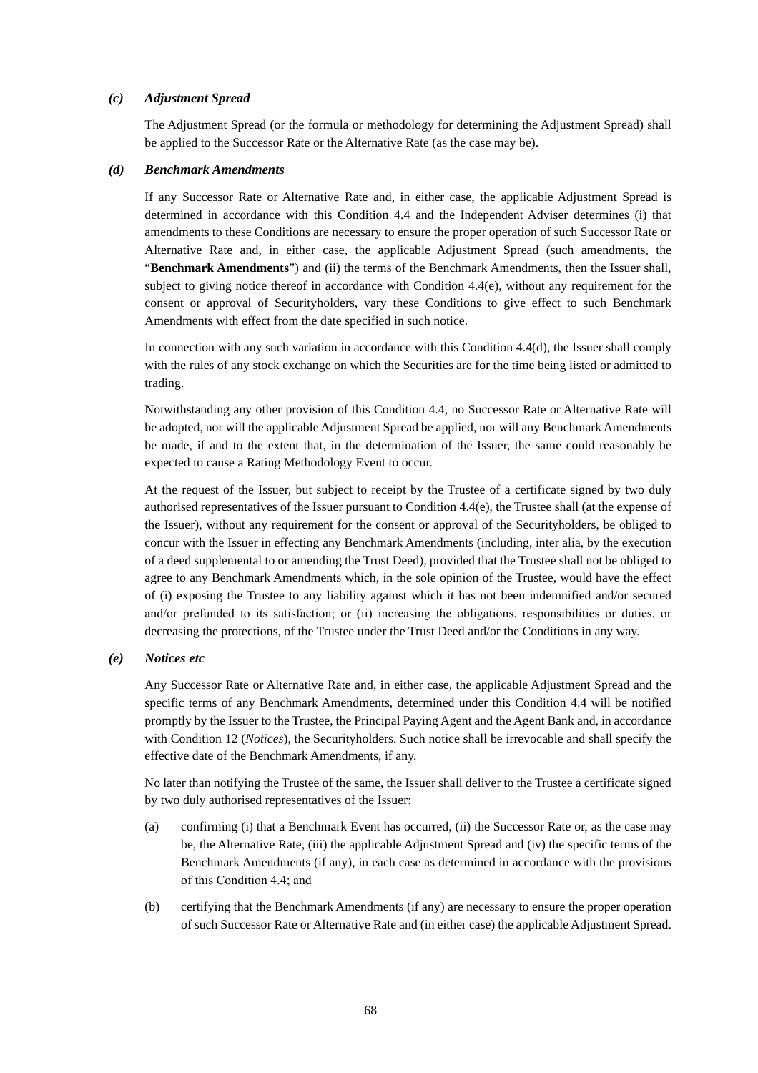## *(c) Adjustment Spread*

The Adjustment Spread (or the formula or methodology for determining the Adjustment Spread) shall be applied to the Successor Rate or the Alternative Rate (as the case may be).

#### *(d) Benchmark Amendments*

If any Successor Rate or Alternative Rate and, in either case, the applicable Adjustment Spread is determined in accordance with this Condition 4.4 and the Independent Adviser determines (i) that amendments to these Conditions are necessary to ensure the proper operation of such Successor Rate or Alternative Rate and, in either case, the applicable Adjustment Spread (such amendments, the "**Benchmark Amendments**") and (ii) the terms of the Benchmark Amendments, then the Issuer shall, subject to giving notice thereof in accordance with Condition 4.4(e), without any requirement for the consent or approval of Securityholders, vary these Conditions to give effect to such Benchmark Amendments with effect from the date specified in such notice.

In connection with any such variation in accordance with this Condition 4.4(d), the Issuer shall comply with the rules of any stock exchange on which the Securities are for the time being listed or admitted to trading.

Notwithstanding any other provision of this Condition 4.4, no Successor Rate or Alternative Rate will be adopted, nor will the applicable Adjustment Spread be applied, nor will any Benchmark Amendments be made, if and to the extent that, in the determination of the Issuer, the same could reasonably be expected to cause a Rating Methodology Event to occur.

At the request of the Issuer, but subject to receipt by the Trustee of a certificate signed by two duly authorised representatives of the Issuer pursuant to Condition 4.4(e), the Trustee shall (at the expense of the Issuer), without any requirement for the consent or approval of the Securityholders, be obliged to concur with the Issuer in effecting any Benchmark Amendments (including, inter alia, by the execution of a deed supplemental to or amending the Trust Deed), provided that the Trustee shall not be obliged to agree to any Benchmark Amendments which, in the sole opinion of the Trustee, would have the effect of (i) exposing the Trustee to any liability against which it has not been indemnified and/or secured and/or prefunded to its satisfaction; or (ii) increasing the obligations, responsibilities or duties, or decreasing the protections, of the Trustee under the Trust Deed and/or the Conditions in any way.

## *(e) Notices etc*

Any Successor Rate or Alternative Rate and, in either case, the applicable Adjustment Spread and the specific terms of any Benchmark Amendments, determined under this Condition 4.4 will be notified promptly by the Issuer to the Trustee, the Principal Paying Agent and the Agent Bank and, in accordance with Condition 12 (*Notices*), the Securityholders. Such notice shall be irrevocable and shall specify the effective date of the Benchmark Amendments, if any.

No later than notifying the Trustee of the same, the Issuer shall deliver to the Trustee a certificate signed by two duly authorised representatives of the Issuer:

- (a) confirming (i) that a Benchmark Event has occurred, (ii) the Successor Rate or, as the case may be, the Alternative Rate, (iii) the applicable Adjustment Spread and (iv) the specific terms of the Benchmark Amendments (if any), in each case as determined in accordance with the provisions of this Condition 4.4; and
- (b) certifying that the Benchmark Amendments (if any) are necessary to ensure the proper operation of such Successor Rate or Alternative Rate and (in either case) the applicable Adjustment Spread.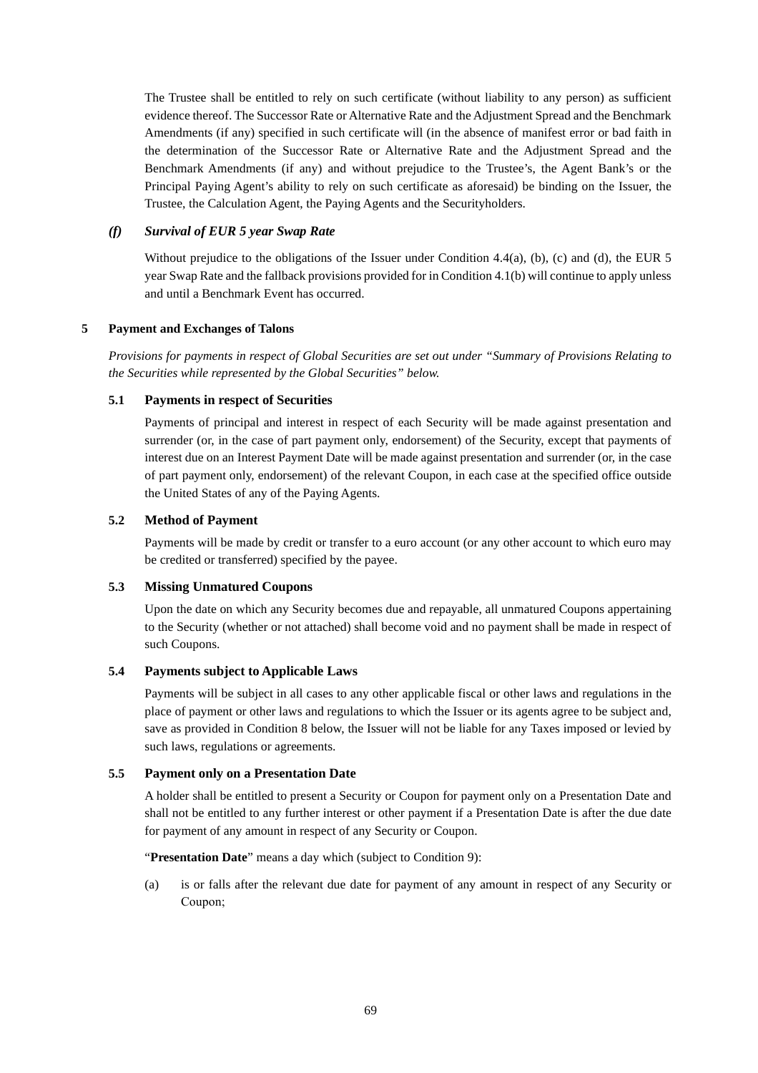The Trustee shall be entitled to rely on such certificate (without liability to any person) as sufficient evidence thereof. The Successor Rate or Alternative Rate and the Adjustment Spread and the Benchmark Amendments (if any) specified in such certificate will (in the absence of manifest error or bad faith in the determination of the Successor Rate or Alternative Rate and the Adjustment Spread and the Benchmark Amendments (if any) and without prejudice to the Trustee's, the Agent Bank's or the Principal Paying Agent's ability to rely on such certificate as aforesaid) be binding on the Issuer, the Trustee, the Calculation Agent, the Paying Agents and the Securityholders.

## *(f) Survival of EUR 5 year Swap Rate*

Without prejudice to the obligations of the Issuer under Condition 4.4(a), (b), (c) and (d), the EUR 5 year Swap Rate and the fallback provisions provided for in Condition 4.1(b) will continue to apply unless and until a Benchmark Event has occurred.

# **5 Payment and Exchanges of Talons**

*Provisions for payments in respect of Global Securities are set out under "Summary of Provisions Relating to the Securities while represented by the Global Securities" below.* 

# **5.1 Payments in respect of Securities**

Payments of principal and interest in respect of each Security will be made against presentation and surrender (or, in the case of part payment only, endorsement) of the Security, except that payments of interest due on an Interest Payment Date will be made against presentation and surrender (or, in the case of part payment only, endorsement) of the relevant Coupon, in each case at the specified office outside the United States of any of the Paying Agents.

# **5.2 Method of Payment**

Payments will be made by credit or transfer to a euro account (or any other account to which euro may be credited or transferred) specified by the payee.

## **5.3 Missing Unmatured Coupons**

Upon the date on which any Security becomes due and repayable, all unmatured Coupons appertaining to the Security (whether or not attached) shall become void and no payment shall be made in respect of such Coupons.

## **5.4 Payments subject to Applicable Laws**

Payments will be subject in all cases to any other applicable fiscal or other laws and regulations in the place of payment or other laws and regulations to which the Issuer or its agents agree to be subject and, save as provided in Condition 8 below, the Issuer will not be liable for any Taxes imposed or levied by such laws, regulations or agreements.

## **5.5 Payment only on a Presentation Date**

A holder shall be entitled to present a Security or Coupon for payment only on a Presentation Date and shall not be entitled to any further interest or other payment if a Presentation Date is after the due date for payment of any amount in respect of any Security or Coupon.

"**Presentation Date**" means a day which (subject to Condition 9):

(a) is or falls after the relevant due date for payment of any amount in respect of any Security or Coupon;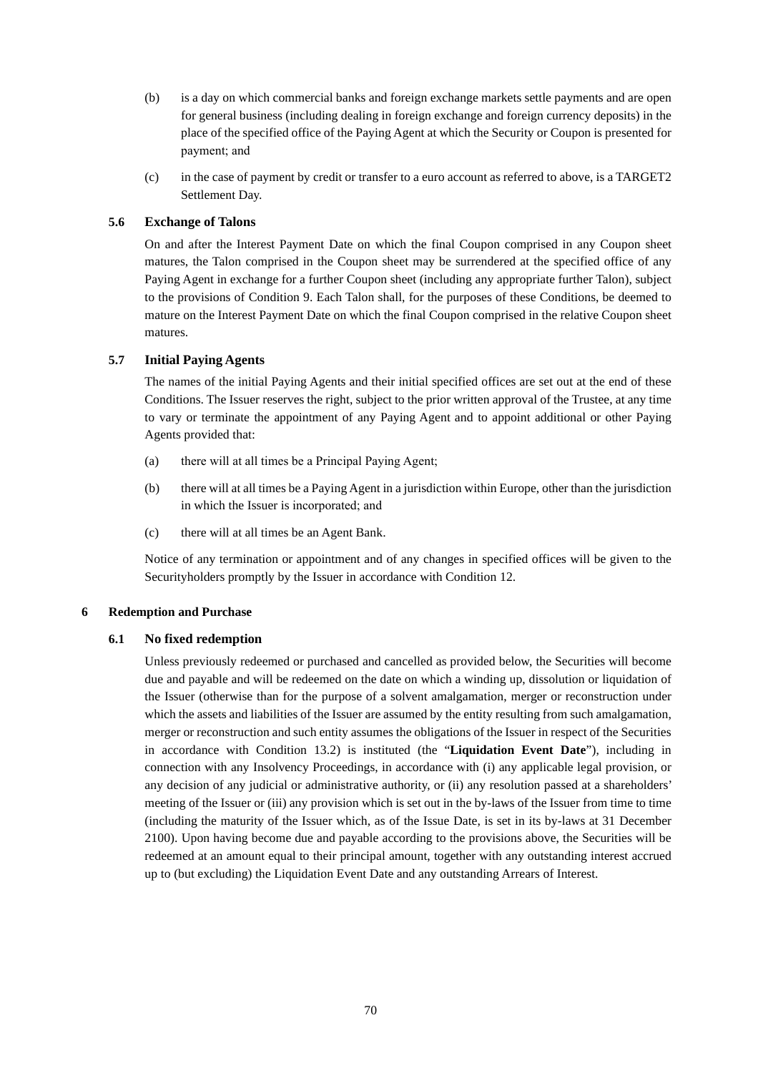- (b) is a day on which commercial banks and foreign exchange markets settle payments and are open for general business (including dealing in foreign exchange and foreign currency deposits) in the place of the specified office of the Paying Agent at which the Security or Coupon is presented for payment; and
- (c) in the case of payment by credit or transfer to a euro account as referred to above, is a TARGET2 Settlement Day.

## **5.6 Exchange of Talons**

On and after the Interest Payment Date on which the final Coupon comprised in any Coupon sheet matures, the Talon comprised in the Coupon sheet may be surrendered at the specified office of any Paying Agent in exchange for a further Coupon sheet (including any appropriate further Talon), subject to the provisions of Condition 9. Each Talon shall, for the purposes of these Conditions, be deemed to mature on the Interest Payment Date on which the final Coupon comprised in the relative Coupon sheet matures.

# **5.7 Initial Paying Agents**

The names of the initial Paying Agents and their initial specified offices are set out at the end of these Conditions. The Issuer reserves the right, subject to the prior written approval of the Trustee, at any time to vary or terminate the appointment of any Paying Agent and to appoint additional or other Paying Agents provided that:

- (a) there will at all times be a Principal Paying Agent;
- (b) there will at all times be a Paying Agent in a jurisdiction within Europe, other than the jurisdiction in which the Issuer is incorporated; and
- (c) there will at all times be an Agent Bank.

Notice of any termination or appointment and of any changes in specified offices will be given to the Securityholders promptly by the Issuer in accordance with Condition 12.

## **6 Redemption and Purchase**

## **6.1 No fixed redemption**

Unless previously redeemed or purchased and cancelled as provided below, the Securities will become due and payable and will be redeemed on the date on which a winding up, dissolution or liquidation of the Issuer (otherwise than for the purpose of a solvent amalgamation, merger or reconstruction under which the assets and liabilities of the Issuer are assumed by the entity resulting from such amalgamation, merger or reconstruction and such entity assumes the obligations of the Issuer in respect of the Securities in accordance with Condition 13.2) is instituted (the "**Liquidation Event Date**"), including in connection with any Insolvency Proceedings, in accordance with (i) any applicable legal provision, or any decision of any judicial or administrative authority, or (ii) any resolution passed at a shareholders' meeting of the Issuer or (iii) any provision which is set out in the by-laws of the Issuer from time to time (including the maturity of the Issuer which, as of the Issue Date, is set in its by-laws at 31 December 2100). Upon having become due and payable according to the provisions above, the Securities will be redeemed at an amount equal to their principal amount, together with any outstanding interest accrued up to (but excluding) the Liquidation Event Date and any outstanding Arrears of Interest.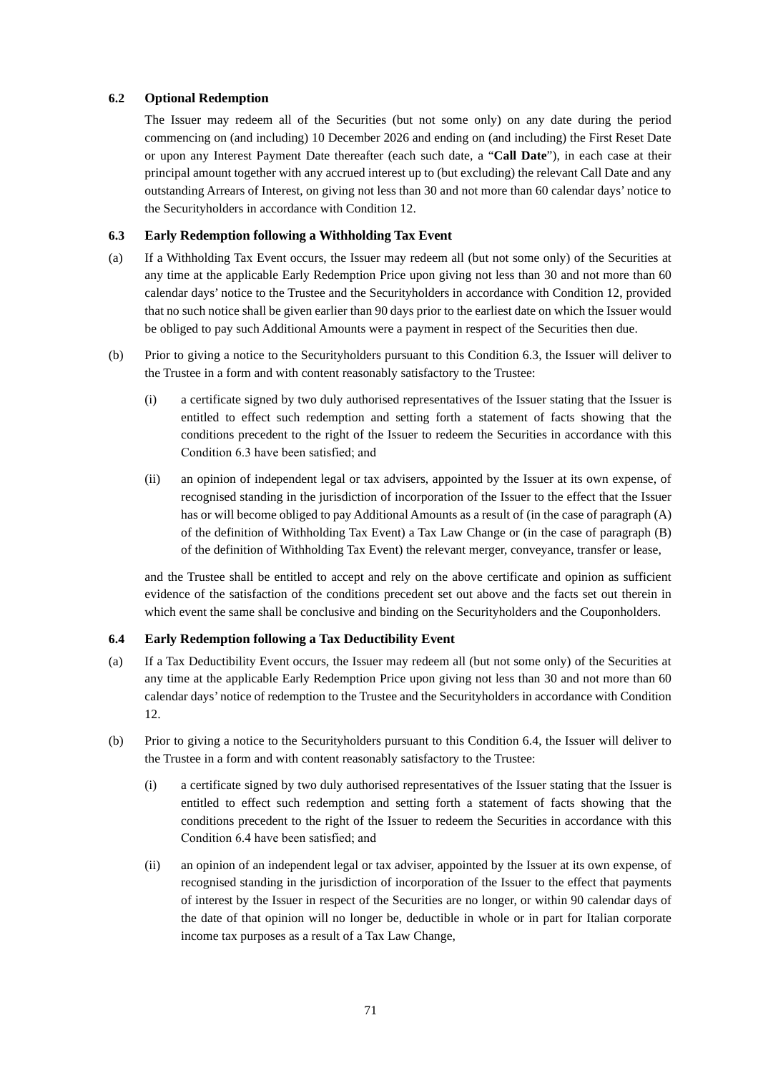# **6.2 Optional Redemption**

The Issuer may redeem all of the Securities (but not some only) on any date during the period commencing on (and including) 10 December 2026 and ending on (and including) the First Reset Date or upon any Interest Payment Date thereafter (each such date, a "**Call Date**"), in each case at their principal amount together with any accrued interest up to (but excluding) the relevant Call Date and any outstanding Arrears of Interest, on giving not less than 30 and not more than 60 calendar days' notice to the Securityholders in accordance with Condition 12.

# **6.3 Early Redemption following a Withholding Tax Event**

- (a) If a Withholding Tax Event occurs, the Issuer may redeem all (but not some only) of the Securities at any time at the applicable Early Redemption Price upon giving not less than 30 and not more than 60 calendar days' notice to the Trustee and the Securityholders in accordance with Condition 12, provided that no such notice shall be given earlier than 90 days prior to the earliest date on which the Issuer would be obliged to pay such Additional Amounts were a payment in respect of the Securities then due.
- (b) Prior to giving a notice to the Securityholders pursuant to this Condition 6.3, the Issuer will deliver to the Trustee in a form and with content reasonably satisfactory to the Trustee:
	- (i) a certificate signed by two duly authorised representatives of the Issuer stating that the Issuer is entitled to effect such redemption and setting forth a statement of facts showing that the conditions precedent to the right of the Issuer to redeem the Securities in accordance with this Condition 6.3 have been satisfied; and
	- (ii) an opinion of independent legal or tax advisers, appointed by the Issuer at its own expense, of recognised standing in the jurisdiction of incorporation of the Issuer to the effect that the Issuer has or will become obliged to pay Additional Amounts as a result of (in the case of paragraph (A) of the definition of Withholding Tax Event) a Tax Law Change or (in the case of paragraph (B) of the definition of Withholding Tax Event) the relevant merger, conveyance, transfer or lease,

and the Trustee shall be entitled to accept and rely on the above certificate and opinion as sufficient evidence of the satisfaction of the conditions precedent set out above and the facts set out therein in which event the same shall be conclusive and binding on the Securityholders and the Couponholders.

## **6.4 Early Redemption following a Tax Deductibility Event**

- (a) If a Tax Deductibility Event occurs, the Issuer may redeem all (but not some only) of the Securities at any time at the applicable Early Redemption Price upon giving not less than 30 and not more than 60 calendar days' notice of redemption to the Trustee and the Securityholders in accordance with Condition 12.
- (b) Prior to giving a notice to the Securityholders pursuant to this Condition 6.4, the Issuer will deliver to the Trustee in a form and with content reasonably satisfactory to the Trustee:
	- (i) a certificate signed by two duly authorised representatives of the Issuer stating that the Issuer is entitled to effect such redemption and setting forth a statement of facts showing that the conditions precedent to the right of the Issuer to redeem the Securities in accordance with this Condition 6.4 have been satisfied; and
	- (ii) an opinion of an independent legal or tax adviser, appointed by the Issuer at its own expense, of recognised standing in the jurisdiction of incorporation of the Issuer to the effect that payments of interest by the Issuer in respect of the Securities are no longer, or within 90 calendar days of the date of that opinion will no longer be, deductible in whole or in part for Italian corporate income tax purposes as a result of a Tax Law Change,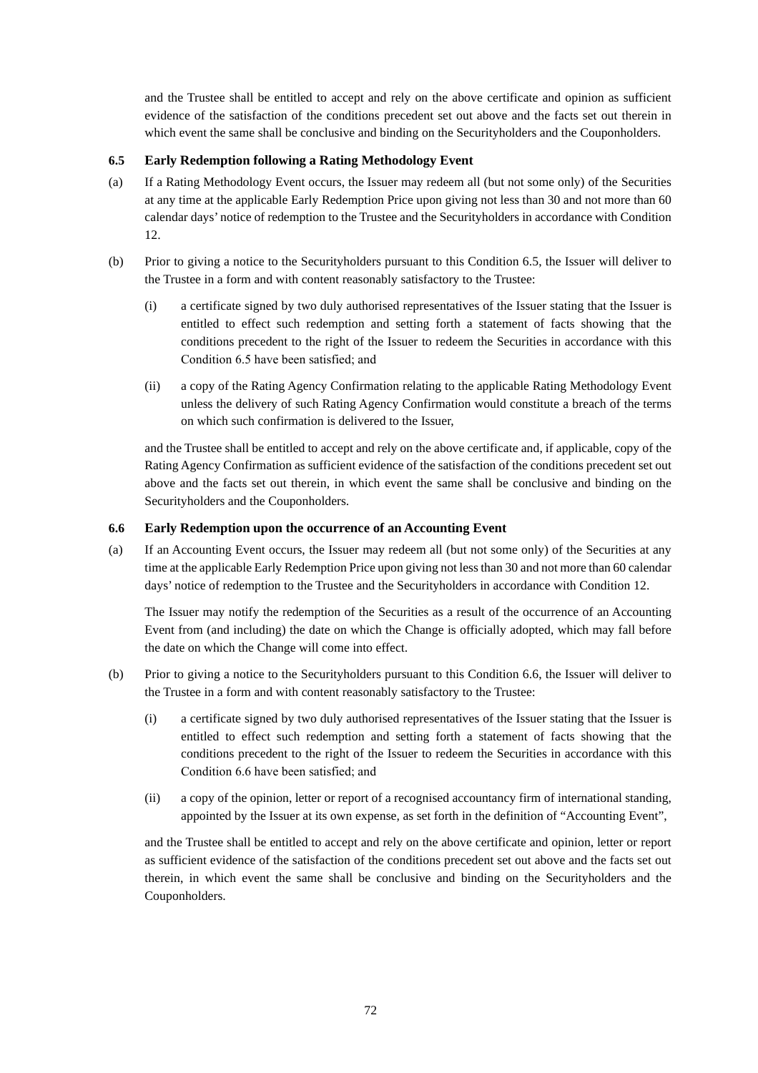and the Trustee shall be entitled to accept and rely on the above certificate and opinion as sufficient evidence of the satisfaction of the conditions precedent set out above and the facts set out therein in which event the same shall be conclusive and binding on the Securityholders and the Couponholders.

# **6.5 Early Redemption following a Rating Methodology Event**

- (a) If a Rating Methodology Event occurs, the Issuer may redeem all (but not some only) of the Securities at any time at the applicable Early Redemption Price upon giving not less than 30 and not more than 60 calendar days' notice of redemption to the Trustee and the Securityholders in accordance with Condition 12.
- (b) Prior to giving a notice to the Securityholders pursuant to this Condition 6.5, the Issuer will deliver to the Trustee in a form and with content reasonably satisfactory to the Trustee:
	- (i) a certificate signed by two duly authorised representatives of the Issuer stating that the Issuer is entitled to effect such redemption and setting forth a statement of facts showing that the conditions precedent to the right of the Issuer to redeem the Securities in accordance with this Condition 6.5 have been satisfied; and
	- (ii) a copy of the Rating Agency Confirmation relating to the applicable Rating Methodology Event unless the delivery of such Rating Agency Confirmation would constitute a breach of the terms on which such confirmation is delivered to the Issuer,

and the Trustee shall be entitled to accept and rely on the above certificate and, if applicable, copy of the Rating Agency Confirmation as sufficient evidence of the satisfaction of the conditions precedent set out above and the facts set out therein, in which event the same shall be conclusive and binding on the Securityholders and the Couponholders.

# **6.6 Early Redemption upon the occurrence of an Accounting Event**

(a) If an Accounting Event occurs, the Issuer may redeem all (but not some only) of the Securities at any time at the applicable Early Redemption Price upon giving not less than 30 and not more than 60 calendar days' notice of redemption to the Trustee and the Securityholders in accordance with Condition 12.

The Issuer may notify the redemption of the Securities as a result of the occurrence of an Accounting Event from (and including) the date on which the Change is officially adopted, which may fall before the date on which the Change will come into effect.

- (b) Prior to giving a notice to the Securityholders pursuant to this Condition 6.6, the Issuer will deliver to the Trustee in a form and with content reasonably satisfactory to the Trustee:
	- (i) a certificate signed by two duly authorised representatives of the Issuer stating that the Issuer is entitled to effect such redemption and setting forth a statement of facts showing that the conditions precedent to the right of the Issuer to redeem the Securities in accordance with this Condition 6.6 have been satisfied; and
	- (ii) a copy of the opinion, letter or report of a recognised accountancy firm of international standing, appointed by the Issuer at its own expense, as set forth in the definition of "Accounting Event",

and the Trustee shall be entitled to accept and rely on the above certificate and opinion, letter or report as sufficient evidence of the satisfaction of the conditions precedent set out above and the facts set out therein, in which event the same shall be conclusive and binding on the Securityholders and the Couponholders.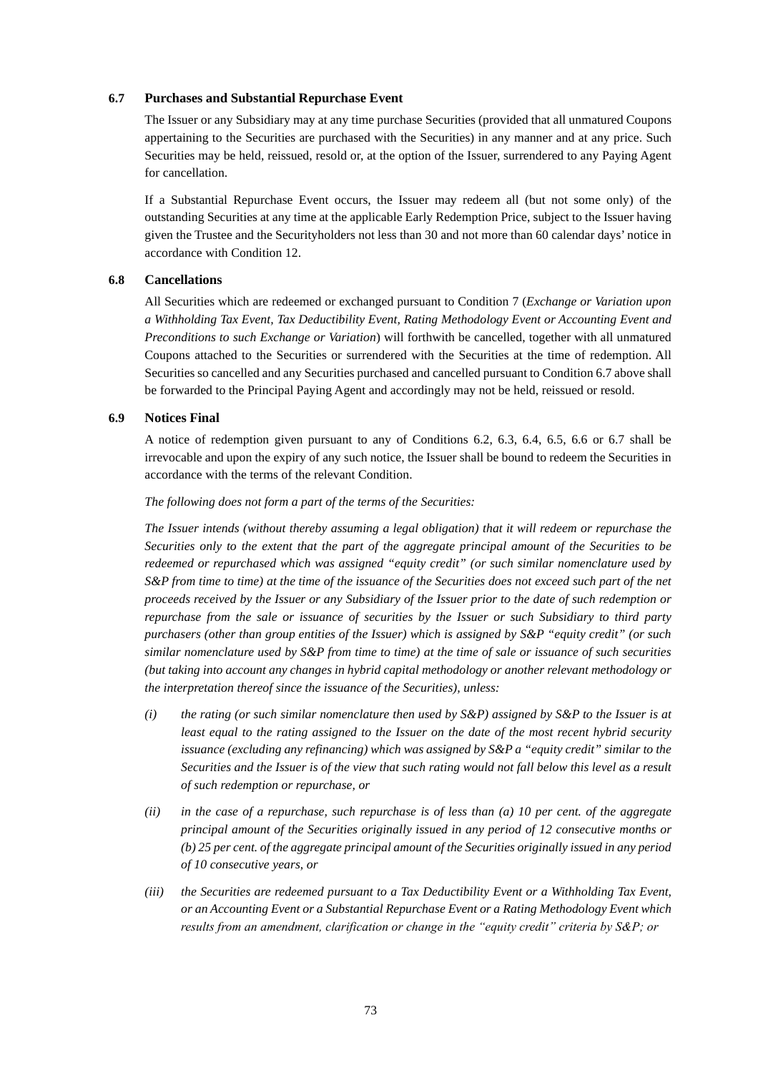#### **6.7 Purchases and Substantial Repurchase Event**

The Issuer or any Subsidiary may at any time purchase Securities (provided that all unmatured Coupons appertaining to the Securities are purchased with the Securities) in any manner and at any price. Such Securities may be held, reissued, resold or, at the option of the Issuer, surrendered to any Paying Agent for cancellation.

If a Substantial Repurchase Event occurs, the Issuer may redeem all (but not some only) of the outstanding Securities at any time at the applicable Early Redemption Price, subject to the Issuer having given the Trustee and the Securityholders not less than 30 and not more than 60 calendar days' notice in accordance with Condition 12.

## **6.8 Cancellations**

All Securities which are redeemed or exchanged pursuant to Condition 7 (*Exchange or Variation upon a Withholding Tax Event, Tax Deductibility Event, Rating Methodology Event or Accounting Event and Preconditions to such Exchange or Variation*) will forthwith be cancelled, together with all unmatured Coupons attached to the Securities or surrendered with the Securities at the time of redemption. All Securities so cancelled and any Securities purchased and cancelled pursuant to Condition 6.7 above shall be forwarded to the Principal Paying Agent and accordingly may not be held, reissued or resold.

## **6.9 Notices Final**

A notice of redemption given pursuant to any of Conditions 6.2, 6.3, 6.4, 6.5, 6.6 or 6.7 shall be irrevocable and upon the expiry of any such notice, the Issuer shall be bound to redeem the Securities in accordance with the terms of the relevant Condition.

## *The following does not form a part of the terms of the Securities:*

*The Issuer intends (without thereby assuming a legal obligation) that it will redeem or repurchase the Securities only to the extent that the part of the aggregate principal amount of the Securities to be redeemed or repurchased which was assigned "equity credit" (or such similar nomenclature used by S&P from time to time) at the time of the issuance of the Securities does not exceed such part of the net proceeds received by the Issuer or any Subsidiary of the Issuer prior to the date of such redemption or repurchase from the sale or issuance of securities by the Issuer or such Subsidiary to third party purchasers (other than group entities of the Issuer) which is assigned by S&P "equity credit" (or such similar nomenclature used by S&P from time to time) at the time of sale or issuance of such securities (but taking into account any changes in hybrid capital methodology or another relevant methodology or the interpretation thereof since the issuance of the Securities), unless:* 

- *(i) the rating (or such similar nomenclature then used by S&P) assigned by S&P to the Issuer is at least equal to the rating assigned to the Issuer on the date of the most recent hybrid security issuance (excluding any refinancing) which was assigned by S&P a "equity credit" similar to the Securities and the Issuer is of the view that such rating would not fall below this level as a result of such redemption or repurchase, or*
- *(ii) in the case of a repurchase, such repurchase is of less than (a) 10 per cent. of the aggregate principal amount of the Securities originally issued in any period of 12 consecutive months or (b) 25 per cent. of the aggregate principal amount of the Securities originally issued in any period of 10 consecutive years, or*
- *(iii) the Securities are redeemed pursuant to a Tax Deductibility Event or a Withholding Tax Event, or an Accounting Event or a Substantial Repurchase Event or a Rating Methodology Event which results from an amendment, clarification or change in the "equity credit" criteria by S&P; or*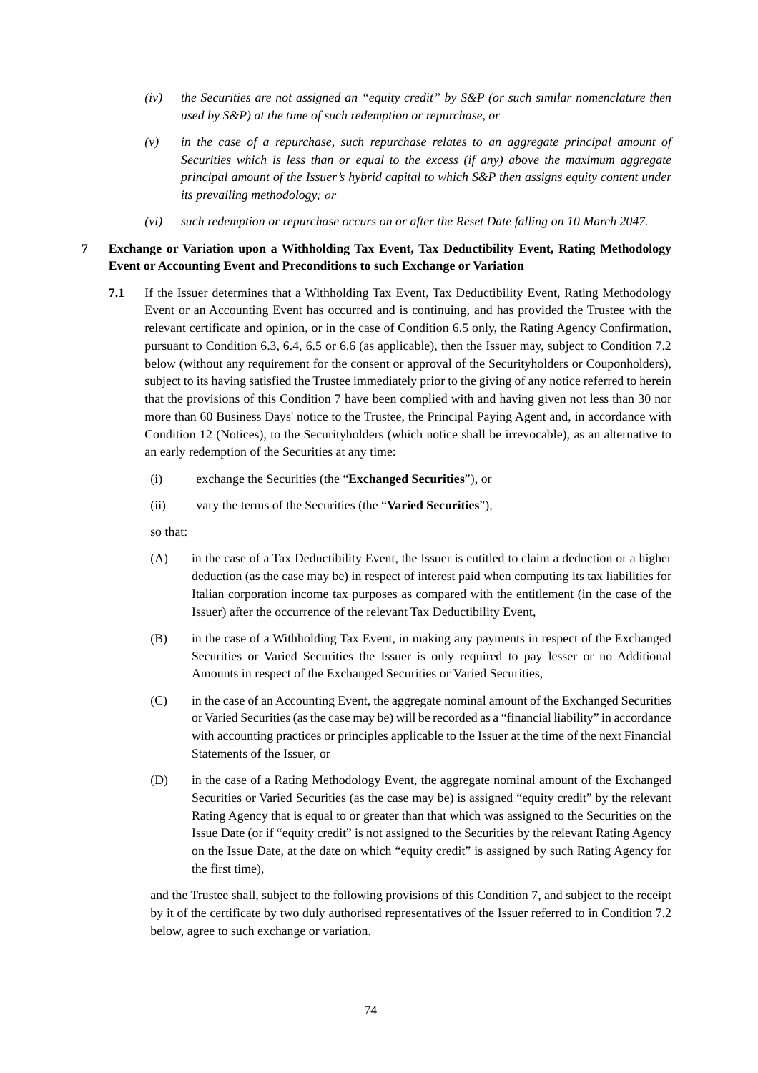- *(iv) the Securities are not assigned an "equity credit" by S&P (or such similar nomenclature then used by S&P) at the time of such redemption or repurchase, or*
- *(v) in the case of a repurchase, such repurchase relates to an aggregate principal amount of Securities which is less than or equal to the excess (if any) above the maximum aggregate principal amount of the Issuer's hybrid capital to which S&P then assigns equity content under its prevailing methodology; or*
- *(vi) such redemption or repurchase occurs on or after the Reset Date falling on 10 March 2047.*

# **7 Exchange or Variation upon a Withholding Tax Event, Tax Deductibility Event, Rating Methodology Event or Accounting Event and Preconditions to such Exchange or Variation**

- **7.1** If the Issuer determines that a Withholding Tax Event, Tax Deductibility Event, Rating Methodology Event or an Accounting Event has occurred and is continuing, and has provided the Trustee with the relevant certificate and opinion, or in the case of Condition 6.5 only, the Rating Agency Confirmation, pursuant to Condition 6.3, 6.4, 6.5 or 6.6 (as applicable), then the Issuer may, subject to Condition 7.2 below (without any requirement for the consent or approval of the Securityholders or Couponholders), subject to its having satisfied the Trustee immediately prior to the giving of any notice referred to herein that the provisions of this Condition 7 have been complied with and having given not less than 30 nor more than 60 Business Days' notice to the Trustee, the Principal Paying Agent and, in accordance with Condition 12 (Notices), to the Securityholders (which notice shall be irrevocable), as an alternative to an early redemption of the Securities at any time:
	- (i) exchange the Securities (the "**Exchanged Securities**"), or
	- (ii) vary the terms of the Securities (the "**Varied Securities**"),

so that:

- (A) in the case of a Tax Deductibility Event, the Issuer is entitled to claim a deduction or a higher deduction (as the case may be) in respect of interest paid when computing its tax liabilities for Italian corporation income tax purposes as compared with the entitlement (in the case of the Issuer) after the occurrence of the relevant Tax Deductibility Event,
- (B) in the case of a Withholding Tax Event, in making any payments in respect of the Exchanged Securities or Varied Securities the Issuer is only required to pay lesser or no Additional Amounts in respect of the Exchanged Securities or Varied Securities,
- (C) in the case of an Accounting Event, the aggregate nominal amount of the Exchanged Securities or Varied Securities (as the case may be) will be recorded as a "financial liability" in accordance with accounting practices or principles applicable to the Issuer at the time of the next Financial Statements of the Issuer, or
- (D) in the case of a Rating Methodology Event, the aggregate nominal amount of the Exchanged Securities or Varied Securities (as the case may be) is assigned "equity credit" by the relevant Rating Agency that is equal to or greater than that which was assigned to the Securities on the Issue Date (or if "equity credit" is not assigned to the Securities by the relevant Rating Agency on the Issue Date, at the date on which "equity credit" is assigned by such Rating Agency for the first time),

and the Trustee shall, subject to the following provisions of this Condition 7, and subject to the receipt by it of the certificate by two duly authorised representatives of the Issuer referred to in Condition 7.2 below, agree to such exchange or variation.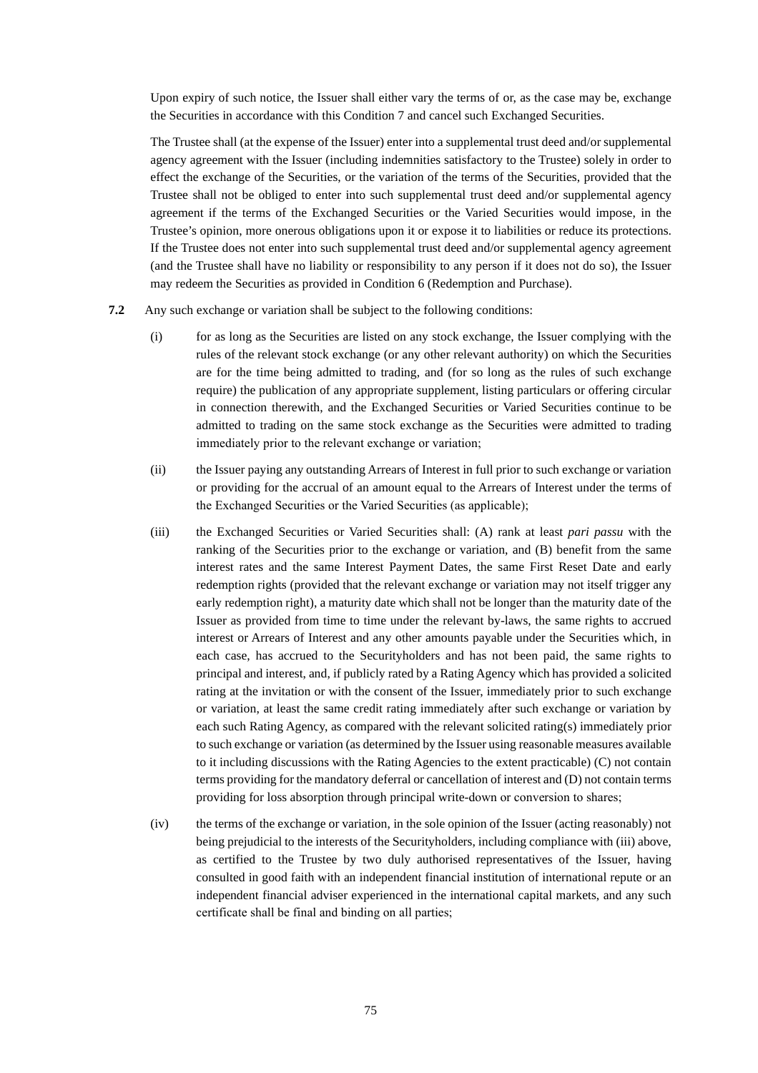Upon expiry of such notice, the Issuer shall either vary the terms of or, as the case may be, exchange the Securities in accordance with this Condition 7 and cancel such Exchanged Securities.

The Trustee shall (at the expense of the Issuer) enter into a supplemental trust deed and/or supplemental agency agreement with the Issuer (including indemnities satisfactory to the Trustee) solely in order to effect the exchange of the Securities, or the variation of the terms of the Securities, provided that the Trustee shall not be obliged to enter into such supplemental trust deed and/or supplemental agency agreement if the terms of the Exchanged Securities or the Varied Securities would impose, in the Trustee's opinion, more onerous obligations upon it or expose it to liabilities or reduce its protections. If the Trustee does not enter into such supplemental trust deed and/or supplemental agency agreement (and the Trustee shall have no liability or responsibility to any person if it does not do so), the Issuer may redeem the Securities as provided in Condition 6 (Redemption and Purchase).

- **7.2** Any such exchange or variation shall be subject to the following conditions:
	- (i) for as long as the Securities are listed on any stock exchange, the Issuer complying with the rules of the relevant stock exchange (or any other relevant authority) on which the Securities are for the time being admitted to trading, and (for so long as the rules of such exchange require) the publication of any appropriate supplement, listing particulars or offering circular in connection therewith, and the Exchanged Securities or Varied Securities continue to be admitted to trading on the same stock exchange as the Securities were admitted to trading immediately prior to the relevant exchange or variation;
	- (ii) the Issuer paying any outstanding Arrears of Interest in full prior to such exchange or variation or providing for the accrual of an amount equal to the Arrears of Interest under the terms of the Exchanged Securities or the Varied Securities (as applicable);
	- (iii) the Exchanged Securities or Varied Securities shall: (A) rank at least *pari passu* with the ranking of the Securities prior to the exchange or variation, and (B) benefit from the same interest rates and the same Interest Payment Dates, the same First Reset Date and early redemption rights (provided that the relevant exchange or variation may not itself trigger any early redemption right), a maturity date which shall not be longer than the maturity date of the Issuer as provided from time to time under the relevant by-laws, the same rights to accrued interest or Arrears of Interest and any other amounts payable under the Securities which, in each case, has accrued to the Securityholders and has not been paid, the same rights to principal and interest, and, if publicly rated by a Rating Agency which has provided a solicited rating at the invitation or with the consent of the Issuer, immediately prior to such exchange or variation, at least the same credit rating immediately after such exchange or variation by each such Rating Agency, as compared with the relevant solicited rating(s) immediately prior to such exchange or variation (as determined by the Issuer using reasonable measures available to it including discussions with the Rating Agencies to the extent practicable) (C) not contain terms providing for the mandatory deferral or cancellation of interest and (D) not contain terms providing for loss absorption through principal write-down or conversion to shares;
	- (iv) the terms of the exchange or variation, in the sole opinion of the Issuer (acting reasonably) not being prejudicial to the interests of the Securityholders, including compliance with (iii) above, as certified to the Trustee by two duly authorised representatives of the Issuer, having consulted in good faith with an independent financial institution of international repute or an independent financial adviser experienced in the international capital markets, and any such certificate shall be final and binding on all parties;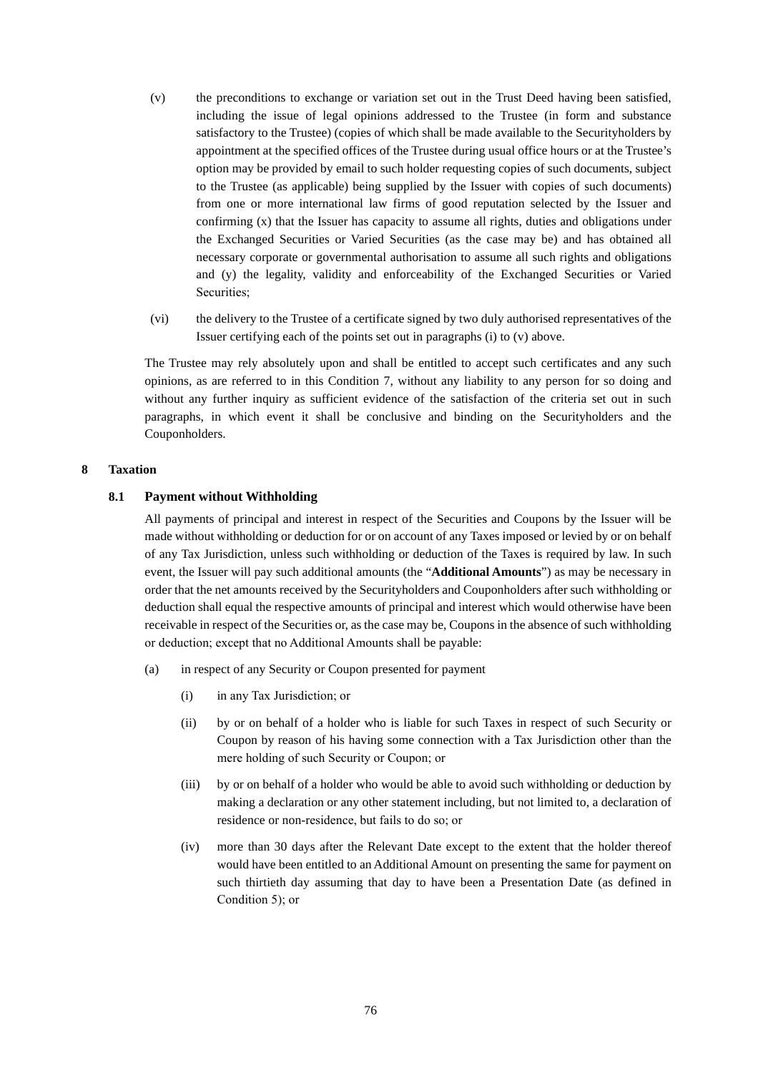- (v) the preconditions to exchange or variation set out in the Trust Deed having been satisfied, including the issue of legal opinions addressed to the Trustee (in form and substance satisfactory to the Trustee) (copies of which shall be made available to the Securityholders by appointment at the specified offices of the Trustee during usual office hours or at the Trustee's option may be provided by email to such holder requesting copies of such documents, subject to the Trustee (as applicable) being supplied by the Issuer with copies of such documents) from one or more international law firms of good reputation selected by the Issuer and confirming (x) that the Issuer has capacity to assume all rights, duties and obligations under the Exchanged Securities or Varied Securities (as the case may be) and has obtained all necessary corporate or governmental authorisation to assume all such rights and obligations and (y) the legality, validity and enforceability of the Exchanged Securities or Varied Securities;
- (vi) the delivery to the Trustee of a certificate signed by two duly authorised representatives of the Issuer certifying each of the points set out in paragraphs (i) to (v) above.

The Trustee may rely absolutely upon and shall be entitled to accept such certificates and any such opinions, as are referred to in this Condition 7, without any liability to any person for so doing and without any further inquiry as sufficient evidence of the satisfaction of the criteria set out in such paragraphs, in which event it shall be conclusive and binding on the Securityholders and the Couponholders.

## **8 Taxation**

## **8.1 Payment without Withholding**

All payments of principal and interest in respect of the Securities and Coupons by the Issuer will be made without withholding or deduction for or on account of any Taxes imposed or levied by or on behalf of any Tax Jurisdiction, unless such withholding or deduction of the Taxes is required by law. In such event, the Issuer will pay such additional amounts (the "**Additional Amounts**") as may be necessary in order that the net amounts received by the Securityholders and Couponholders after such withholding or deduction shall equal the respective amounts of principal and interest which would otherwise have been receivable in respect of the Securities or, as the case may be, Coupons in the absence of such withholding or deduction; except that no Additional Amounts shall be payable:

- (a) in respect of any Security or Coupon presented for payment
	- (i) in any Tax Jurisdiction; or
	- (ii) by or on behalf of a holder who is liable for such Taxes in respect of such Security or Coupon by reason of his having some connection with a Tax Jurisdiction other than the mere holding of such Security or Coupon; or
	- (iii) by or on behalf of a holder who would be able to avoid such withholding or deduction by making a declaration or any other statement including, but not limited to, a declaration of residence or non-residence, but fails to do so; or
	- (iv) more than 30 days after the Relevant Date except to the extent that the holder thereof would have been entitled to an Additional Amount on presenting the same for payment on such thirtieth day assuming that day to have been a Presentation Date (as defined in Condition 5); or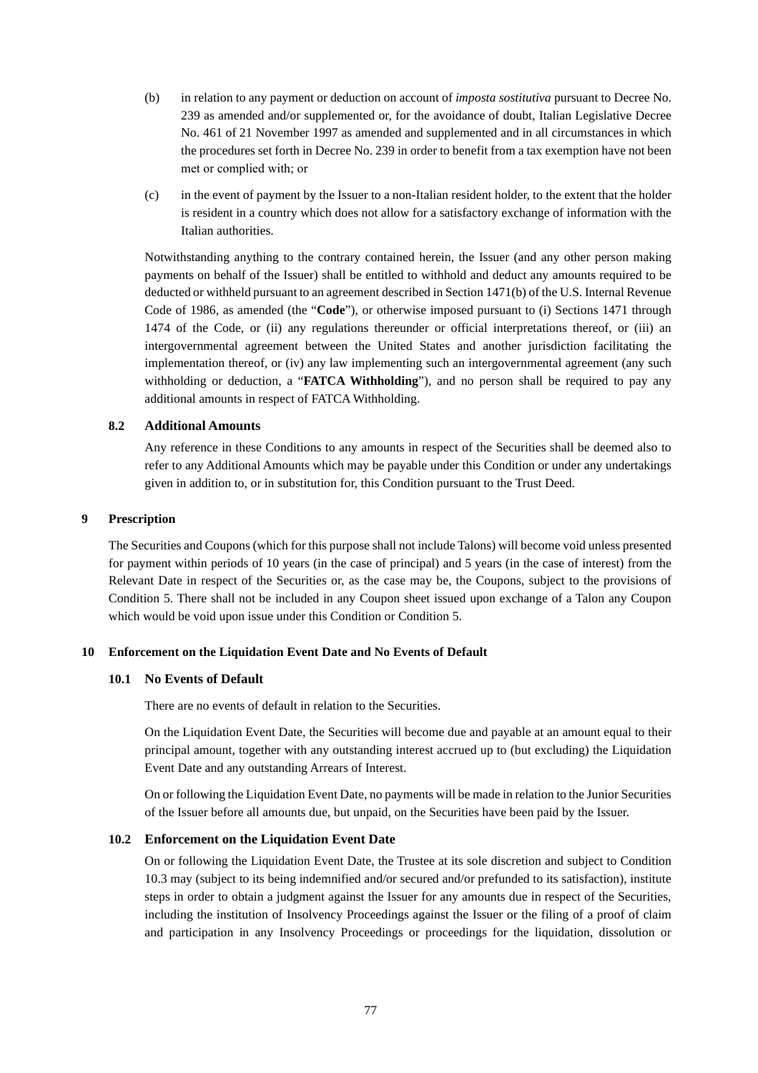- (b) in relation to any payment or deduction on account of *imposta sostitutiva* pursuant to Decree No. 239 as amended and/or supplemented or, for the avoidance of doubt, Italian Legislative Decree No. 461 of 21 November 1997 as amended and supplemented and in all circumstances in which the procedures set forth in Decree No. 239 in order to benefit from a tax exemption have not been met or complied with; or
- (c) in the event of payment by the Issuer to a non-Italian resident holder, to the extent that the holder is resident in a country which does not allow for a satisfactory exchange of information with the Italian authorities.

Notwithstanding anything to the contrary contained herein, the Issuer (and any other person making payments on behalf of the Issuer) shall be entitled to withhold and deduct any amounts required to be deducted or withheld pursuant to an agreement described in Section 1471(b) of the U.S. Internal Revenue Code of 1986, as amended (the "**Code**"), or otherwise imposed pursuant to (i) Sections 1471 through 1474 of the Code, or (ii) any regulations thereunder or official interpretations thereof, or (iii) an intergovernmental agreement between the United States and another jurisdiction facilitating the implementation thereof, or (iv) any law implementing such an intergovernmental agreement (any such withholding or deduction, a "**FATCA Withholding**"), and no person shall be required to pay any additional amounts in respect of FATCA Withholding.

## **8.2 Additional Amounts**

Any reference in these Conditions to any amounts in respect of the Securities shall be deemed also to refer to any Additional Amounts which may be payable under this Condition or under any undertakings given in addition to, or in substitution for, this Condition pursuant to the Trust Deed.

#### **9 Prescription**

The Securities and Coupons (which for this purpose shall not include Talons) will become void unless presented for payment within periods of 10 years (in the case of principal) and 5 years (in the case of interest) from the Relevant Date in respect of the Securities or, as the case may be, the Coupons, subject to the provisions of Condition 5. There shall not be included in any Coupon sheet issued upon exchange of a Talon any Coupon which would be void upon issue under this Condition or Condition 5.

## **10 Enforcement on the Liquidation Event Date and No Events of Default**

#### **10.1 No Events of Default**

There are no events of default in relation to the Securities.

On the Liquidation Event Date, the Securities will become due and payable at an amount equal to their principal amount, together with any outstanding interest accrued up to (but excluding) the Liquidation Event Date and any outstanding Arrears of Interest.

On or following the Liquidation Event Date, no payments will be made in relation to the Junior Securities of the Issuer before all amounts due, but unpaid, on the Securities have been paid by the Issuer.

#### **10.2 Enforcement on the Liquidation Event Date**

On or following the Liquidation Event Date, the Trustee at its sole discretion and subject to Condition 10.3 may (subject to its being indemnified and/or secured and/or prefunded to its satisfaction), institute steps in order to obtain a judgment against the Issuer for any amounts due in respect of the Securities, including the institution of Insolvency Proceedings against the Issuer or the filing of a proof of claim and participation in any Insolvency Proceedings or proceedings for the liquidation, dissolution or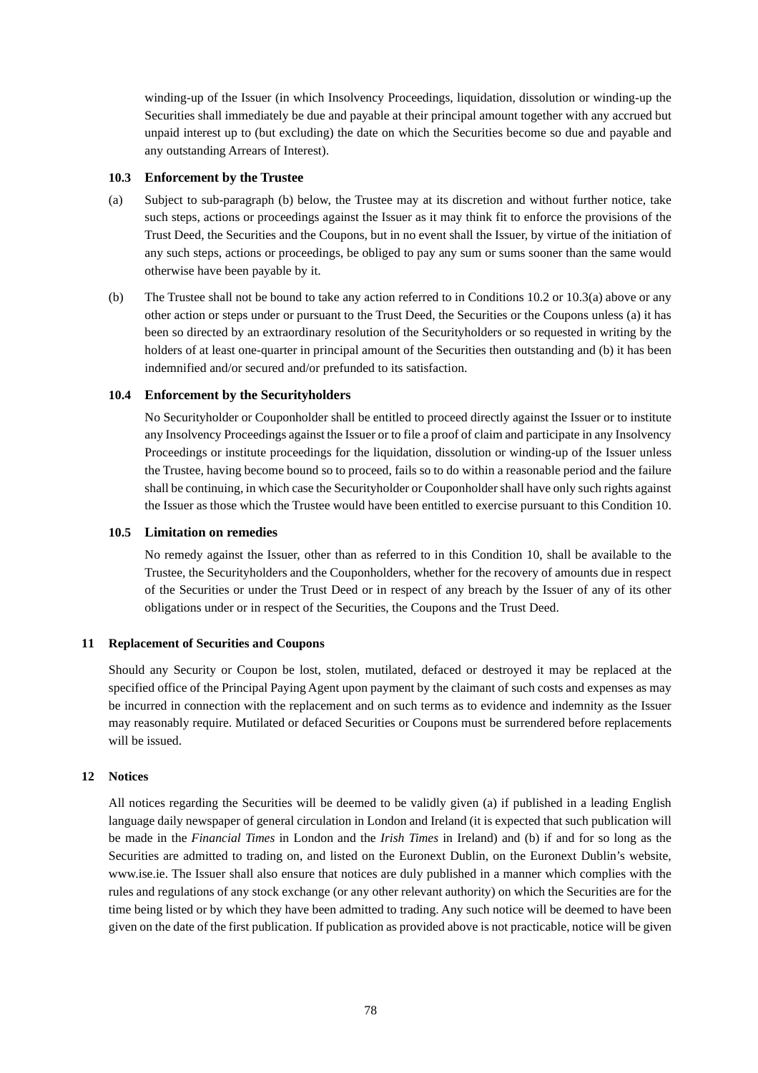winding-up of the Issuer (in which Insolvency Proceedings, liquidation, dissolution or winding-up the Securities shall immediately be due and payable at their principal amount together with any accrued but unpaid interest up to (but excluding) the date on which the Securities become so due and payable and any outstanding Arrears of Interest).

#### **10.3 Enforcement by the Trustee**

- (a) Subject to sub-paragraph (b) below, the Trustee may at its discretion and without further notice, take such steps, actions or proceedings against the Issuer as it may think fit to enforce the provisions of the Trust Deed, the Securities and the Coupons, but in no event shall the Issuer, by virtue of the initiation of any such steps, actions or proceedings, be obliged to pay any sum or sums sooner than the same would otherwise have been payable by it.
- (b) The Trustee shall not be bound to take any action referred to in Conditions 10.2 or 10.3(a) above or any other action or steps under or pursuant to the Trust Deed, the Securities or the Coupons unless (a) it has been so directed by an extraordinary resolution of the Securityholders or so requested in writing by the holders of at least one-quarter in principal amount of the Securities then outstanding and (b) it has been indemnified and/or secured and/or prefunded to its satisfaction.

## **10.4 Enforcement by the Securityholders**

No Securityholder or Couponholder shall be entitled to proceed directly against the Issuer or to institute any Insolvency Proceedings against the Issuer or to file a proof of claim and participate in any Insolvency Proceedings or institute proceedings for the liquidation, dissolution or winding-up of the Issuer unless the Trustee, having become bound so to proceed, fails so to do within a reasonable period and the failure shall be continuing, in which case the Securityholder or Couponholder shall have only such rights against the Issuer as those which the Trustee would have been entitled to exercise pursuant to this Condition 10.

#### **10.5 Limitation on remedies**

No remedy against the Issuer, other than as referred to in this Condition 10, shall be available to the Trustee, the Securityholders and the Couponholders, whether for the recovery of amounts due in respect of the Securities or under the Trust Deed or in respect of any breach by the Issuer of any of its other obligations under or in respect of the Securities, the Coupons and the Trust Deed.

## **11 Replacement of Securities and Coupons**

Should any Security or Coupon be lost, stolen, mutilated, defaced or destroyed it may be replaced at the specified office of the Principal Paying Agent upon payment by the claimant of such costs and expenses as may be incurred in connection with the replacement and on such terms as to evidence and indemnity as the Issuer may reasonably require. Mutilated or defaced Securities or Coupons must be surrendered before replacements will be issued.

#### **12 Notices**

All notices regarding the Securities will be deemed to be validly given (a) if published in a leading English language daily newspaper of general circulation in London and Ireland (it is expected that such publication will be made in the *Financial Times* in London and the *Irish Times* in Ireland) and (b) if and for so long as the Securities are admitted to trading on, and listed on the Euronext Dublin, on the Euronext Dublin's website, www.ise.ie. The Issuer shall also ensure that notices are duly published in a manner which complies with the rules and regulations of any stock exchange (or any other relevant authority) on which the Securities are for the time being listed or by which they have been admitted to trading. Any such notice will be deemed to have been given on the date of the first publication. If publication as provided above is not practicable, notice will be given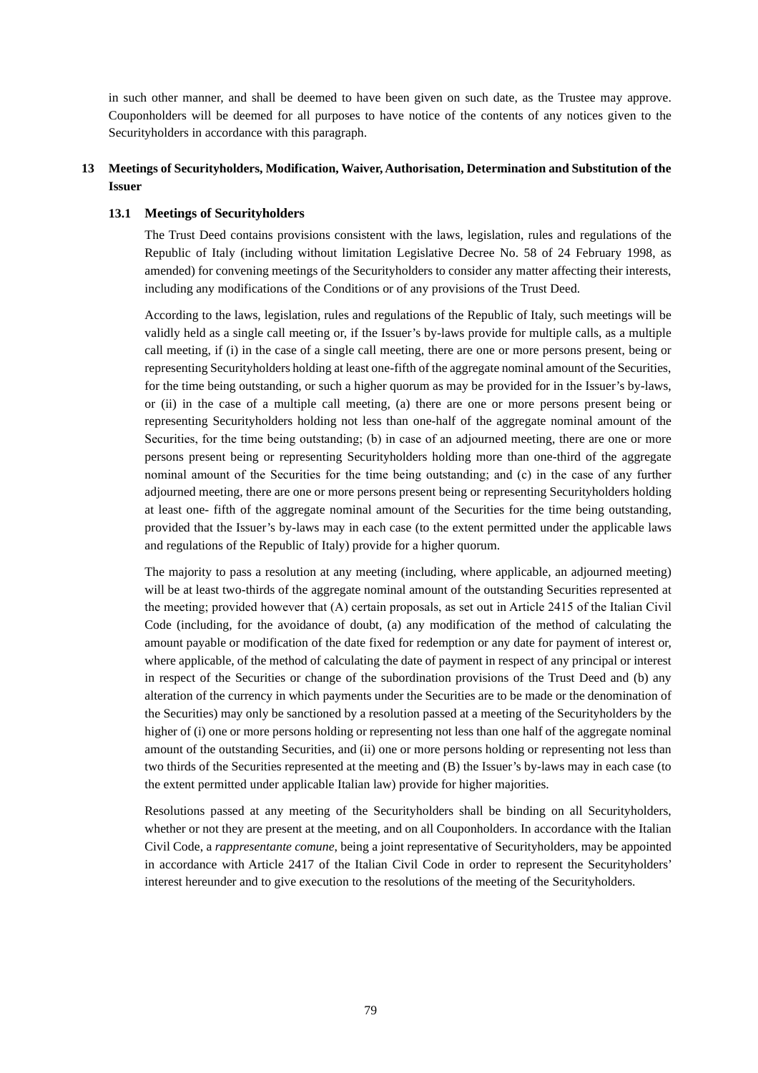in such other manner, and shall be deemed to have been given on such date, as the Trustee may approve. Couponholders will be deemed for all purposes to have notice of the contents of any notices given to the Securityholders in accordance with this paragraph.

# **13 Meetings of Securityholders, Modification, Waiver, Authorisation, Determination and Substitution of the Issuer**

## **13.1 Meetings of Securityholders**

The Trust Deed contains provisions consistent with the laws, legislation, rules and regulations of the Republic of Italy (including without limitation Legislative Decree No. 58 of 24 February 1998, as amended) for convening meetings of the Securityholders to consider any matter affecting their interests, including any modifications of the Conditions or of any provisions of the Trust Deed.

According to the laws, legislation, rules and regulations of the Republic of Italy, such meetings will be validly held as a single call meeting or, if the Issuer's by-laws provide for multiple calls, as a multiple call meeting, if (i) in the case of a single call meeting, there are one or more persons present, being or representing Securityholders holding at least one-fifth of the aggregate nominal amount of the Securities, for the time being outstanding, or such a higher quorum as may be provided for in the Issuer's by-laws, or (ii) in the case of a multiple call meeting, (a) there are one or more persons present being or representing Securityholders holding not less than one-half of the aggregate nominal amount of the Securities, for the time being outstanding; (b) in case of an adjourned meeting, there are one or more persons present being or representing Securityholders holding more than one-third of the aggregate nominal amount of the Securities for the time being outstanding; and (c) in the case of any further adjourned meeting, there are one or more persons present being or representing Securityholders holding at least one- fifth of the aggregate nominal amount of the Securities for the time being outstanding, provided that the Issuer's by-laws may in each case (to the extent permitted under the applicable laws and regulations of the Republic of Italy) provide for a higher quorum.

The majority to pass a resolution at any meeting (including, where applicable, an adjourned meeting) will be at least two-thirds of the aggregate nominal amount of the outstanding Securities represented at the meeting; provided however that (A) certain proposals, as set out in Article 2415 of the Italian Civil Code (including, for the avoidance of doubt, (a) any modification of the method of calculating the amount payable or modification of the date fixed for redemption or any date for payment of interest or, where applicable, of the method of calculating the date of payment in respect of any principal or interest in respect of the Securities or change of the subordination provisions of the Trust Deed and (b) any alteration of the currency in which payments under the Securities are to be made or the denomination of the Securities) may only be sanctioned by a resolution passed at a meeting of the Securityholders by the higher of (i) one or more persons holding or representing not less than one half of the aggregate nominal amount of the outstanding Securities, and (ii) one or more persons holding or representing not less than two thirds of the Securities represented at the meeting and (B) the Issuer's by-laws may in each case (to the extent permitted under applicable Italian law) provide for higher majorities.

Resolutions passed at any meeting of the Securityholders shall be binding on all Securityholders, whether or not they are present at the meeting, and on all Couponholders. In accordance with the Italian Civil Code, a *rappresentante comune*, being a joint representative of Securityholders, may be appointed in accordance with Article 2417 of the Italian Civil Code in order to represent the Securityholders' interest hereunder and to give execution to the resolutions of the meeting of the Securityholders.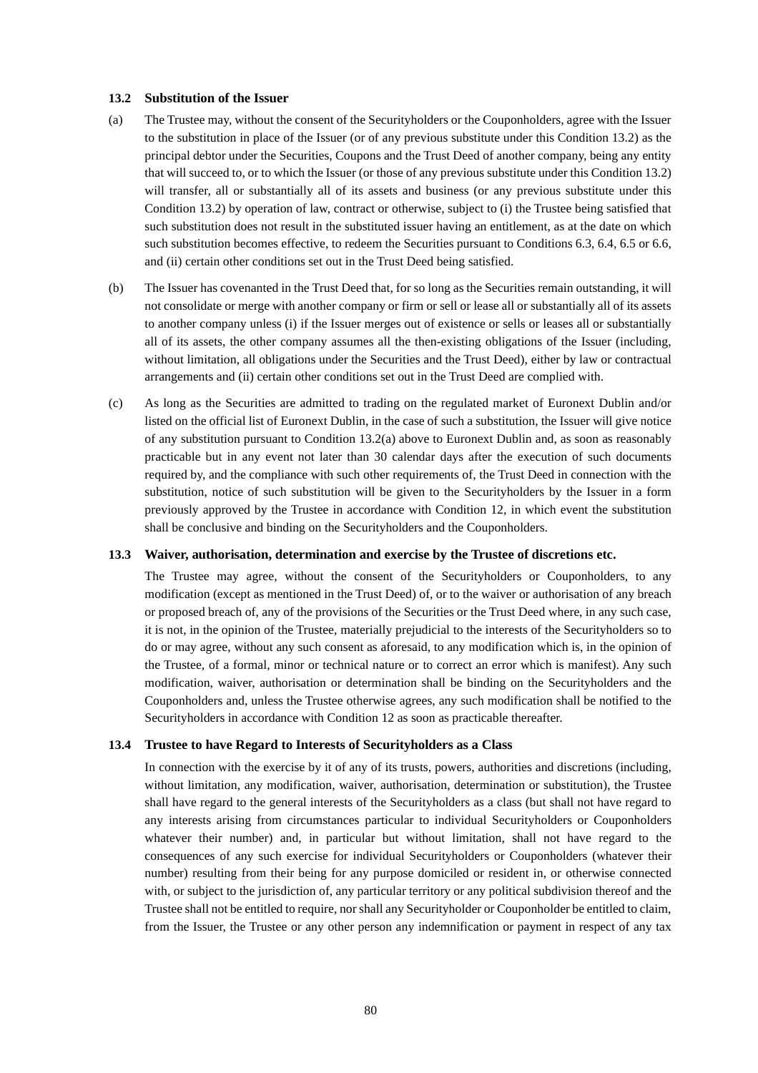## **13.2 Substitution of the Issuer**

- (a) The Trustee may, without the consent of the Securityholders or the Couponholders, agree with the Issuer to the substitution in place of the Issuer (or of any previous substitute under this Condition 13.2) as the principal debtor under the Securities, Coupons and the Trust Deed of another company, being any entity that will succeed to, or to which the Issuer (or those of any previous substitute under this Condition 13.2) will transfer, all or substantially all of its assets and business (or any previous substitute under this Condition 13.2) by operation of law, contract or otherwise, subject to (i) the Trustee being satisfied that such substitution does not result in the substituted issuer having an entitlement, as at the date on which such substitution becomes effective, to redeem the Securities pursuant to Conditions 6.3, 6.4, 6.5 or 6.6, and (ii) certain other conditions set out in the Trust Deed being satisfied.
- (b) The Issuer has covenanted in the Trust Deed that, for so long as the Securities remain outstanding, it will not consolidate or merge with another company or firm or sell or lease all or substantially all of its assets to another company unless (i) if the Issuer merges out of existence or sells or leases all or substantially all of its assets, the other company assumes all the then-existing obligations of the Issuer (including, without limitation, all obligations under the Securities and the Trust Deed), either by law or contractual arrangements and (ii) certain other conditions set out in the Trust Deed are complied with.
- (c) As long as the Securities are admitted to trading on the regulated market of Euronext Dublin and/or listed on the official list of Euronext Dublin, in the case of such a substitution, the Issuer will give notice of any substitution pursuant to Condition 13.2(a) above to Euronext Dublin and, as soon as reasonably practicable but in any event not later than 30 calendar days after the execution of such documents required by, and the compliance with such other requirements of, the Trust Deed in connection with the substitution, notice of such substitution will be given to the Securityholders by the Issuer in a form previously approved by the Trustee in accordance with Condition 12, in which event the substitution shall be conclusive and binding on the Securityholders and the Couponholders.

#### **13.3 Waiver, authorisation, determination and exercise by the Trustee of discretions etc.**

The Trustee may agree, without the consent of the Securityholders or Couponholders, to any modification (except as mentioned in the Trust Deed) of, or to the waiver or authorisation of any breach or proposed breach of, any of the provisions of the Securities or the Trust Deed where, in any such case, it is not, in the opinion of the Trustee, materially prejudicial to the interests of the Securityholders so to do or may agree, without any such consent as aforesaid, to any modification which is, in the opinion of the Trustee, of a formal, minor or technical nature or to correct an error which is manifest). Any such modification, waiver, authorisation or determination shall be binding on the Securityholders and the Couponholders and, unless the Trustee otherwise agrees, any such modification shall be notified to the Securityholders in accordance with Condition 12 as soon as practicable thereafter.

## **13.4 Trustee to have Regard to Interests of Securityholders as a Class**

In connection with the exercise by it of any of its trusts, powers, authorities and discretions (including, without limitation, any modification, waiver, authorisation, determination or substitution), the Trustee shall have regard to the general interests of the Securityholders as a class (but shall not have regard to any interests arising from circumstances particular to individual Securityholders or Couponholders whatever their number) and, in particular but without limitation, shall not have regard to the consequences of any such exercise for individual Securityholders or Couponholders (whatever their number) resulting from their being for any purpose domiciled or resident in, or otherwise connected with, or subject to the jurisdiction of, any particular territory or any political subdivision thereof and the Trustee shall not be entitled to require, nor shall any Securityholder or Couponholder be entitled to claim, from the Issuer, the Trustee or any other person any indemnification or payment in respect of any tax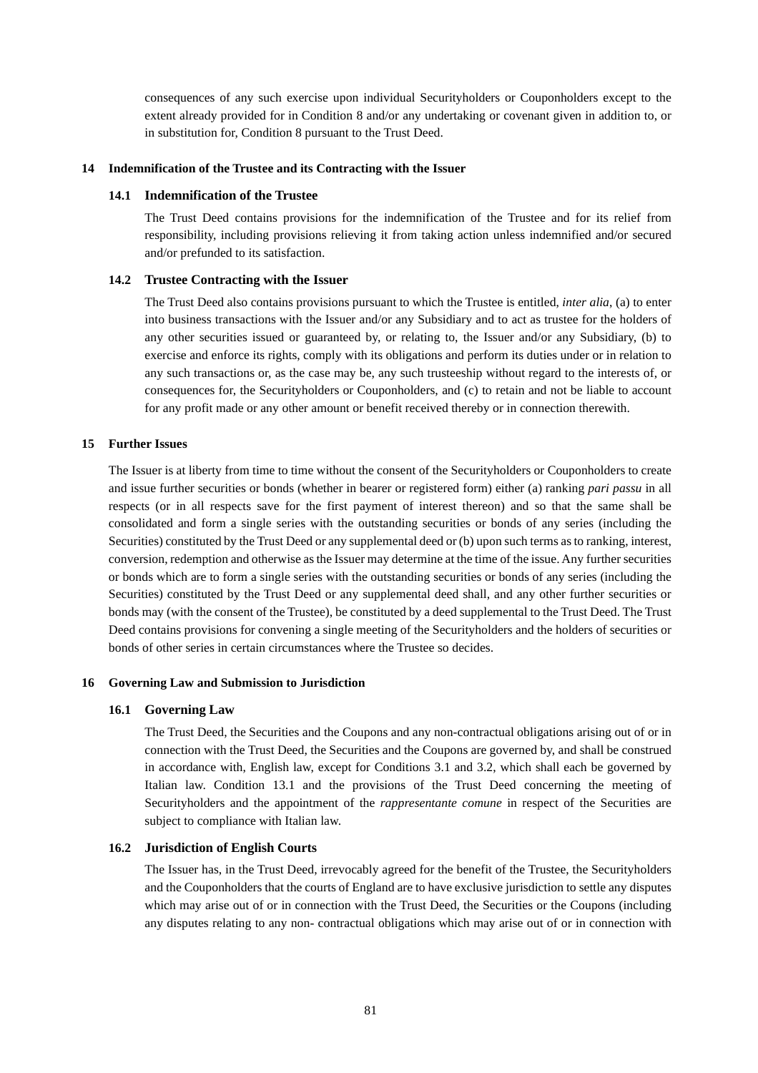consequences of any such exercise upon individual Securityholders or Couponholders except to the extent already provided for in Condition 8 and/or any undertaking or covenant given in addition to, or in substitution for, Condition 8 pursuant to the Trust Deed.

#### **14 Indemnification of the Trustee and its Contracting with the Issuer**

#### **14.1 Indemnification of the Trustee**

The Trust Deed contains provisions for the indemnification of the Trustee and for its relief from responsibility, including provisions relieving it from taking action unless indemnified and/or secured and/or prefunded to its satisfaction.

## **14.2 Trustee Contracting with the Issuer**

The Trust Deed also contains provisions pursuant to which the Trustee is entitled, *inter alia*, (a) to enter into business transactions with the Issuer and/or any Subsidiary and to act as trustee for the holders of any other securities issued or guaranteed by, or relating to, the Issuer and/or any Subsidiary, (b) to exercise and enforce its rights, comply with its obligations and perform its duties under or in relation to any such transactions or, as the case may be, any such trusteeship without regard to the interests of, or consequences for, the Securityholders or Couponholders, and (c) to retain and not be liable to account for any profit made or any other amount or benefit received thereby or in connection therewith.

## **15 Further Issues**

The Issuer is at liberty from time to time without the consent of the Securityholders or Couponholders to create and issue further securities or bonds (whether in bearer or registered form) either (a) ranking *pari passu* in all respects (or in all respects save for the first payment of interest thereon) and so that the same shall be consolidated and form a single series with the outstanding securities or bonds of any series (including the Securities) constituted by the Trust Deed or any supplemental deed or (b) upon such terms as to ranking, interest, conversion, redemption and otherwise as the Issuer may determine at the time of the issue. Any further securities or bonds which are to form a single series with the outstanding securities or bonds of any series (including the Securities) constituted by the Trust Deed or any supplemental deed shall, and any other further securities or bonds may (with the consent of the Trustee), be constituted by a deed supplemental to the Trust Deed. The Trust Deed contains provisions for convening a single meeting of the Securityholders and the holders of securities or bonds of other series in certain circumstances where the Trustee so decides.

## **16 Governing Law and Submission to Jurisdiction**

## **16.1 Governing Law**

The Trust Deed, the Securities and the Coupons and any non-contractual obligations arising out of or in connection with the Trust Deed, the Securities and the Coupons are governed by, and shall be construed in accordance with, English law, except for Conditions 3.1 and 3.2, which shall each be governed by Italian law. Condition 13.1 and the provisions of the Trust Deed concerning the meeting of Securityholders and the appointment of the *rappresentante comune* in respect of the Securities are subject to compliance with Italian law.

## **16.2 Jurisdiction of English Courts**

The Issuer has, in the Trust Deed, irrevocably agreed for the benefit of the Trustee, the Securityholders and the Couponholders that the courts of England are to have exclusive jurisdiction to settle any disputes which may arise out of or in connection with the Trust Deed, the Securities or the Coupons (including any disputes relating to any non- contractual obligations which may arise out of or in connection with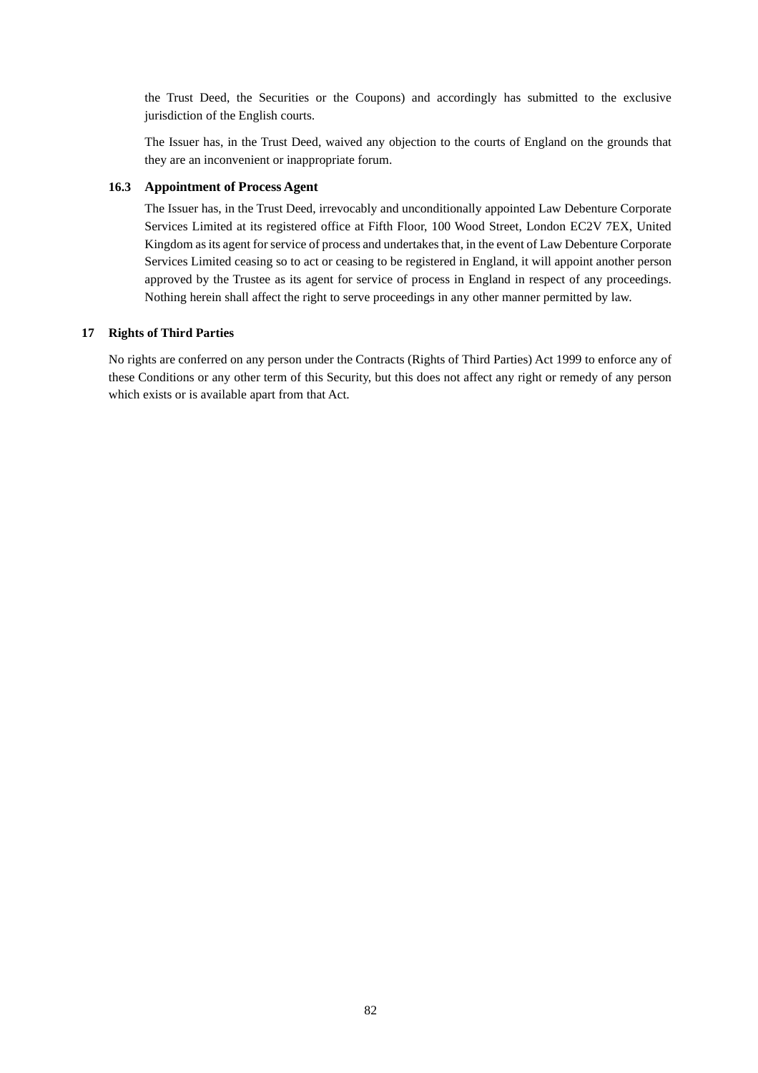the Trust Deed, the Securities or the Coupons) and accordingly has submitted to the exclusive jurisdiction of the English courts.

The Issuer has, in the Trust Deed, waived any objection to the courts of England on the grounds that they are an inconvenient or inappropriate forum.

## **16.3 Appointment of Process Agent**

The Issuer has, in the Trust Deed, irrevocably and unconditionally appointed Law Debenture Corporate Services Limited at its registered office at Fifth Floor, 100 Wood Street, London EC2V 7EX, United Kingdom as its agent for service of process and undertakes that, in the event of Law Debenture Corporate Services Limited ceasing so to act or ceasing to be registered in England, it will appoint another person approved by the Trustee as its agent for service of process in England in respect of any proceedings. Nothing herein shall affect the right to serve proceedings in any other manner permitted by law.

## **17 Rights of Third Parties**

No rights are conferred on any person under the Contracts (Rights of Third Parties) Act 1999 to enforce any of these Conditions or any other term of this Security, but this does not affect any right or remedy of any person which exists or is available apart from that Act.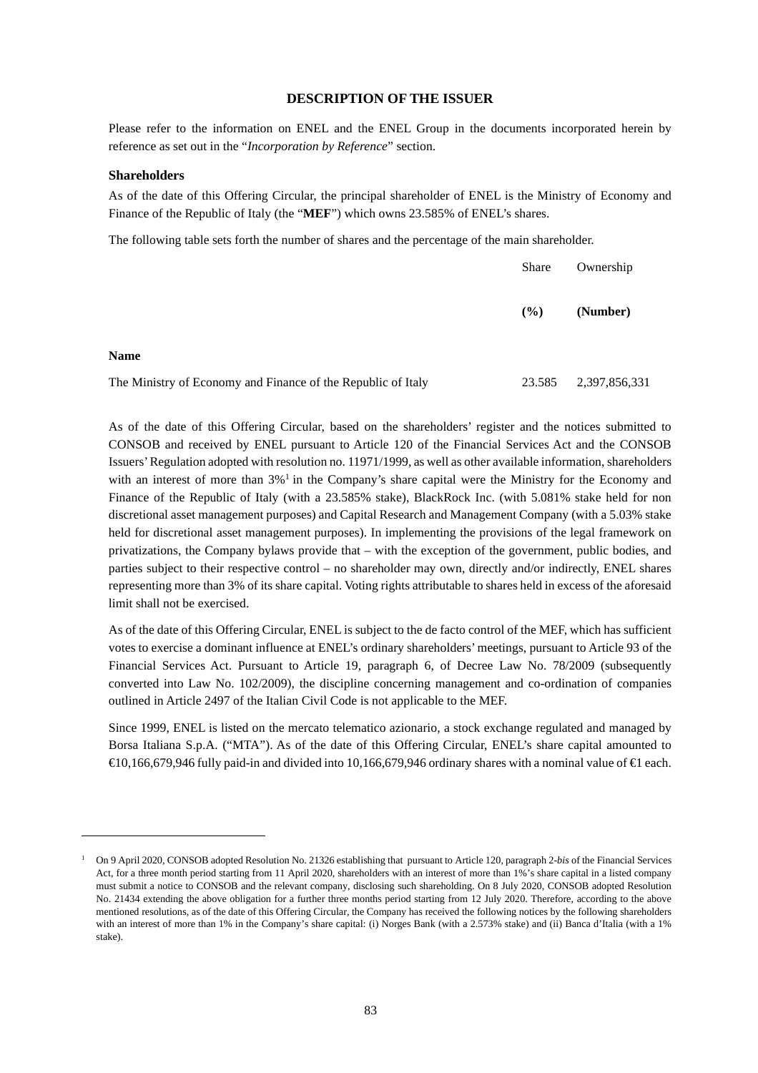# **DESCRIPTION OF THE ISSUER**

Please refer to the information on ENEL and the ENEL Group in the documents incorporated herein by reference as set out in the "*Incorporation by Reference*" section.

#### **Shareholders**

As of the date of this Offering Circular, the principal shareholder of ENEL is the Ministry of Economy and Finance of the Republic of Italy (the "**MEF**") which owns 23.585% of ENEL's shares.

The following table sets forth the number of shares and the percentage of the main shareholder.

|                                                              | <b>Share</b> | Ownership     |
|--------------------------------------------------------------|--------------|---------------|
|                                                              | $($ %)       | (Number)      |
| <b>Name</b>                                                  |              |               |
| The Ministry of Economy and Finance of the Republic of Italy | 23.585       | 2,397,856,331 |

As of the date of this Offering Circular, based on the shareholders' register and the notices submitted to CONSOB and received by ENEL pursuant to Article 120 of the Financial Services Act and the CONSOB Issuers' Regulation adopted with resolution no. 11971/1999, as well as other available information, shareholders with an interest of more than 3%<sup>1</sup> in the Company's share capital were the Ministry for the Economy and Finance of the Republic of Italy (with a 23.585% stake), BlackRock Inc. (with 5.081% stake held for non discretional asset management purposes) and Capital Research and Management Company (with a 5.03% stake held for discretional asset management purposes). In implementing the provisions of the legal framework on privatizations, the Company bylaws provide that – with the exception of the government, public bodies, and parties subject to their respective control – no shareholder may own, directly and/or indirectly, ENEL shares representing more than 3% of its share capital. Voting rights attributable to shares held in excess of the aforesaid limit shall not be exercised.

As of the date of this Offering Circular, ENEL is subject to the de facto control of the MEF, which has sufficient votes to exercise a dominant influence at ENEL's ordinary shareholders' meetings, pursuant to Article 93 of the Financial Services Act. Pursuant to Article 19, paragraph 6, of Decree Law No. 78/2009 (subsequently converted into Law No. 102/2009), the discipline concerning management and co-ordination of companies outlined in Article 2497 of the Italian Civil Code is not applicable to the MEF.

Since 1999, ENEL is listed on the mercato telematico azionario, a stock exchange regulated and managed by Borsa Italiana S.p.A. ("MTA"). As of the date of this Offering Circular, ENEL's share capital amounted to €10,166,679,946 fully paid-in and divided into 10,166,679,946 ordinary shares with a nominal value of €1 each.

<sup>&</sup>lt;sup>1</sup> On 9 April 2020, CONSOB adopted Resolution No. 21326 establishing that pursuant to Article 120, paragraph 2-*bis* of the Financial Services Act, for a three month period starting from 11 April 2020, shareholders with an interest of more than 1%'s share capital in a listed company must submit a notice to CONSOB and the relevant company, disclosing such shareholding. On 8 July 2020, CONSOB adopted Resolution No. 21434 extending the above obligation for a further three months period starting from 12 July 2020. Therefore, according to the above mentioned resolutions, as of the date of this Offering Circular, the Company has received the following notices by the following shareholders with an interest of more than 1% in the Company's share capital: (i) Norges Bank (with a 2.573% stake) and (ii) Banca d'Italia (with a 1% stake).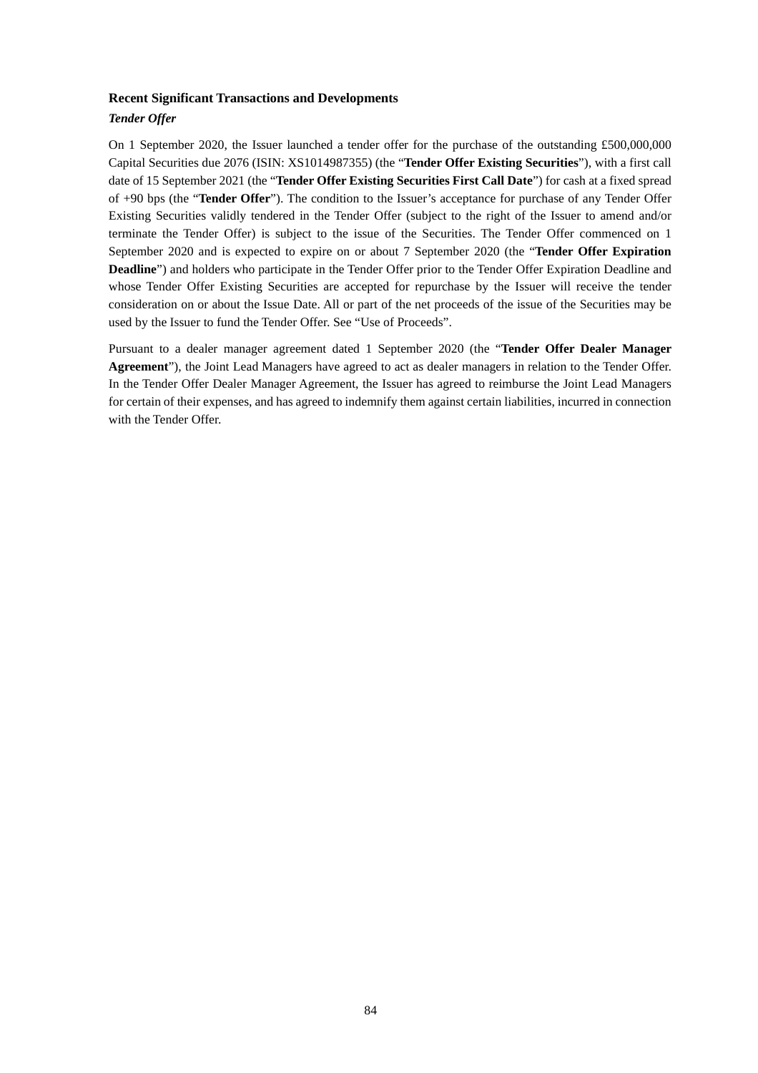#### **Recent Significant Transactions and Developments**

## *Tender Offer*

On 1 September 2020, the Issuer launched a tender offer for the purchase of the outstanding £500,000,000 Capital Securities due 2076 (ISIN: XS1014987355) (the "**Tender Offer Existing Securities**"), with a first call date of 15 September 2021 (the "**Tender Offer Existing Securities First Call Date**") for cash at a fixed spread of +90 bps (the "**Tender Offer**"). The condition to the Issuer's acceptance for purchase of any Tender Offer Existing Securities validly tendered in the Tender Offer (subject to the right of the Issuer to amend and/or terminate the Tender Offer) is subject to the issue of the Securities. The Tender Offer commenced on 1 September 2020 and is expected to expire on or about 7 September 2020 (the "**Tender Offer Expiration Deadline**") and holders who participate in the Tender Offer prior to the Tender Offer Expiration Deadline and whose Tender Offer Existing Securities are accepted for repurchase by the Issuer will receive the tender consideration on or about the Issue Date. All or part of the net proceeds of the issue of the Securities may be used by the Issuer to fund the Tender Offer. See "Use of Proceeds".

Pursuant to a dealer manager agreement dated 1 September 2020 (the "**Tender Offer Dealer Manager Agreement**"), the Joint Lead Managers have agreed to act as dealer managers in relation to the Tender Offer. In the Tender Offer Dealer Manager Agreement, the Issuer has agreed to reimburse the Joint Lead Managers for certain of their expenses, and has agreed to indemnify them against certain liabilities, incurred in connection with the Tender Offer.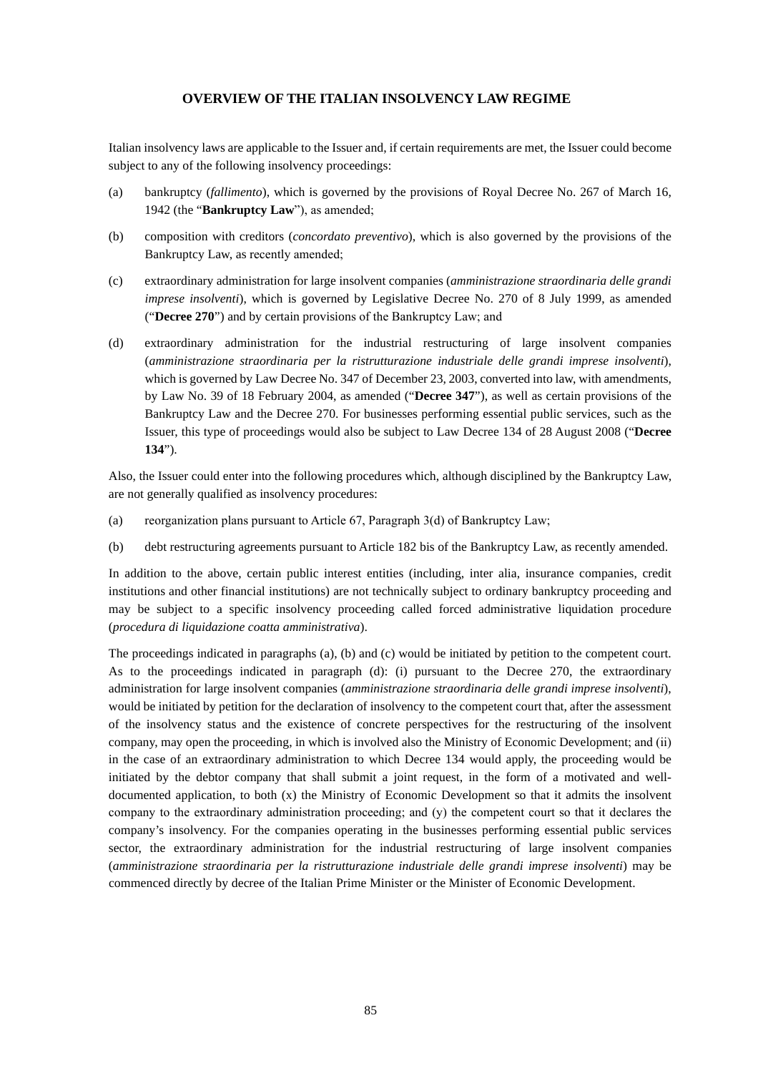# **OVERVIEW OF THE ITALIAN INSOLVENCY LAW REGIME**

Italian insolvency laws are applicable to the Issuer and, if certain requirements are met, the Issuer could become subject to any of the following insolvency proceedings:

- (a) bankruptcy (*fallimento*), which is governed by the provisions of Royal Decree No. 267 of March 16, 1942 (the "**Bankruptcy Law**"), as amended;
- (b) composition with creditors (*concordato preventivo*), which is also governed by the provisions of the Bankruptcy Law, as recently amended;
- (c) extraordinary administration for large insolvent companies (*amministrazione straordinaria delle grandi imprese insolventi*), which is governed by Legislative Decree No. 270 of 8 July 1999, as amended ("**Decree 270**") and by certain provisions of the Bankruptcy Law; and
- (d) extraordinary administration for the industrial restructuring of large insolvent companies (*amministrazione straordinaria per la ristrutturazione industriale delle grandi imprese insolventi*), which is governed by Law Decree No. 347 of December 23, 2003, converted into law, with amendments, by Law No. 39 of 18 February 2004, as amended ("**Decree 347**"), as well as certain provisions of the Bankruptcy Law and the Decree 270. For businesses performing essential public services, such as the Issuer, this type of proceedings would also be subject to Law Decree 134 of 28 August 2008 ("**Decree 134**").

Also, the Issuer could enter into the following procedures which, although disciplined by the Bankruptcy Law, are not generally qualified as insolvency procedures:

- (a) reorganization plans pursuant to Article 67, Paragraph 3(d) of Bankruptcy Law;
- (b) debt restructuring agreements pursuant to Article 182 bis of the Bankruptcy Law, as recently amended.

In addition to the above, certain public interest entities (including, inter alia, insurance companies, credit institutions and other financial institutions) are not technically subject to ordinary bankruptcy proceeding and may be subject to a specific insolvency proceeding called forced administrative liquidation procedure (*procedura di liquidazione coatta amministrativa*).

The proceedings indicated in paragraphs (a), (b) and (c) would be initiated by petition to the competent court. As to the proceedings indicated in paragraph (d): (i) pursuant to the Decree 270, the extraordinary administration for large insolvent companies (*amministrazione straordinaria delle grandi imprese insolventi*), would be initiated by petition for the declaration of insolvency to the competent court that, after the assessment of the insolvency status and the existence of concrete perspectives for the restructuring of the insolvent company, may open the proceeding, in which is involved also the Ministry of Economic Development; and (ii) in the case of an extraordinary administration to which Decree 134 would apply, the proceeding would be initiated by the debtor company that shall submit a joint request, in the form of a motivated and welldocumented application, to both (x) the Ministry of Economic Development so that it admits the insolvent company to the extraordinary administration proceeding; and (y) the competent court so that it declares the company's insolvency. For the companies operating in the businesses performing essential public services sector, the extraordinary administration for the industrial restructuring of large insolvent companies (*amministrazione straordinaria per la ristrutturazione industriale delle grandi imprese insolventi*) may be commenced directly by decree of the Italian Prime Minister or the Minister of Economic Development.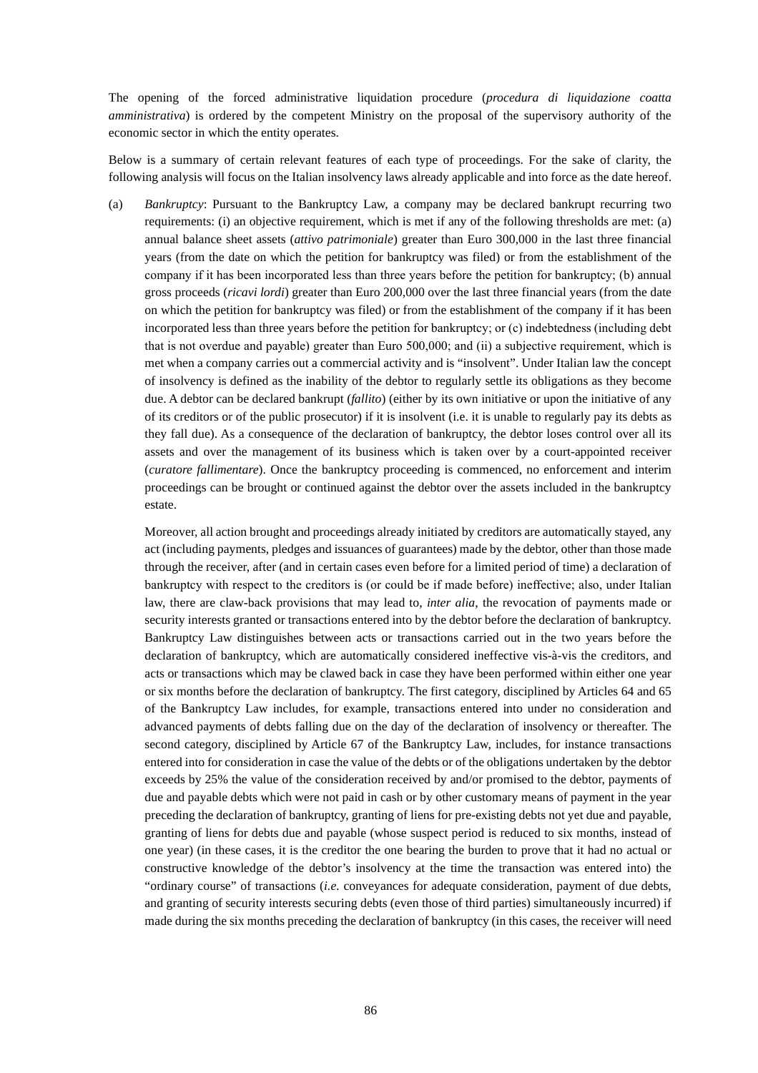The opening of the forced administrative liquidation procedure (*procedura di liquidazione coatta amministrativa*) is ordered by the competent Ministry on the proposal of the supervisory authority of the economic sector in which the entity operates.

Below is a summary of certain relevant features of each type of proceedings. For the sake of clarity, the following analysis will focus on the Italian insolvency laws already applicable and into force as the date hereof.

(a) *Bankruptcy*: Pursuant to the Bankruptcy Law, a company may be declared bankrupt recurring two requirements: (i) an objective requirement, which is met if any of the following thresholds are met: (a) annual balance sheet assets (*attivo patrimoniale*) greater than Euro 300,000 in the last three financial years (from the date on which the petition for bankruptcy was filed) or from the establishment of the company if it has been incorporated less than three years before the petition for bankruptcy; (b) annual gross proceeds (*ricavi lordi*) greater than Euro 200,000 over the last three financial years (from the date on which the petition for bankruptcy was filed) or from the establishment of the company if it has been incorporated less than three years before the petition for bankruptcy; or (c) indebtedness (including debt that is not overdue and payable) greater than Euro 500,000; and (ii) a subjective requirement, which is met when a company carries out a commercial activity and is "insolvent". Under Italian law the concept of insolvency is defined as the inability of the debtor to regularly settle its obligations as they become due. A debtor can be declared bankrupt (*fallito*) (either by its own initiative or upon the initiative of any of its creditors or of the public prosecutor) if it is insolvent (i.e. it is unable to regularly pay its debts as they fall due). As a consequence of the declaration of bankruptcy, the debtor loses control over all its assets and over the management of its business which is taken over by a court-appointed receiver (*curatore fallimentare*). Once the bankruptcy proceeding is commenced, no enforcement and interim proceedings can be brought or continued against the debtor over the assets included in the bankruptcy estate.

Moreover, all action brought and proceedings already initiated by creditors are automatically stayed, any act (including payments, pledges and issuances of guarantees) made by the debtor, other than those made through the receiver, after (and in certain cases even before for a limited period of time) a declaration of bankruptcy with respect to the creditors is (or could be if made before) ineffective; also, under Italian law, there are claw-back provisions that may lead to, *inter alia*, the revocation of payments made or security interests granted or transactions entered into by the debtor before the declaration of bankruptcy. Bankruptcy Law distinguishes between acts or transactions carried out in the two years before the declaration of bankruptcy, which are automatically considered ineffective vis-à-vis the creditors, and acts or transactions which may be clawed back in case they have been performed within either one year or six months before the declaration of bankruptcy. The first category, disciplined by Articles 64 and 65 of the Bankruptcy Law includes, for example, transactions entered into under no consideration and advanced payments of debts falling due on the day of the declaration of insolvency or thereafter. The second category, disciplined by Article 67 of the Bankruptcy Law, includes, for instance transactions entered into for consideration in case the value of the debts or of the obligations undertaken by the debtor exceeds by 25% the value of the consideration received by and/or promised to the debtor, payments of due and payable debts which were not paid in cash or by other customary means of payment in the year preceding the declaration of bankruptcy, granting of liens for pre-existing debts not yet due and payable, granting of liens for debts due and payable (whose suspect period is reduced to six months, instead of one year) (in these cases, it is the creditor the one bearing the burden to prove that it had no actual or constructive knowledge of the debtor's insolvency at the time the transaction was entered into) the "ordinary course" of transactions (*i.e.* conveyances for adequate consideration, payment of due debts, and granting of security interests securing debts (even those of third parties) simultaneously incurred) if made during the six months preceding the declaration of bankruptcy (in this cases, the receiver will need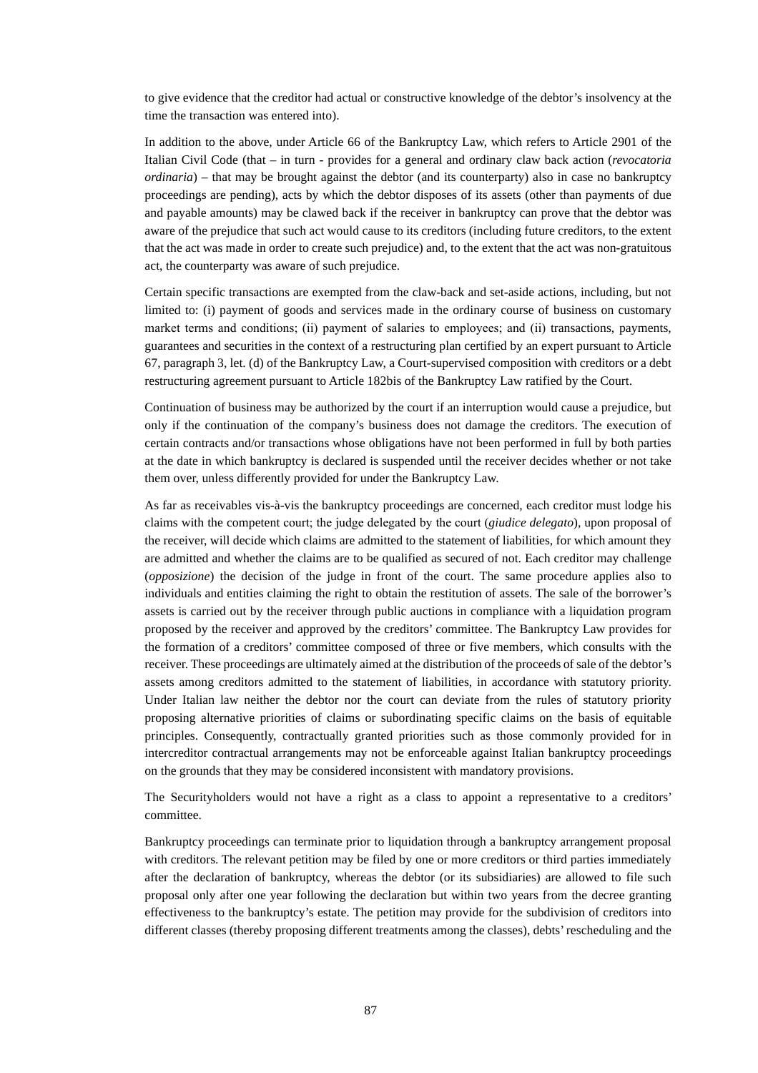to give evidence that the creditor had actual or constructive knowledge of the debtor's insolvency at the time the transaction was entered into).

In addition to the above, under Article 66 of the Bankruptcy Law, which refers to Article 2901 of the Italian Civil Code (that – in turn - provides for a general and ordinary claw back action (*revocatoria ordinaria*) – that may be brought against the debtor (and its counterparty) also in case no bankruptcy proceedings are pending), acts by which the debtor disposes of its assets (other than payments of due and payable amounts) may be clawed back if the receiver in bankruptcy can prove that the debtor was aware of the prejudice that such act would cause to its creditors (including future creditors, to the extent that the act was made in order to create such prejudice) and, to the extent that the act was non-gratuitous act, the counterparty was aware of such prejudice.

Certain specific transactions are exempted from the claw-back and set-aside actions, including, but not limited to: (i) payment of goods and services made in the ordinary course of business on customary market terms and conditions; (ii) payment of salaries to employees; and (ii) transactions, payments, guarantees and securities in the context of a restructuring plan certified by an expert pursuant to Article 67, paragraph 3, let. (d) of the Bankruptcy Law, a Court-supervised composition with creditors or a debt restructuring agreement pursuant to Article 182bis of the Bankruptcy Law ratified by the Court.

Continuation of business may be authorized by the court if an interruption would cause a prejudice, but only if the continuation of the company's business does not damage the creditors. The execution of certain contracts and/or transactions whose obligations have not been performed in full by both parties at the date in which bankruptcy is declared is suspended until the receiver decides whether or not take them over, unless differently provided for under the Bankruptcy Law.

As far as receivables vis-à-vis the bankruptcy proceedings are concerned, each creditor must lodge his claims with the competent court; the judge delegated by the court (*giudice delegato*), upon proposal of the receiver, will decide which claims are admitted to the statement of liabilities, for which amount they are admitted and whether the claims are to be qualified as secured of not. Each creditor may challenge (*opposizione*) the decision of the judge in front of the court. The same procedure applies also to individuals and entities claiming the right to obtain the restitution of assets. The sale of the borrower's assets is carried out by the receiver through public auctions in compliance with a liquidation program proposed by the receiver and approved by the creditors' committee. The Bankruptcy Law provides for the formation of a creditors' committee composed of three or five members, which consults with the receiver. These proceedings are ultimately aimed at the distribution of the proceeds of sale of the debtor's assets among creditors admitted to the statement of liabilities, in accordance with statutory priority. Under Italian law neither the debtor nor the court can deviate from the rules of statutory priority proposing alternative priorities of claims or subordinating specific claims on the basis of equitable principles. Consequently, contractually granted priorities such as those commonly provided for in intercreditor contractual arrangements may not be enforceable against Italian bankruptcy proceedings on the grounds that they may be considered inconsistent with mandatory provisions.

The Securityholders would not have a right as a class to appoint a representative to a creditors' committee.

Bankruptcy proceedings can terminate prior to liquidation through a bankruptcy arrangement proposal with creditors. The relevant petition may be filed by one or more creditors or third parties immediately after the declaration of bankruptcy, whereas the debtor (or its subsidiaries) are allowed to file such proposal only after one year following the declaration but within two years from the decree granting effectiveness to the bankruptcy's estate. The petition may provide for the subdivision of creditors into different classes (thereby proposing different treatments among the classes), debts' rescheduling and the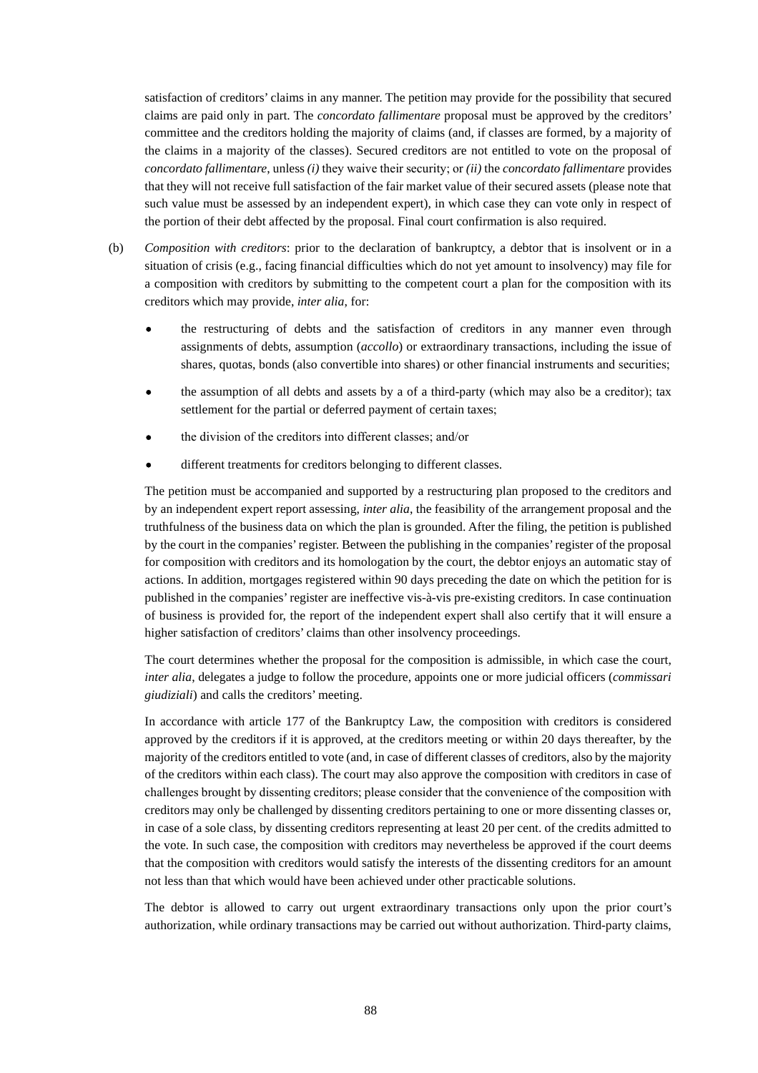satisfaction of creditors' claims in any manner. The petition may provide for the possibility that secured claims are paid only in part. The *concordato fallimentare* proposal must be approved by the creditors' committee and the creditors holding the majority of claims (and, if classes are formed, by a majority of the claims in a majority of the classes). Secured creditors are not entitled to vote on the proposal of *concordato fallimentare*, unless *(i)* they waive their security; or *(ii)* the *concordato fallimentare* provides that they will not receive full satisfaction of the fair market value of their secured assets (please note that such value must be assessed by an independent expert), in which case they can vote only in respect of the portion of their debt affected by the proposal. Final court confirmation is also required.

- (b) *Composition with creditors*: prior to the declaration of bankruptcy, a debtor that is insolvent or in a situation of crisis (e.g., facing financial difficulties which do not yet amount to insolvency) may file for a composition with creditors by submitting to the competent court a plan for the composition with its creditors which may provide, *inter alia*, for:
	- the restructuring of debts and the satisfaction of creditors in any manner even through assignments of debts, assumption (*accollo*) or extraordinary transactions, including the issue of shares, quotas, bonds (also convertible into shares) or other financial instruments and securities;
	- the assumption of all debts and assets by a of a third-party (which may also be a creditor); tax settlement for the partial or deferred payment of certain taxes;
	- the division of the creditors into different classes; and/or
	- different treatments for creditors belonging to different classes.

The petition must be accompanied and supported by a restructuring plan proposed to the creditors and by an independent expert report assessing, *inter alia*, the feasibility of the arrangement proposal and the truthfulness of the business data on which the plan is grounded. After the filing, the petition is published by the court in the companies' register. Between the publishing in the companies' register of the proposal for composition with creditors and its homologation by the court, the debtor enjoys an automatic stay of actions. In addition, mortgages registered within 90 days preceding the date on which the petition for is published in the companies' register are ineffective vis-à-vis pre-existing creditors. In case continuation of business is provided for, the report of the independent expert shall also certify that it will ensure a higher satisfaction of creditors' claims than other insolvency proceedings.

The court determines whether the proposal for the composition is admissible, in which case the court, *inter alia*, delegates a judge to follow the procedure, appoints one or more judicial officers (*commissari giudiziali*) and calls the creditors' meeting.

In accordance with article 177 of the Bankruptcy Law, the composition with creditors is considered approved by the creditors if it is approved, at the creditors meeting or within 20 days thereafter, by the majority of the creditors entitled to vote (and, in case of different classes of creditors, also by the majority of the creditors within each class). The court may also approve the composition with creditors in case of challenges brought by dissenting creditors; please consider that the convenience of the composition with creditors may only be challenged by dissenting creditors pertaining to one or more dissenting classes or, in case of a sole class, by dissenting creditors representing at least 20 per cent. of the credits admitted to the vote. In such case, the composition with creditors may nevertheless be approved if the court deems that the composition with creditors would satisfy the interests of the dissenting creditors for an amount not less than that which would have been achieved under other practicable solutions.

The debtor is allowed to carry out urgent extraordinary transactions only upon the prior court's authorization, while ordinary transactions may be carried out without authorization. Third-party claims,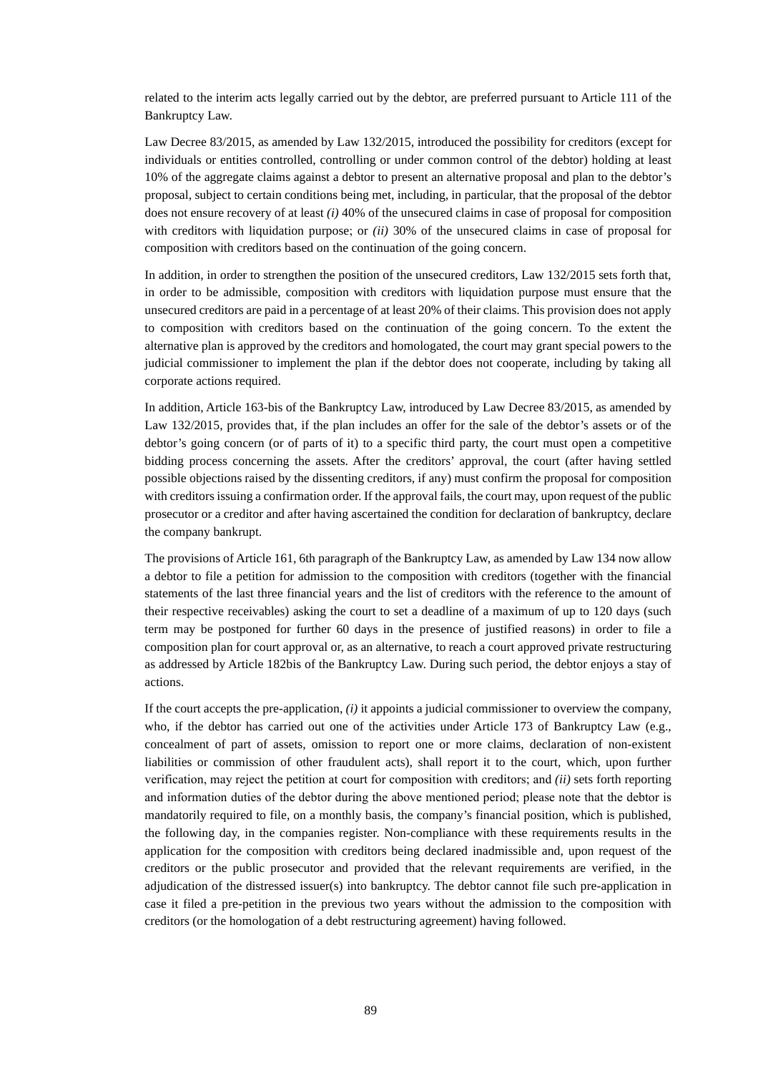related to the interim acts legally carried out by the debtor, are preferred pursuant to Article 111 of the Bankruptcy Law.

Law Decree 83/2015, as amended by Law 132/2015, introduced the possibility for creditors (except for individuals or entities controlled, controlling or under common control of the debtor) holding at least 10% of the aggregate claims against a debtor to present an alternative proposal and plan to the debtor's proposal, subject to certain conditions being met, including, in particular, that the proposal of the debtor does not ensure recovery of at least *(i)* 40% of the unsecured claims in case of proposal for composition with creditors with liquidation purpose; or *(ii)* 30% of the unsecured claims in case of proposal for composition with creditors based on the continuation of the going concern.

In addition, in order to strengthen the position of the unsecured creditors, Law 132/2015 sets forth that, in order to be admissible, composition with creditors with liquidation purpose must ensure that the unsecured creditors are paid in a percentage of at least 20% of their claims. This provision does not apply to composition with creditors based on the continuation of the going concern. To the extent the alternative plan is approved by the creditors and homologated, the court may grant special powers to the judicial commissioner to implement the plan if the debtor does not cooperate, including by taking all corporate actions required.

In addition, Article 163-bis of the Bankruptcy Law, introduced by Law Decree 83/2015, as amended by Law 132/2015, provides that, if the plan includes an offer for the sale of the debtor's assets or of the debtor's going concern (or of parts of it) to a specific third party, the court must open a competitive bidding process concerning the assets. After the creditors' approval, the court (after having settled possible objections raised by the dissenting creditors, if any) must confirm the proposal for composition with creditors issuing a confirmation order. If the approval fails, the court may, upon request of the public prosecutor or a creditor and after having ascertained the condition for declaration of bankruptcy, declare the company bankrupt.

The provisions of Article 161, 6th paragraph of the Bankruptcy Law, as amended by Law 134 now allow a debtor to file a petition for admission to the composition with creditors (together with the financial statements of the last three financial years and the list of creditors with the reference to the amount of their respective receivables) asking the court to set a deadline of a maximum of up to 120 days (such term may be postponed for further 60 days in the presence of justified reasons) in order to file a composition plan for court approval or, as an alternative, to reach a court approved private restructuring as addressed by Article 182bis of the Bankruptcy Law. During such period, the debtor enjoys a stay of actions.

If the court accepts the pre-application, *(i)* it appoints a judicial commissioner to overview the company, who, if the debtor has carried out one of the activities under Article 173 of Bankruptcy Law (e.g., concealment of part of assets, omission to report one or more claims, declaration of non-existent liabilities or commission of other fraudulent acts), shall report it to the court, which, upon further verification, may reject the petition at court for composition with creditors; and *(ii)* sets forth reporting and information duties of the debtor during the above mentioned period; please note that the debtor is mandatorily required to file, on a monthly basis, the company's financial position, which is published, the following day, in the companies register. Non-compliance with these requirements results in the application for the composition with creditors being declared inadmissible and, upon request of the creditors or the public prosecutor and provided that the relevant requirements are verified, in the adjudication of the distressed issuer(s) into bankruptcy. The debtor cannot file such pre-application in case it filed a pre-petition in the previous two years without the admission to the composition with creditors (or the homologation of a debt restructuring agreement) having followed.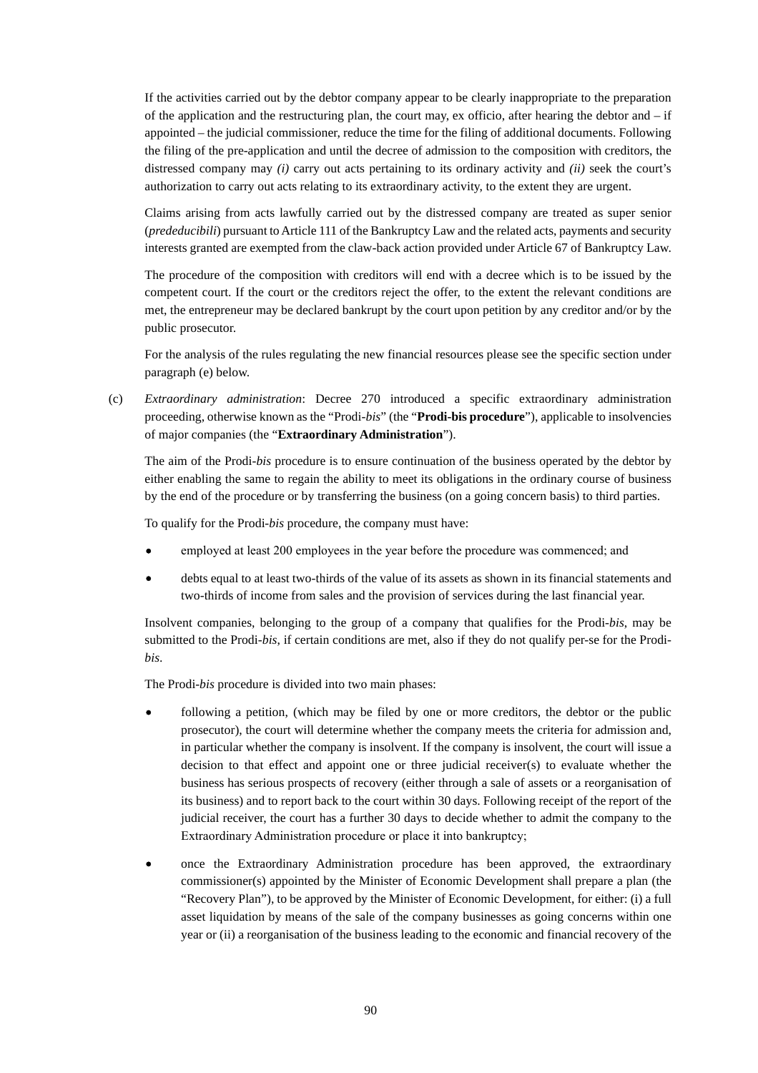If the activities carried out by the debtor company appear to be clearly inappropriate to the preparation of the application and the restructuring plan, the court may, ex officio, after hearing the debtor and  $-$  if appointed – the judicial commissioner, reduce the time for the filing of additional documents. Following the filing of the pre-application and until the decree of admission to the composition with creditors, the distressed company may *(i)* carry out acts pertaining to its ordinary activity and *(ii)* seek the court's authorization to carry out acts relating to its extraordinary activity, to the extent they are urgent.

Claims arising from acts lawfully carried out by the distressed company are treated as super senior (*prededucibili*) pursuant to Article 111 of the Bankruptcy Law and the related acts, payments and security interests granted are exempted from the claw-back action provided under Article 67 of Bankruptcy Law.

The procedure of the composition with creditors will end with a decree which is to be issued by the competent court. If the court or the creditors reject the offer, to the extent the relevant conditions are met, the entrepreneur may be declared bankrupt by the court upon petition by any creditor and/or by the public prosecutor.

For the analysis of the rules regulating the new financial resources please see the specific section under paragraph (e) below.

(c) *Extraordinary administration*: Decree 270 introduced a specific extraordinary administration proceeding, otherwise known as the "Prodi-*bis*" (the "**Prodi-bis procedure**"), applicable to insolvencies of major companies (the "**Extraordinary Administration**").

The aim of the Prodi-*bis* procedure is to ensure continuation of the business operated by the debtor by either enabling the same to regain the ability to meet its obligations in the ordinary course of business by the end of the procedure or by transferring the business (on a going concern basis) to third parties.

To qualify for the Prodi-*bis* procedure, the company must have:

- employed at least 200 employees in the year before the procedure was commenced; and
- debts equal to at least two-thirds of the value of its assets as shown in its financial statements and two-thirds of income from sales and the provision of services during the last financial year.

Insolvent companies, belonging to the group of a company that qualifies for the Prodi-*bis*, may be submitted to the Prodi-*bis*, if certain conditions are met, also if they do not qualify per-se for the Prodi*bis*.

The Prodi-*bis* procedure is divided into two main phases:

- following a petition, (which may be filed by one or more creditors, the debtor or the public prosecutor), the court will determine whether the company meets the criteria for admission and, in particular whether the company is insolvent. If the company is insolvent, the court will issue a decision to that effect and appoint one or three judicial receiver(s) to evaluate whether the business has serious prospects of recovery (either through a sale of assets or a reorganisation of its business) and to report back to the court within 30 days. Following receipt of the report of the judicial receiver, the court has a further 30 days to decide whether to admit the company to the Extraordinary Administration procedure or place it into bankruptcy;
- once the Extraordinary Administration procedure has been approved, the extraordinary commissioner(s) appointed by the Minister of Economic Development shall prepare a plan (the "Recovery Plan"), to be approved by the Minister of Economic Development, for either: (i) a full asset liquidation by means of the sale of the company businesses as going concerns within one year or (ii) a reorganisation of the business leading to the economic and financial recovery of the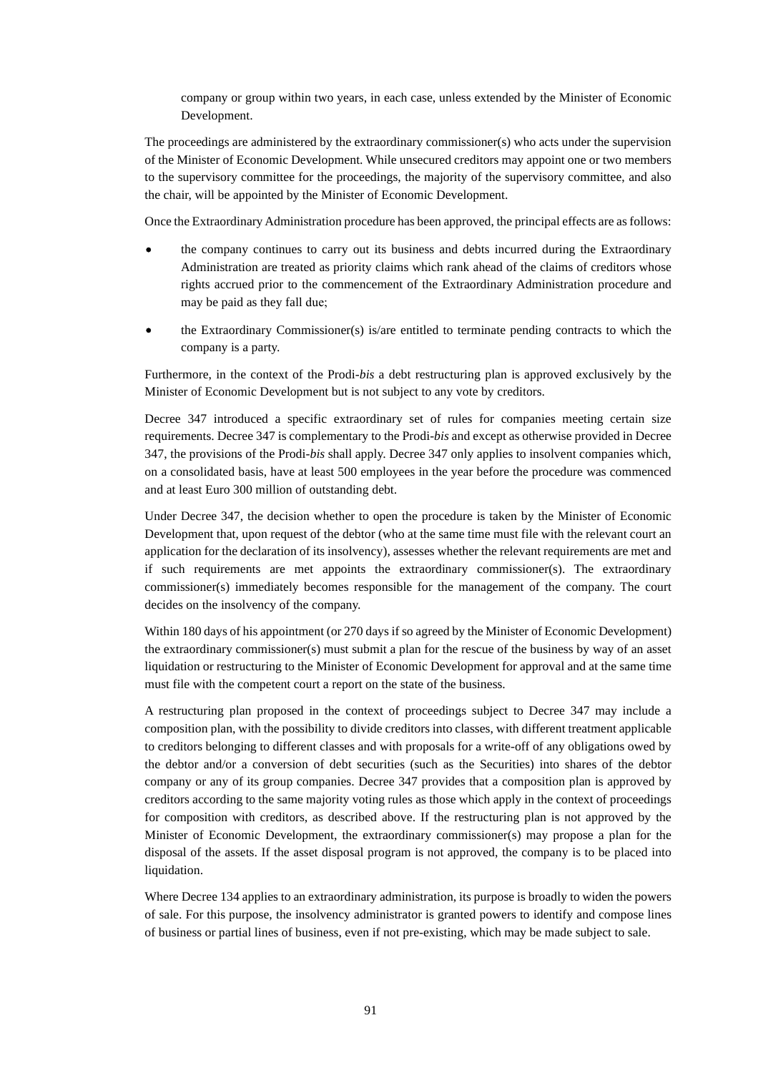company or group within two years, in each case, unless extended by the Minister of Economic Development.

The proceedings are administered by the extraordinary commissioner(s) who acts under the supervision of the Minister of Economic Development. While unsecured creditors may appoint one or two members to the supervisory committee for the proceedings, the majority of the supervisory committee, and also the chair, will be appointed by the Minister of Economic Development.

Once the Extraordinary Administration procedure has been approved, the principal effects are as follows:

- the company continues to carry out its business and debts incurred during the Extraordinary Administration are treated as priority claims which rank ahead of the claims of creditors whose rights accrued prior to the commencement of the Extraordinary Administration procedure and may be paid as they fall due;
- the Extraordinary Commissioner(s) is/are entitled to terminate pending contracts to which the company is a party.

Furthermore, in the context of the Prodi-*bis* a debt restructuring plan is approved exclusively by the Minister of Economic Development but is not subject to any vote by creditors.

Decree 347 introduced a specific extraordinary set of rules for companies meeting certain size requirements. Decree 347 is complementary to the Prodi-*bis* and except as otherwise provided in Decree 347, the provisions of the Prodi-*bis* shall apply. Decree 347 only applies to insolvent companies which, on a consolidated basis, have at least 500 employees in the year before the procedure was commenced and at least Euro 300 million of outstanding debt.

Under Decree 347, the decision whether to open the procedure is taken by the Minister of Economic Development that, upon request of the debtor (who at the same time must file with the relevant court an application for the declaration of its insolvency), assesses whether the relevant requirements are met and if such requirements are met appoints the extraordinary commissioner(s). The extraordinary commissioner(s) immediately becomes responsible for the management of the company. The court decides on the insolvency of the company.

Within 180 days of his appointment (or 270 days if so agreed by the Minister of Economic Development) the extraordinary commissioner(s) must submit a plan for the rescue of the business by way of an asset liquidation or restructuring to the Minister of Economic Development for approval and at the same time must file with the competent court a report on the state of the business.

A restructuring plan proposed in the context of proceedings subject to Decree 347 may include a composition plan, with the possibility to divide creditors into classes, with different treatment applicable to creditors belonging to different classes and with proposals for a write-off of any obligations owed by the debtor and/or a conversion of debt securities (such as the Securities) into shares of the debtor company or any of its group companies. Decree 347 provides that a composition plan is approved by creditors according to the same majority voting rules as those which apply in the context of proceedings for composition with creditors, as described above. If the restructuring plan is not approved by the Minister of Economic Development, the extraordinary commissioner(s) may propose a plan for the disposal of the assets. If the asset disposal program is not approved, the company is to be placed into liquidation.

Where Decree 134 applies to an extraordinary administration, its purpose is broadly to widen the powers of sale. For this purpose, the insolvency administrator is granted powers to identify and compose lines of business or partial lines of business, even if not pre-existing, which may be made subject to sale.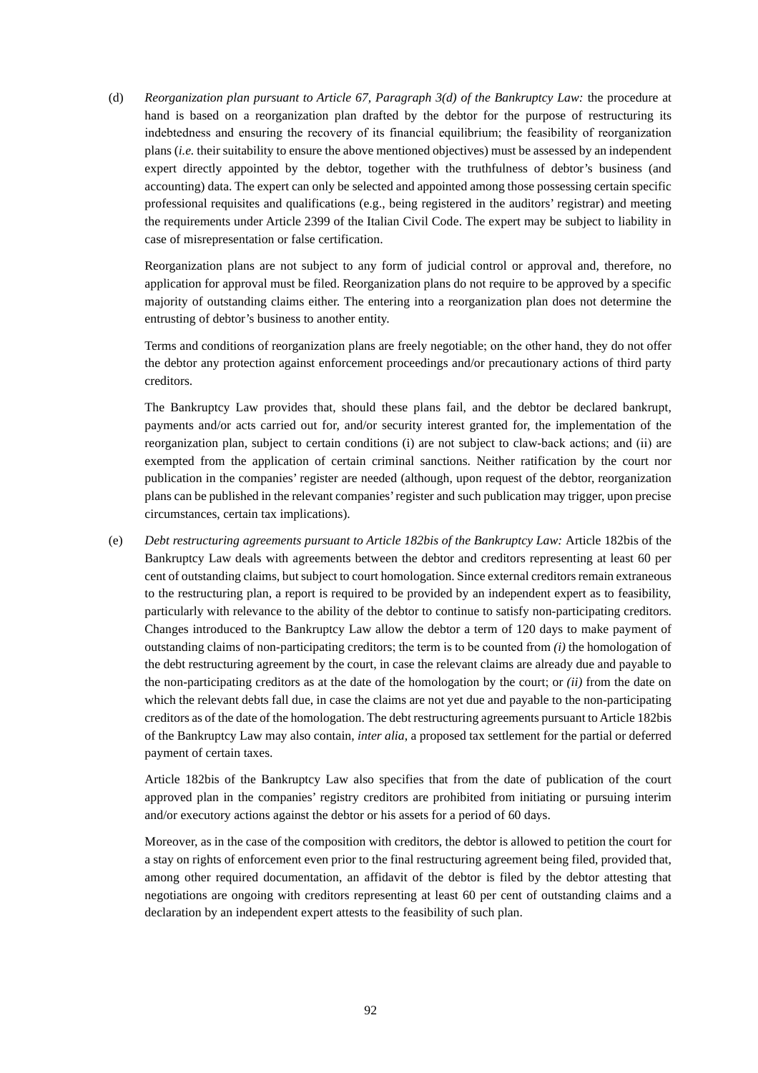(d) *Reorganization plan pursuant to Article 67, Paragraph 3(d) of the Bankruptcy Law:* the procedure at hand is based on a reorganization plan drafted by the debtor for the purpose of restructuring its indebtedness and ensuring the recovery of its financial equilibrium; the feasibility of reorganization plans (*i.e.* their suitability to ensure the above mentioned objectives) must be assessed by an independent expert directly appointed by the debtor, together with the truthfulness of debtor's business (and accounting) data. The expert can only be selected and appointed among those possessing certain specific professional requisites and qualifications (e.g., being registered in the auditors' registrar) and meeting the requirements under Article 2399 of the Italian Civil Code. The expert may be subject to liability in case of misrepresentation or false certification.

Reorganization plans are not subject to any form of judicial control or approval and, therefore, no application for approval must be filed. Reorganization plans do not require to be approved by a specific majority of outstanding claims either. The entering into a reorganization plan does not determine the entrusting of debtor's business to another entity.

Terms and conditions of reorganization plans are freely negotiable; on the other hand, they do not offer the debtor any protection against enforcement proceedings and/or precautionary actions of third party creditors.

The Bankruptcy Law provides that, should these plans fail, and the debtor be declared bankrupt, payments and/or acts carried out for, and/or security interest granted for, the implementation of the reorganization plan, subject to certain conditions (i) are not subject to claw-back actions; and (ii) are exempted from the application of certain criminal sanctions. Neither ratification by the court nor publication in the companies' register are needed (although, upon request of the debtor, reorganization plans can be published in the relevant companies' register and such publication may trigger, upon precise circumstances, certain tax implications).

(e) *Debt restructuring agreements pursuant to Article 182bis of the Bankruptcy Law:* Article 182bis of the Bankruptcy Law deals with agreements between the debtor and creditors representing at least 60 per cent of outstanding claims, but subject to court homologation. Since external creditors remain extraneous to the restructuring plan, a report is required to be provided by an independent expert as to feasibility, particularly with relevance to the ability of the debtor to continue to satisfy non-participating creditors. Changes introduced to the Bankruptcy Law allow the debtor a term of 120 days to make payment of outstanding claims of non-participating creditors; the term is to be counted from *(i)* the homologation of the debt restructuring agreement by the court, in case the relevant claims are already due and payable to the non-participating creditors as at the date of the homologation by the court; or *(ii)* from the date on which the relevant debts fall due, in case the claims are not yet due and payable to the non-participating creditors as of the date of the homologation. The debt restructuring agreements pursuant to Article 182bis of the Bankruptcy Law may also contain, *inter alia*, a proposed tax settlement for the partial or deferred payment of certain taxes.

Article 182bis of the Bankruptcy Law also specifies that from the date of publication of the court approved plan in the companies' registry creditors are prohibited from initiating or pursuing interim and/or executory actions against the debtor or his assets for a period of 60 days.

Moreover, as in the case of the composition with creditors, the debtor is allowed to petition the court for a stay on rights of enforcement even prior to the final restructuring agreement being filed, provided that, among other required documentation, an affidavit of the debtor is filed by the debtor attesting that negotiations are ongoing with creditors representing at least 60 per cent of outstanding claims and a declaration by an independent expert attests to the feasibility of such plan.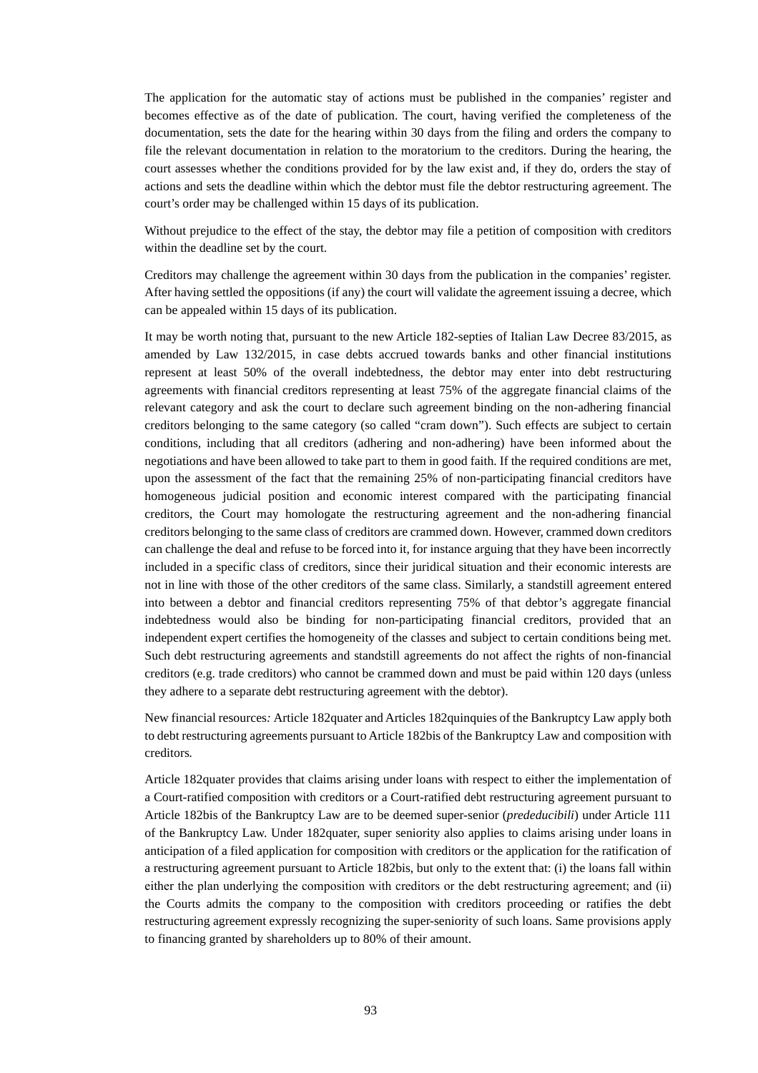The application for the automatic stay of actions must be published in the companies' register and becomes effective as of the date of publication. The court, having verified the completeness of the documentation, sets the date for the hearing within 30 days from the filing and orders the company to file the relevant documentation in relation to the moratorium to the creditors. During the hearing, the court assesses whether the conditions provided for by the law exist and, if they do, orders the stay of actions and sets the deadline within which the debtor must file the debtor restructuring agreement. The court's order may be challenged within 15 days of its publication.

Without prejudice to the effect of the stay, the debtor may file a petition of composition with creditors within the deadline set by the court.

Creditors may challenge the agreement within 30 days from the publication in the companies' register. After having settled the oppositions (if any) the court will validate the agreement issuing a decree, which can be appealed within 15 days of its publication.

It may be worth noting that, pursuant to the new Article 182-septies of Italian Law Decree 83/2015, as amended by Law 132/2015, in case debts accrued towards banks and other financial institutions represent at least 50% of the overall indebtedness, the debtor may enter into debt restructuring agreements with financial creditors representing at least 75% of the aggregate financial claims of the relevant category and ask the court to declare such agreement binding on the non-adhering financial creditors belonging to the same category (so called "cram down"). Such effects are subject to certain conditions, including that all creditors (adhering and non-adhering) have been informed about the negotiations and have been allowed to take part to them in good faith. If the required conditions are met, upon the assessment of the fact that the remaining 25% of non-participating financial creditors have homogeneous judicial position and economic interest compared with the participating financial creditors, the Court may homologate the restructuring agreement and the non-adhering financial creditors belonging to the same class of creditors are crammed down. However, crammed down creditors can challenge the deal and refuse to be forced into it, for instance arguing that they have been incorrectly included in a specific class of creditors, since their juridical situation and their economic interests are not in line with those of the other creditors of the same class. Similarly, a standstill agreement entered into between a debtor and financial creditors representing 75% of that debtor's aggregate financial indebtedness would also be binding for non-participating financial creditors, provided that an independent expert certifies the homogeneity of the classes and subject to certain conditions being met. Such debt restructuring agreements and standstill agreements do not affect the rights of non-financial creditors (e.g. trade creditors) who cannot be crammed down and must be paid within 120 days (unless they adhere to a separate debt restructuring agreement with the debtor).

New financial resources*:* Article 182quater and Articles 182quinquies of the Bankruptcy Law apply both to debt restructuring agreements pursuant to Article 182bis of the Bankruptcy Law and composition with creditors*.*

Article 182quater provides that claims arising under loans with respect to either the implementation of a Court-ratified composition with creditors or a Court-ratified debt restructuring agreement pursuant to Article 182bis of the Bankruptcy Law are to be deemed super-senior (*prededucibili*) under Article 111 of the Bankruptcy Law. Under 182quater, super seniority also applies to claims arising under loans in anticipation of a filed application for composition with creditors or the application for the ratification of a restructuring agreement pursuant to Article 182bis, but only to the extent that: (i) the loans fall within either the plan underlying the composition with creditors or the debt restructuring agreement; and (ii) the Courts admits the company to the composition with creditors proceeding or ratifies the debt restructuring agreement expressly recognizing the super-seniority of such loans. Same provisions apply to financing granted by shareholders up to 80% of their amount.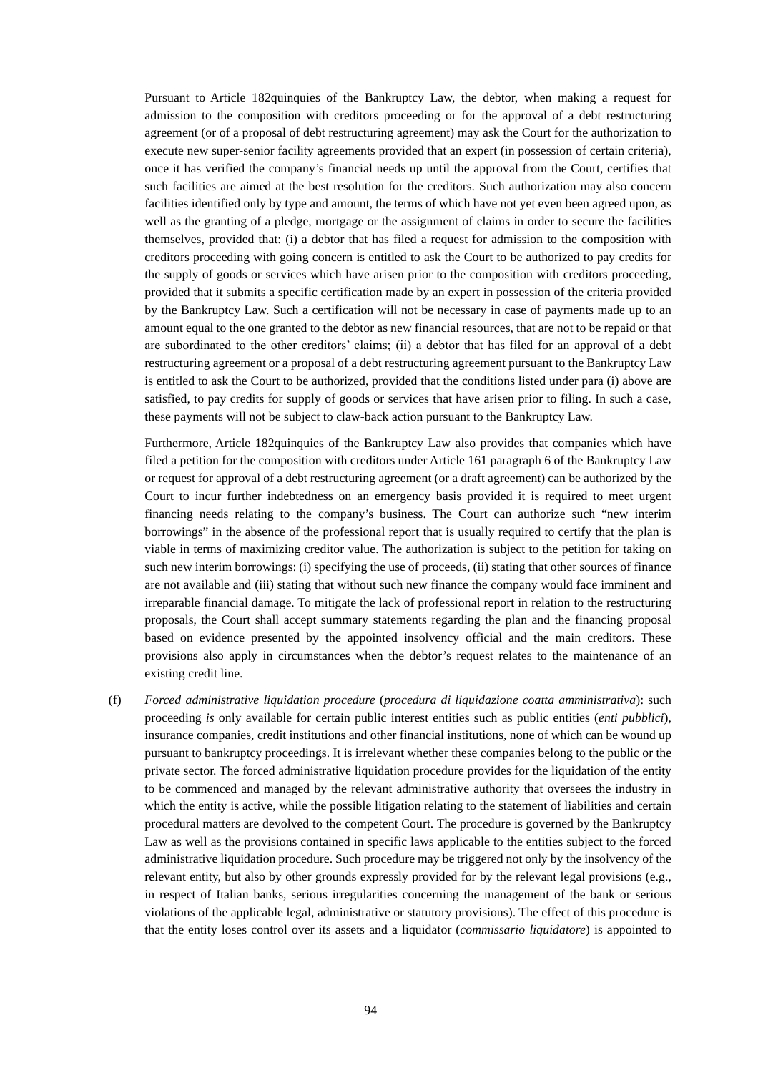Pursuant to Article 182quinquies of the Bankruptcy Law, the debtor, when making a request for admission to the composition with creditors proceeding or for the approval of a debt restructuring agreement (or of a proposal of debt restructuring agreement) may ask the Court for the authorization to execute new super-senior facility agreements provided that an expert (in possession of certain criteria), once it has verified the company's financial needs up until the approval from the Court, certifies that such facilities are aimed at the best resolution for the creditors. Such authorization may also concern facilities identified only by type and amount, the terms of which have not yet even been agreed upon, as well as the granting of a pledge, mortgage or the assignment of claims in order to secure the facilities themselves, provided that: (i) a debtor that has filed a request for admission to the composition with creditors proceeding with going concern is entitled to ask the Court to be authorized to pay credits for the supply of goods or services which have arisen prior to the composition with creditors proceeding, provided that it submits a specific certification made by an expert in possession of the criteria provided by the Bankruptcy Law. Such a certification will not be necessary in case of payments made up to an amount equal to the one granted to the debtor as new financial resources, that are not to be repaid or that are subordinated to the other creditors' claims; (ii) a debtor that has filed for an approval of a debt restructuring agreement or a proposal of a debt restructuring agreement pursuant to the Bankruptcy Law is entitled to ask the Court to be authorized, provided that the conditions listed under para (i) above are satisfied, to pay credits for supply of goods or services that have arisen prior to filing. In such a case, these payments will not be subject to claw-back action pursuant to the Bankruptcy Law.

Furthermore, Article 182quinquies of the Bankruptcy Law also provides that companies which have filed a petition for the composition with creditors under Article 161 paragraph 6 of the Bankruptcy Law or request for approval of a debt restructuring agreement (or a draft agreement) can be authorized by the Court to incur further indebtedness on an emergency basis provided it is required to meet urgent financing needs relating to the company's business. The Court can authorize such "new interim borrowings" in the absence of the professional report that is usually required to certify that the plan is viable in terms of maximizing creditor value. The authorization is subject to the petition for taking on such new interim borrowings: (i) specifying the use of proceeds, (ii) stating that other sources of finance are not available and (iii) stating that without such new finance the company would face imminent and irreparable financial damage. To mitigate the lack of professional report in relation to the restructuring proposals, the Court shall accept summary statements regarding the plan and the financing proposal based on evidence presented by the appointed insolvency official and the main creditors. These provisions also apply in circumstances when the debtor's request relates to the maintenance of an existing credit line.

(f) *Forced administrative liquidation procedure* (*procedura di liquidazione coatta amministrativa*): such proceeding *is* only available for certain public interest entities such as public entities (*enti pubblici*), insurance companies, credit institutions and other financial institutions, none of which can be wound up pursuant to bankruptcy proceedings. It is irrelevant whether these companies belong to the public or the private sector. The forced administrative liquidation procedure provides for the liquidation of the entity to be commenced and managed by the relevant administrative authority that oversees the industry in which the entity is active, while the possible litigation relating to the statement of liabilities and certain procedural matters are devolved to the competent Court. The procedure is governed by the Bankruptcy Law as well as the provisions contained in specific laws applicable to the entities subject to the forced administrative liquidation procedure. Such procedure may be triggered not only by the insolvency of the relevant entity, but also by other grounds expressly provided for by the relevant legal provisions (e.g., in respect of Italian banks, serious irregularities concerning the management of the bank or serious violations of the applicable legal, administrative or statutory provisions). The effect of this procedure is that the entity loses control over its assets and a liquidator (*commissario liquidatore*) is appointed to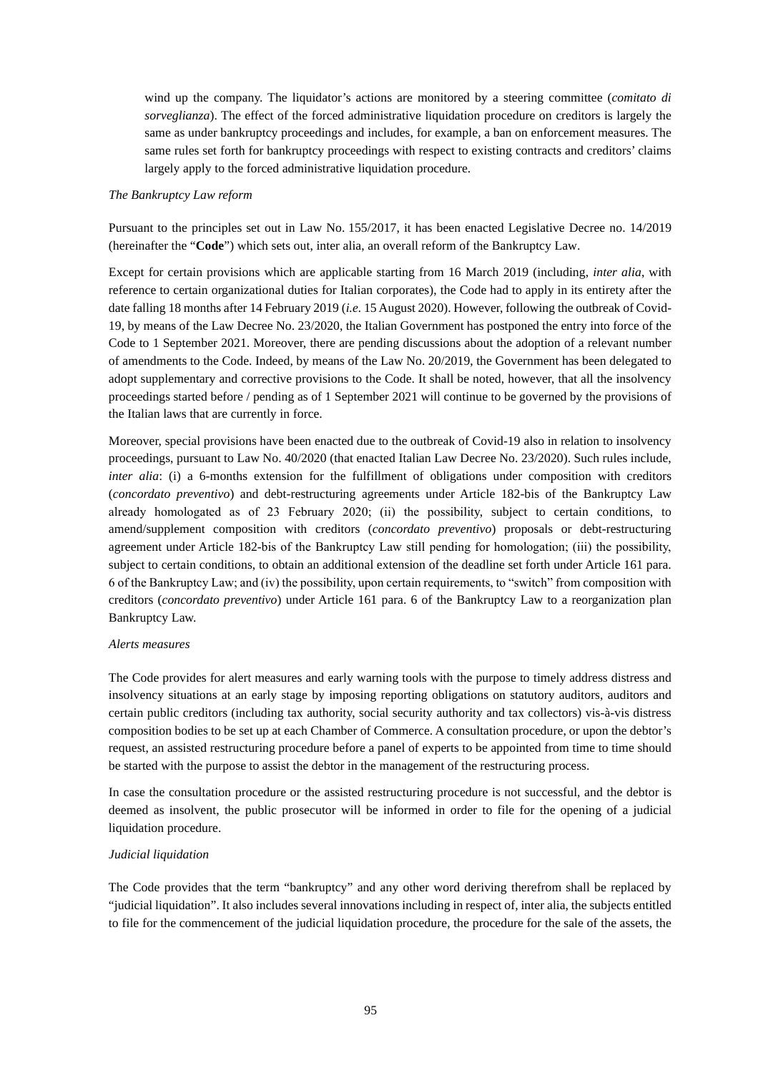wind up the company. The liquidator's actions are monitored by a steering committee (*comitato di sorveglianza*). The effect of the forced administrative liquidation procedure on creditors is largely the same as under bankruptcy proceedings and includes, for example, a ban on enforcement measures. The same rules set forth for bankruptcy proceedings with respect to existing contracts and creditors' claims largely apply to the forced administrative liquidation procedure.

#### *The Bankruptcy Law reform*

Pursuant to the principles set out in Law No. 155/2017, it has been enacted Legislative Decree no. 14/2019 (hereinafter the "**Code**") which sets out, inter alia, an overall reform of the Bankruptcy Law.

Except for certain provisions which are applicable starting from 16 March 2019 (including, *inter alia*, with reference to certain organizational duties for Italian corporates), the Code had to apply in its entirety after the date falling 18 months after 14 February 2019 (*i.e.* 15 August 2020). However, following the outbreak of Covid-19, by means of the Law Decree No. 23/2020, the Italian Government has postponed the entry into force of the Code to 1 September 2021. Moreover, there are pending discussions about the adoption of a relevant number of amendments to the Code. Indeed, by means of the Law No. 20/2019, the Government has been delegated to adopt supplementary and corrective provisions to the Code. It shall be noted, however, that all the insolvency proceedings started before / pending as of 1 September 2021 will continue to be governed by the provisions of the Italian laws that are currently in force.

Moreover, special provisions have been enacted due to the outbreak of Covid-19 also in relation to insolvency proceedings, pursuant to Law No. 40/2020 (that enacted Italian Law Decree No. 23/2020). Such rules include, *inter alia*: (i) a 6-months extension for the fulfillment of obligations under composition with creditors (*concordato preventivo*) and debt-restructuring agreements under Article 182-bis of the Bankruptcy Law already homologated as of 23 February 2020; (ii) the possibility, subject to certain conditions, to amend/supplement composition with creditors (*concordato preventivo*) proposals or debt-restructuring agreement under Article 182-bis of the Bankruptcy Law still pending for homologation; (iii) the possibility, subject to certain conditions, to obtain an additional extension of the deadline set forth under Article 161 para. 6 of the Bankruptcy Law; and (iv) the possibility, upon certain requirements, to "switch" from composition with creditors (*concordato preventivo*) under Article 161 para. 6 of the Bankruptcy Law to a reorganization plan Bankruptcy Law.

#### *Alerts measures*

The Code provides for alert measures and early warning tools with the purpose to timely address distress and insolvency situations at an early stage by imposing reporting obligations on statutory auditors, auditors and certain public creditors (including tax authority, social security authority and tax collectors) vis-à-vis distress composition bodies to be set up at each Chamber of Commerce. A consultation procedure, or upon the debtor's request, an assisted restructuring procedure before a panel of experts to be appointed from time to time should be started with the purpose to assist the debtor in the management of the restructuring process.

In case the consultation procedure or the assisted restructuring procedure is not successful, and the debtor is deemed as insolvent, the public prosecutor will be informed in order to file for the opening of a judicial liquidation procedure.

## *Judicial liquidation*

The Code provides that the term "bankruptcy" and any other word deriving therefrom shall be replaced by "judicial liquidation". It also includes several innovations including in respect of, inter alia, the subjects entitled to file for the commencement of the judicial liquidation procedure, the procedure for the sale of the assets, the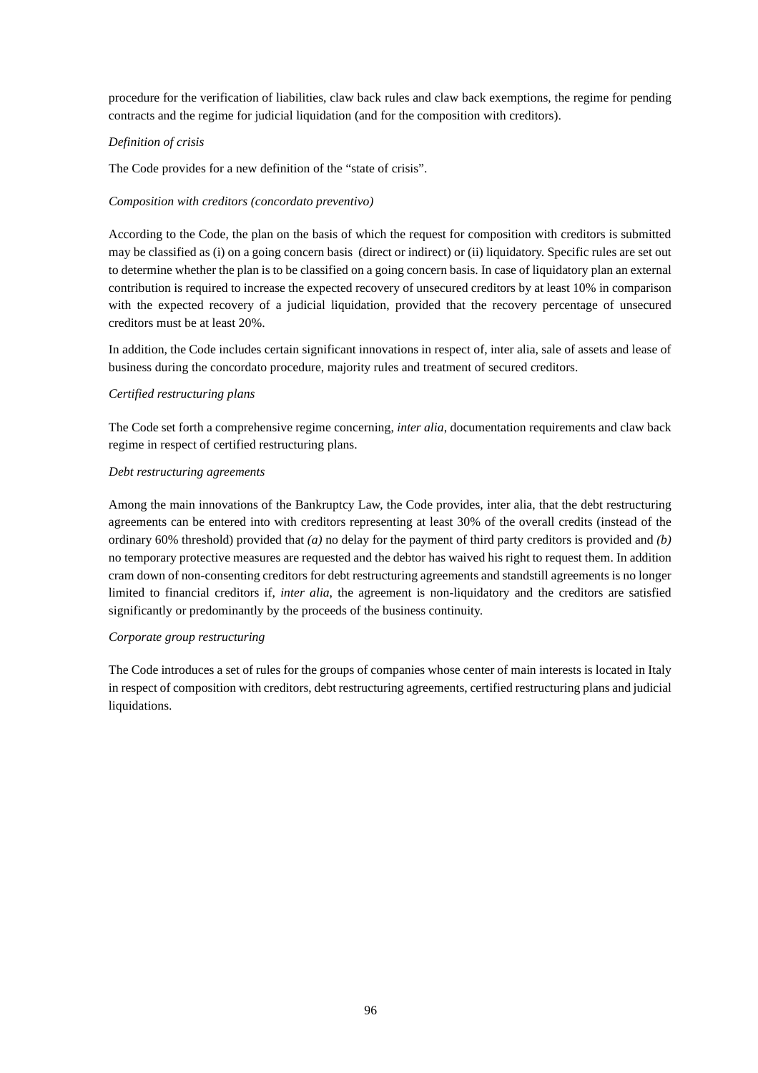procedure for the verification of liabilities, claw back rules and claw back exemptions, the regime for pending contracts and the regime for judicial liquidation (and for the composition with creditors).

# *Definition of crisis*

The Code provides for a new definition of the "state of crisis".

# *Composition with creditors (concordato preventivo)*

According to the Code, the plan on the basis of which the request for composition with creditors is submitted may be classified as (i) on a going concern basis (direct or indirect) or (ii) liquidatory. Specific rules are set out to determine whether the plan is to be classified on a going concern basis. In case of liquidatory plan an external contribution is required to increase the expected recovery of unsecured creditors by at least 10% in comparison with the expected recovery of a judicial liquidation, provided that the recovery percentage of unsecured creditors must be at least 20%.

In addition, the Code includes certain significant innovations in respect of, inter alia, sale of assets and lease of business during the concordato procedure, majority rules and treatment of secured creditors.

# *Certified restructuring plans*

The Code set forth a comprehensive regime concerning, *inter alia*, documentation requirements and claw back regime in respect of certified restructuring plans.

## *Debt restructuring agreements*

Among the main innovations of the Bankruptcy Law, the Code provides, inter alia, that the debt restructuring agreements can be entered into with creditors representing at least 30% of the overall credits (instead of the ordinary 60% threshold) provided that *(a)* no delay for the payment of third party creditors is provided and *(b)* no temporary protective measures are requested and the debtor has waived his right to request them. In addition cram down of non-consenting creditors for debt restructuring agreements and standstill agreements is no longer limited to financial creditors if, *inter alia*, the agreement is non-liquidatory and the creditors are satisfied significantly or predominantly by the proceeds of the business continuity.

## *Corporate group restructuring*

The Code introduces a set of rules for the groups of companies whose center of main interests is located in Italy in respect of composition with creditors, debt restructuring agreements, certified restructuring plans and judicial liquidations.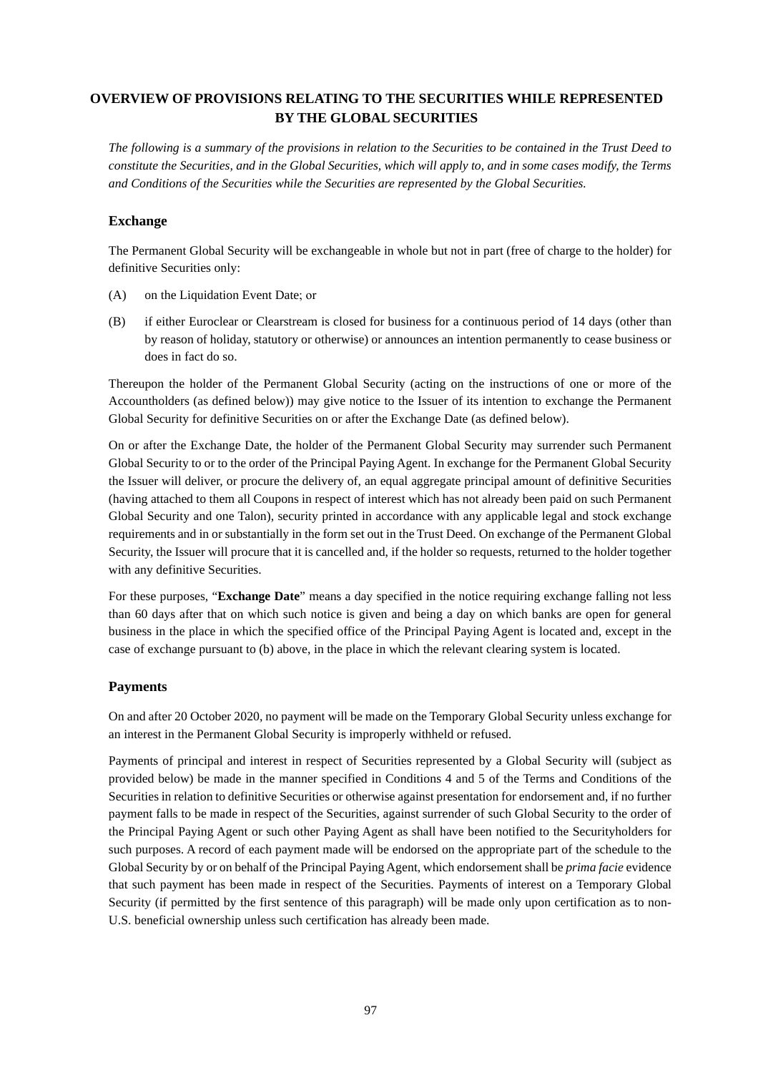# **OVERVIEW OF PROVISIONS RELATING TO THE SECURITIES WHILE REPRESENTED BY THE GLOBAL SECURITIES**

*The following is a summary of the provisions in relation to the Securities to be contained in the Trust Deed to constitute the Securities, and in the Global Securities, which will apply to, and in some cases modify, the Terms and Conditions of the Securities while the Securities are represented by the Global Securities.* 

# **Exchange**

The Permanent Global Security will be exchangeable in whole but not in part (free of charge to the holder) for definitive Securities only:

- (A) on the Liquidation Event Date; or
- (B) if either Euroclear or Clearstream is closed for business for a continuous period of 14 days (other than by reason of holiday, statutory or otherwise) or announces an intention permanently to cease business or does in fact do so.

Thereupon the holder of the Permanent Global Security (acting on the instructions of one or more of the Accountholders (as defined below)) may give notice to the Issuer of its intention to exchange the Permanent Global Security for definitive Securities on or after the Exchange Date (as defined below).

On or after the Exchange Date, the holder of the Permanent Global Security may surrender such Permanent Global Security to or to the order of the Principal Paying Agent. In exchange for the Permanent Global Security the Issuer will deliver, or procure the delivery of, an equal aggregate principal amount of definitive Securities (having attached to them all Coupons in respect of interest which has not already been paid on such Permanent Global Security and one Talon), security printed in accordance with any applicable legal and stock exchange requirements and in or substantially in the form set out in the Trust Deed. On exchange of the Permanent Global Security, the Issuer will procure that it is cancelled and, if the holder so requests, returned to the holder together with any definitive Securities.

For these purposes, "**Exchange Date**" means a day specified in the notice requiring exchange falling not less than 60 days after that on which such notice is given and being a day on which banks are open for general business in the place in which the specified office of the Principal Paying Agent is located and, except in the case of exchange pursuant to (b) above, in the place in which the relevant clearing system is located.

# **Payments**

On and after 20 October 2020, no payment will be made on the Temporary Global Security unless exchange for an interest in the Permanent Global Security is improperly withheld or refused.

Payments of principal and interest in respect of Securities represented by a Global Security will (subject as provided below) be made in the manner specified in Conditions 4 and 5 of the Terms and Conditions of the Securities in relation to definitive Securities or otherwise against presentation for endorsement and, if no further payment falls to be made in respect of the Securities, against surrender of such Global Security to the order of the Principal Paying Agent or such other Paying Agent as shall have been notified to the Securityholders for such purposes. A record of each payment made will be endorsed on the appropriate part of the schedule to the Global Security by or on behalf of the Principal Paying Agent, which endorsement shall be *prima facie* evidence that such payment has been made in respect of the Securities. Payments of interest on a Temporary Global Security (if permitted by the first sentence of this paragraph) will be made only upon certification as to non-U.S. beneficial ownership unless such certification has already been made.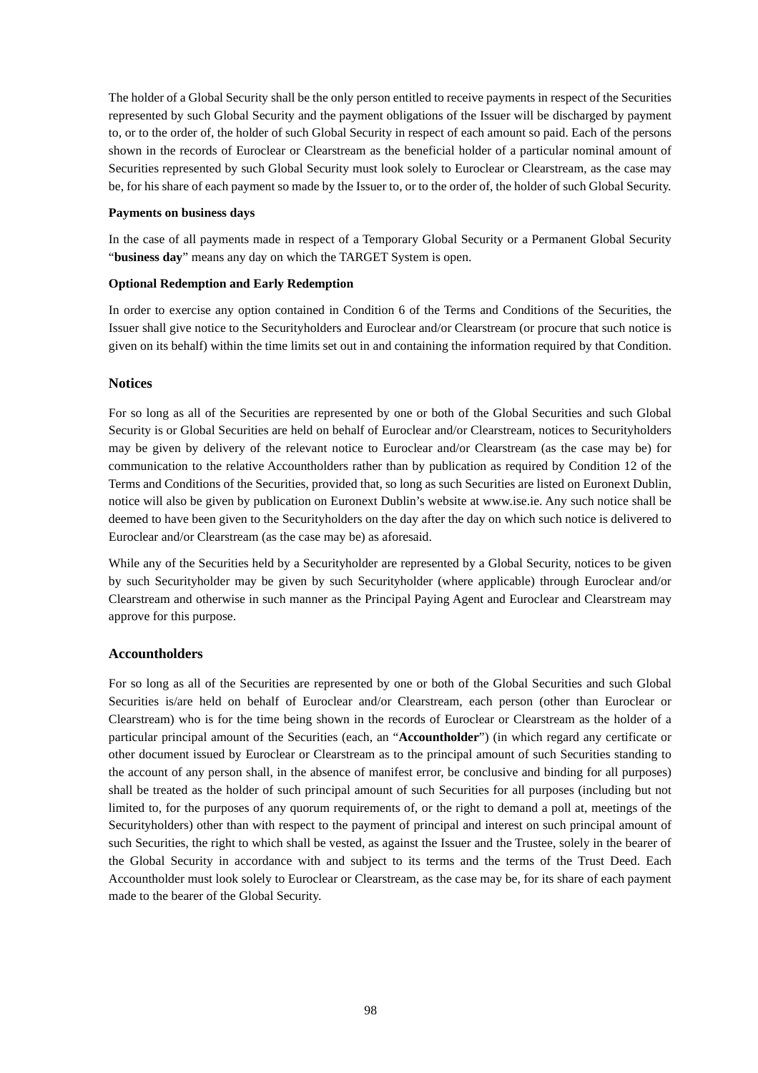The holder of a Global Security shall be the only person entitled to receive payments in respect of the Securities represented by such Global Security and the payment obligations of the Issuer will be discharged by payment to, or to the order of, the holder of such Global Security in respect of each amount so paid. Each of the persons shown in the records of Euroclear or Clearstream as the beneficial holder of a particular nominal amount of Securities represented by such Global Security must look solely to Euroclear or Clearstream, as the case may be, for his share of each payment so made by the Issuer to, or to the order of, the holder of such Global Security.

#### **Payments on business days**

In the case of all payments made in respect of a Temporary Global Security or a Permanent Global Security "**business day**" means any day on which the TARGET System is open.

#### **Optional Redemption and Early Redemption**

In order to exercise any option contained in Condition 6 of the Terms and Conditions of the Securities, the Issuer shall give notice to the Securityholders and Euroclear and/or Clearstream (or procure that such notice is given on its behalf) within the time limits set out in and containing the information required by that Condition.

## **Notices**

For so long as all of the Securities are represented by one or both of the Global Securities and such Global Security is or Global Securities are held on behalf of Euroclear and/or Clearstream, notices to Securityholders may be given by delivery of the relevant notice to Euroclear and/or Clearstream (as the case may be) for communication to the relative Accountholders rather than by publication as required by Condition 12 of the Terms and Conditions of the Securities, provided that, so long as such Securities are listed on Euronext Dublin, notice will also be given by publication on Euronext Dublin's website at www.ise.ie. Any such notice shall be deemed to have been given to the Securityholders on the day after the day on which such notice is delivered to Euroclear and/or Clearstream (as the case may be) as aforesaid.

While any of the Securities held by a Securityholder are represented by a Global Security, notices to be given by such Securityholder may be given by such Securityholder (where applicable) through Euroclear and/or Clearstream and otherwise in such manner as the Principal Paying Agent and Euroclear and Clearstream may approve for this purpose.

## **Accountholders**

For so long as all of the Securities are represented by one or both of the Global Securities and such Global Securities is/are held on behalf of Euroclear and/or Clearstream, each person (other than Euroclear or Clearstream) who is for the time being shown in the records of Euroclear or Clearstream as the holder of a particular principal amount of the Securities (each, an "**Accountholder**") (in which regard any certificate or other document issued by Euroclear or Clearstream as to the principal amount of such Securities standing to the account of any person shall, in the absence of manifest error, be conclusive and binding for all purposes) shall be treated as the holder of such principal amount of such Securities for all purposes (including but not limited to, for the purposes of any quorum requirements of, or the right to demand a poll at, meetings of the Securityholders) other than with respect to the payment of principal and interest on such principal amount of such Securities, the right to which shall be vested, as against the Issuer and the Trustee, solely in the bearer of the Global Security in accordance with and subject to its terms and the terms of the Trust Deed. Each Accountholder must look solely to Euroclear or Clearstream, as the case may be, for its share of each payment made to the bearer of the Global Security.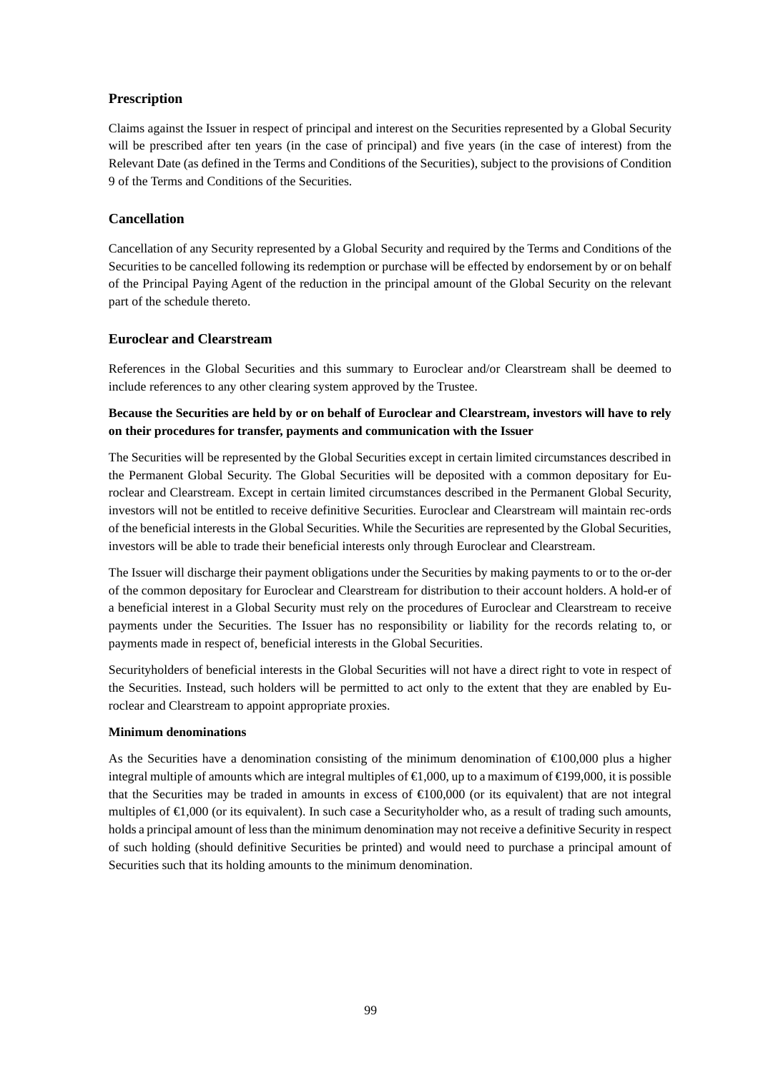# **Prescription**

Claims against the Issuer in respect of principal and interest on the Securities represented by a Global Security will be prescribed after ten years (in the case of principal) and five years (in the case of interest) from the Relevant Date (as defined in the Terms and Conditions of the Securities), subject to the provisions of Condition 9 of the Terms and Conditions of the Securities.

# **Cancellation**

Cancellation of any Security represented by a Global Security and required by the Terms and Conditions of the Securities to be cancelled following its redemption or purchase will be effected by endorsement by or on behalf of the Principal Paying Agent of the reduction in the principal amount of the Global Security on the relevant part of the schedule thereto.

# **Euroclear and Clearstream**

References in the Global Securities and this summary to Euroclear and/or Clearstream shall be deemed to include references to any other clearing system approved by the Trustee.

# **Because the Securities are held by or on behalf of Euroclear and Clearstream, investors will have to rely on their procedures for transfer, payments and communication with the Issuer**

The Securities will be represented by the Global Securities except in certain limited circumstances described in the Permanent Global Security. The Global Securities will be deposited with a common depositary for Euroclear and Clearstream. Except in certain limited circumstances described in the Permanent Global Security, investors will not be entitled to receive definitive Securities. Euroclear and Clearstream will maintain rec-ords of the beneficial interests in the Global Securities. While the Securities are represented by the Global Securities, investors will be able to trade their beneficial interests only through Euroclear and Clearstream.

The Issuer will discharge their payment obligations under the Securities by making payments to or to the or-der of the common depositary for Euroclear and Clearstream for distribution to their account holders. A hold-er of a beneficial interest in a Global Security must rely on the procedures of Euroclear and Clearstream to receive payments under the Securities. The Issuer has no responsibility or liability for the records relating to, or payments made in respect of, beneficial interests in the Global Securities.

Securityholders of beneficial interests in the Global Securities will not have a direct right to vote in respect of the Securities. Instead, such holders will be permitted to act only to the extent that they are enabled by Euroclear and Clearstream to appoint appropriate proxies.

# **Minimum denominations**

As the Securities have a denomination consisting of the minimum denomination of  $\epsilon 00,000$  plus a higher integral multiple of amounts which are integral multiples of  $\bigoplus$ ,000, up to a maximum of  $\bigoplus$ 99,000, it is possible that the Securities may be traded in amounts in excess of  $\bigoplus$  00,000 (or its equivalent) that are not integral multiples of €1,000 (or its equivalent). In such case a Securityholder who, as a result of trading such amounts, holds a principal amount of less than the minimum denomination may not receive a definitive Security in respect of such holding (should definitive Securities be printed) and would need to purchase a principal amount of Securities such that its holding amounts to the minimum denomination.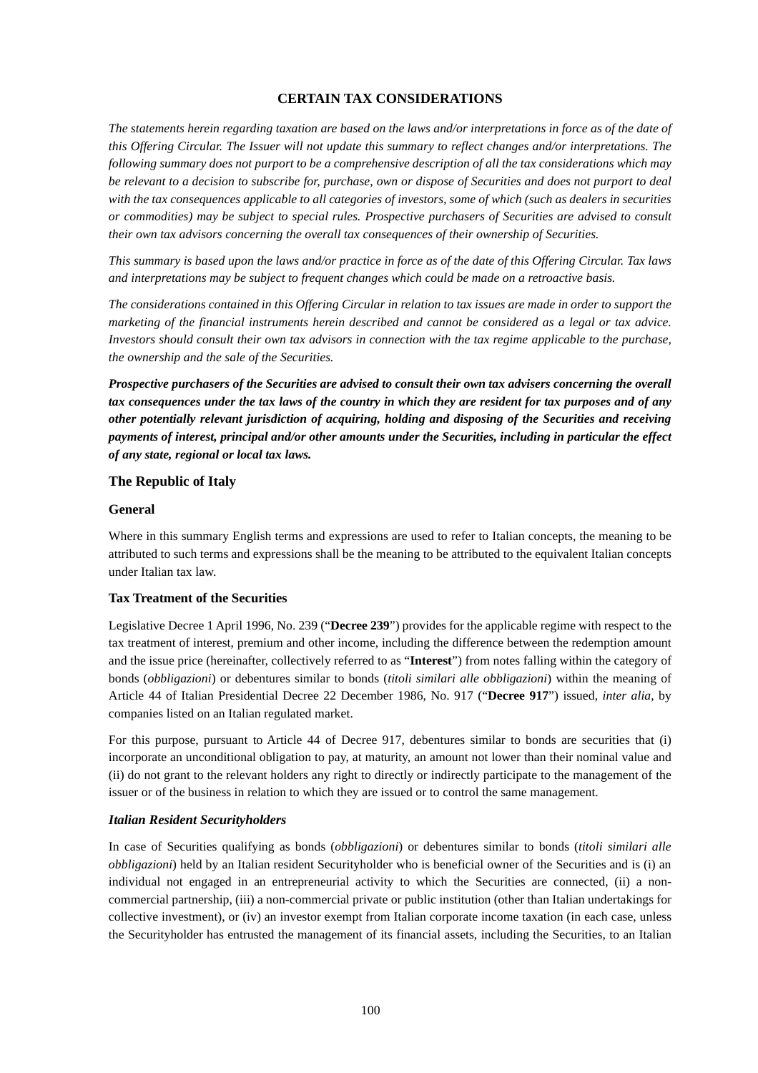# **CERTAIN TAX CONSIDERATIONS**

*The statements herein regarding taxation are based on the laws and/or interpretations in force as of the date of this Offering Circular. The Issuer will not update this summary to reflect changes and/or interpretations. The following summary does not purport to be a comprehensive description of all the tax considerations which may be relevant to a decision to subscribe for, purchase, own or dispose of Securities and does not purport to deal with the tax consequences applicable to all categories of investors, some of which (such as dealers in securities or commodities) may be subject to special rules. Prospective purchasers of Securities are advised to consult their own tax advisors concerning the overall tax consequences of their ownership of Securities.* 

*This summary is based upon the laws and/or practice in force as of the date of this Offering Circular. Tax laws and interpretations may be subject to frequent changes which could be made on a retroactive basis.* 

*The considerations contained in this Offering Circular in relation to tax issues are made in order to support the marketing of the financial instruments herein described and cannot be considered as a legal or tax advice. Investors should consult their own tax advisors in connection with the tax regime applicable to the purchase, the ownership and the sale of the Securities.* 

*Prospective purchasers of the Securities are advised to consult their own tax advisers concerning the overall tax consequences under the tax laws of the country in which they are resident for tax purposes and of any other potentially relevant jurisdiction of acquiring, holding and disposing of the Securities and receiving payments of interest, principal and/or other amounts under the Securities, including in particular the effect of any state, regional or local tax laws.* 

## **The Republic of Italy**

#### **General**

Where in this summary English terms and expressions are used to refer to Italian concepts, the meaning to be attributed to such terms and expressions shall be the meaning to be attributed to the equivalent Italian concepts under Italian tax law.

## **Tax Treatment of the Securities**

Legislative Decree 1 April 1996, No. 239 ("**Decree 239**") provides for the applicable regime with respect to the tax treatment of interest, premium and other income, including the difference between the redemption amount and the issue price (hereinafter, collectively referred to as "**Interest**") from notes falling within the category of bonds (*obbligazioni*) or debentures similar to bonds (*titoli similari alle obbligazioni*) within the meaning of Article 44 of Italian Presidential Decree 22 December 1986, No. 917 ("**Decree 917**") issued, *inter alia*, by companies listed on an Italian regulated market.

For this purpose, pursuant to Article 44 of Decree 917, debentures similar to bonds are securities that (i) incorporate an unconditional obligation to pay, at maturity, an amount not lower than their nominal value and (ii) do not grant to the relevant holders any right to directly or indirectly participate to the management of the issuer or of the business in relation to which they are issued or to control the same management.

#### *Italian Resident Securityholders*

In case of Securities qualifying as bonds (*obbligazioni*) or debentures similar to bonds (*titoli similari alle obbligazioni*) held by an Italian resident Securityholder who is beneficial owner of the Securities and is (i) an individual not engaged in an entrepreneurial activity to which the Securities are connected, (ii) a noncommercial partnership, (iii) a non-commercial private or public institution (other than Italian undertakings for collective investment), or (iv) an investor exempt from Italian corporate income taxation (in each case, unless the Securityholder has entrusted the management of its financial assets, including the Securities, to an Italian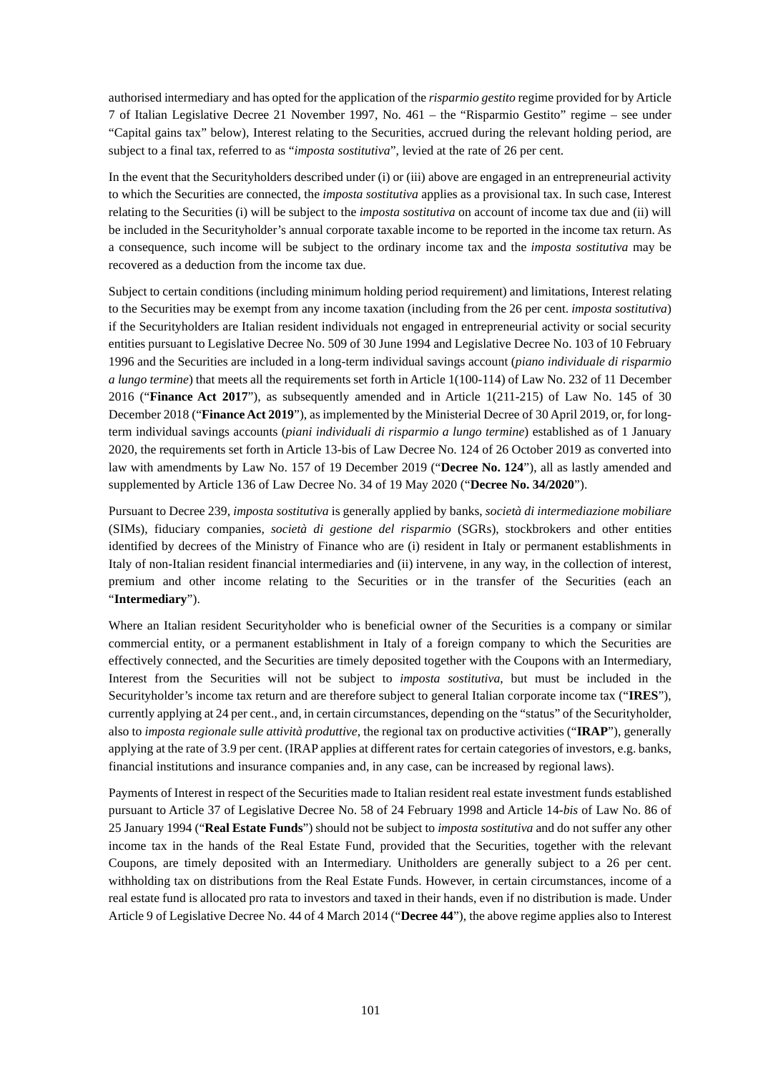authorised intermediary and has opted for the application of the *risparmio gestito* regime provided for by Article 7 of Italian Legislative Decree 21 November 1997, No. 461 – the "Risparmio Gestito" regime – see under "Capital gains tax" below), Interest relating to the Securities, accrued during the relevant holding period, are subject to a final tax, referred to as "*imposta sostitutiva*", levied at the rate of 26 per cent.

In the event that the Securityholders described under (i) or (iii) above are engaged in an entrepreneurial activity to which the Securities are connected, the *imposta sostitutiva* applies as a provisional tax. In such case, Interest relating to the Securities (i) will be subject to the *imposta sostitutiva* on account of income tax due and (ii) will be included in the Securityholder's annual corporate taxable income to be reported in the income tax return. As a consequence, such income will be subject to the ordinary income tax and the *imposta sostitutiva* may be recovered as a deduction from the income tax due.

Subject to certain conditions (including minimum holding period requirement) and limitations, Interest relating to the Securities may be exempt from any income taxation (including from the 26 per cent. *imposta sostitutiva*) if the Securityholders are Italian resident individuals not engaged in entrepreneurial activity or social security entities pursuant to Legislative Decree No. 509 of 30 June 1994 and Legislative Decree No. 103 of 10 February 1996 and the Securities are included in a long-term individual savings account (*piano individuale di risparmio a lungo termine*) that meets all the requirements set forth in Article 1(100-114) of Law No. 232 of 11 December 2016 ("**Finance Act 2017**"), as subsequently amended and in Article 1(211-215) of Law No. 145 of 30 December 2018 ("**Finance Act 2019**"), as implemented by the Ministerial Decree of 30 April 2019, or, for longterm individual savings accounts (*piani individuali di risparmio a lungo termine*) established as of 1 January 2020, the requirements set forth in Article 13-bis of Law Decree No. 124 of 26 October 2019 as converted into law with amendments by Law No. 157 of 19 December 2019 ("**Decree No. 124**"), all as lastly amended and supplemented by Article 136 of Law Decree No. 34 of 19 May 2020 ("**Decree No. 34/2020**").

Pursuant to Decree 239, *imposta sostitutiva* is generally applied by banks, *società di intermediazione mobiliare* (SIMs), fiduciary companies, *società di gestione del risparmio* (SGRs), stockbrokers and other entities identified by decrees of the Ministry of Finance who are (i) resident in Italy or permanent establishments in Italy of non-Italian resident financial intermediaries and (ii) intervene, in any way, in the collection of interest, premium and other income relating to the Securities or in the transfer of the Securities (each an "**Intermediary**").

Where an Italian resident Securityholder who is beneficial owner of the Securities is a company or similar commercial entity, or a permanent establishment in Italy of a foreign company to which the Securities are effectively connected, and the Securities are timely deposited together with the Coupons with an Intermediary, Interest from the Securities will not be subject to *imposta sostitutiva*, but must be included in the Securityholder's income tax return and are therefore subject to general Italian corporate income tax ("**IRES**"), currently applying at 24 per cent., and, in certain circumstances, depending on the "status" of the Securityholder, also to *imposta regionale sulle attività produttive*, the regional tax on productive activities ("**IRAP**"), generally applying at the rate of 3.9 per cent. (IRAP applies at different rates for certain categories of investors, e.g. banks, financial institutions and insurance companies and, in any case, can be increased by regional laws).

Payments of Interest in respect of the Securities made to Italian resident real estate investment funds established pursuant to Article 37 of Legislative Decree No. 58 of 24 February 1998 and Article 14-*bis* of Law No. 86 of 25 January 1994 ("**Real Estate Funds**") should not be subject to *imposta sostitutiva* and do not suffer any other income tax in the hands of the Real Estate Fund, provided that the Securities, together with the relevant Coupons, are timely deposited with an Intermediary. Unitholders are generally subject to a 26 per cent. withholding tax on distributions from the Real Estate Funds. However, in certain circumstances, income of a real estate fund is allocated pro rata to investors and taxed in their hands, even if no distribution is made. Under Article 9 of Legislative Decree No. 44 of 4 March 2014 ("**Decree 44**"), the above regime applies also to Interest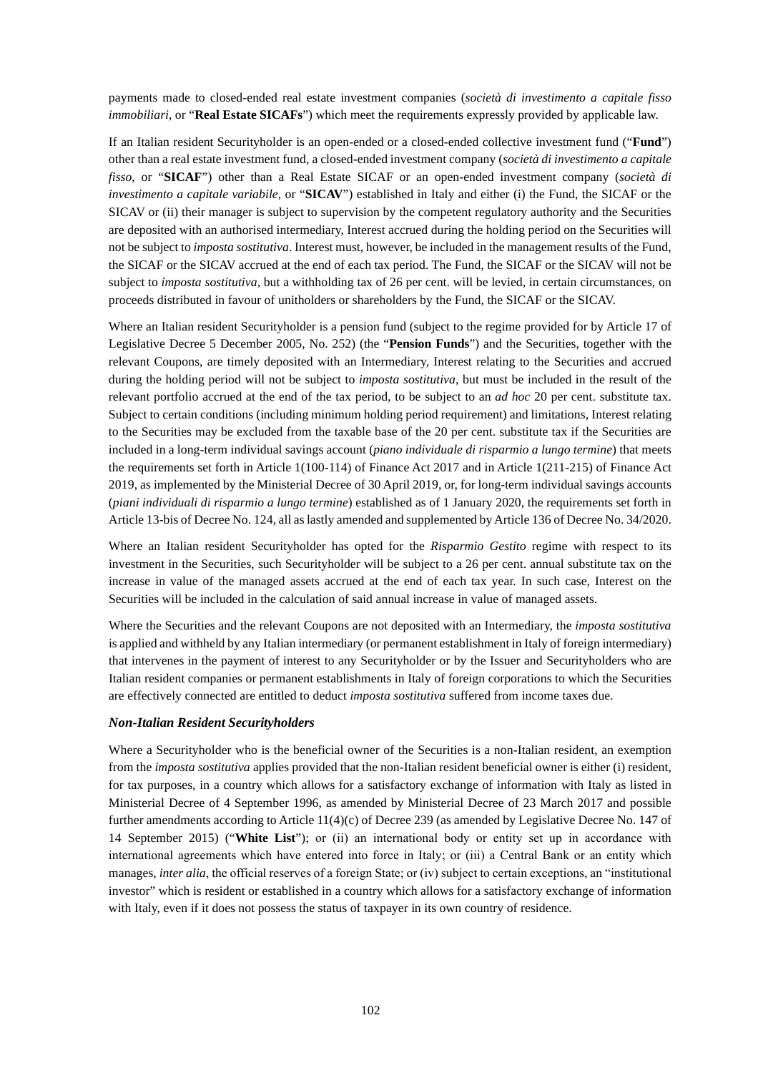payments made to closed-ended real estate investment companies (*società di investimento a capitale fisso immobiliari*, or "**Real Estate SICAFs**") which meet the requirements expressly provided by applicable law.

If an Italian resident Securityholder is an open-ended or a closed-ended collective investment fund ("**Fund**") other than a real estate investment fund, a closed-ended investment company (*società di investimento a capitale fisso*, or "**SICAF**") other than a Real Estate SICAF or an open-ended investment company (*società di investimento a capitale variabile*, or "**SICAV**") established in Italy and either (i) the Fund, the SICAF or the SICAV or (ii) their manager is subject to supervision by the competent regulatory authority and the Securities are deposited with an authorised intermediary, Interest accrued during the holding period on the Securities will not be subject to *imposta sostitutiva*. Interest must, however, be included in the management results of the Fund, the SICAF or the SICAV accrued at the end of each tax period. The Fund, the SICAF or the SICAV will not be subject to *imposta sostitutiva*, but a withholding tax of 26 per cent. will be levied, in certain circumstances, on proceeds distributed in favour of unitholders or shareholders by the Fund, the SICAF or the SICAV.

Where an Italian resident Securityholder is a pension fund (subject to the regime provided for by Article 17 of Legislative Decree 5 December 2005, No. 252) (the "**Pension Funds**") and the Securities, together with the relevant Coupons, are timely deposited with an Intermediary, Interest relating to the Securities and accrued during the holding period will not be subject to *imposta sostitutiva*, but must be included in the result of the relevant portfolio accrued at the end of the tax period, to be subject to an *ad hoc* 20 per cent. substitute tax. Subject to certain conditions (including minimum holding period requirement) and limitations, Interest relating to the Securities may be excluded from the taxable base of the 20 per cent. substitute tax if the Securities are included in a long-term individual savings account (*piano individuale di risparmio a lungo termine*) that meets the requirements set forth in Article 1(100-114) of Finance Act 2017 and in Article 1(211-215) of Finance Act 2019, as implemented by the Ministerial Decree of 30 April 2019, or, for long-term individual savings accounts (*piani individuali di risparmio a lungo termine*) established as of 1 January 2020, the requirements set forth in Article 13-bis of Decree No. 124, all as lastly amended and supplemented by Article 136 of Decree No. 34/2020.

Where an Italian resident Securityholder has opted for the *Risparmio Gestito* regime with respect to its investment in the Securities, such Securityholder will be subject to a 26 per cent. annual substitute tax on the increase in value of the managed assets accrued at the end of each tax year. In such case, Interest on the Securities will be included in the calculation of said annual increase in value of managed assets.

Where the Securities and the relevant Coupons are not deposited with an Intermediary, the *imposta sostitutiva* is applied and withheld by any Italian intermediary (or permanent establishment in Italy of foreign intermediary) that intervenes in the payment of interest to any Securityholder or by the Issuer and Securityholders who are Italian resident companies or permanent establishments in Italy of foreign corporations to which the Securities are effectively connected are entitled to deduct *imposta sostitutiva* suffered from income taxes due.

# *Non-Italian Resident Securityholders*

Where a Securityholder who is the beneficial owner of the Securities is a non-Italian resident, an exemption from the *imposta sostitutiva* applies provided that the non-Italian resident beneficial owner is either (i) resident, for tax purposes, in a country which allows for a satisfactory exchange of information with Italy as listed in Ministerial Decree of 4 September 1996, as amended by Ministerial Decree of 23 March 2017 and possible further amendments according to Article 11(4)(c) of Decree 239 (as amended by Legislative Decree No. 147 of 14 September 2015) ("**White List**"); or (ii) an international body or entity set up in accordance with international agreements which have entered into force in Italy; or (iii) a Central Bank or an entity which manages, *inter alia*, the official reserves of a foreign State; or (iv) subject to certain exceptions, an "institutional investor" which is resident or established in a country which allows for a satisfactory exchange of information with Italy, even if it does not possess the status of taxpayer in its own country of residence.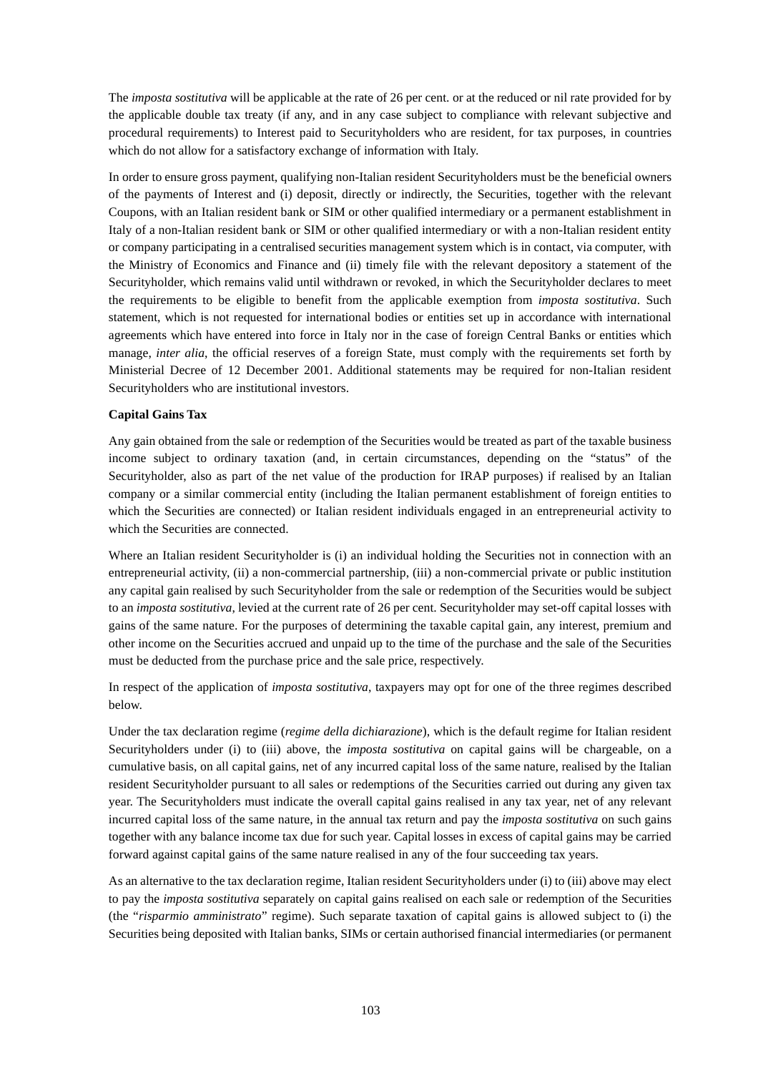The *imposta sostitutiva* will be applicable at the rate of 26 per cent. or at the reduced or nil rate provided for by the applicable double tax treaty (if any, and in any case subject to compliance with relevant subjective and procedural requirements) to Interest paid to Securityholders who are resident, for tax purposes, in countries which do not allow for a satisfactory exchange of information with Italy.

In order to ensure gross payment, qualifying non-Italian resident Securityholders must be the beneficial owners of the payments of Interest and (i) deposit, directly or indirectly, the Securities, together with the relevant Coupons, with an Italian resident bank or SIM or other qualified intermediary or a permanent establishment in Italy of a non-Italian resident bank or SIM or other qualified intermediary or with a non-Italian resident entity or company participating in a centralised securities management system which is in contact, via computer, with the Ministry of Economics and Finance and (ii) timely file with the relevant depository a statement of the Securityholder, which remains valid until withdrawn or revoked, in which the Securityholder declares to meet the requirements to be eligible to benefit from the applicable exemption from *imposta sostitutiva*. Such statement, which is not requested for international bodies or entities set up in accordance with international agreements which have entered into force in Italy nor in the case of foreign Central Banks or entities which manage, *inter alia*, the official reserves of a foreign State, must comply with the requirements set forth by Ministerial Decree of 12 December 2001. Additional statements may be required for non-Italian resident Securityholders who are institutional investors.

# **Capital Gains Tax**

Any gain obtained from the sale or redemption of the Securities would be treated as part of the taxable business income subject to ordinary taxation (and, in certain circumstances, depending on the "status" of the Securityholder, also as part of the net value of the production for IRAP purposes) if realised by an Italian company or a similar commercial entity (including the Italian permanent establishment of foreign entities to which the Securities are connected) or Italian resident individuals engaged in an entrepreneurial activity to which the Securities are connected.

Where an Italian resident Securityholder is (i) an individual holding the Securities not in connection with an entrepreneurial activity, (ii) a non-commercial partnership, (iii) a non-commercial private or public institution any capital gain realised by such Securityholder from the sale or redemption of the Securities would be subject to an *imposta sostitutiva*, levied at the current rate of 26 per cent. Securityholder may set-off capital losses with gains of the same nature. For the purposes of determining the taxable capital gain, any interest, premium and other income on the Securities accrued and unpaid up to the time of the purchase and the sale of the Securities must be deducted from the purchase price and the sale price, respectively.

In respect of the application of *imposta sostitutiva*, taxpayers may opt for one of the three regimes described below.

Under the tax declaration regime (*regime della dichiarazione*), which is the default regime for Italian resident Securityholders under (i) to (iii) above, the *imposta sostitutiva* on capital gains will be chargeable, on a cumulative basis, on all capital gains, net of any incurred capital loss of the same nature, realised by the Italian resident Securityholder pursuant to all sales or redemptions of the Securities carried out during any given tax year. The Securityholders must indicate the overall capital gains realised in any tax year, net of any relevant incurred capital loss of the same nature, in the annual tax return and pay the *imposta sostitutiva* on such gains together with any balance income tax due for such year. Capital losses in excess of capital gains may be carried forward against capital gains of the same nature realised in any of the four succeeding tax years.

As an alternative to the tax declaration regime, Italian resident Securityholders under (i) to (iii) above may elect to pay the *imposta sostitutiva* separately on capital gains realised on each sale or redemption of the Securities (the "*risparmio amministrato*" regime). Such separate taxation of capital gains is allowed subject to (i) the Securities being deposited with Italian banks, SIMs or certain authorised financial intermediaries (or permanent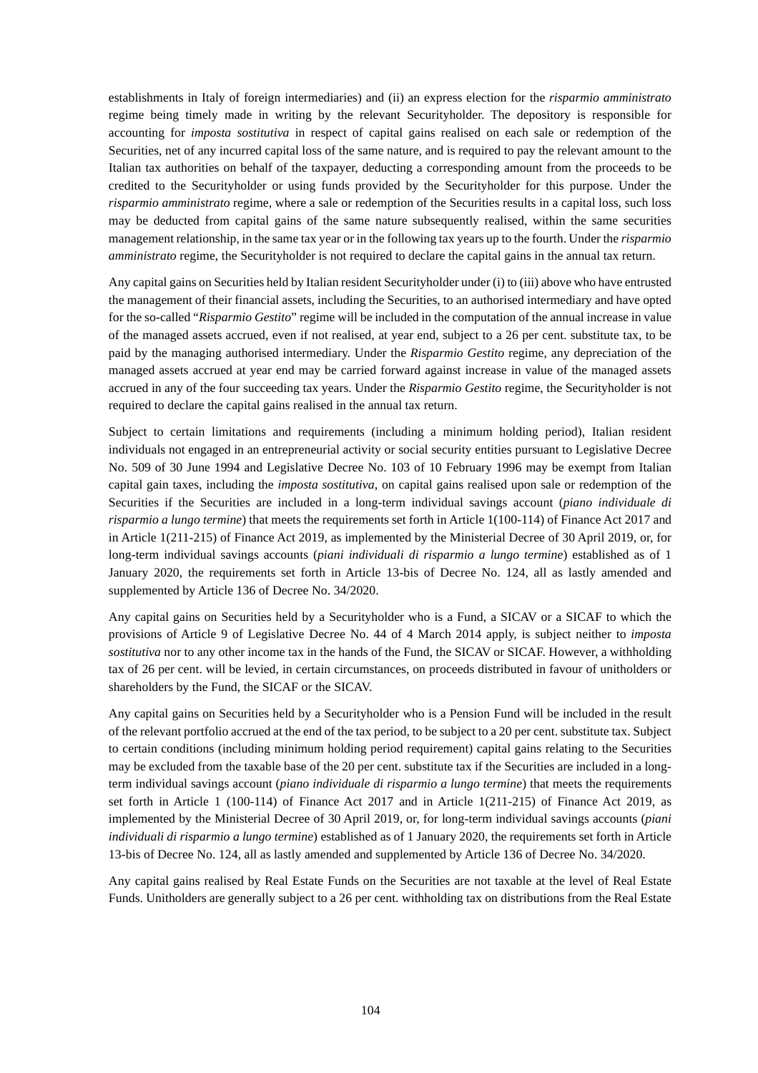establishments in Italy of foreign intermediaries) and (ii) an express election for the *risparmio amministrato* regime being timely made in writing by the relevant Securityholder. The depository is responsible for accounting for *imposta sostitutiva* in respect of capital gains realised on each sale or redemption of the Securities, net of any incurred capital loss of the same nature, and is required to pay the relevant amount to the Italian tax authorities on behalf of the taxpayer, deducting a corresponding amount from the proceeds to be credited to the Securityholder or using funds provided by the Securityholder for this purpose. Under the *risparmio amministrato* regime, where a sale or redemption of the Securities results in a capital loss, such loss may be deducted from capital gains of the same nature subsequently realised, within the same securities management relationship, in the same tax year or in the following tax years up to the fourth. Under the *risparmio amministrato* regime, the Securityholder is not required to declare the capital gains in the annual tax return.

Any capital gains on Securities held by Italian resident Securityholder under (i) to (iii) above who have entrusted the management of their financial assets, including the Securities, to an authorised intermediary and have opted for the so-called "*Risparmio Gestito*" regime will be included in the computation of the annual increase in value of the managed assets accrued, even if not realised, at year end, subject to a 26 per cent. substitute tax, to be paid by the managing authorised intermediary. Under the *Risparmio Gestito* regime, any depreciation of the managed assets accrued at year end may be carried forward against increase in value of the managed assets accrued in any of the four succeeding tax years. Under the *Risparmio Gestito* regime, the Securityholder is not required to declare the capital gains realised in the annual tax return.

Subject to certain limitations and requirements (including a minimum holding period), Italian resident individuals not engaged in an entrepreneurial activity or social security entities pursuant to Legislative Decree No. 509 of 30 June 1994 and Legislative Decree No. 103 of 10 February 1996 may be exempt from Italian capital gain taxes, including the *imposta sostitutiva*, on capital gains realised upon sale or redemption of the Securities if the Securities are included in a long-term individual savings account (*piano individuale di risparmio a lungo termine*) that meets the requirements set forth in Article 1(100-114) of Finance Act 2017 and in Article 1(211-215) of Finance Act 2019, as implemented by the Ministerial Decree of 30 April 2019, or, for long-term individual savings accounts (*piani individuali di risparmio a lungo termine*) established as of 1 January 2020, the requirements set forth in Article 13-bis of Decree No. 124, all as lastly amended and supplemented by Article 136 of Decree No. 34/2020.

Any capital gains on Securities held by a Securityholder who is a Fund, a SICAV or a SICAF to which the provisions of Article 9 of Legislative Decree No. 44 of 4 March 2014 apply, is subject neither to *imposta sostitutiva* nor to any other income tax in the hands of the Fund, the SICAV or SICAF. However, a withholding tax of 26 per cent. will be levied, in certain circumstances, on proceeds distributed in favour of unitholders or shareholders by the Fund, the SICAF or the SICAV.

Any capital gains on Securities held by a Securityholder who is a Pension Fund will be included in the result of the relevant portfolio accrued at the end of the tax period, to be subject to a 20 per cent. substitute tax. Subject to certain conditions (including minimum holding period requirement) capital gains relating to the Securities may be excluded from the taxable base of the 20 per cent. substitute tax if the Securities are included in a longterm individual savings account (*piano individuale di risparmio a lungo termine*) that meets the requirements set forth in Article 1 (100-114) of Finance Act 2017 and in Article 1(211-215) of Finance Act 2019, as implemented by the Ministerial Decree of 30 April 2019, or, for long-term individual savings accounts (*piani individuali di risparmio a lungo termine*) established as of 1 January 2020, the requirements set forth in Article 13-bis of Decree No. 124, all as lastly amended and supplemented by Article 136 of Decree No. 34/2020.

Any capital gains realised by Real Estate Funds on the Securities are not taxable at the level of Real Estate Funds. Unitholders are generally subject to a 26 per cent. withholding tax on distributions from the Real Estate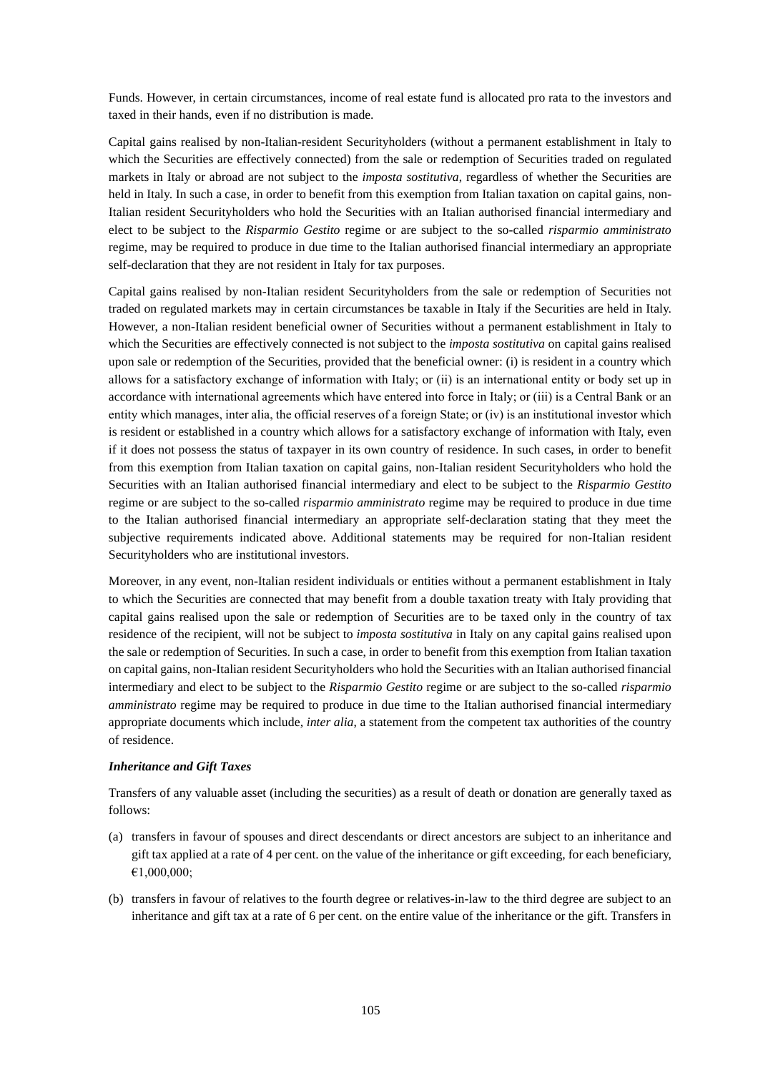Funds. However, in certain circumstances, income of real estate fund is allocated pro rata to the investors and taxed in their hands, even if no distribution is made.

Capital gains realised by non-Italian-resident Securityholders (without a permanent establishment in Italy to which the Securities are effectively connected) from the sale or redemption of Securities traded on regulated markets in Italy or abroad are not subject to the *imposta sostitutiva*, regardless of whether the Securities are held in Italy. In such a case, in order to benefit from this exemption from Italian taxation on capital gains, non-Italian resident Securityholders who hold the Securities with an Italian authorised financial intermediary and elect to be subject to the *Risparmio Gestito* regime or are subject to the so-called *risparmio amministrato*  regime, may be required to produce in due time to the Italian authorised financial intermediary an appropriate self-declaration that they are not resident in Italy for tax purposes.

Capital gains realised by non-Italian resident Securityholders from the sale or redemption of Securities not traded on regulated markets may in certain circumstances be taxable in Italy if the Securities are held in Italy. However, a non-Italian resident beneficial owner of Securities without a permanent establishment in Italy to which the Securities are effectively connected is not subject to the *imposta sostitutiva* on capital gains realised upon sale or redemption of the Securities, provided that the beneficial owner: (i) is resident in a country which allows for a satisfactory exchange of information with Italy; or (ii) is an international entity or body set up in accordance with international agreements which have entered into force in Italy; or (iii) is a Central Bank or an entity which manages, inter alia, the official reserves of a foreign State; or (iv) is an institutional investor which is resident or established in a country which allows for a satisfactory exchange of information with Italy, even if it does not possess the status of taxpayer in its own country of residence. In such cases, in order to benefit from this exemption from Italian taxation on capital gains, non-Italian resident Securityholders who hold the Securities with an Italian authorised financial intermediary and elect to be subject to the *Risparmio Gestito* regime or are subject to the so-called *risparmio amministrato* regime may be required to produce in due time to the Italian authorised financial intermediary an appropriate self-declaration stating that they meet the subjective requirements indicated above. Additional statements may be required for non-Italian resident Securityholders who are institutional investors.

Moreover, in any event, non-Italian resident individuals or entities without a permanent establishment in Italy to which the Securities are connected that may benefit from a double taxation treaty with Italy providing that capital gains realised upon the sale or redemption of Securities are to be taxed only in the country of tax residence of the recipient, will not be subject to *imposta sostitutiva* in Italy on any capital gains realised upon the sale or redemption of Securities. In such a case, in order to benefit from this exemption from Italian taxation on capital gains, non-Italian resident Securityholders who hold the Securities with an Italian authorised financial intermediary and elect to be subject to the *Risparmio Gestito* regime or are subject to the so-called *risparmio amministrato* regime may be required to produce in due time to the Italian authorised financial intermediary appropriate documents which include*, inter alia*, a statement from the competent tax authorities of the country of residence.

## *Inheritance and Gift Taxes*

Transfers of any valuable asset (including the securities) as a result of death or donation are generally taxed as follows:

- (a) transfers in favour of spouses and direct descendants or direct ancestors are subject to an inheritance and gift tax applied at a rate of 4 per cent. on the value of the inheritance or gift exceeding, for each beneficiary, €1,000,000;
- (b) transfers in favour of relatives to the fourth degree or relatives-in-law to the third degree are subject to an inheritance and gift tax at a rate of 6 per cent. on the entire value of the inheritance or the gift. Transfers in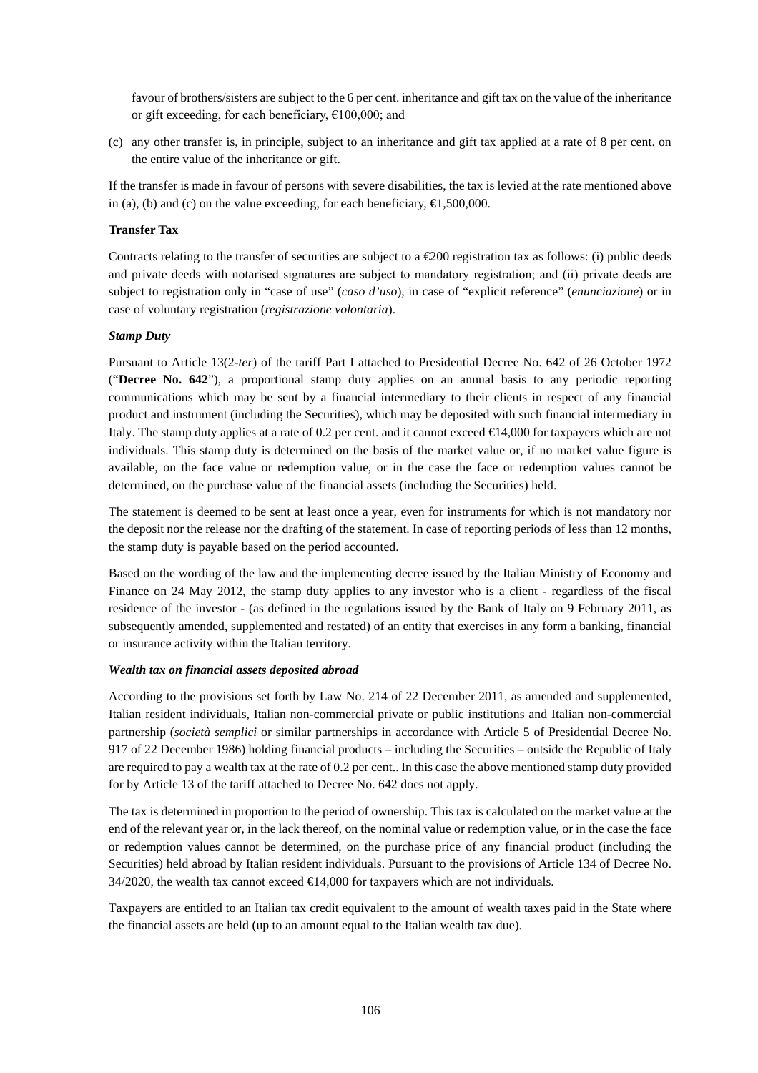favour of brothers/sisters are subject to the 6 per cent. inheritance and gift tax on the value of the inheritance or gift exceeding, for each beneficiary,  $£100,000$ ; and

(c) any other transfer is, in principle, subject to an inheritance and gift tax applied at a rate of 8 per cent. on the entire value of the inheritance or gift.

If the transfer is made in favour of persons with severe disabilities, the tax is levied at the rate mentioned above in (a), (b) and (c) on the value exceeding, for each beneficiary,  $\in$ 1,500,000.

## **Transfer Tax**

Contracts relating to the transfer of securities are subject to a  $\epsilon$  200 registration tax as follows: (i) public deeds and private deeds with notarised signatures are subject to mandatory registration; and (ii) private deeds are subject to registration only in "case of use" (*caso d'uso*), in case of "explicit reference" (*enunciazione*) or in case of voluntary registration (*registrazione volontaria*).

## *Stamp Duty*

Pursuant to Article 13(2-*ter*) of the tariff Part I attached to Presidential Decree No. 642 of 26 October 1972 ("**Decree No. 642**"), a proportional stamp duty applies on an annual basis to any periodic reporting communications which may be sent by a financial intermediary to their clients in respect of any financial product and instrument (including the Securities), which may be deposited with such financial intermediary in Italy. The stamp duty applies at a rate of 0.2 per cent. and it cannot exceed  $\bigoplus$  4,000 for taxpayers which are not individuals. This stamp duty is determined on the basis of the market value or, if no market value figure is available, on the face value or redemption value, or in the case the face or redemption values cannot be determined, on the purchase value of the financial assets (including the Securities) held.

The statement is deemed to be sent at least once a year, even for instruments for which is not mandatory nor the deposit nor the release nor the drafting of the statement. In case of reporting periods of less than 12 months, the stamp duty is payable based on the period accounted.

Based on the wording of the law and the implementing decree issued by the Italian Ministry of Economy and Finance on 24 May 2012, the stamp duty applies to any investor who is a client - regardless of the fiscal residence of the investor - (as defined in the regulations issued by the Bank of Italy on 9 February 2011, as subsequently amended, supplemented and restated) of an entity that exercises in any form a banking, financial or insurance activity within the Italian territory.

## *Wealth tax on financial assets deposited abroad*

According to the provisions set forth by Law No. 214 of 22 December 2011, as amended and supplemented, Italian resident individuals, Italian non-commercial private or public institutions and Italian non-commercial partnership (*società semplici* or similar partnerships in accordance with Article 5 of Presidential Decree No. 917 of 22 December 1986) holding financial products – including the Securities – outside the Republic of Italy are required to pay a wealth tax at the rate of 0.2 per cent.. In this case the above mentioned stamp duty provided for by Article 13 of the tariff attached to Decree No. 642 does not apply.

The tax is determined in proportion to the period of ownership. This tax is calculated on the market value at the end of the relevant year or, in the lack thereof, on the nominal value or redemption value, or in the case the face or redemption values cannot be determined, on the purchase price of any financial product (including the Securities) held abroad by Italian resident individuals. Pursuant to the provisions of Article 134 of Decree No. 34/2020, the wealth tax cannot exceed  $\bigoplus$  4,000 for taxpayers which are not individuals.

Taxpayers are entitled to an Italian tax credit equivalent to the amount of wealth taxes paid in the State where the financial assets are held (up to an amount equal to the Italian wealth tax due).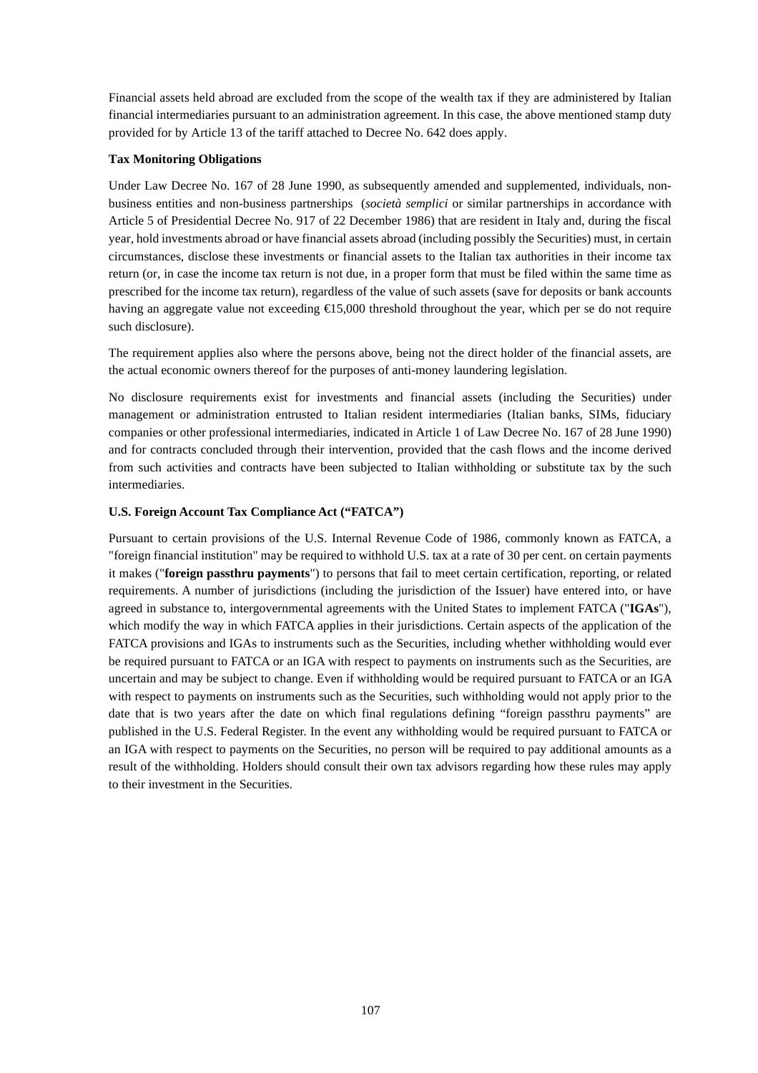Financial assets held abroad are excluded from the scope of the wealth tax if they are administered by Italian financial intermediaries pursuant to an administration agreement. In this case, the above mentioned stamp duty provided for by Article 13 of the tariff attached to Decree No. 642 does apply.

## **Tax Monitoring Obligations**

Under Law Decree No. 167 of 28 June 1990, as subsequently amended and supplemented, individuals, nonbusiness entities and non-business partnerships (*società semplici* or similar partnerships in accordance with Article 5 of Presidential Decree No. 917 of 22 December 1986) that are resident in Italy and, during the fiscal year, hold investments abroad or have financial assets abroad (including possibly the Securities) must, in certain circumstances, disclose these investments or financial assets to the Italian tax authorities in their income tax return (or, in case the income tax return is not due, in a proper form that must be filed within the same time as prescribed for the income tax return), regardless of the value of such assets (save for deposits or bank accounts having an aggregate value not exceeding  $\bigoplus$  5,000 threshold throughout the year, which per se do not require such disclosure).

The requirement applies also where the persons above, being not the direct holder of the financial assets, are the actual economic owners thereof for the purposes of anti-money laundering legislation.

No disclosure requirements exist for investments and financial assets (including the Securities) under management or administration entrusted to Italian resident intermediaries (Italian banks, SIMs, fiduciary companies or other professional intermediaries, indicated in Article 1 of Law Decree No. 167 of 28 June 1990) and for contracts concluded through their intervention, provided that the cash flows and the income derived from such activities and contracts have been subjected to Italian withholding or substitute tax by the such intermediaries.

# **U.S. Foreign Account Tax Compliance Act ("FATCA")**

Pursuant to certain provisions of the U.S. Internal Revenue Code of 1986, commonly known as FATCA, a "foreign financial institution" may be required to withhold U.S. tax at a rate of 30 per cent. on certain payments it makes ("**foreign passthru payments**") to persons that fail to meet certain certification, reporting, or related requirements. A number of jurisdictions (including the jurisdiction of the Issuer) have entered into, or have agreed in substance to, intergovernmental agreements with the United States to implement FATCA ("**IGAs**"), which modify the way in which FATCA applies in their jurisdictions. Certain aspects of the application of the FATCA provisions and IGAs to instruments such as the Securities, including whether withholding would ever be required pursuant to FATCA or an IGA with respect to payments on instruments such as the Securities, are uncertain and may be subject to change. Even if withholding would be required pursuant to FATCA or an IGA with respect to payments on instruments such as the Securities, such withholding would not apply prior to the date that is two years after the date on which final regulations defining "foreign passthru payments" are published in the U.S. Federal Register. In the event any withholding would be required pursuant to FATCA or an IGA with respect to payments on the Securities, no person will be required to pay additional amounts as a result of the withholding. Holders should consult their own tax advisors regarding how these rules may apply to their investment in the Securities.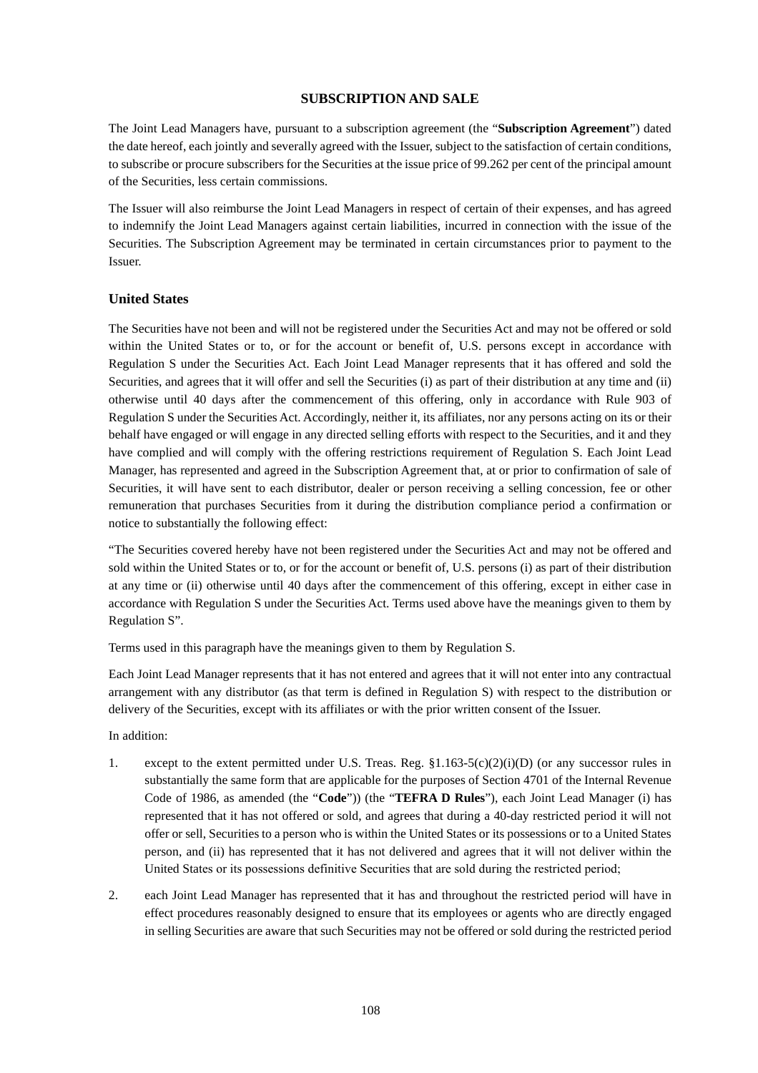## **SUBSCRIPTION AND SALE**

The Joint Lead Managers have, pursuant to a subscription agreement (the "**Subscription Agreement**") dated the date hereof, each jointly and severally agreed with the Issuer, subject to the satisfaction of certain conditions, to subscribe or procure subscribers for the Securities at the issue price of 99.262 per cent of the principal amount of the Securities, less certain commissions.

The Issuer will also reimburse the Joint Lead Managers in respect of certain of their expenses, and has agreed to indemnify the Joint Lead Managers against certain liabilities, incurred in connection with the issue of the Securities. The Subscription Agreement may be terminated in certain circumstances prior to payment to the Issuer.

## **United States**

The Securities have not been and will not be registered under the Securities Act and may not be offered or sold within the United States or to, or for the account or benefit of, U.S. persons except in accordance with Regulation S under the Securities Act. Each Joint Lead Manager represents that it has offered and sold the Securities, and agrees that it will offer and sell the Securities (i) as part of their distribution at any time and (ii) otherwise until 40 days after the commencement of this offering, only in accordance with Rule 903 of Regulation S under the Securities Act. Accordingly, neither it, its affiliates, nor any persons acting on its or their behalf have engaged or will engage in any directed selling efforts with respect to the Securities, and it and they have complied and will comply with the offering restrictions requirement of Regulation S. Each Joint Lead Manager, has represented and agreed in the Subscription Agreement that, at or prior to confirmation of sale of Securities, it will have sent to each distributor, dealer or person receiving a selling concession, fee or other remuneration that purchases Securities from it during the distribution compliance period a confirmation or notice to substantially the following effect:

"The Securities covered hereby have not been registered under the Securities Act and may not be offered and sold within the United States or to, or for the account or benefit of, U.S. persons (i) as part of their distribution at any time or (ii) otherwise until 40 days after the commencement of this offering, except in either case in accordance with Regulation S under the Securities Act. Terms used above have the meanings given to them by Regulation S".

Terms used in this paragraph have the meanings given to them by Regulation S.

Each Joint Lead Manager represents that it has not entered and agrees that it will not enter into any contractual arrangement with any distributor (as that term is defined in Regulation S) with respect to the distribution or delivery of the Securities, except with its affiliates or with the prior written consent of the Issuer.

### In addition:

- 1. except to the extent permitted under U.S. Treas. Reg. §1.163-5(c)(2)(i)(D) (or any successor rules in substantially the same form that are applicable for the purposes of Section 4701 of the Internal Revenue Code of 1986, as amended (the "**Code**")) (the "**TEFRA D Rules**"), each Joint Lead Manager (i) has represented that it has not offered or sold, and agrees that during a 40-day restricted period it will not offer or sell, Securities to a person who is within the United States or its possessions or to a United States person, and (ii) has represented that it has not delivered and agrees that it will not deliver within the United States or its possessions definitive Securities that are sold during the restricted period;
- 2. each Joint Lead Manager has represented that it has and throughout the restricted period will have in effect procedures reasonably designed to ensure that its employees or agents who are directly engaged in selling Securities are aware that such Securities may not be offered or sold during the restricted period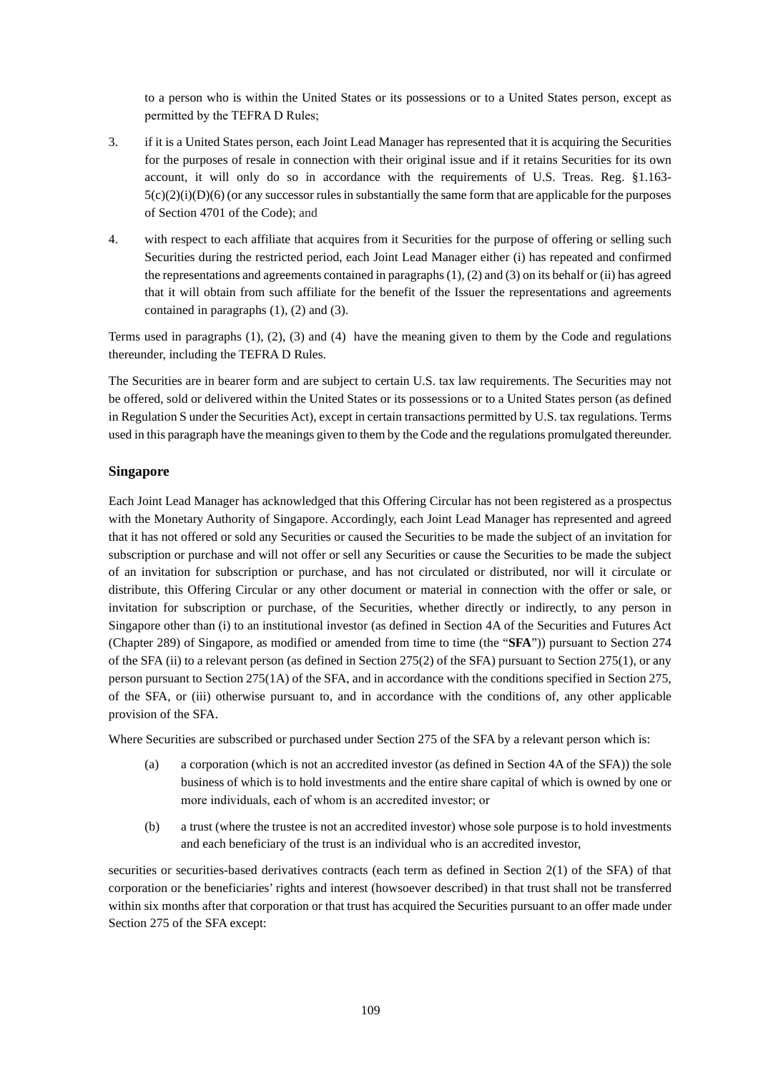to a person who is within the United States or its possessions or to a United States person, except as permitted by the TEFRA D Rules;

- 3. if it is a United States person, each Joint Lead Manager has represented that it is acquiring the Securities for the purposes of resale in connection with their original issue and if it retains Securities for its own account, it will only do so in accordance with the requirements of U.S. Treas. Reg. §1.163-  $5(c)(2)(i)(D)(6)$  (or any successor rules in substantially the same form that are applicable for the purposes of Section 4701 of the Code); and
- 4. with respect to each affiliate that acquires from it Securities for the purpose of offering or selling such Securities during the restricted period, each Joint Lead Manager either (i) has repeated and confirmed the representations and agreements contained in paragraphs (1), (2) and (3) on its behalf or (ii) has agreed that it will obtain from such affiliate for the benefit of the Issuer the representations and agreements contained in paragraphs (1), (2) and (3).

Terms used in paragraphs (1), (2), (3) and (4) have the meaning given to them by the Code and regulations thereunder, including the TEFRA D Rules.

The Securities are in bearer form and are subject to certain U.S. tax law requirements. The Securities may not be offered, sold or delivered within the United States or its possessions or to a United States person (as defined in Regulation S under the Securities Act), except in certain transactions permitted by U.S. tax regulations. Terms used in this paragraph have the meanings given to them by the Code and the regulations promulgated thereunder.

# **Singapore**

Each Joint Lead Manager has acknowledged that this Offering Circular has not been registered as a prospectus with the Monetary Authority of Singapore. Accordingly, each Joint Lead Manager has represented and agreed that it has not offered or sold any Securities or caused the Securities to be made the subject of an invitation for subscription or purchase and will not offer or sell any Securities or cause the Securities to be made the subject of an invitation for subscription or purchase, and has not circulated or distributed, nor will it circulate or distribute, this Offering Circular or any other document or material in connection with the offer or sale, or invitation for subscription or purchase, of the Securities, whether directly or indirectly, to any person in Singapore other than (i) to an institutional investor (as defined in Section 4A of the Securities and Futures Act (Chapter 289) of Singapore, as modified or amended from time to time (the "**SFA**")) pursuant to Section 274 of the SFA (ii) to a relevant person (as defined in Section 275(2) of the SFA) pursuant to Section 275(1), or any person pursuant to Section 275(1A) of the SFA, and in accordance with the conditions specified in Section 275, of the SFA, or (iii) otherwise pursuant to, and in accordance with the conditions of, any other applicable provision of the SFA.

Where Securities are subscribed or purchased under Section 275 of the SFA by a relevant person which is:

- (a) a corporation (which is not an accredited investor (as defined in Section 4A of the SFA)) the sole business of which is to hold investments and the entire share capital of which is owned by one or more individuals, each of whom is an accredited investor; or
- (b) a trust (where the trustee is not an accredited investor) whose sole purpose is to hold investments and each beneficiary of the trust is an individual who is an accredited investor,

securities or securities-based derivatives contracts (each term as defined in Section 2(1) of the SFA) of that corporation or the beneficiaries' rights and interest (howsoever described) in that trust shall not be transferred within six months after that corporation or that trust has acquired the Securities pursuant to an offer made under Section 275 of the SFA except: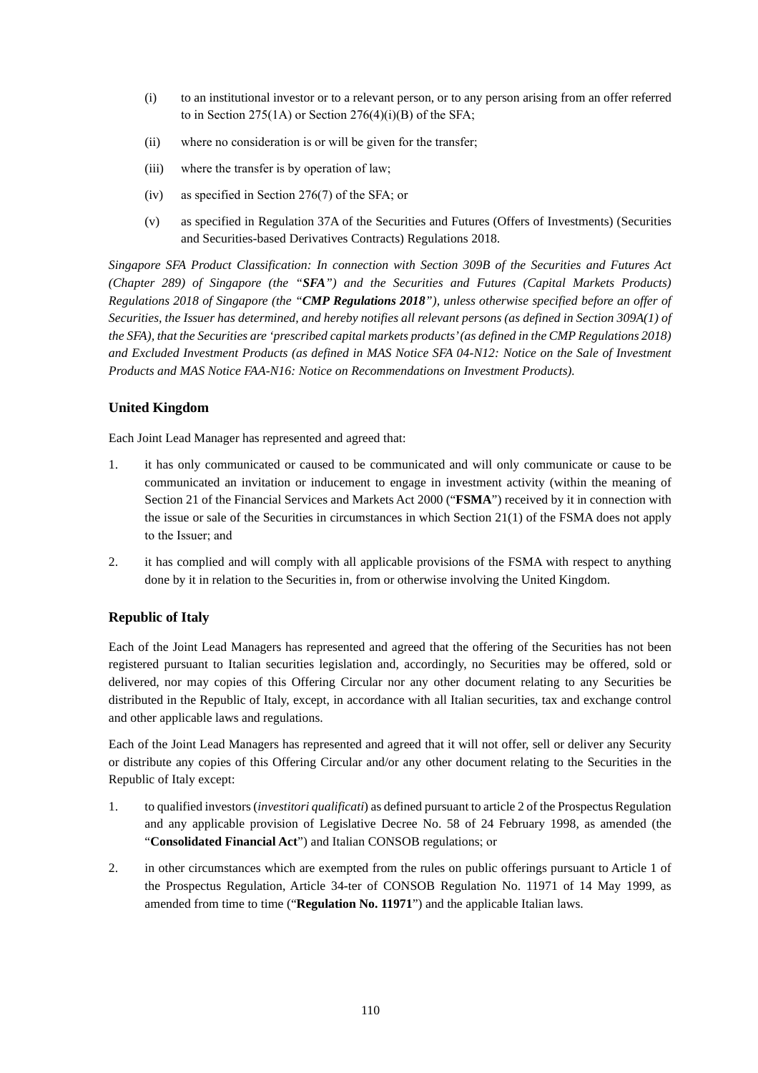- (i) to an institutional investor or to a relevant person, or to any person arising from an offer referred to in Section 275(1A) or Section  $276(4)(i)(B)$  of the SFA;
- (ii) where no consideration is or will be given for the transfer;
- (iii) where the transfer is by operation of law;
- (iv) as specified in Section 276(7) of the SFA; or
- (v) as specified in Regulation 37A of the Securities and Futures (Offers of Investments) (Securities and Securities-based Derivatives Contracts) Regulations 2018.

*Singapore SFA Product Classification: In connection with Section 309B of the Securities and Futures Act (Chapter 289) of Singapore (the "SFA") and the Securities and Futures (Capital Markets Products) Regulations 2018 of Singapore (the "CMP Regulations 2018"), unless otherwise specified before an offer of Securities, the Issuer has determined, and hereby notifies all relevant persons (as defined in Section 309A(1) of*  the SFA), that the Securities are 'prescribed capital markets products' (as defined in the CMP Regulations 2018) *and Excluded Investment Products (as defined in MAS Notice SFA 04-N12: Notice on the Sale of Investment Products and MAS Notice FAA-N16: Notice on Recommendations on Investment Products).* 

# **United Kingdom**

Each Joint Lead Manager has represented and agreed that:

- 1. it has only communicated or caused to be communicated and will only communicate or cause to be communicated an invitation or inducement to engage in investment activity (within the meaning of Section 21 of the Financial Services and Markets Act 2000 ("**FSMA**") received by it in connection with the issue or sale of the Securities in circumstances in which Section 21(1) of the FSMA does not apply to the Issuer; and
- 2. it has complied and will comply with all applicable provisions of the FSMA with respect to anything done by it in relation to the Securities in, from or otherwise involving the United Kingdom.

# **Republic of Italy**

Each of the Joint Lead Managers has represented and agreed that the offering of the Securities has not been registered pursuant to Italian securities legislation and, accordingly, no Securities may be offered, sold or delivered, nor may copies of this Offering Circular nor any other document relating to any Securities be distributed in the Republic of Italy, except, in accordance with all Italian securities, tax and exchange control and other applicable laws and regulations.

Each of the Joint Lead Managers has represented and agreed that it will not offer, sell or deliver any Security or distribute any copies of this Offering Circular and/or any other document relating to the Securities in the Republic of Italy except:

- 1. to qualified investors (*investitori qualificati*) as defined pursuant to article 2 of the Prospectus Regulation and any applicable provision of Legislative Decree No. 58 of 24 February 1998, as amended (the "**Consolidated Financial Act**") and Italian CONSOB regulations; or
- 2. in other circumstances which are exempted from the rules on public offerings pursuant to Article 1 of the Prospectus Regulation, Article 34-ter of CONSOB Regulation No. 11971 of 14 May 1999, as amended from time to time ("**Regulation No. 11971**") and the applicable Italian laws.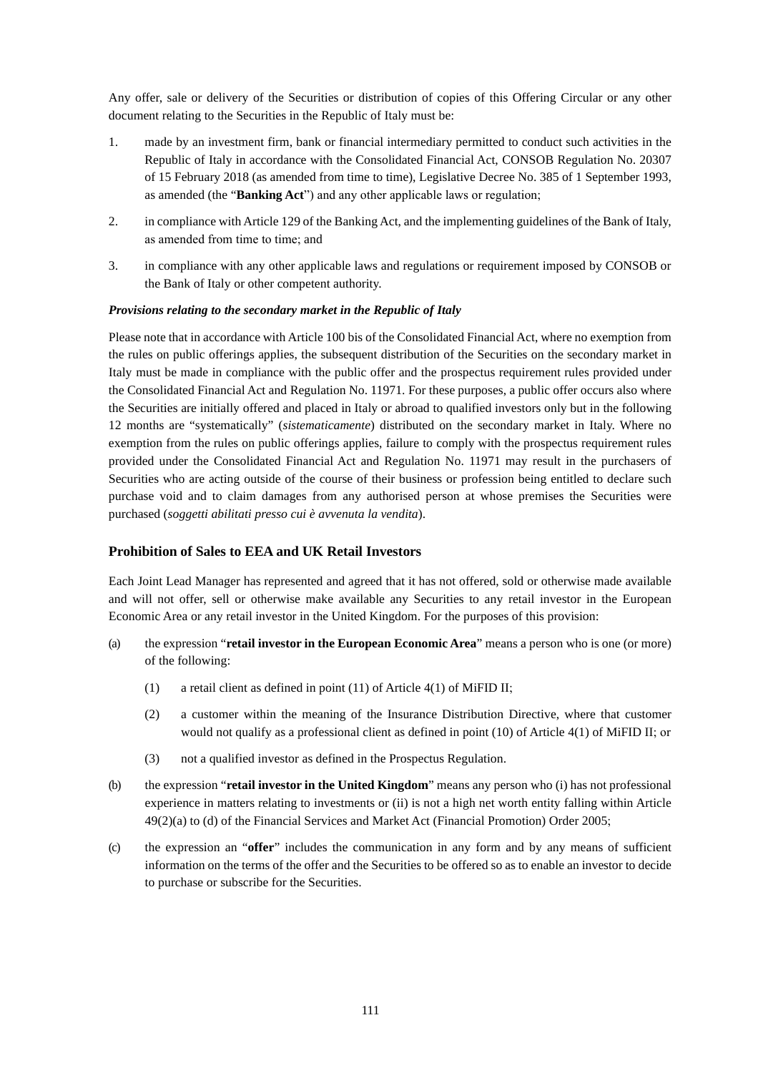Any offer, sale or delivery of the Securities or distribution of copies of this Offering Circular or any other document relating to the Securities in the Republic of Italy must be:

- 1. made by an investment firm, bank or financial intermediary permitted to conduct such activities in the Republic of Italy in accordance with the Consolidated Financial Act, CONSOB Regulation No. 20307 of 15 February 2018 (as amended from time to time), Legislative Decree No. 385 of 1 September 1993, as amended (the "**Banking Act**") and any other applicable laws or regulation;
- 2. in compliance with Article 129 of the Banking Act, and the implementing guidelines of the Bank of Italy, as amended from time to time; and
- 3. in compliance with any other applicable laws and regulations or requirement imposed by CONSOB or the Bank of Italy or other competent authority.

## *Provisions relating to the secondary market in the Republic of Italy*

Please note that in accordance with Article 100 bis of the Consolidated Financial Act, where no exemption from the rules on public offerings applies, the subsequent distribution of the Securities on the secondary market in Italy must be made in compliance with the public offer and the prospectus requirement rules provided under the Consolidated Financial Act and Regulation No. 11971. For these purposes, a public offer occurs also where the Securities are initially offered and placed in Italy or abroad to qualified investors only but in the following 12 months are "systematically" (*sistematicamente*) distributed on the secondary market in Italy. Where no exemption from the rules on public offerings applies, failure to comply with the prospectus requirement rules provided under the Consolidated Financial Act and Regulation No. 11971 may result in the purchasers of Securities who are acting outside of the course of their business or profession being entitled to declare such purchase void and to claim damages from any authorised person at whose premises the Securities were purchased (*soggetti abilitati presso cui è avvenuta la vendita*).

## **Prohibition of Sales to EEA and UK Retail Investors**

Each Joint Lead Manager has represented and agreed that it has not offered, sold or otherwise made available and will not offer, sell or otherwise make available any Securities to any retail investor in the European Economic Area or any retail investor in the United Kingdom. For the purposes of this provision:

- (a) the expression "**retail investor in the European Economic Area**" means a person who is one (or more) of the following:
	- (1) a retail client as defined in point (11) of Article 4(1) of MiFID II;
	- (2) a customer within the meaning of the Insurance Distribution Directive, where that customer would not qualify as a professional client as defined in point (10) of Article 4(1) of MiFID II; or
	- (3) not a qualified investor as defined in the Prospectus Regulation.
- (b) the expression "**retail investor in the United Kingdom**" means any person who (i) has not professional experience in matters relating to investments or (ii) is not a high net worth entity falling within Article 49(2)(a) to (d) of the Financial Services and Market Act (Financial Promotion) Order 2005;
- (c) the expression an "**offer**" includes the communication in any form and by any means of sufficient information on the terms of the offer and the Securities to be offered so as to enable an investor to decide to purchase or subscribe for the Securities.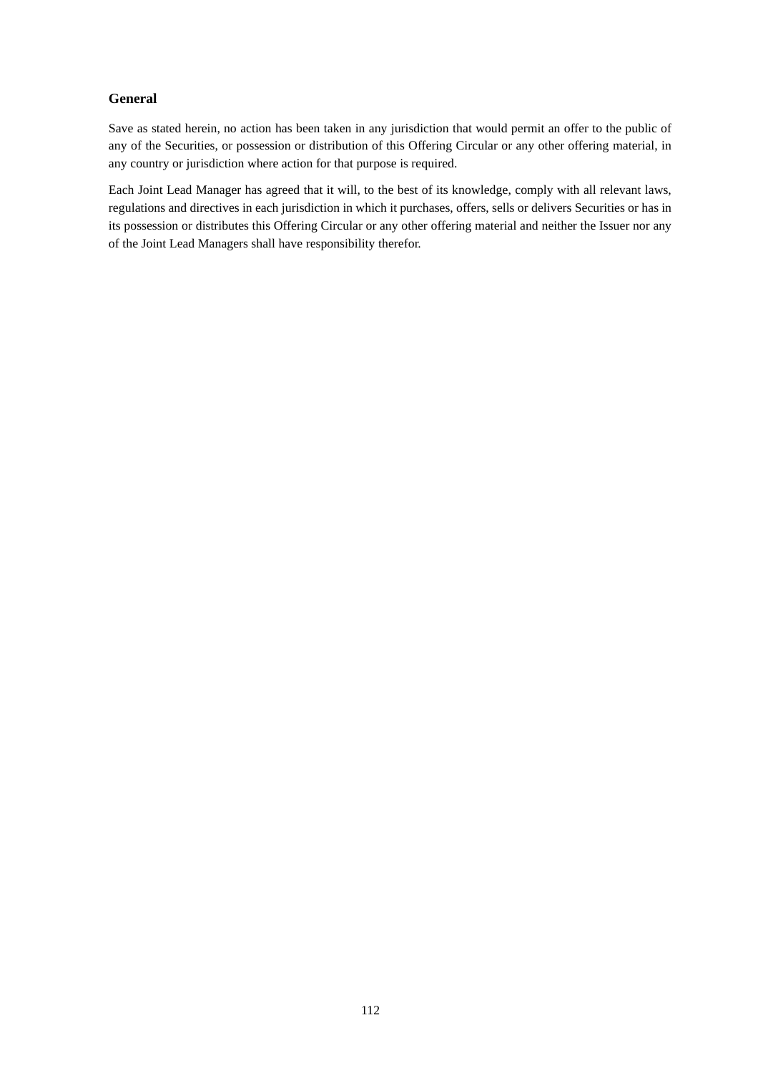# **General**

Save as stated herein, no action has been taken in any jurisdiction that would permit an offer to the public of any of the Securities, or possession or distribution of this Offering Circular or any other offering material, in any country or jurisdiction where action for that purpose is required.

Each Joint Lead Manager has agreed that it will, to the best of its knowledge, comply with all relevant laws, regulations and directives in each jurisdiction in which it purchases, offers, sells or delivers Securities or has in its possession or distributes this Offering Circular or any other offering material and neither the Issuer nor any of the Joint Lead Managers shall have responsibility therefor.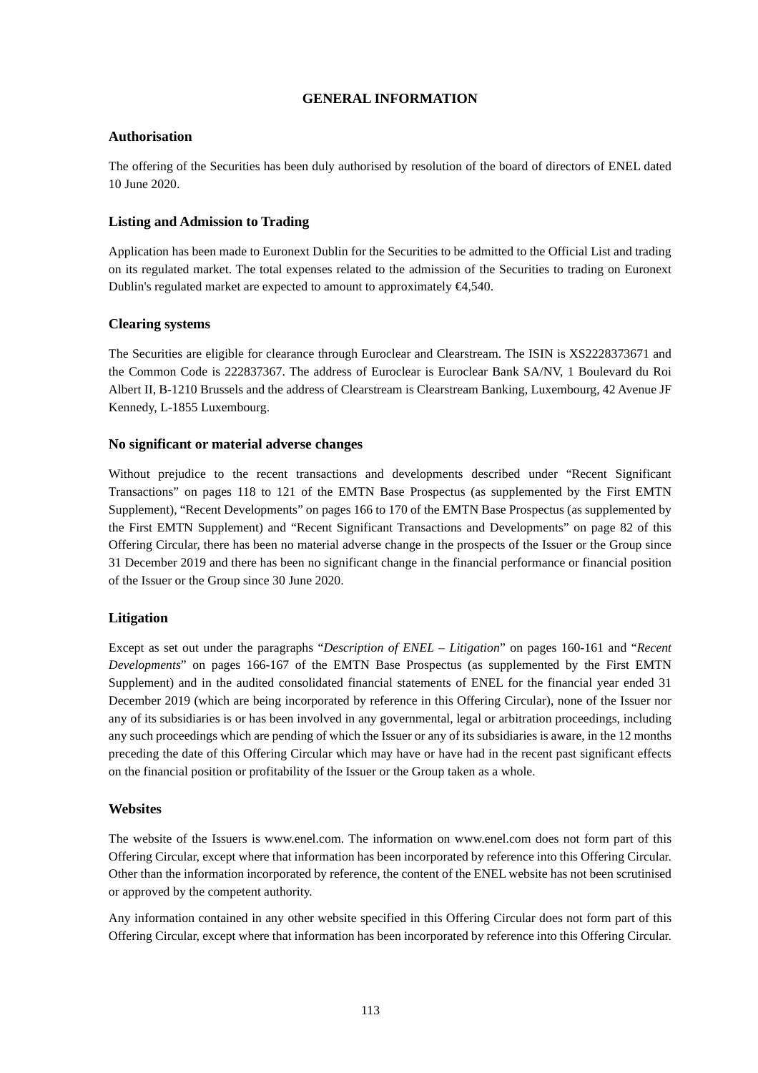# **GENERAL INFORMATION**

# **Authorisation**

The offering of the Securities has been duly authorised by resolution of the board of directors of ENEL dated 10 June 2020.

# **Listing and Admission to Trading**

Application has been made to Euronext Dublin for the Securities to be admitted to the Official List and trading on its regulated market. The total expenses related to the admission of the Securities to trading on Euronext Dublin's regulated market are expected to amount to approximately  $\epsilon 4,540$ .

# **Clearing systems**

The Securities are eligible for clearance through Euroclear and Clearstream. The ISIN is XS2228373671 and the Common Code is 222837367. The address of Euroclear is Euroclear Bank SA/NV, 1 Boulevard du Roi Albert II, B-1210 Brussels and the address of Clearstream is Clearstream Banking, Luxembourg, 42 Avenue JF Kennedy, L-1855 Luxembourg.

# **No significant or material adverse changes**

Without prejudice to the recent transactions and developments described under "Recent Significant Transactions" on pages 118 to 121 of the EMTN Base Prospectus (as supplemented by the First EMTN Supplement), "Recent Developments" on pages 166 to 170 of the EMTN Base Prospectus (as supplemented by the First EMTN Supplement) and "Recent Significant Transactions and Developments" on page 82 of this Offering Circular, there has been no material adverse change in the prospects of the Issuer or the Group since 31 December 2019 and there has been no significant change in the financial performance or financial position of the Issuer or the Group since 30 June 2020.

# **Litigation**

Except as set out under the paragraphs "*Description of ENEL – Litigation*" on pages 160-161 and "*Recent Developments*" on pages 166-167 of the EMTN Base Prospectus (as supplemented by the First EMTN Supplement) and in the audited consolidated financial statements of ENEL for the financial year ended 31 December 2019 (which are being incorporated by reference in this Offering Circular), none of the Issuer nor any of its subsidiaries is or has been involved in any governmental, legal or arbitration proceedings, including any such proceedings which are pending of which the Issuer or any of its subsidiaries is aware, in the 12 months preceding the date of this Offering Circular which may have or have had in the recent past significant effects on the financial position or profitability of the Issuer or the Group taken as a whole.

# **Websites**

The website of the Issuers is www.enel.com. The information on www.enel.com does not form part of this Offering Circular, except where that information has been incorporated by reference into this Offering Circular. Other than the information incorporated by reference, the content of the ENEL website has not been scrutinised or approved by the competent authority.

Any information contained in any other website specified in this Offering Circular does not form part of this Offering Circular, except where that information has been incorporated by reference into this Offering Circular.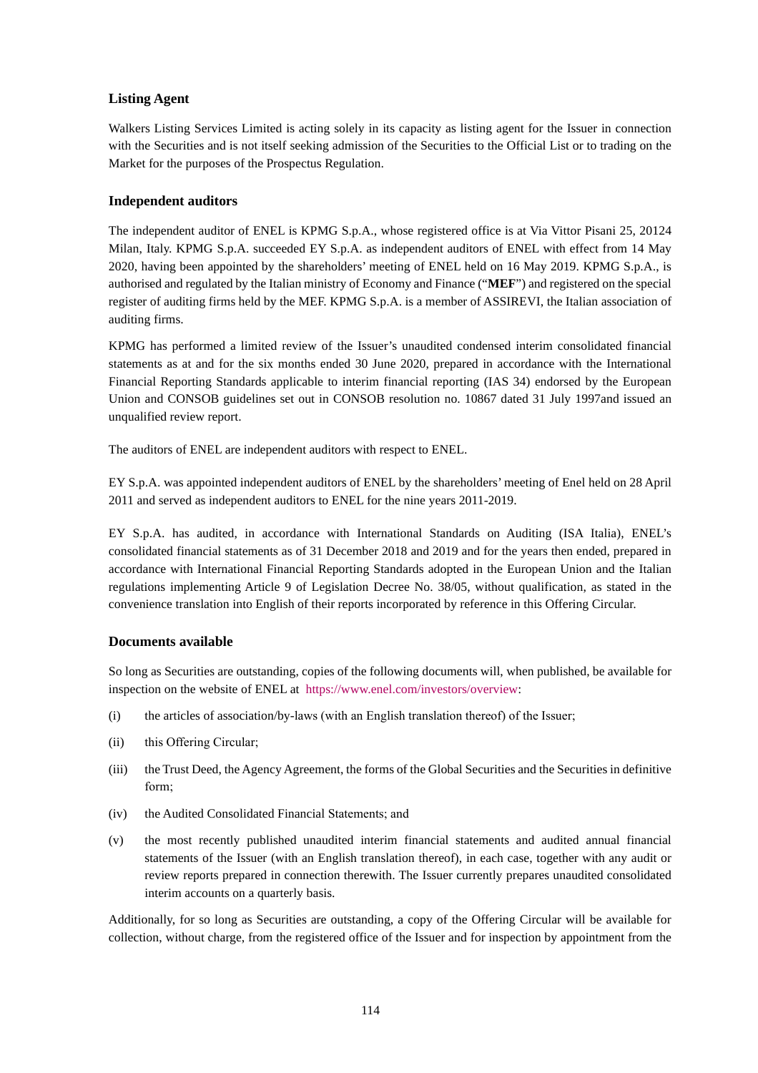# **Listing Agent**

Walkers Listing Services Limited is acting solely in its capacity as listing agent for the Issuer in connection with the Securities and is not itself seeking admission of the Securities to the Official List or to trading on the Market for the purposes of the Prospectus Regulation.

# **Independent auditors**

The independent auditor of ENEL is KPMG S.p.A., whose registered office is at Via Vittor Pisani 25, 20124 Milan, Italy. KPMG S.p.A. succeeded EY S.p.A. as independent auditors of ENEL with effect from 14 May 2020, having been appointed by the shareholders' meeting of ENEL held on 16 May 2019. KPMG S.p.A., is authorised and regulated by the Italian ministry of Economy and Finance ("**MEF**") and registered on the special register of auditing firms held by the MEF. KPMG S.p.A. is a member of ASSIREVI, the Italian association of auditing firms.

KPMG has performed a limited review of the Issuer's unaudited condensed interim consolidated financial statements as at and for the six months ended 30 June 2020, prepared in accordance with the International Financial Reporting Standards applicable to interim financial reporting (IAS 34) endorsed by the European Union and CONSOB guidelines set out in CONSOB resolution no. 10867 dated 31 July 1997and issued an unqualified review report.

The auditors of ENEL are independent auditors with respect to ENEL.

EY S.p.A. was appointed independent auditors of ENEL by the shareholders' meeting of Enel held on 28 April 2011 and served as independent auditors to ENEL for the nine years 2011-2019.

EY S.p.A. has audited, in accordance with International Standards on Auditing (ISA Italia), ENEL's consolidated financial statements as of 31 December 2018 and 2019 and for the years then ended, prepared in accordance with International Financial Reporting Standards adopted in the European Union and the Italian regulations implementing Article 9 of Legislation Decree No. 38/05, without qualification, as stated in the convenience translation into English of their reports incorporated by reference in this Offering Circular.

# **Documents available**

So long as Securities are outstanding, copies of the following documents will, when published, be available for inspection on the website of ENEL at https://www.enel.com/investors/overview:

- (i) the articles of association/by-laws (with an English translation thereof) of the Issuer;
- (ii) this Offering Circular;
- (iii) the Trust Deed, the Agency Agreement, the forms of the Global Securities and the Securities in definitive form;
- (iv) the Audited Consolidated Financial Statements; and
- (v) the most recently published unaudited interim financial statements and audited annual financial statements of the Issuer (with an English translation thereof), in each case, together with any audit or review reports prepared in connection therewith. The Issuer currently prepares unaudited consolidated interim accounts on a quarterly basis.

Additionally, for so long as Securities are outstanding, a copy of the Offering Circular will be available for collection, without charge, from the registered office of the Issuer and for inspection by appointment from the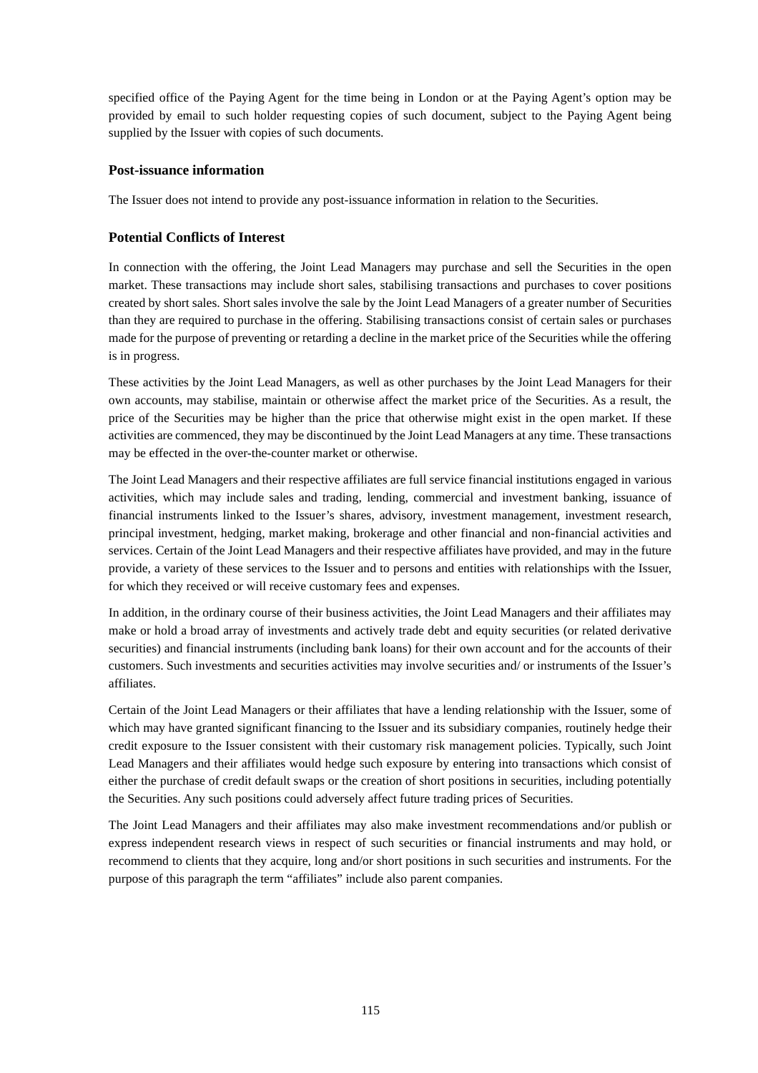specified office of the Paying Agent for the time being in London or at the Paying Agent's option may be provided by email to such holder requesting copies of such document, subject to the Paying Agent being supplied by the Issuer with copies of such documents.

# **Post-issuance information**

The Issuer does not intend to provide any post-issuance information in relation to the Securities.

# **Potential Conflicts of Interest**

In connection with the offering, the Joint Lead Managers may purchase and sell the Securities in the open market. These transactions may include short sales, stabilising transactions and purchases to cover positions created by short sales. Short sales involve the sale by the Joint Lead Managers of a greater number of Securities than they are required to purchase in the offering. Stabilising transactions consist of certain sales or purchases made for the purpose of preventing or retarding a decline in the market price of the Securities while the offering is in progress.

These activities by the Joint Lead Managers, as well as other purchases by the Joint Lead Managers for their own accounts, may stabilise, maintain or otherwise affect the market price of the Securities. As a result, the price of the Securities may be higher than the price that otherwise might exist in the open market. If these activities are commenced, they may be discontinued by the Joint Lead Managers at any time. These transactions may be effected in the over-the-counter market or otherwise.

The Joint Lead Managers and their respective affiliates are full service financial institutions engaged in various activities, which may include sales and trading, lending, commercial and investment banking, issuance of financial instruments linked to the Issuer's shares, advisory, investment management, investment research, principal investment, hedging, market making, brokerage and other financial and non-financial activities and services. Certain of the Joint Lead Managers and their respective affiliates have provided, and may in the future provide, a variety of these services to the Issuer and to persons and entities with relationships with the Issuer, for which they received or will receive customary fees and expenses.

In addition, in the ordinary course of their business activities, the Joint Lead Managers and their affiliates may make or hold a broad array of investments and actively trade debt and equity securities (or related derivative securities) and financial instruments (including bank loans) for their own account and for the accounts of their customers. Such investments and securities activities may involve securities and/ or instruments of the Issuer's affiliates.

Certain of the Joint Lead Managers or their affiliates that have a lending relationship with the Issuer, some of which may have granted significant financing to the Issuer and its subsidiary companies, routinely hedge their credit exposure to the Issuer consistent with their customary risk management policies. Typically, such Joint Lead Managers and their affiliates would hedge such exposure by entering into transactions which consist of either the purchase of credit default swaps or the creation of short positions in securities, including potentially the Securities. Any such positions could adversely affect future trading prices of Securities.

The Joint Lead Managers and their affiliates may also make investment recommendations and/or publish or express independent research views in respect of such securities or financial instruments and may hold, or recommend to clients that they acquire, long and/or short positions in such securities and instruments. For the purpose of this paragraph the term "affiliates" include also parent companies.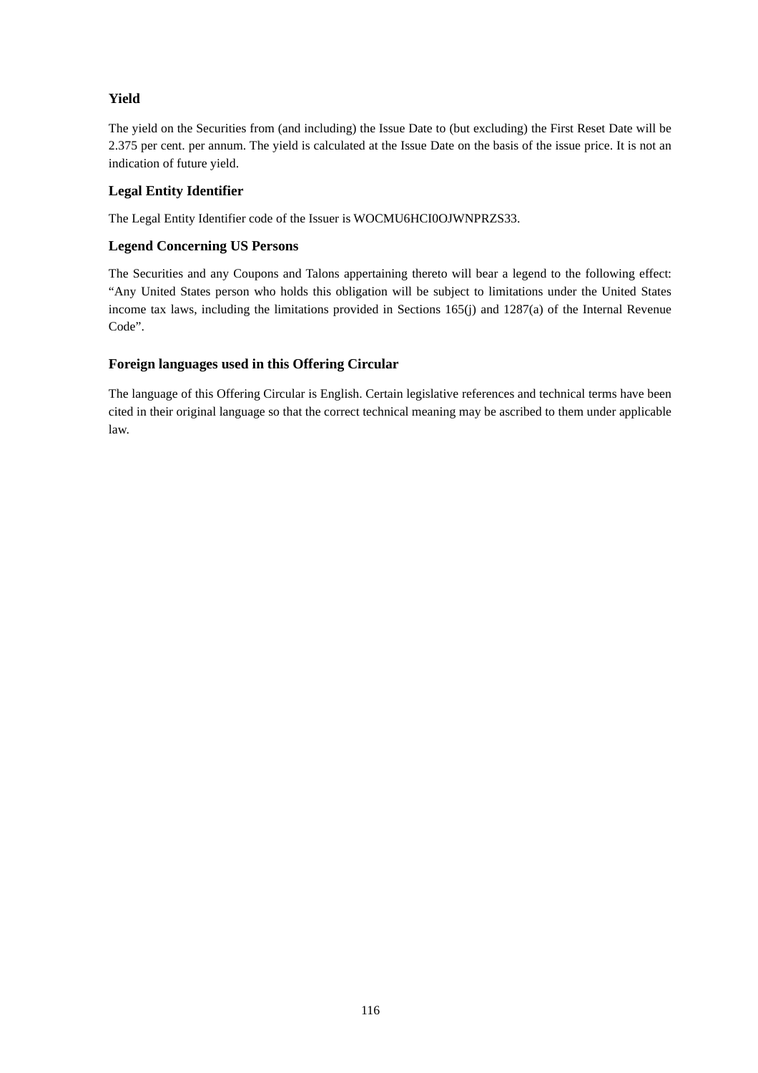# **Yield**

The yield on the Securities from (and including) the Issue Date to (but excluding) the First Reset Date will be 2.375 per cent. per annum. The yield is calculated at the Issue Date on the basis of the issue price. It is not an indication of future yield.

# **Legal Entity Identifier**

The Legal Entity Identifier code of the Issuer is WOCMU6HCI0OJWNPRZS33.

# **Legend Concerning US Persons**

The Securities and any Coupons and Talons appertaining thereto will bear a legend to the following effect: "Any United States person who holds this obligation will be subject to limitations under the United States income tax laws, including the limitations provided in Sections 165(j) and 1287(a) of the Internal Revenue Code".

# **Foreign languages used in this Offering Circular**

The language of this Offering Circular is English. Certain legislative references and technical terms have been cited in their original language so that the correct technical meaning may be ascribed to them under applicable law.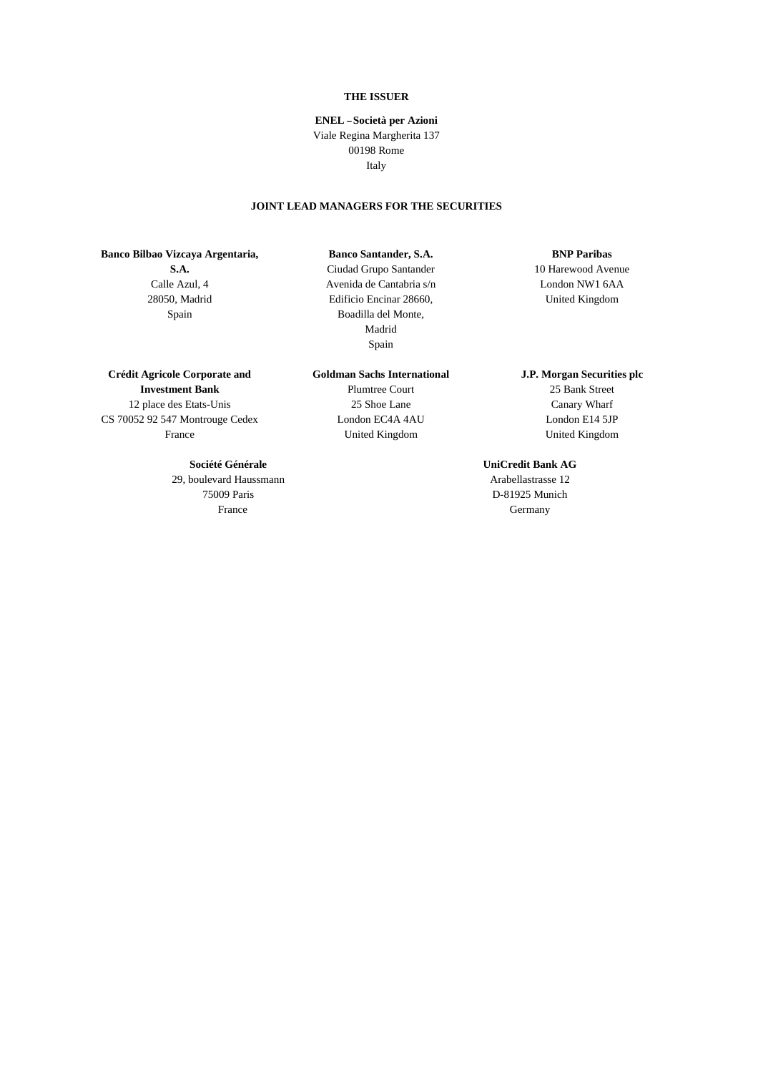## **THE ISSUER**

## **ENEL — Società per Azioni**  Viale Regina Margherita 137 00198 Rome Italy

# **JOINT LEAD MANAGERS FOR THE SECURITIES**

**Banco Bilbao Vizcaya Argentaria, S.A.**  Calle Azul, 4 28050, Madrid

Spain

#### **Banco Santander, S.A.**

Ciudad Grupo Santander Avenida de Cantabria s/n Edificio Encinar 28660, Boadilla del Monte, Madrid Spain

## **Crédit Agricole Corporate and Investment Bank**  12 place des Etats-Unis CS 70052 92 547 Montrouge Cedex France

### **Société Générale**

29, boulevard Haussmann 75009 Paris France

**Goldman Sachs International** 

Plumtree Court 25 Shoe Lane London EC4A 4AU United Kingdom

## **BNP Paribas**

10 Harewood Avenue London NW1 6AA United Kingdom

## **J.P. Morgan Securities plc**

25 Bank Street Canary Wharf London E14 5JP United Kingdom

## **UniCredit Bank AG**

Arabellastrasse 12 D-81925 Munich Germany